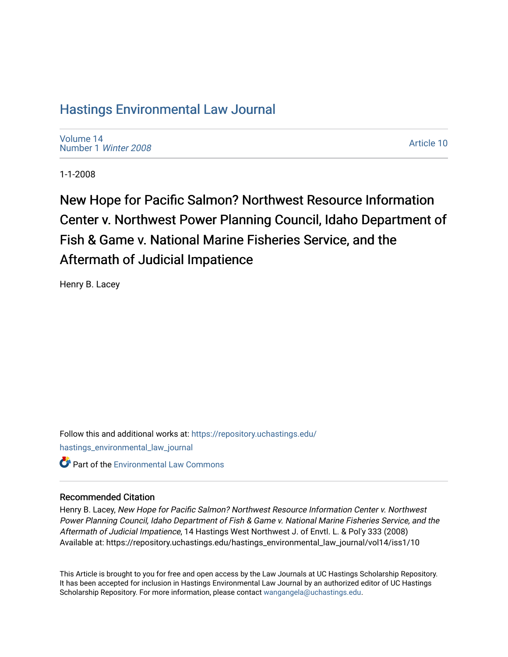# [Hastings Environmental Law Journal](https://repository.uchastings.edu/hastings_environmental_law_journal)

[Volume 14](https://repository.uchastings.edu/hastings_environmental_law_journal/vol14) [Number 1](https://repository.uchastings.edu/hastings_environmental_law_journal/vol14/iss1) Winter 2008

[Article 10](https://repository.uchastings.edu/hastings_environmental_law_journal/vol14/iss1/10) 

1-1-2008

New Hope for Pacific Salmon? Northwest Resource Information Center v. Northwest Power Planning Council, Idaho Department of Fish & Game v. National Marine Fisheries Service, and the Aftermath of Judicial Impatience

Henry B. Lacey

Follow this and additional works at: [https://repository.uchastings.edu/](https://repository.uchastings.edu/hastings_environmental_law_journal?utm_source=repository.uchastings.edu%2Fhastings_environmental_law_journal%2Fvol14%2Fiss1%2F10&utm_medium=PDF&utm_campaign=PDFCoverPages) [hastings\\_environmental\\_law\\_journal](https://repository.uchastings.edu/hastings_environmental_law_journal?utm_source=repository.uchastings.edu%2Fhastings_environmental_law_journal%2Fvol14%2Fiss1%2F10&utm_medium=PDF&utm_campaign=PDFCoverPages) 

**C** Part of the [Environmental Law Commons](http://network.bepress.com/hgg/discipline/599?utm_source=repository.uchastings.edu%2Fhastings_environmental_law_journal%2Fvol14%2Fiss1%2F10&utm_medium=PDF&utm_campaign=PDFCoverPages)

# Recommended Citation

Henry B. Lacey, New Hope for Pacific Salmon? Northwest Resource Information Center v. Northwest Power Planning Council, Idaho Department of Fish & Game v. National Marine Fisheries Service, and the Aftermath of Judicial Impatience, 14 Hastings West Northwest J. of Envtl. L. & Pol'y 333 (2008) Available at: https://repository.uchastings.edu/hastings\_environmental\_law\_journal/vol14/iss1/10

This Article is brought to you for free and open access by the Law Journals at UC Hastings Scholarship Repository. It has been accepted for inclusion in Hastings Environmental Law Journal by an authorized editor of UC Hastings Scholarship Repository. For more information, please contact [wangangela@uchastings.edu.](mailto:wangangela@uchastings.edu)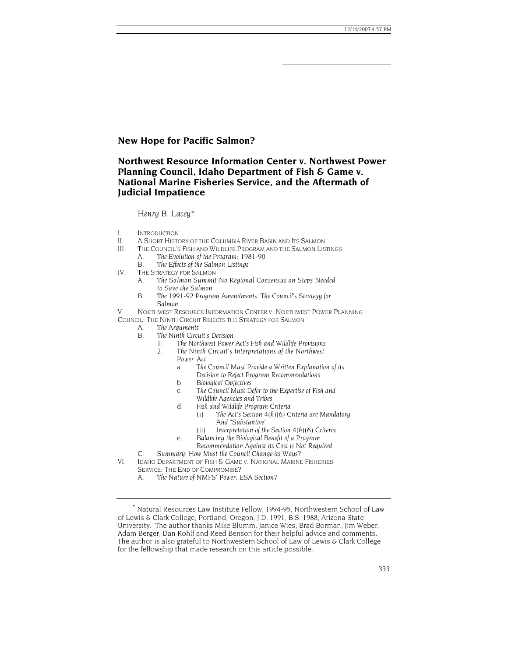# **New Hope for Pacific Salmon?**

# **Northwest Resource Information Center v. Northwest Power Planning Council, Idaho Department of Fish & Game v. National Marine Fisheries Service, and the Aftermath of Judicial Impatience**

*Henry B. Lacey[\\*](#page-1-0)* 

- I. Introduction<br>II. A Short Histo
- A SHORT HISTORY OF THE COLUMBIA RIVER BASIN AND ITS SALMON
- III. THE COUNCIL'S FISH AND WILDLIFE PROGRAM AND THE SALMON LISTINGS<br>A. The Evolution of the Program: 1981-90
	- A. *The Evolution of the Program*: 1981-90
	- B. *The Effects of the Salmon Listings*
- IV. THE STRATEGY FOR SALMON
	- A. *The Salmon Summit No Regional Consensus on Steps Needed to Save the Salmon*
	- B. *The* 1991-92 *Program Amendments: The Council's Strategy for Salmon*
- V. NORTHWEST RESOURCE INFORMATION CENTER V. NORTHWEST POWER PLANNING COUNCIL: THE NINTH CIRCUIT REJECTS THE STRATEGY FOR SALMON
- - A. *The Arguments*
	- B. *The Ninth Circuit's Decision*
		- 1. *The Northwest Power Act's Fish and Wildlife Provisions*
			- 2. *The Ninth Circuit's Interpretations of the Northwest Power Act*
				- a. *The Council Must Provide a Written Explanation of its Decision to Reject Program Recommendations*
				- b. *Biological Objectives*
				- c. *The Council Must Defer to the Expertise of Fish and*
				- *Wildlife Agencies and Tribes* d. *Fish and Wildlife Program Criteria*
					- (i) *The Act's Section 4(h)(6) Criteria are Mandatory And "Substantive"*
						- (ii) *Interpretation of the Section 4(h)(6) Criteria*
				- e. *Balancing the Biological Benefit of a Program*
	- *Recommendation Against its Cost is Not Required* C. *Summary: How Must the Council Change its Ways?*
- VI. IDAHO DEPARTMENT OF FISH & GAME V. NATIONAL MARINE FISHERIES
	- SERVICE: THE END OF COMPROMISE?<br>A. The Nature of NMFS' Power: E
	- A. *The Nature of NMFS' Power: ESA Section7*

<span id="page-1-0"></span><sup>\*</sup> Natural Resources Law Institute Fellow, 1994-95, Northwestern School of Law of Lewis & Clark College, Portland, Oregon. J.D. 1991, B.S. 1988, Arizona State University. The author thanks Mike Blumm, Janice Wies, Brad Borman, Jim Weber, Adam Berger, Dan Rohlf and Reed Benson for their helpful advice and comments. The author is also grateful to Northwestern School of Law of Lewis & Clark College for the fellowship that made research on this article possible.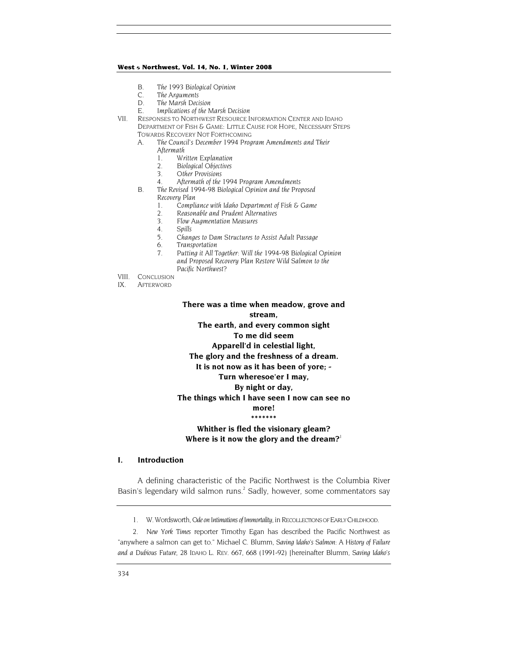- <span id="page-2-1"></span>B. *The 1993 Biological Opinion*
- C. *The Arguments*
- **The Marsh Decision**
- E. *Implications of the Marsh Decision*
- VII. RESPONSES TO NORTHWEST RESOURCE INFORMATION CENTER AND IDAHO DEPARTMENT OF FISH & GAME: LITTLE CAUSE FOR HOPE, NECESSARY STEPS TOWARDS RECOVERY NOT FORTHCOMING
	- A. *The Council's December* 1994 *Program Amendments and Their Aftermath*
		- 1. *Written Explanation*
		- 2. *Biological Objectives*
		- 3. *Other Provisions*
		- 4. *Aftermath of the* 1994 *Program Amendments*
	- B. *The Revised* 1994-98 *Biological Opinion and the Proposed Recovery Plan*
		- 1. *Compliance with Idaho Department of Fish & Game*
		- 2. *Reasonable and Prudent Alternatives*
		- 3. *Flow Augmentation Measures*
		- 4. *Spills*
		- 5. *Changes to Dam Structures to Assist Adult Passage*
		- 6. *Transportation*
		- 7. *Putting it All Together: Will the* 1994-98 *Biological Opinion and Proposed Recovery Plan Restore Wild Salmon to the Pacific Northwest?*
- 
- VIII. CONCLUSION<br>IX. Afterword **AFTERWORD**

# **There was a time when meadow, grove and stream,**

**The earth, and every common sight To me did seem Apparell'd in celestial light, The glory and the freshness of a dream. It is not now as it has been of yore; - Turn wheresoe'er I may, By night or day, The things which I have seen I now can see no more! \*\*\*\*\*\*\***

# **Whither is fled the visionary gleam? Where is it now the glory and the dream?**[1](#page-2-0)

### **I. Introduction**

A defining characteristic of the Pacific Northwest is the Columbia River Basin's legendary wild salmon runs.<sup>2</sup> Sadly, however, some commentators say

<span id="page-2-0"></span><sup>1.</sup> W. Wordsworth, *Ode on Intimations of Immortality*, in RECOLLECTIONS OF EARLY CHILDHOOD.

<sup>2</sup>*. New York Times* reporter Timothy Egan has described the Pacific Northwest as "anywhere a salmon can get to." Michael C. Blumm, *Saving Idaho's Salmon*: *A History of Failure and a Dubious Future*, 28 IDAHO L. REV. 667, 668 (1991-92) [hereinafter Blumm, *Saving Idaho's*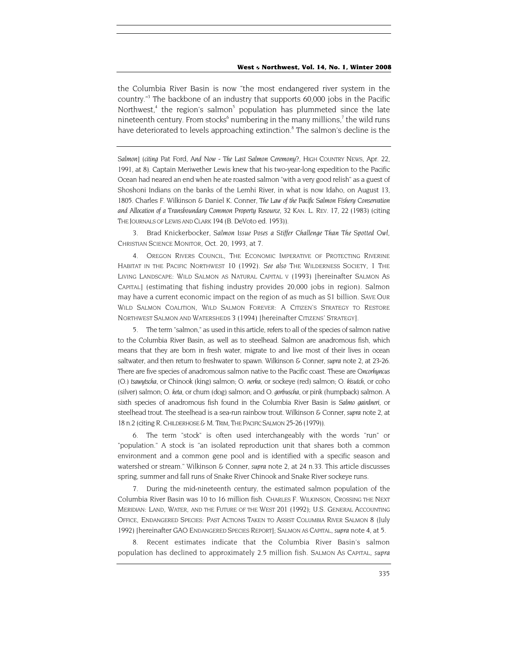<span id="page-3-5"></span>the Columbia River Basin is now "the most endangered river system in the country."3 The backbone of an industry that supports 60,000 jobs in the Pacific Northwest,<sup>4</sup> the region's salmon<sup>[5](#page-3-2)</sup> population has plummeted since the late nineteenth century. From stocks $6$  numbering in the many millions,<sup>7</sup> the wild runs have deteriorated to levels approaching extinction.<sup>[8](#page-3-5)</sup> The salmon's decline is the

*Salmon*] (*citing* Pat Ford, *And Now - The Last Salmon Ceremony?*, HIGH COUNTRY NEWS, Apr. 22, 1991, at 8). Captain Meriwether Lewis knew that his two-year-long expedition to the Pacific Ocean had neared an end when he ate roasted salmon "with a very good relish" as a guest of Shoshoni Indians on the banks of the Lemhi River, in what is now Idaho, on August 13, 1805. Charles F. Wilkinson & Daniel K. Conner, *The Law of the Pacific Salmon Fishery Conservation and Allocation of a Transboundary Common Property Resource*, 32 KAN. L. REV. 17, 22 (1983) (citing THE JOURNALS OF LEWIS AND CLARK 194 (B. DeVoto ed. 1953)).

<span id="page-3-0"></span>3. Brad Knickerbocker, *Salmon Issue Poses a Stiffer Challenge Than The Spotted Owl*, CHRISTIAN SCIENCE MONITOR, Oct. 20, 1993, at 7.

<span id="page-3-1"></span>4. OREGON RIVERS COUNCIL, THE ECONOMIC IMPERATIVE OF PROTECTING RIVERINE HABITAT IN THE PACIFIC NORTHWEST 10 (1992). *See also* THE WILDERNESS SOCIETY, 1 THE LIVING LANDSCAPE: WILD SALMON AS NATURAL CAPITAL V (1993) [hereinafter SALMON AS CAPITAL] (estimating that fishing industry provides 20,000 jobs in region). Salmon may have a current economic impact on the region of as much as \$1 billion. SAVE OUR WILD SALMON COALITION, WILD SALMON FOREVER: A CITIZEN'S STRATEGY TO RESTORE NORTHWEST SALMON AND WATERSHEDS 3 (1994) [hereinafter CITIZENS' STRATEGY].

<span id="page-3-2"></span>5. The term "salmon," as used in this article, refers to all of the species of salmon native to the Columbia River Basin, as well as to steelhead. Salmon are anadromous fish, which means that they are born in fresh water, migrate to and live most of their lives in ocean saltwater, and then return to freshwater to spawn. Wilkinson & Conner, *supra* note 2, at 23-26. There are five species of anadromous salmon native to the Pacific coast. These are *Oncorhyncus*  (O.) *tsawytscha*, or Chinook (king) salmon; O. *nerka*, or sockeye (red) salmon; O. *kisutch*, or coho (silver) salmon; O. *keta*, or chum (dog) salmon; and O. *gorbuscha*, or pink (humpback) salmon. A sixth species of anadromous fish found in the Columbia River Basin is *Salmo gairdneri*, or steelhead trout. The steelhead is a sea-run rainbow trout. Wilkinson & Conner, *supra* note 2, at 18 n.2 (citing R. CHILDERHOSE & M. TRIM, THE PACIFIC SALMON 25-26 (1979)).

<span id="page-3-3"></span>6. The term "stock" is often used interchangeably with the words "run" or "population." A stock is "an isolated reproduction unit that shares both a common environment and a common gene pool and is identified with a specific season and watershed or stream." Wilkinson & Conner, *supra* note 2, at 24 n.33. This article discusses spring, summer and fall runs of Snake River Chinook and Snake River sockeye runs.

<span id="page-3-4"></span>7. During the mid-nineteenth century, the estimated salmon population of the Columbia River Basin was 10 to 16 million fish. CHARLES F. WILKINSON, CROSSING THE NEXT MERIDIAN: LAND, WATER, AND THE FUTURE OF THE WEST 201 (1992); U.S. GENERAL ACCOUNTING OFFICE, ENDANGERED SPECIES: PAST ACTIONS TAKEN TO ASSIST COLUMBIA RIVER SALMON 8 (July 1992) [hereinafter GAO ENDANGERED SPECIES REPORT]; SALMON AS CAPITAL, *supra* note 4, at 5.

Recent estimates indicate that the Columbia River Basin's salmon population has declined to approximately 2.5 million fish. SALMON AS CAPITAL, *supra*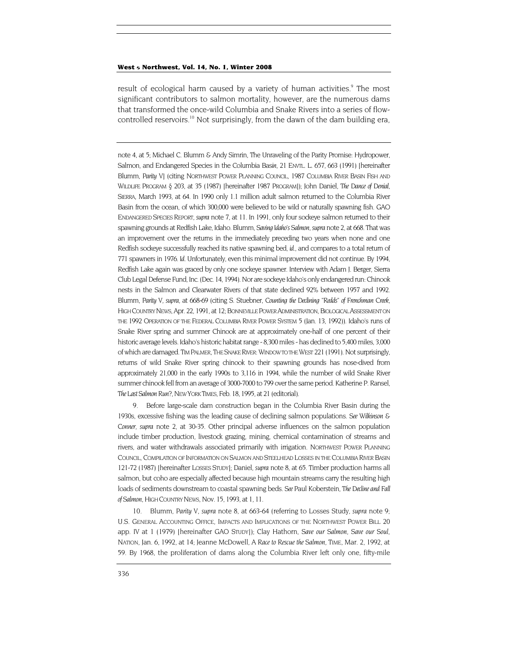<span id="page-4-1"></span>result of ecological harm caused by a variety of human activities.<sup>9</sup> The most significant contributors to salmon mortality, however, are the numerous dams that transformed the once-wild Columbia and Snake Rivers into a series of flowcontrolled reservoirs.<sup>10</sup> Not surprisingly, from the dawn of the dam building era,

note 4, at 5; Michael C. Blumm & Andy Simrin, The Unraveling of the Parity Promise: Hydropower, Salmon, and Endangered Species in the Columbia Bas*in*, 21 ENVTL. L. 657, 663 (1991) [hereinafter Blumm, *Parity* V] (citing NORTHWEST POWER PLANNING COUNCIL, 1987 COLUMBIA RIVER BASIN FISH AND WILDLIFE PROGRAM § 203, at 35 (1987) [hereinafter 1987 PROGRAM]); John Daniel, *The Dance of Denial*, SIERRA, March 1993, at 64. In 1990 only 1.1 million adult salmon returned to the Columbia River Basin from the ocean, of which 300,000 were believed to be wild or naturally spawning fish. GAO ENDANGERED SPECIES REPORT, *supra* note 7, at 11. In 1991, only four sockeye salmon returned to their spawning grounds at Redfish Lake, Idaho. Blumm, *Saving Idaho's Salmon*, *supra* note 2, at 668. That was an improvement over the returns in the immediately preceding two years when none and one Redfish sockeye successfully reached its native spawning bed, *id.*, and compares to a total return of 771 spawners in 1976. *Id.* Unfortunately, even this minimal improvement did not continue. By 1994, Redfish Lake again was graced by only one sockeye spawner. Interview with Adam J. Berger, Sierra Club Legal Defense Fund, Inc. (Dec. 14, 1994). Nor are sockeye Idaho's only endangered run: Chinook nests in the Salmon and Clearwater Rivers of that state declined 92% between 1957 and 1992. Blumm, *Parity* V, *supra*, at 668-69 (citing S. Stuebner, *Counting the Declining "Redds" of Frenchman Creek*, HIGH COUNTRY NEWS, Apr. 22, 1991, at 12; BONNEVILLE POWER ADMINISTRATION, BIOLOGICAL ASSESSMENT ON THE 1992 OPERATION OF THE FEDERAL COLUMBIA RIVER POWER SYSTEM 5 (Jan. 13, 1992)). Idaho's runs of Snake River spring and summer Chinook are at approximately one-half of one percent of their historic average levels. Idaho's historic habitat range - 8,300 miles - has declined to 5,400 miles, 3,000 of which are damaged. TIM PALMER, THE SNAKE RIVER: WINDOW TO THE WEST 221 (1991). Not surprisingly, returns of wild Snake River spring chinook to their spawning grounds has nose-dived from approximately 21,000 in the early 1990s to 3,116 in 1994, while the number of wild Snake River summer chinook fell from an average of 3000-7000 to 799 over the same period. Katherine P. Ransel, *The Last Salmon Run?*, NEW YORK TIMES, Feb. 18, 1995, at 21 (editorial).

<span id="page-4-0"></span>9. Before large-scale dam construction began in the Columbia River Basin during the 1930s, excessive fishing was the leading cause of declining salmon populations. *See Wilkinson & Conner*, *supra* note 2, at 30-35. Other principal adverse influences on the salmon population include timber production, livestock grazing, mining, chemical contamination of streams and rivers, and water withdrawals associated primarily with irrigation. NORTHWEST POWER PLANNING COUNCIL, COMPILATION OF INFORMATION ON SALMON AND STEELHEAD LOSSES IN THE COLUMBIA RIVER BASIN 121-72 (1987) [hereinafter LOSSES STUDY]; Daniel, *supra* note 8, at 65. Timber production harms all salmon, but coho are especially affected because high mountain streams carry the resulting high loads of sediments downstream to coastal spawning beds. *See* Paul Koberstein, *The Decline and Fall of Salmon*, HIGH COUNTRY NEWS, Nov. 15, 1993, at 1, 11.

10. Blumm, *Parity* V, *supra* note 8, at 663-64 (referring to Losses Study, *supra* note 9; U.S. GENERAL ACCOUNTING OFFICE, IMPACTS AND IMPLICATIONS OF THE NORTHWEST POWER BILL 20 app. IV at 1 (1979) [hereinafter GAO STUDY]); Clay Hathorn, *Save our Salmon, Save our Soul*, NATION, Jan. 6, 1992, at 14; Jeanne McDowell, *A Race to Rescue the Salmon*, TIME, Mar. 2, 1992, at 59. By 1968, the proliferation of dams along the Columbia River left only one, fifty-mile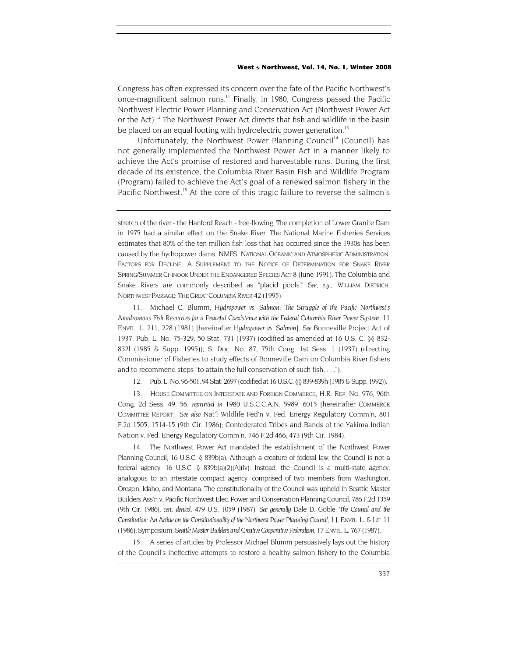<span id="page-5-4"></span>Congress has often expressed its concern over the fate of the Pacific Northwest's once-magnificent salmon runs.<sup>11</sup> Finally, in 1980, Congress passed the Pacific Northwest Electric Power Planning and Conservation Act (Northwest Power Act or the Act).<sup>12</sup> The Northwest Power Act directs that fish and wildlife in the basin be placed on an equal footing with hydroelectric power generation.<sup>13</sup>

Unfortunately, the Northwest Power Planning Council<sup>14</sup> (Council) has not generally implemented the Northwest Power Act in a manner likely to achieve the Act's promise of restored and harvestable runs. During the first decade of its existence, the Columbia River Basin Fish and Wildlife Program (Program) failed to achieve the Act's goal of a renewed salmon fishery in the Pacific Northwest.<sup>15</sup> At the core of this tragic failure to reverse the salmon's

<span id="page-5-0"></span>11. Michael C. Blumm, *Hydropower vs. Salmon: The Struggle of the Pacific Northwest's Anadromous Fish Resources for a Peaceful Coexistence with the Federal Columbia River Power System*, 11 ENVTL. L. 211, 228 (1981) [hereinafter *Hydropower vs. Salmon*]. *See* Bonneville Project Act of 1937, Pub. L. No. 75-329, 50 Stat. 731 (1937) (codified as amended at 16 U.S. C. §§ 832- 832l (1985 & Supp. 1995)); S. Doc. No. 87, 75th Cong. 1st Sess. 1 (1937) (directing Commissioner of Fisheries to study effects of Bonneville Dam on Columbia River fishers and to recommend steps "to attain the full conservation of such fish. . . .").

<span id="page-5-1"></span>12. Pub. L. No. 96-501, 94 Stat. 2697 (codified at 16 U.S.C. §§ 839-839h (1985 & Supp. 1992)).

<span id="page-5-2"></span>13. HOUSE COMMITTEE ON INTERSTATE AND FOREIGN COMMERCE, H.R. REP. NO. 976, 96th Cong. 2d Sess. 49, 56, *reprinted in* 1980 U.S.C.C.A.N. 5989, 6015 [hereinafter COMMERCE COMMITTEE REPORT]. *See also* Nat'l Wildlife Fed'n v. Fed. Energy Regulatory Comm'n, 801 F.2d 1505, 1514-15 (9th Cir. 1986); Confederated Tribes and Bands of the Yakima Indian Nation v. Fed. Energy Regulatory Comm'n, 746 F.2d 466, 473 (9th Cir. 1984).

<span id="page-5-3"></span>14. The Northwest Power Act mandated the establishment of the Northwest Power Planning Council, 16 U.S.C. § 839b(a). Although a creature of federal law, the Council is not a federal agency. 16 U.S.C. § 839b(a)(2)(A)(iv). Instead, the Council is a multi-state agency, analogous to an interstate compact agency, comprised of two members from Washington, Oregon, Idaho, and Montana. The constitutionality of the Council was upheld in Seattle Master Builders Ass'n v. Pacific Northwest Elec. Power and Conservation Planning Council, 786 F.2d 1359 (9th Cir. 1986), *cert. denied*, 479 U.S. 1059 (1987). *See generally* Dale D. Goble, *The Council and the Constitution: An Article on the Constitutionality of the Northwest Power Planning Council*, 1 J. ENVTL. L. & LIT. 11 (1986); Symposium, *Seattle Master Builders and Creative Cooperative Federalism*, 17 ENVTL. L. 767 (1987).

15. A series of articles by Professor Michael Blumm persuasively lays out the history of the Council's ineffective attempts to restore a healthy salmon fishery to the Columbia

stretch of the river - the Hanford Reach - free-flowing. The completion of Lower Granite Dam in 1975 had a similar effect on the Snake River. The National Marine Fisheries Services estimates that 80% of the ten million fish loss that has occurred since the 1930s has been caused by the hydropower dams. NMFS, NATIONAL OCEANIC AND ATMOSPHERIC ADMINISTRATION, FACTORS FOR DECLINE: A SUPPLEMENT TO THE NOTICE OF DETERMINATION FOR SNAKE RIVER SPRING/SUMMER CHINOOK UNDER THE ENDANGERED SPECIES ACT 8 (June 1991). The Columbia and Snake Rivers are commonly described as "placid pools." *See, e.g.,* WILLIAM DIETRICH, NORTHWEST PASSAGE: THE GREAT COLUMBIA RIVER 42 (1995).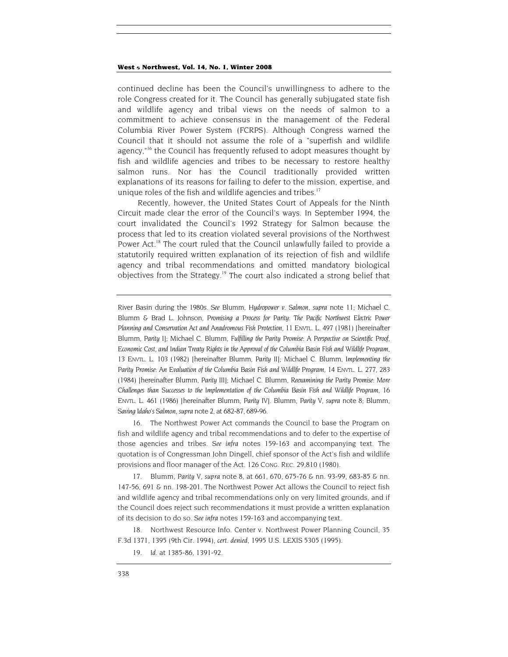continued decline has been the Council's unwillingness to adhere to the role Congress created for it. The Council has generally subjugated state fish and wildlife agency and tribal views on the needs of salmon to a commitment to achieve consensus in the management of the Federal Columbia River Power System (FCRPS). Although Congress warned the Council that it should not assume the role of a "superfish and wildlife agency,<sup>"16</sup> the Council has frequently refused to adopt measures thought by fish and wildlife agencies and tribes to be necessary to restore healthy salmon runs. Nor has the Council traditionally provided written explanations of its reasons for failing to defer to the mission, expertise, and unique roles of the fish and wildlife agencies and tribes.<sup>17</sup>

Recently, however, the United States Court of Appeals for the Ninth Circuit made clear the error of the Council's ways. In September 1994, the court invalidated the Council's 1992 Strategy for Salmon because the process that led to its creation violated several provisions of the Northwest Power Act.<sup>18</sup> The court ruled that the Council unlawfully failed to provide a statutorily required written explanation of its rejection of fish and wildlife agency and tribal recommendations and omitted mandatory biological objectives from the Strategy.<sup>19</sup> The court also indicated a strong belief that

River Basin during the 1980s. *See* Blumm, *Hydropower v. Salmon*, *supra* note 11; Michael C. Blumm & Brad L. Johnson, *Promising a Process for Parity: The Pacific Northwest Electric Power Planning and Conservation Act and Anadromous Fish Protection*, 11 ENVTL. L. 497 (1981) [hereinafter Blumm, *Parity* I]; Michael C. Blumm, *Fulfilling the Parity Promise: A Perspective on Scientific Proof, Economic Cost, and Indian Treaty Rights in the Approval of the Columbia Basin Fish and Wildlife Program*, 13 ENVTL. L. 103 (1982) [hereinafter Blumm, *Parity* II]; Michael C. Blumm, *Implementing the Parity Promise: An Evaluation of the Columbia Basin Fish and Wildlife Program*, 14 ENVTL. L. 277, 283 (1984) [hereinafter Blumm, *Parity* III]; Michael C. Blumm, *Reexamining the Parity Promise: More Challenges than Successes to the Implementation of the Columbia Basin Fish and Wildlife Program*, 16 ENVTL. L. 461 (1986) [hereinafter Blumm, *Parity* IV]. Blumm, *Parity* V, *supra* note 8; Blumm, *Saving Idaho's Salmon, supra* note 2, at 682-87, 689-96.

<span id="page-6-0"></span>16. The Northwest Power Act commands the Council to base the Program on fish and wildlife agency and tribal recommendations and to defer to the expertise of those agencies and tribes. *See infra* notes 159-163 and accompanying text. The quotation is of Congressman John Dingell, chief sponsor of the Act's fish and wildlife provisions and floor manager of the Act. 126 CONG. REC. 29,810 (1980).

<span id="page-6-1"></span>17. Blumm, *Parity* V, *supra* note 8, at 661, 670, 675-76 & nn. 93-99, 683-85 & nn. 147-56, 691 & nn. 198-201. The Northwest Power Act allows the Council to reject fish and wildlife agency and tribal recommendations only on very limited grounds, and if the Council does reject such recommendations it must provide a written explanation of its decision to do so. *See infra* notes 159-163 and accompanying text.

<span id="page-6-2"></span>18. Northwest Resource Info. Center v. Northwest Power Planning Council, 35 F.3d 1371, 1395 (9th Cir. 1994), *cert. denied*, 1995 U.S. LEXIS 5305 (1995).

<span id="page-6-3"></span><sup>19</sup>*. Id.* at 1385-86, 1391-92.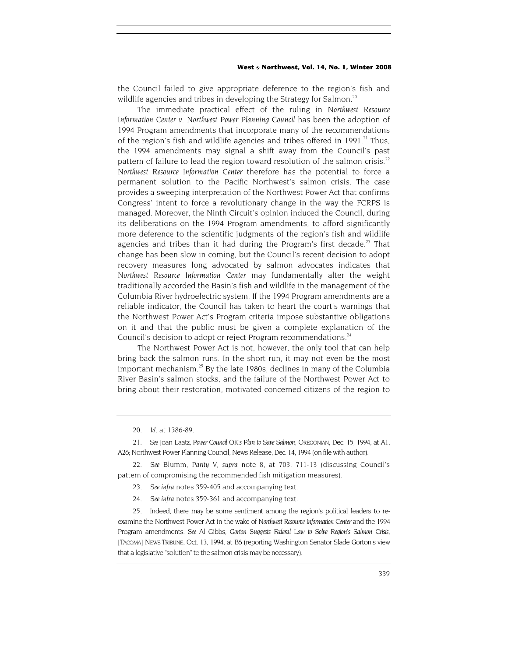the Council failed to give appropriate deference to the region's fish and wildlife agencies and tribes in developing the Strategy for Salmon.<sup>[20](#page-7-0)</sup>

The immediate practical effect of the ruling in *Northwest Resource Information Center v. Northwest Power Planning Council* has been the adoption of 1994 Program amendments that incorporate many of the recommendations of the region's fish and wildlife agencies and tribes offered in 1991.<sup>21</sup> Thus, the 1994 amendments may signal a shift away from the Council's past pattern of failure to lead the region toward resolution of the salmon crisis.<sup>[22](#page-7-2)</sup> *Northwest Resource Information Center* therefore has the potential to force a permanent solution to the Pacific Northwest's salmon crisis. The case provides a sweeping interpretation of the Northwest Power Act that confirms Congress' intent to force a revolutionary change in the way the FCRPS is managed. Moreover, the Ninth Circuit's opinion induced the Council, during its deliberations on the 1994 Program amendments, to afford significantly more deference to the scientific judgments of the region's fish and wildlife agencies and tribes than it had during the Program's first decade.<sup>23</sup> That change has been slow in coming, but the Council's recent decision to adopt recovery measures long advocated by salmon advocates indicates that *Northwest Resource Information Center* may fundamentally alter the weight traditionally accorded the Basin's fish and wildlife in the management of the Columbia River hydroelectric system. If the 1994 Program amendments are a reliable indicator, the Council has taken to heart the court's warnings that the Northwest Power Act's Program criteria impose substantive obligations on it and that the public must be given a complete explanation of the Council's decision to adopt or reject Program recommendations.<sup>24</sup>

The Northwest Power Act is not, however, the only tool that can help bring back the salmon runs. In the short run, it may not even be the most important mechanism. $^{25}$  By the late 1980s, declines in many of the Columbia River Basin's salmon stocks, and the failure of the Northwest Power Act to bring about their restoration, motivated concerned citizens of the region to

<span id="page-7-1"></span><span id="page-7-0"></span>21*. See* Joan Laatz, *Power Council OK's Plan to Save Salmon,* OREGONIAN, Dec. 15, 1994, at A1, A26; Northwest Power Planning Council, News Release, Dec. 14, 1994 (on file with author).

<span id="page-7-2"></span>22*. See* Blumm, *Parity* V, *supra* note 8, at 703, 711-13 (discussing Council's pattern of compromising the recommended fish mitigation measures).

- <span id="page-7-3"></span>23*. See infra* notes 359-405 and accompanying text.
- 24*. See infra* notes 359-361 and accompanying text.

<span id="page-7-5"></span><span id="page-7-4"></span>25. Indeed, there may be some sentiment among the region's political leaders to reexamine the Northwest Power Act in the wake of *Northwest Resource Information Center* and the 1994 Program amendments. *See* Al Gibbs, *Gorton Suggests Federal Law to Solve Region's Salmon Crisis*, [TACOMA] NEWS TRIBUNE, Oct. 13, 1994, at B6 (reporting Washington Senator Slade Gorton's view that a legislative "solution" to the salmon crisis may be necessary).

<sup>20</sup>*. Id.* at 1386-89.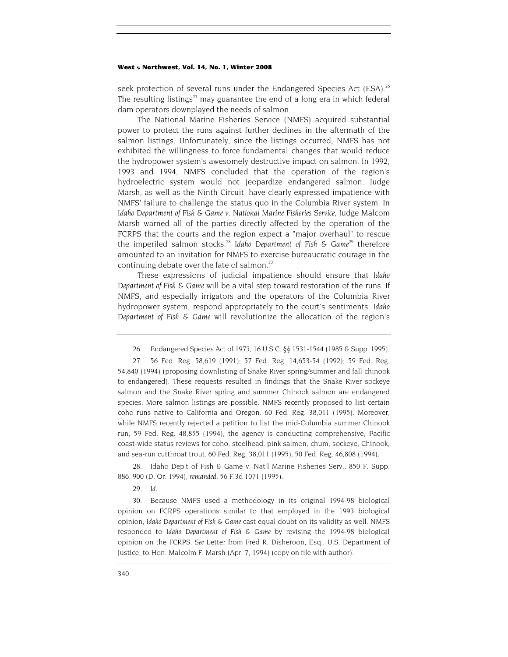seek protection of several runs under the Endangered Species Act (ESA).<sup>26</sup> The resulting listings<sup>27</sup> may guarantee the end of a long era in which federal dam operators downplayed the needs of salmon.

The National Marine Fisheries Service (NMFS) acquired substantial power to protect the runs against further declines in the aftermath of the salmon listings. Unfortunately, since the listings occurred, NMFS has not exhibited the willingness to force fundamental changes that would reduce the hydropower system's awesomely destructive impact on salmon. In 1992, 1993 and 1994, NMFS concluded that the operation of the region's hydroelectric system would not jeopardize endangered salmon. Judge Marsh, as well as the Ninth Circuit, have clearly expressed impatience with NMFS' failure to challenge the status quo in the Columbia River system. In *Idaho Department of Fish & Game v. National Marine Fisheries Service*, Judge Malcom Marsh warned all of the parties directly affected by the operation of the FCRPS that the courts and the region expect a "major overhaul" to rescue the imperiled salmon stocks.<sup>[28](#page-8-2)</sup> Idaho Department of Fish & Game<sup>[29](#page-8-3)</sup> therefore amounted to an invitation for NMFS to exercise bureaucratic courage in the continuing debate over the fate of salmon.<sup>[30](#page-8-4)</sup>

These expressions of judicial impatience should ensure that *Idaho Department of Fish & Game* will be a vital step toward restoration of the runs. If NMFS, and especially irrigators and the operators of the Columbia River hydropower system, respond appropriately to the court's sentiments, *Idaho Department of Fish & Game* will revolutionize the allocation of the region's

<span id="page-8-1"></span><span id="page-8-0"></span>27. 56 Fed. Reg. 58,619 (1991); 57 Fed. Reg. 14,653-54 (1992); 59 Fed. Reg. 54,840 (1994) (proposing downlisting of Snake River spring/summer and fall chinook to endangered). These requests resulted in findings that the Snake River sockeye salmon and the Snake River spring and summer Chinook salmon are endangered species. More salmon listings are possible. NMFS recently proposed to list certain coho runs native to California and Oregon. 60 Fed. Reg. 38,011 (1995). Moreover, while NMFS recently rejected a petition to list the mid-Columbia summer Chinook run, 59 Fed. Reg. 48,855 (1994), the agency is conducting comprehensive, Pacific coast-wide status reviews for coho, steelhead, pink salmon, chum, sockeye, Chinook, and sea-run cutthroat trout. 60 Fed. Reg. 38,011 (1995); 50 Fed. Reg. 46,808 (1994).

<span id="page-8-2"></span>28. Idaho Dep't of Fish & Game v. Nat'l Marine Fisheries Serv., 850 F. Supp. 886, 900 (D. Or. 1994), *remanded*, 56 F.3d 1071 (1995).

<span id="page-8-3"></span>29*. Id.*

<span id="page-8-4"></span>30. Because NMFS used a methodology in its original 1994-98 biological opinion on FCRPS operations similar to that employed in the 1993 biological opinion, *Idaho Department of Fish & Game* cast equal doubt on its validity as well. NMFS responded to *Idaho Department of Fish & Game* by revising the 1994-98 biological opinion on the FCRPS. *See* Letter from Fred R. Disheroon, Esq., U.S. Department of Justice, to Hon. Malcolm F. Marsh (Apr. 7, 1994) (copy on file with author).

<sup>26.</sup> Endangered Species Act of 1973, 16 U.S.C. §§ 1531-1544 (1985 & Supp. 1995).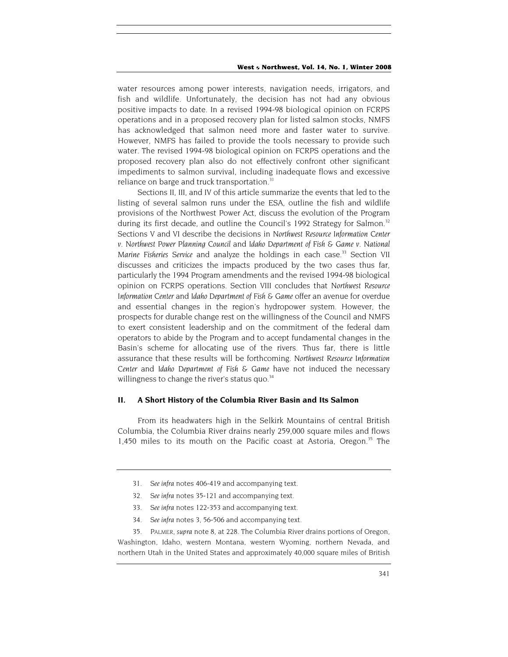<span id="page-9-4"></span>water resources among power interests, navigation needs, irrigators, and fish and wildlife. Unfortunately, the decision has not had any obvious positive impacts to date. In a revised 1994-98 biological opinion on FCRPS operations and in a proposed recovery plan for listed salmon stocks, NMFS has acknowledged that salmon need more and faster water to survive. However, NMFS has failed to provide the tools necessary to provide such water. The revised 1994-98 biological opinion on FCRPS operations and the proposed recovery plan also do not effectively confront other significant impediments to salmon survival, including inadequate flows and excessive reliance on barge and truck transportation.<sup>[31](#page-9-0)</sup>

Sections II, III, and IV of this article summarize the events that led to the listing of several salmon runs under the ESA, outline the fish and wildlife provisions of the Northwest Power Act, discuss the evolution of the Program during its first decade, and outline the Council's 1992 Strategy for Salmon.<sup>32</sup> Sections V and VI describe the decisions in *Northwest Resource Information Center v. Northwest Power Planning Council* and *Idaho Department of Fish & Game v. National* Marine Fisheries Service and analyze the holdings in each case.<sup>33</sup> Section VII discusses and criticizes the impacts produced by the two cases thus far, particularly the 1994 Program amendments and the revised 1994-98 biological opinion on FCRPS operations. Section VIII concludes that *Northwest Resource Information Center* and *Idaho Department of Fish & Game* offer an avenue for overdue and essential changes in the region's hydropower system. However, the prospects for durable change rest on the willingness of the Council and NMFS to exert consistent leadership and on the commitment of the federal dam operators to abide by the Program and to accept fundamental changes in the Basin's scheme for allocating use of the rivers. Thus far, there is little assurance that these results will be forthcoming. *Northwest Resource Information Center* and *Idaho Department of Fish & Game* have not induced the necessary willingness to change the river's status quo. $34$ 

#### **II. A Short History of the Columbia River Basin and Its Salmon**

From its headwaters high in the Selkirk Mountains of central British Columbia, the Columbia River drains nearly 259,000 square miles and flows 1,450 miles to its mouth on the Pacific coast at Astoria, Oregon.<sup>35</sup> The

- <span id="page-9-2"></span>33*. See infra* notes 122-353 and accompanying text.
- <span id="page-9-3"></span>34*. See infra* notes 3, 56-506 and accompanying text.

35. PALMER, *supra* note 8, at 228. The Columbia River drains portions of Oregon, Washington, Idaho, western Montana, western Wyoming, northern Nevada, and northern Utah in the United States and approximately 40,000 square miles of British

<span id="page-9-0"></span><sup>31</sup>*. See infra* notes 406-419 and accompanying text.

<span id="page-9-1"></span><sup>32</sup>*. See infra* notes 35-121 and accompanying text.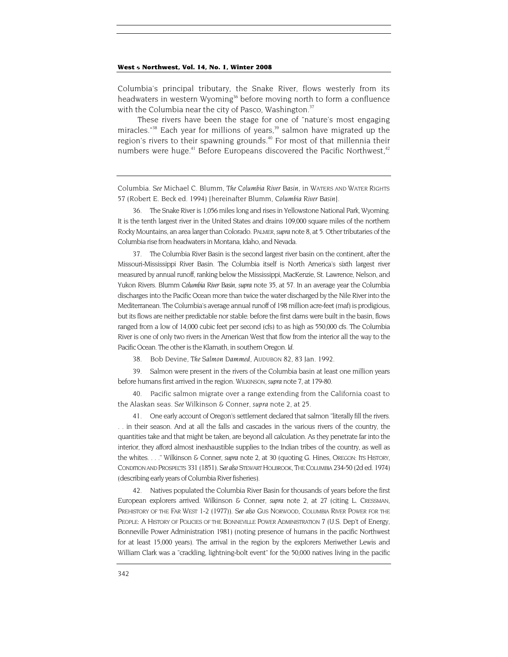<span id="page-10-6"></span>Columbia's principal tributary, the Snake River, flows westerly from its headwaters in western Wyoming<sup>36</sup> before moving north to form a confluence with the Columbia near the city of Pasco, Washington. $37$ 

These rivers have been the stage for one of "nature's most engaging miracles."<sup>38</sup> Each year for millions of years, $39$  salmon have migrated up the region's rivers to their spawning grounds.<sup>40</sup> For most of that millennia their numbers were huge.<sup>41</sup> Before Europeans discovered the Pacific Northwest,<sup>42</sup>

Columbia. *See* Michael C. Blumm, *The Columbia River Basin*, in WATERS AND WATER RIGHTS 57 (Robert E. Beck ed. 1994) [hereinafter Blumm, *Columbia River Basin*].

<span id="page-10-0"></span>36. The Snake River is 1,056 miles long and rises in Yellowstone National Park, Wyoming. It is the tenth largest river in the United States and drains 109,000 square miles of the northern Rocky Mountains, an area larger than Colorado. PALMER, *supra* note 8, at 5. Other tributaries of the Columbia rise from headwaters in Montana, Idaho, and Nevada.

<span id="page-10-1"></span>The Columbia River Basin is the second largest river basin on the continent, after the Missouri-Mississippi River Basin. The Columbia itself is North America's sixth largest river measured by annual runoff, ranking below the Mississippi, MacKenzie, St. Lawrence, Nelson, and Yukon Rivers. Blumm *Columbia River Basin, supra* note 35, at 57. In an average year the Columbia discharges into the Pacific Ocean more than twice the water discharged by the Nile River into the Mediterranean. The Columbia's average annual runoff of 198 million acre-feet (maf) is prodigious, but its flows are neither predictable nor stable: before the first dams were built in the basin, flows ranged from a low of 14,000 cubic feet per second (cfs) to as high as 550,000 cfs. The Columbia River is one of only two rivers in the American West that flow from the interior all the way to the Pacific Ocean. The other is the Klamath, in southern Oregon. *Id.*

<span id="page-10-2"></span>38. Bob Devine, *The Salmon Dammed*, AUDUBON 82, 83 Jan. 1992.

<span id="page-10-3"></span>39. Salmon were present in the rivers of the Columbia basin at least one million years before humans first arrived in the region. WILKINSON, *supra* note 7, at 179-80.

<span id="page-10-4"></span>Pacific salmon migrate over a range extending from the California coast to the Alaskan seas. *See* Wilkinson & Conner, *supra* note 2, at 25.

<span id="page-10-5"></span>41. One early account of Oregon's settlement declared that salmon "literally fill the rivers. . . in their season. And at all the falls and cascades in the various rivers of the country, the quantities take and that might be taken, are beyond all calculation. As they penetrate far into the interior, they afford almost inexhaustible supplies to the Indian tribes of the country, as well as the whites. . . ." Wilkinson & Conner, *supra* note 2, at 30 (quoting G. Hines, OREGON: ITS HISTORY, CONDITION AND PROSPECTS 331 (1851). *See also* STEWART HOLBROOK, THE COLUMBIA 234-50 (2d ed. 1974) (describing early years of Columbia River fisheries).

42. Natives populated the Columbia River Basin for thousands of years before the first European explorers arrived. Wilkinson & Conner, *supra* note 2, at 27 (citing L. CRESSMAN, PREHISTORY OF THE FAR WEST 1-2 (1977)). *See also* GUS NORWOOD, COLUMBIA RIVER POWER FOR THE PEOPLE: A HISTORY OF POLICIES OF THE BONNEVILLE POWER ADMINISTRATION 7 (U.S. Dep't of Energy, Bonneville Power Administration 1981) (noting presence of humans in the pacific Northwest for at least 15,000 years). The arrival in the region by the explorers Meriwether Lewis and William Clark was a "crackling, lightning-bolt event" for the 50,000 natives living in the pacific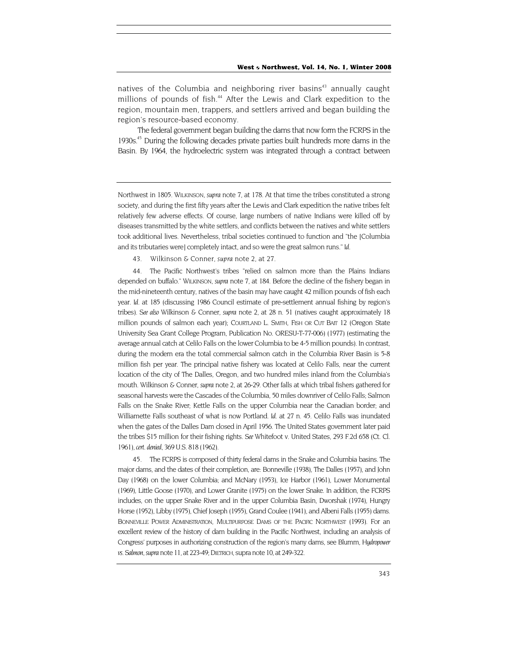natives of the Columbia and neighboring river basins<sup>43</sup> annually caught millions of pounds of fish.<sup>44</sup> After the Lewis and Clark expedition to the region, mountain men, trappers, and settlers arrived and began building the region's resource-based economy.

The federal government began building the dams that now form the FCRPS in the 1930s.<sup>45</sup> During the following decades private parties built hundreds more dams in the Basin. By 1964, the hydroelectric system was integrated through a contract between

Northwest in 1805. WILKINSON, *supra* note 7, at 178. At that time the tribes constituted a strong society, and during the first fifty years after the Lewis and Clark expedition the native tribes felt relatively few adverse effects. Of course, large numbers of native Indians were killed off by diseases transmitted by the white settlers, and conflicts between the natives and white settlers took additional lives. Nevertheless, tribal societies continued to function and "the [Columbia and its tributaries were] completely intact, and so were the great salmon runs." *Id.*

43. Wilkinson & Conner, *supra* note 2, at 27.

<span id="page-11-1"></span><span id="page-11-0"></span>44. The Pacific Northwest's tribes "relied on salmon more than the Plains Indians depended on buffalo." WILKINSON, *supra* note 7, at 184. Before the decline of the fishery began in the mid-nineteenth century, natives of the basin may have caught 42 million pounds of fish each year. *Id.* at 185 (discussing 1986 Council estimate of pre-settlement annual fishing by region's tribes). *See also* Wilkinson & Conner, *supra* note 2, at 28 n. 51 (natives caught approximately 18 million pounds of salmon each year); COURTLAND L. SMITH, FISH OR CUT BAIT 12 (Oregon State University Sea Grant College Program, Publication No. ORESU-T-77-006) (1977) (estimating the average annual catch at Celilo Falls on the lower Columbia to be 4-5 million pounds). In contrast, during the modern era the total commercial salmon catch in the Columbia River Basin is 5-8 million fish per year. The principal native fishery was located at Celilo Falls, near the current location of the city of The Dalles, Oregon, and two hundred miles inland from the Columbia's mouth. Wilkinson & Conner, *supra* note 2, at 26-29. Other falls at which tribal fishers gathered for seasonal harvests were the Cascades of the Columbia, 50 miles downriver of Celilo Falls; Salmon Falls on the Snake River; Kettle Falls on the upper Columbia near the Canadian border; and Williamette Falls southeast of what is now Portland. *Id.* at 27 n. 45. Celilo Falls was inundated when the gates of the Dalles Dam closed in April 1956. The United States government later paid the tribes \$15 million for their fishing rights. *See* Whitefoot v. United States, 293 F.2d 658 (Ct. Cl. 1961), *cert. denied*, 369 U.S. 818 (1962).

<span id="page-11-2"></span>45. The FCRPS is composed of thirty federal dams in the Snake and Columbia basins. The major dams, and the dates of their completion, are: Bonneville (1938), The Dalles (1957), and John Day (1968) on the lower Columbia; and McNary (1953), Ice Harbor (1961), Lower Monumental (1969), Little Goose (1970), and Lower Granite (1975) on the lower Snake. In addition, the FCRPS includes, on the upper Snake River and in the upper Columbia Basin, Dworshak (1974), Hungry Horse (1952), Libby (1975), Chief Joseph (1955), Grand Coulee (1941), and Albeni Falls (1955) dams. BONNEVILLE POWER ADMINISTRATION, MULTIPURPOSE DAMS OF THE PACIFIC NORTHWEST (1993). For an excellent review of the history of dam building in the Pacific Northwest, including an analysis of Congress' purposes in authorizing construction of the region's many dams, see Blumm, *Hydropower vs. Salmon, supra* note 11, at 223-49; DIETRICH, supra note 10, at 249-322.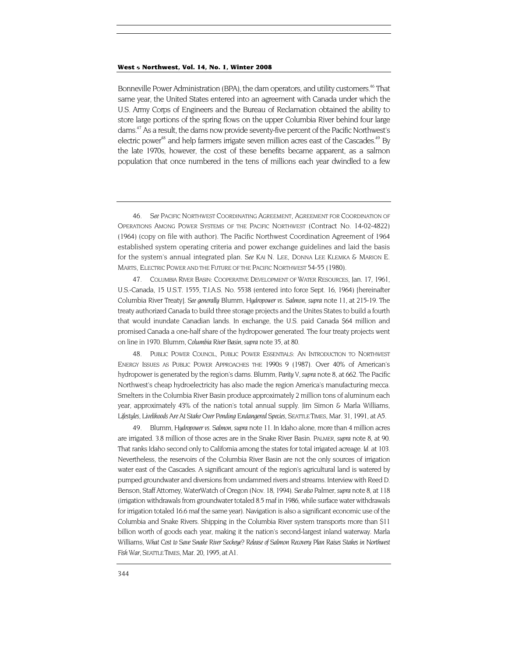Bonneville Power Administration (BPA), the dam operators, and utility customers.<sup>46</sup> That same year, the United States entered into an agreement with Canada under which the U.S. Army Corps of Engineers and the Bureau of Reclamation obtained the ability to store large portions of the spring flows on the upper Columbia River behind four large dams[.47 A](#page-12-1)s a result, the dams now provide seventy-five percent of the Pacific Northwest's electric power<sup>48</sup> and help farmers irrigate seven million acres east of the Cascades.<sup>49</sup> By the late 1970s, however, the cost of these benefits became apparent, as a salmon population that once numbered in the tens of millions each year dwindled to a few

<span id="page-12-0"></span>46*. See* PACIFIC NORTHWEST COORDINATING AGREEMENT, AGREEMENT FOR COORDINATION OF OPERATIONS AMONG POWER SYSTEMS OF THE PACIFIC NORTHWEST (Contract No. 14-02-4822) (1964) (copy on file with author). The Pacific Northwest Coordination Agreement of 1964 established system operating criteria and power exchange guidelines and laid the basis for the system's annual integrated plan. *See* KAI N. LEE, DONNA LEE KLEMKA & MARION E. MARTS, ELECTRIC POWER AND THE FUTURE OF THE PACIFIC NORTHWEST 54-55 (1980).

<span id="page-12-1"></span>47. COLUMBIA RIVER BASIN: COOPERATIVE DEVELOPMENT OF WATER RESOURCES, Jan. 17, 1961, U.S.-Canada, 15 U.S.T. 1555, T.I.A.S. No. 5538 (entered into force Sept. 16, 1964) [hereinafter Columbia River Treaty]. *See generally* Blumm, *Hydropower vs. Salmon, supra* note 11, at 215-19. The treaty authorized Canada to build three storage projects and the Unites States to build a fourth that would inundate Canadian lands. In exchange, the U.S. paid Canada \$64 million and promised Canada a one-half share of the hydropower generated. The four treaty projects went on line in 1970. Blumm, *Columbia River Basin, supra* note 35, at 80.

<span id="page-12-2"></span>48. PUBLIC POWER COUNCIL, PUBLIC POWER ESSENTIALS: AN INTRODUCTION TO NORTHWEST ENERGY ISSUES AS PUBLIC POWER APPROACHES THE 1990S 9 (1987). Over 40% of American's hydropower is generated by the region's dams. Blumm, *Parity* V, *supra* note 8, at 662. The Pacific Northwest's cheap hydroelectricity has also made the region America's manufacturing mecca. Smelters in the Columbia River Basin produce approximately 2 million tons of aluminum each year, approximately 43% of the nation's total annual supply. Jim Simon & Marla Williams, *Lifestyles, Livelihoods Are At Stake Over Pending Endangered Species*, SEATTLE TIMES, Mar. 31, 1991, at A5.

<span id="page-12-3"></span>49. Blumm, *Hydropower vs. Salmon, supra* note 11. In Idaho alone, more than 4 million acres are irrigated. 3.8 million of those acres are in the Snake River Basin. PALMER, *supra* note 8, at 90. That ranks Idaho second only to California among the states for total irrigated acreage. *Id.* at 103. Nevertheless, the reservoirs of the Columbia River Basin are not the only sources of irrigation water east of the Cascades. A significant amount of the region's agricultural land is watered by pumped groundwater and diversions from undammed rivers and streams. Interview with Reed D. Benson, Staff Attorney, WaterWatch of Oregon (Nov. 18, 1994). *See also* Palmer, *supra* note 8, at 118 (irrigation withdrawals from groundwater totaled 8.5 maf in 1986, while surface water withdrawals for irrigation totaled 16.6 maf the same year). Navigation is also a significant economic use of the Columbia and Snake Rivers. Shipping in the Columbia River system transports more than \$11 billion worth of goods each year, making it the nation's second-largest inland waterway. Marla Williams, *What Cost to Save Snake River Sockeye? Release of Salmon Recovery Plan Raises Stakes in Northwest Fish War*, SEATTLE TIMES, Mar. 20, 1995, at A1.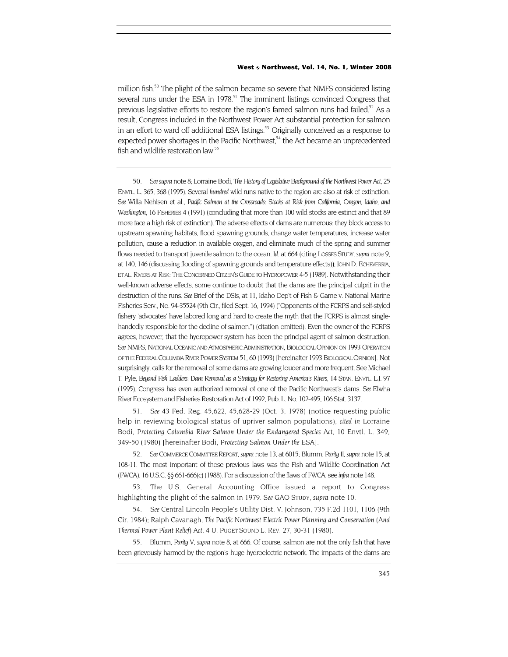<span id="page-13-5"></span>million fish.<sup>50</sup> The plight of the salmon became so severe that NMFS considered listing several runs under the ESA in 1978.<sup>51</sup> The imminent listings convinced Congress that previous legislative efforts to restore the region's famed salmon runs had failed.<sup>52</sup> As a result, Congress included in the Northwest Power Act substantial protection for salmon in an effort to ward off additional ESA listings.<sup>53</sup> Originally conceived as a response to expected power shortages in the Pacific Northwest,<sup>54</sup> the Act became an unprecedented fish and wildlife restoration law.<sup>55</sup>

<span id="page-13-0"></span>50*. See supra* note 8; Lorraine Bodi, *The History of Legislative Background of the Northwest Power Act*, 25 ENVTL. L. 365, 368 (1995). Several *hundred* wild runs native to the region are also at risk of extinction. *See* Willa Nehlsen et al., *Pacific Salmon at the Crossroads: Stocks at Risk from California, Oregon, Idaho, and*  Washington, 16 FISHERIES 4 (1991) (concluding that more than 100 wild stocks are extinct and that 89 more face a high risk of extinction). The adverse effects of dams are numerous: they block access to upstream spawning habitats, flood spawning grounds, change water temperatures, increase water pollution, cause a reduction in available oxygen, and eliminate much of the spring and summer flows needed to transport juvenile salmon to the ocean. *Id.* at 664 (citing LOSSES STUDY, *supra* note 9, at 140, 146 (discussing flooding of spawning grounds and temperature effects)); JOHN D. ECHEVERRIA, ET AL. RIVERS AT RISK: THE CONCERNED CITIZEN'S GUIDE TO HYDROPOWER 4-5 (1989). Notwithstanding their well-known adverse effects, some continue to doubt that the dams are the principal culprit in the destruction of the runs. *See* Brief of the DSIs, at 11, Idaho Dep't of Fish & Game v. National Marine Fisheries Serv., No. 94-35524 (9th Cir., filed Sept. 16, 1994) ("Opponents of the FCRPS and self-styled fishery 'advocates' have labored long and hard to create the myth that the FCRPS is almost singlehandedly responsible for the decline of salmon.") (citation omitted). Even the owner of the FCRPS agrees, however, that the hydropower system has been the principal agent of salmon destruction. *See* NMFS, NATIONAL OCEANIC AND ATMOSPHERIC ADMINISTRATION, BIOLOGICAL OPINION ON 1993 OPERATION OF THE FEDERAL COLUMBIA RIVER POWER SYSTEM 51, 60 (1993) [hereinafter 1993 BIOLOGICAL OPINION]. Not surprisingly, calls for the removal of some dams are growing louder and more frequent. See Michael T. Pyle, *Beyond Fish Ladders: Dam Removal as a Strategy for Restoring America's Rivers,* 14 STAN. ENVTL. L.J. 97 (1995). Congress has even authorized removal of one of the Pacific Northwest's dams. *See* Elwha River Ecosystem and Fisheries Restoration Act of 1992, Pub. L. No. 102-495, 106 Stat. 3137.

<span id="page-13-1"></span>51*. See* 43 Fed. Reg. 45,622, 45,628-29 (Oct. 3, 1978) (notice requesting public help in reviewing biological status of upriver salmon populations), *cited in* Lorraine Bodi, *Protecting Columbia River Salmon Under the Endangered Species Act*, 10 Envtl. L. 349, 349-50 (1980) [hereinafter Bodi, *Protecting Salmon Under the* ESA].

<span id="page-13-2"></span>52*. See* COMMERCE COMMITTEE REPORT, *supra* note 13, at 6015; Blumm, *Parity* II, *supra* note 15, at 108-11. The most important of those previous laws was the Fish and Wildlife Coordination Act (FWCA), 16 U.S.C. §§ 661-666(c) (1988). For a discussion of the flaws of FWCA, see *infra* note 148.

<span id="page-13-3"></span>53. The U.S. General Accounting Office issued a report to Congress highlighting the plight of the salmon in 1979. *See* GAO STUDY, *supra* note 10.

<span id="page-13-4"></span>54*. See* Central Lincoln People's Utility Dist. V. Johnson, 735 F.2d 1101, 1106 (9th Cir. 1984); Ralph Cavanagh, *The Pacific Northwest Electric Power Planning and Conservation (And Thermal Power Plant Relief) Act*, 4 U. PUGET SOUND L. REV. 27, 30-31 (1980).

55. Blumm, *Parity* V, *supra* note 8, at 666. Of course, salmon are not the only fish that have been grievously harmed by the region's huge hydroelectric network. The impacts of the dams are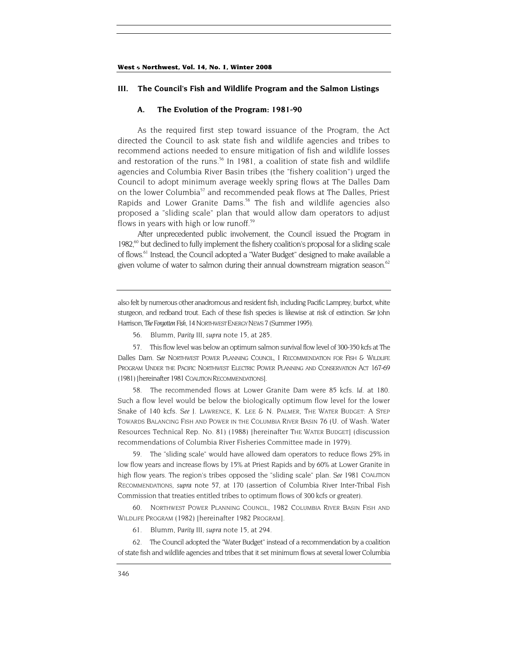#### <span id="page-14-6"></span>**III. The Council's Fish and Wildlife Program and the Salmon Listings**

#### **A. The Evolution of the Program: 1981-90**

As the required first step toward issuance of the Program, the Act directed the Council to ask state fish and wildlife agencies and tribes to recommend actions needed to ensure mitigation of fish and wildlife losses and restoration of the runs.<sup>56</sup> In 1981, a coalition of state fish and wildlife agencies and Columbia River Basin tribes (the "fishery coalition") urged the Council to adopt minimum average weekly spring flows at The Dalles Dam on the lower Columbia<sup>57</sup> and recommended peak flows at The Dalles, Priest Rapids and Lower Granite Dams.<sup>58</sup> The fish and wildlife agencies also proposed a "sliding scale" plan that would allow dam operators to adjust flows in years with high or low runoff.<sup>[59](#page-14-3)</sup>

After unprecedented public involvement, the Council issued the Program in 1982, $60$  but declined to fully implement the fishery coalition's proposal for a sliding scale of flows[.61](#page-14-5) Instead, the Council adopted a "Water Budget" designed to make available a given volume of water to salmon during their annual downstream migration season.<sup>62</sup>

56. Blumm, *Parity* III, *supra* note 15, at 285.

<span id="page-14-1"></span><span id="page-14-0"></span>57. This flow level was below an optimum salmon survival flow level of 300-350 kcfs at The Dalles Dam. *See* NORTHWEST POWER PLANNING COUNCIL, I RECOMMENDATION FOR FISH & WILDLIFE PROGRAM UNDER THE PACIFIC NORTHWEST ELECTRIC POWER PLANNING AND CONSERVATION ACT 167-69 (1981) [hereinafter 1981 COALITION RECOMMENDATIONS].

<span id="page-14-2"></span>58. The recommended flows at Lower Granite Dam were 85 kcfs. *Id.* at 180. Such a flow level would be below the biologically optimum flow level for the lower Snake of 140 kcfs. *See* J. LAWRENCE, K. LEE & N. PALMER, THE WATER BUDGET: A STEP TOWARDS BALANCING FISH AND POWER IN THE COLUMBIA RIVER BASIN 76 (U. of Wash. Water Resources Technical Rep. No. 81) (1988) [hereinafter THE WATER BUDGET] (discussion recommendations of Columbia River Fisheries Committee made in 1979).

<span id="page-14-3"></span>59. The "sliding scale" would have allowed dam operators to reduce flows 25% in low flow years and increase flows by 15% at Priest Rapids and by 60% at Lower Granite in high flow years. The region's tribes opposed the "sliding scale" plan. *See* 1981 COALITION RECOMMENDATIONS, *supra* note 57, at 170 (assertion of Columbia River Inter-Tribal Fish Commission that treaties entitled tribes to optimum flows of 300 kcfs or greater).

<span id="page-14-4"></span>NORTHWEST POWER PLANNING COUNCIL, 1982 COLUMBIA RIVER BASIN FISH AND WILDLIFE PROGRAM (1982) [hereinafter 1982 PROGRAM].

<span id="page-14-5"></span>61. Blumm, *Parity* III, *supra* note 15, at 294.

62. The Council adopted the "Water Budget" instead of a recommendation by a coalition of state fish and wildlife agencies and tribes that it set minimum flows at several lower Columbia

also felt by numerous other anadromous and resident fish, including Pacific Lamprey, burbot, white sturgeon, and redband trout. Each of these fish species is likewise at risk of extinction. *See* John Harrison, *The Forgotten Fish*, 14 NORTHWEST ENERGY NEWS 7 (Summer 1995).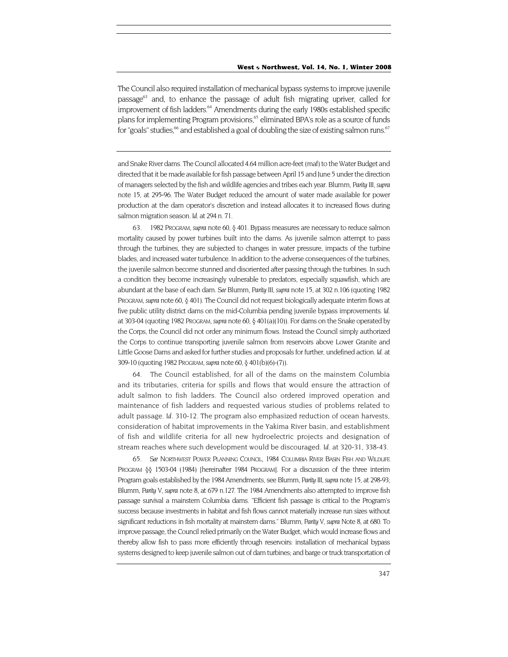<span id="page-15-2"></span>The Council also required installation of mechanical bypass systems to improve juvenile passage<sup>63</sup> and, to enhance the passage of adult fish migrating upriver, called for improvement of fish ladders.<sup>64</sup> Amendments during the early 1980s established specific plans for implementing Program provisions,<sup>65</sup> eliminated BPA's role as a source of funds for "goals" studies,<sup>66</sup> and established a goal of doubling the size of existing salmon runs.<sup>67</sup>

and Snake River dams. The Council allocated 4.64 million acre-feet (maf) to the Water Budget and directed that it be made available for fish passage between April 15 and June 5 under the direction of managers selected by the fish and wildlife agencies and tribes each year. Blumm, *Parity* III, *supra* note 15, at 295-96. The Water Budget reduced the amount of water made available for power production at the dam operator's discretion and instead allocates it to increased flows during salmon migration season. *Id.* at 294 n. 71.

<span id="page-15-3"></span><span id="page-15-0"></span>63. 1982 PROGRAM, *supra* note 60, § 401. Bypass measures are necessary to reduce salmon mortality caused by power turbines built into the dams. As juvenile salmon attempt to pass through the turbines, they are subjected to changes in water pressure, impacts of the turbine blades, and increased water turbulence. In addition to the adverse consequences of the turbines, the juvenile salmon become stunned and disoriented after passing through the turbines. In such a condition they become increasingly vulnerable to predators, especially squawfish, which are abundant at the base of each dam. *See* Blumm, *Parity* III, *supra* note 15, at 302 n.106 (quoting 1982 PROGRAM, *supra* note 60, § 401). The Council did not request biologically adequate interim flows at five public utility district dams on the mid-Columbia pending juvenile bypass improvements. *Id.* at 303-04 (quoting 1982 PROGRAM, *supra* note 60, § 401(a)(10)). For dams on the Snake operated by the Corps, the Council did not order any minimum flows. Instead the Council simply authorized the Corps to continue transporting juvenile salmon from reservoirs above Lower Granite and Little Goose Dams and asked for further studies and proposals for further, undefined action. *Id.* at 309-10 (quoting 1982 PROGRAM, *supra* note 60, § 401(b)(6)-(7)).

<span id="page-15-4"></span><span id="page-15-1"></span>64. The Council established, for all of the dams on the mainstem Columbia and its tributaries, criteria for spills and flows that would ensure the attraction of adult salmon to fish ladders. The Council also ordered improved operation and maintenance of fish ladders and requested various studies of problems related to adult passage. *Id.* 310-12. The program also emphasized reduction of ocean harvests, consideration of habitat improvements in the Yakima River basin, and establishment of fish and wildlife criteria for all new hydroelectric projects and designation of stream reaches where such development would be discouraged. *Id.* at 320-31, 338-43.

65*. See* NORTHWEST POWER PLANNING COUNCIL, 1984 COLUMBIA RIVER BASIN FISH AND WILDLIFE PROGRAM §§ 1503-04 (1984) [hereinafter 1984 PROGRAM]. For a discussion of the three interim Program goals established by the 1984 Amendments, see Blumm, *Parity* III, *supra* note 15, at 298-93; Blumm, *Parity* V, *supra* note 8, at 679 n.127. The 1984 Amendments also attempted to improve fish passage survival a mainstem Columbia dams. "Efficient fish passage is critical to the Program's success because investments in habitat and fish flows cannot materially increase run sizes without significant reductions in fish mortality at mainstem dams." Blumm, *Parity* V, *supra* Note 8, at 680. To improve passage, the Council relied primarily on the Water Budget, which would increase flows and thereby allow fish to pass more efficiently through reservoirs: installation of mechanical bypass systems designed to keep juvenile salmon out of dam turbines; and barge or truck transportation of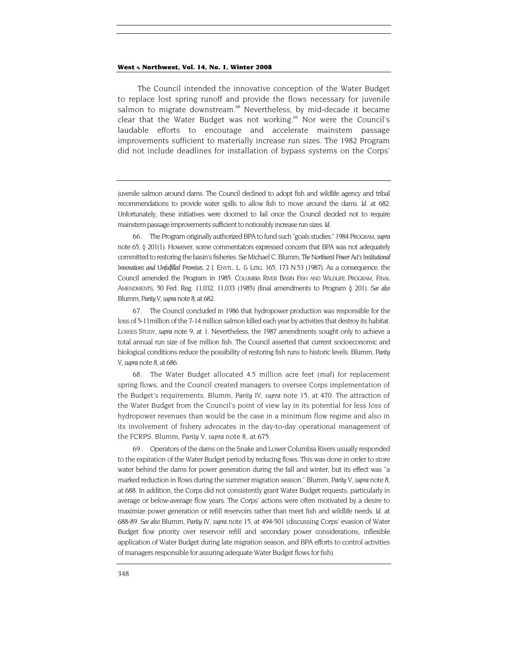The Council intended the innovative conception of the Water Budget to replace lost spring runoff and provide the flows necessary for juvenile salmon to migrate downstream.<sup>68</sup> Nevertheless, by mid-decade it became clear that the Water Budget was not working.<sup>69</sup> Nor were the Council's laudable efforts to encourage and accelerate mainstem passage improvements sufficient to materially increase run sizes. The 1982 Program did not include deadlines for installation of bypass systems on the Corps'

juvenile salmon around dams. The Council declined to adopt fish and wildlife agency and tribal recommendations to provide water spills to allow fish to move around the dams. *Id.* at 682. Unfortunately, these initiatives were doomed to fail once the Council decided not to require mainstem passage improvements sufficient to noticeably increase run sizes. *Id.*

66. The Program originally authorized BPA to fund such "goals studies." 1984 PROGRAM, *supra* note 65, § 201(1). However, some commentators expressed concern that BPA was not adequately committed to restoring the basin's fisheries. *See* Michael C. Blumm, *The Northwest Power Act's Institutional Innovations and Unfulfilled Promises*, 2 J. ENVTL. L. & LITIG. 165, 173 N.53 (1987). As a consequence, the Council amended the Program in 1985. COLUMBIA RIVER BASIN FISH AND WILDLIFE PROGRAM, FINAL AMENDMENTS, 50 Fed. Reg. 11,032, 11,033 (1985) (final amendments to Program § 201). *See also* Blumm, *Parity* V, *supra* note 8, at 682.

67. The Council concluded in 1986 that hydropower production was responsible for the loss of 5-11million of the 7-14 million salmon killed each year by activities that destroy its habitat. LOSSES STUDY, *supra* note 9, at 1. Nevertheless, the 1987 amendments sought only to achieve a total annual run size of five million fish. The Council asserted that current socioeconomic and biological conditions reduce the possibility of restoring fish runs to historic levels. Blumm, *Parity* V, *supra* note 8, at 686.

<span id="page-16-0"></span>68. The Water Budget allocated 4.5 million acre feet (maf) for replacement spring flows, and the Council created managers to oversee Corps implementation of the Budget's requirements. Blumm, *Parity* IV, *supra* note 15, at 470. The attraction of the Water Budget from the Council's point of view lay in its potential for less loss of hydropower revenues than would be the case in a minimum flow regime and also in its involvement of fishery advocates in the day-to-day operational management of the FCRPS. Blumm, *Parity* V, *supra* note 8, at 675.

<span id="page-16-1"></span>69. Operators of the dams on the Snake and Lower Columbia Rivers usually responded to the expiration of the Water Budget period by reducing flows. This was done in order to store water behind the dams for power generation during the fall and winter, but its effect was "a marked reduction in flows during the summer migration season." Blumm, *Parity* V, *supra* note 8, at 688. In addition, the Corps did not consistently grant Water Budget requests, particularly in average or below-average flow years. The Corps' actions were often motivated by a desire to maximize power generation or refill reservoirs rather than meet fish and wildlife needs. *Id.* at 688-89. *See also* Blumm, *Parity* IV, *supra* note 15, at 494-501 (discussing Corps' evasion of Water Budget flow priority over reservoir refill and secondary power considerations, inflexible application of Water Budget during late migration season, and BPA efforts to control activities of managers responsible for assuring adequate Water Budget flows for fish).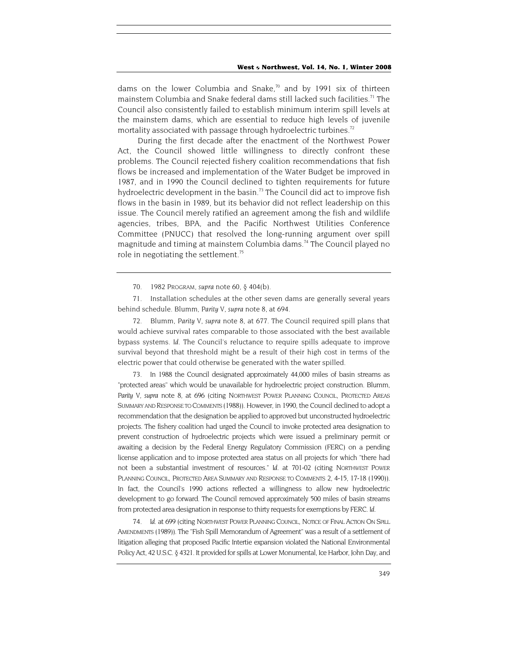<span id="page-17-4"></span>dams on the lower Columbia and Snake, $70$  and by 1991 six of thirteen mainstem Columbia and Snake federal dams still lacked such facilities.<sup>71</sup> The Council also consistently failed to establish minimum interim spill levels at the mainstem dams, which are essential to reduce high levels of juvenile mortality associated with passage through hydroelectric turbines.<sup>[72](#page-17-2)</sup>

During the first decade after the enactment of the Northwest Power Act, the Council showed little willingness to directly confront these problems. The Council rejected fishery coalition recommendations that fish flows be increased and implementation of the Water Budget be improved in 1987, and in 1990 the Council declined to tighten requirements for future hydroelectric development in the basin.<sup>73</sup> The Council did act to improve fish flows in the basin in 1989, but its behavior did not reflect leadership on this issue. The Council merely ratified an agreement among the fish and wildlife agencies, tribes, BPA, and the Pacific Northwest Utilities Conference Committee (PNUCC) that resolved the long-running argument over spill magnitude and timing at mainstem Columbia dams.<sup>74</sup> The Council played no role in negotiating the settlement.<sup>[75](#page-17-5)</sup>

<span id="page-17-0"></span>70. 1982 PROGRAM, *supra* note 60, § 404(b).

<span id="page-17-1"></span>71. Installation schedules at the other seven dams are generally several years behind schedule. Blumm, *Parity* V, *supra* note 8, at 694.

<span id="page-17-2"></span>72. Blumm, *Parity* V, *supra* note 8, at 677. The Council required spill plans that would achieve survival rates comparable to those associated with the best available bypass systems. *Id.* The Council's reluctance to require spills adequate to improve survival beyond that threshold might be a result of their high cost in terms of the electric power that could otherwise be generated with the water spilled.

<span id="page-17-5"></span><span id="page-17-3"></span>73. In 1988 the Council designated approximately 44,000 miles of basin streams as "protected areas" which would be unavailable for hydroelectric project construction. Blumm, *Parity* V, *supra* note 8, at 696 (citing NORTHWEST POWER PLANNING COUNCIL, PROTECTED AREAS SUMMARY AND RESPONSE TO COMMENTS (1988)). However, in 1990, the Council declined to adopt a recommendation that the designation be applied to approved but unconstructed hydroelectric projects. The fishery coalition had urged the Council to invoke protected area designation to prevent construction of hydroelectric projects which were issued a preliminary permit or awaiting a decision by the Federal Energy Regulatory Commission (FERC) on a pending license application and to impose protected area status on all projects for which "there had not been a substantial investment of resources." *Id.* at 701-02 (citing NORTHWEST POWER PLANNING COUNCIL, PROTECTED AREA SUMMARY AND RESPONSE TO COMMENTS 2, 4-15, 17-18 (1990)). In fact, the Council's 1990 actions reflected a willingness to allow new hydroelectric development to go forward. The Council removed approximately 500 miles of basin streams from protected area designation in response to thirty requests for exemptions by FERC. *Id.*

74*. Id.* at 699 (citing NORTHWEST POWER PLANNING COUNCIL, NOTICE OF FINAL ACTION ON SPILL AMENDMENTS (1989)). The "Fish Spill Memorandum of Agreement" was a result of a settlement of litigation alleging that proposed Pacific Intertie expansion violated the National Environmental Policy Act, 42 U.S.C. § 4321. It provided for spills at Lower Monumental, Ice Harbor, John Day, and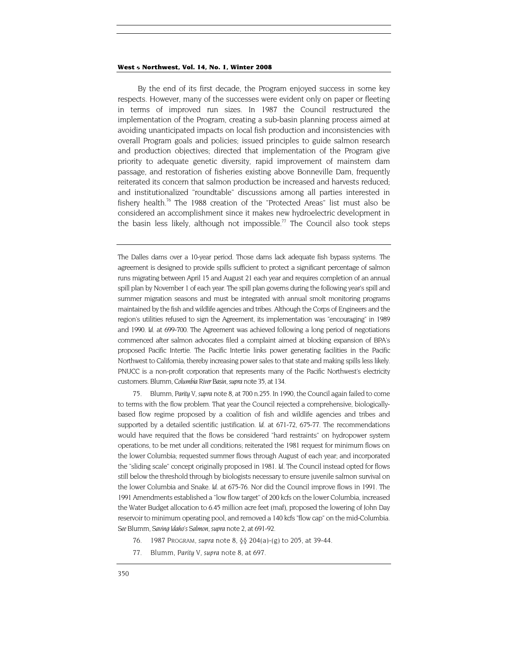By the end of its first decade, the Program enjoyed success in some key respects. However, many of the successes were evident only on paper or fleeting in terms of improved run sizes. In 1987 the Council restructured the implementation of the Program, creating a sub-basin planning process aimed at avoiding unanticipated impacts on local fish production and inconsistencies with overall Program goals and policies; issued principles to guide salmon research and production objectives; directed that implementation of the Program give priority to adequate genetic diversity, rapid improvement of mainstem dam passage, and restoration of fisheries existing above Bonneville Dam, frequently reiterated its concern that salmon production be increased and harvests reduced; and institutionalized "roundtable" discussions among all parties interested in fishery health.<sup>76</sup> The 1988 creation of the "Protected Areas" list must also be considered an accomplishment since it makes new hydroelectric development in the basin less likely, although not impossible.<sup>77</sup> The Council also took steps

The Dalles dams over a 10-year period. Those dams lack adequate fish bypass systems. The agreement is designed to provide spills sufficient to protect a significant percentage of salmon runs migrating between April 15 and August 21 each year and requires completion of an annual spill plan by November 1 of each year. The spill plan governs during the following year's spill and summer migration seasons and must be integrated with annual smolt monitoring programs maintained by the fish and wildlife agencies and tribes. Although the Corps of Engineers and the region's utilities refused to sign the Agreement, its implementation was "encouraging" in 1989 and 1990. *Id.* at 699-700. The Agreement was achieved following a long period of negotiations commenced after salmon advocates filed a complaint aimed at blocking expansion of BPA's proposed Pacific Intertie. The Pacific Intertie links power generating facilities in the Pacific Northwest to California, thereby increasing power sales to that state and making spills less likely. PNUCC is a non-profit corporation that represents many of the Pacific Northwest's electricity customers. Blumm, *Columbia River Basin*, *supra* note 35, at 134.

75. Blumm, *Parity* V, *supra* note 8, at 700 n.255. In 1990, the Council again failed to come to terms with the flow problem. That year the Council rejected a comprehensive, biologicallybased flow regime proposed by a coalition of fish and wildlife agencies and tribes and supported by a detailed scientific justification. *Id.* at 671-72, 675-77. The recommendations would have required that the flows be considered "hard restraints" on hydropower system operations, to be met under all conditions; reiterated the 1981 request for minimum flows on the lower Columbia; requested summer flows through August of each year; and incorporated the "sliding scale" concept originally proposed in 1981. *Id.* The Council instead opted for flows still below the threshold through by biologists necessary to ensure juvenile salmon survival on the lower Columbia and Snake. *Id.* at 675-76. Nor did the Council improve flows in 1991. The 1991 Amendments established a "low flow target" of 200 kcfs on the lower Columbia, increased the Water Budget allocation to 6.45 million acre feet (maf), proposed the lowering of John Day reservoir to minimum operating pool, and removed a 140 kcfs "flow cap" on the mid-Columbia. *See* Blumm, *Saving Idaho's Salmon, supra* note 2, at 691-92.

- <span id="page-18-0"></span>76. 1987 PROGRAM, *supra* note 8, §§ 204(a)-(g) to 205, at 39-44.
- <span id="page-18-1"></span>77. Blumm, *Parity* V, *supra* note 8, at 697.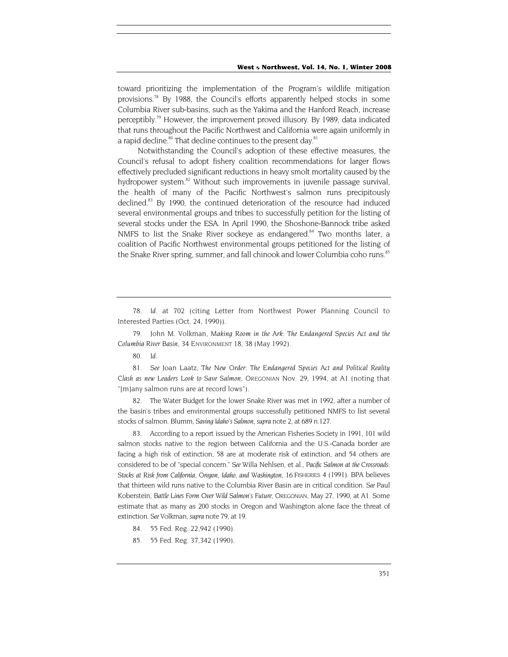toward prioritizing the implementation of the Program's wildlife mitigation provisions.<sup>78</sup> By 1988, the Council's efforts apparently helped stocks in some Columbia River sub-basins, such as the Yakima and the Hanford Reach, increase perceptibly.<sup>79</sup> However, the improvement proved illusory. By 1989, data indicated that runs throughout the Pacific Northwest and California were again uniformly in a rapid decline.<sup>80</sup> That decline continues to the present day.<sup>[81](#page-19-3)</sup>

Notwithstanding the Council's adoption of these effective measures, the Council's refusal to adopt fishery coalition recommendations for larger flows effectively precluded significant reductions in heavy smolt mortality caused by the hydropower system.<sup>82</sup> Without such improvements in juvenile passage survival, the health of many of the Pacific Northwest's salmon runs precipitously declined.<sup>83</sup> By 1990, the continued deterioration of the resource had induced several environmental groups and tribes to successfully petition for the listing of several stocks under the ESA. In April 1990, the Shoshone-Bannock tribe asked NMFS to list the Snake River sockeye as endangered.<sup>84</sup> Two months later, a coalition of Pacific Northwest environmental groups petitioned for the listing of the Snake River spring, summer, and fall chinook and lower Columbia coho runs.<sup>85</sup>

<span id="page-19-0"></span>78*. Id.* at 702 (citing Letter from Northwest Power Planning Council to Interested Parties (Oct. 24, 1990)).

<span id="page-19-1"></span>79. John M. Volkman, *Making Room in the Ark: The Endangered Species Act and the Columbia River Basin*, 34 ENVIRONMENT 18, 38 (May 1992).

<span id="page-19-2"></span>80*. Id.*

<span id="page-19-3"></span>81*. See* Joan Laatz, *The New Order: The Endangered Species Act and Political Reality Clash as new Leaders Look to Save Salmon*, OREGONIAN Nov. 29, 1994, at A1 (noting that "[m]any salmon runs are at record lows").

<span id="page-19-4"></span>82. The Water Budget for the lower Snake River was met in 1992, after a number of the basin's tribes and environmental groups successfully petitioned NMFS to list several stocks of salmon. Blumm, *Saving Idaho's Salmon, supra* note 2, at 689 n.127.

<span id="page-19-5"></span>83. According to a report issued by the American Fisheries Society in 1991, 101 wild salmon stocks native to the region between California and the U.S.-Canada border are facing a high risk of extinction, 58 are at moderate risk of extinction, and 54 others are considered to be of "special concern." *See* Willa Nehlsen, et al., *Pacific Salmon at the Crossroads: Stocks at Risk from California, Oregon, Idaho, and Washington*, 16 FISHERIES 4 (1991). BPA believes that thirteen wild runs native to the Columbia River Basin are in critical condition. *See* Paul Koberstein, *Battle Lines Form Over Wild Salmon's Future*, OREGONIAN, May 27, 1990, at A1. Some estimate that as many as 200 stocks in Oregon and Washington alone face the threat of extinction. *See* Volkman, *supra* note 79, at 19.

- <span id="page-19-6"></span>84. 55 Fed. Reg. 22,942 (1990).
- <span id="page-19-7"></span>85. 55 Fed. Reg. 37,342 (1990).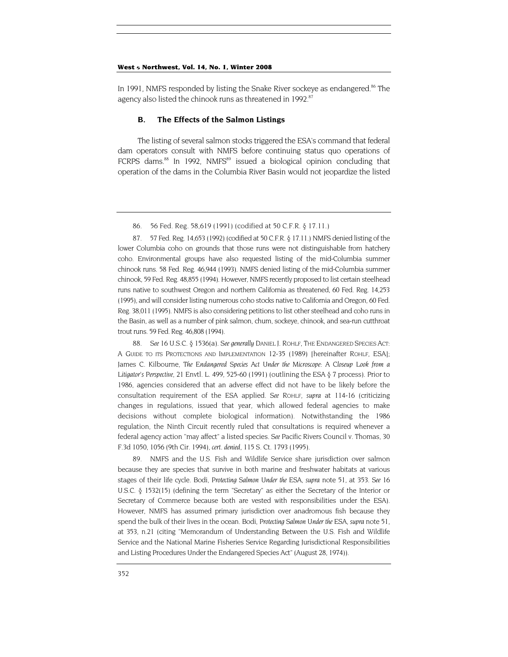In 1991, NMFS responded by listing the Snake River sockeye as endangered.<sup>86</sup> The agency also listed the chinook runs as threatened in 1992.<sup>87</sup>

#### **B. The Effects of the Salmon Listings**

The listing of several salmon stocks triggered the ESA's command that federal dam operators consult with NMFS before continuing status quo operations of FCRPS dams.<sup>88</sup> In 1992, NMFS<sup>89</sup> issued a biological opinion concluding that operation of the dams in the Columbia River Basin would not jeopardize the listed

<span id="page-20-1"></span>87. 57 Fed. Reg. 14,653 (1992) (codified at 50 C.F.R. § 17.11.) NMFS denied listing of the lower Columbia coho on grounds that those runs were not distinguishable from hatchery coho. Environmental groups have also requested listing of the mid-Columbia summer chinook runs. 58 Fed. Reg. 46,944 (1993). NMFS denied listing of the mid-Columbia summer chinook, 59 Fed. Reg. 48,855 (1994). However, NMFS recently proposed to list certain steelhead runs native to southwest Oregon and northern California as threatened, 60 Fed. Reg. 14,253 (1995), and will consider listing numerous coho stocks native to California and Oregon, 60 Fed. Reg. 38,011 (1995). NMFS is also considering petitions to list other steelhead and coho runs in the Basin, as well as a number of pink salmon, chum, sockeye, chinook, and sea-run cutthroat trout runs. 59 Fed. Reg. 46,808 (1994).

<span id="page-20-2"></span>88*. See* 16 U.S.C. § 1536(a). *See generally* DANIEL J. ROHLF, THE ENDANGERED SPECIES ACT: A GUIDE TO ITS PROTECTIONS AND IMPLEMENTATION 12-35 (1989) [hereinafter ROHLF, ESA]; James C. Kilbourne, *The Endangered Species Act Under the Microscope: A Closeup Look from a Litigator's Perspective*, 21 Envtl. L. 499, 525-60 (1991) (outlining the ESA § 7 process). Prior to 1986, agencies considered that an adverse effect did not have to be likely before the consultation requirement of the ESA applied. *See* ROHLF, *supra* at 114-16 (criticizing changes in regulations, issued that year, which allowed federal agencies to make decisions without complete biological information). Notwithstanding the 1986 regulation, the Ninth Circuit recently ruled that consultations is required whenever a federal agency action "may affect" a listed species. *See* Pacific Rivers Council v. Thomas, 30 F.3d 1050, 1056 (9th Cir. 1994), *cert. denied,* 115 S. Ct. 1793 (1995).

<span id="page-20-3"></span>89. NMFS and the U.S. Fish and Wildlife Service share jurisdiction over salmon because they are species that survive in both marine and freshwater habitats at various stages of their life cycle. Bodi, *Protecting Salmon Under the* ESA, *supra* note 51, at 353. *See* 16 U.S.C.  $\delta$  1532(15) (defining the term "Secretary" as either the Secretary of the Interior or Secretary of Commerce because both are vested with responsibilities under the ESA). However, NMFS has assumed primary jurisdiction over anadromous fish because they spend the bulk of their lives in the ocean. Bodi, *Protecting Salmon Under the* ESA*, supra* note 51, at 353, n.21 (citing "Memorandum of Understanding Between the U.S. Fish and Wildlife Service and the National Marine Fisheries Service Regarding Jurisdictional Responsibilities and Listing Procedures Under the Endangered Species Act" (August 28, 1974)).

<span id="page-20-0"></span><sup>86. 56</sup> Fed. Reg. 58,619 (1991) (codified at 50 C.F.R. § 17.11.)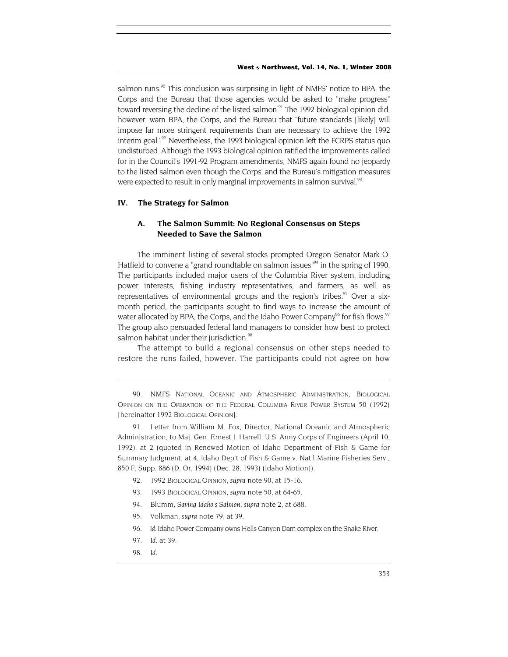salmon runs.<sup>90</sup> This conclusion was surprising in light of NMFS' notice to BPA, the Corps and the Bureau that those agencies would be asked to "make progress" toward reversing the decline of the listed salmon.<sup>91</sup> The 1992 biological opinion did, however, warn BPA, the Corps, and the Bureau that "future standards [likely] will impose far more stringent requirements than are necessary to achieve the 1992 interim goal."<sup>92</sup> Nevertheless, the 1993 biological opinion left the FCRPS status quo undisturbed. Although the 1993 biological opinion ratified the improvements called for in the Council's 1991-92 Program amendments, NMFS again found no jeopardy to the listed salmon even though the Corps' and the Bureau's mitigation measures were expected to result in only marginal improvements in salmon survival.<sup>93</sup>

### **IV. The Strategy for Salmon**

# **A. The Salmon Summit: No Regional Consensus on Steps Needed to Save the Salmon**

The imminent listing of several stocks prompted Oregon Senator Mark O. Hatfield to convene a "grand roundtable on salmon issues"<sup>94</sup> in the spring of 1990. The participants included major users of the Columbia River system, including power interests, fishing industry representatives, and farmers, as well as representatives of environmental groups and the region's tribes.<sup>95</sup> Over a sixmonth period, the participants sought to find ways to increase the amount of water allocated by BPA, the Corps, and the Idaho Power Company<sup>96</sup> for fish flows.<sup>97</sup> The group also persuaded federal land managers to consider how best to protect salmon habitat under their jurisdiction.<sup>98</sup>

The attempt to build a regional consensus on other steps needed to restore the runs failed, however. The participants could not agree on how

<span id="page-21-1"></span>91. Letter from William M. Fox, Director, National Oceanic and Atmospheric Administration, to Maj. Gen. Ernest J. Harrell, U.S. Army Corps of Engineers (April 10, 1992), at 2 (quoted in Renewed Motion of Idaho Department of Fish & Game for Summary Judgment, at 4, Idaho Dep't of Fish & Game v. Nat'l Marine Fisheries Serv., 850 F. Supp. 886 (D. Or. 1994) (Dec. 28, 1993) (Idaho Motion)).

- <span id="page-21-2"></span>92. 1992 BIOLOGICAL OPINION, *supra* note 90, at 15-16.
- <span id="page-21-3"></span>93. 1993 BIOLOGICAL OPINION, *supra* note 50, at 64-65.
- <span id="page-21-4"></span>94. Blumm, *Saving Idaho's Salmon, supra* note 2, at 688.
- <span id="page-21-5"></span>95. Volkman, *supra* note 79, at 39.
- <span id="page-21-6"></span>96*. Id.* Idaho Power Company owns Hells Canyon Dam complex on the Snake River.
- <span id="page-21-7"></span>97*. Id.* at 39.
- <span id="page-21-8"></span>98*. Id.*

<span id="page-21-0"></span><sup>90.</sup> NMFS NATIONAL OCEANIC AND ATMOSPHERIC ADMINISTRATION, BIOLOGICAL OPINION ON THE OPERATION OF THE FEDERAL COLUMBIA RIVER POWER SYSTEM 50 (1992) [hereinafter 1992 BIOLOGICAL OPINION].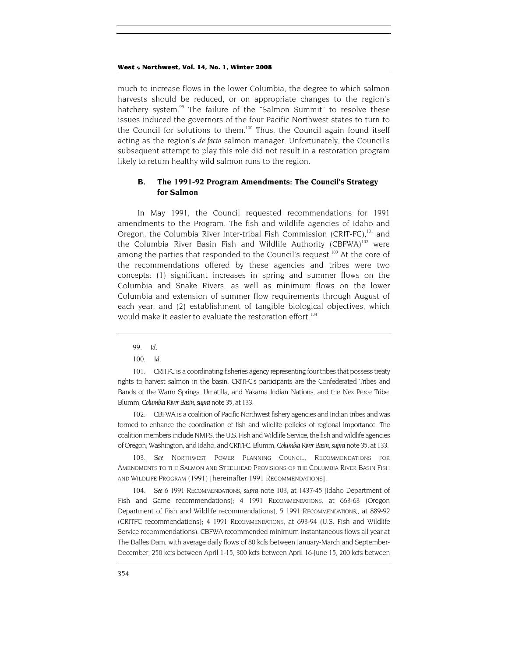<span id="page-22-5"></span>much to increase flows in the lower Columbia, the degree to which salmon harvests should be reduced, or on appropriate changes to the region's hatchery system.<sup>99</sup> The failure of the "Salmon Summit" to resolve these issues induced the governors of the four Pacific Northwest states to turn to the Council for solutions to them.<sup>100</sup> Thus, the Council again found itself acting as the region's *de facto* salmon manager. Unfortunately, the Council's subsequent attempt to play this role did not result in a restoration program likely to return healthy wild salmon runs to the region.

# **B. The 1991-92 Program Amendments: The Council's Strategy for Salmon**

In May 1991, the Council requested recommendations for 1991 amendments to the Program. The fish and wildlife agencies of Idaho and Oregon, the Columbia River Inter-tribal Fish Commission (CRIT-FC),<sup>101</sup> and the Columbia River Basin Fish and Wildlife Authority (CBFWA)<sup>102</sup> were among the parties that responded to the Council's request.<sup>103</sup> At the core of the recommendations offered by these agencies and tribes were two concepts: (1) significant increases in spring and summer flows on the Columbia and Snake Rivers, as well as minimum flows on the lower Columbia and extension of summer flow requirements through August of each year; and (2) establishment of tangible biological objectives, which would make it easier to evaluate the restoration effort.<sup>104</sup>

<span id="page-22-3"></span>102. CBFWA is a coalition of Pacific Northwest fishery agencies and Indian tribes and was formed to enhance the coordination of fish and wildlife policies of regional importance. The coalition members include NMFS, the U.S. Fish and Wildlife Service, the fish and wildlife agencies of Oregon, Washington, and Idaho, and CRITFC. Blumm, *Columbia River Basin, supra* note 35, at 133.

<span id="page-22-4"></span>103*. See* NORTHWEST POWER PLANNING COUNCIL, RECOMMENDATIONS FOR AMENDMENTS TO THE SALMON AND STEELHEAD PROVISIONS OF THE COLUMBIA RIVER BASIN FISH AND WILDLIFE PROGRAM (1991) [hereinafter 1991 RECOMMENDATIONS].

104*. See* 6 1991 RECOMMENDATIONS, *supra* note 103, at 1437-45 (Idaho Department of Fish and Game recommendations); 4 1991 RECOMMENDATIONS, at 663-63 (Oregon Department of Fish and Wildlife recommendations); 5 1991 RECOMMENDATIONS,, at 889-92 (CRITFC recommendations); 4 1991 RECOMMENDATIONS, at 693-94 (U.S. Fish and Wildlife Service recommendations). CBFWA recommended minimum instantaneous flows all year at The Dalles Dam, with average daily flows of 80 kcfs between January-March and September-December, 250 kcfs between April 1-15, 300 kcfs between April 16-June 15, 200 kcfs between

<span id="page-22-0"></span><sup>99</sup>*. Id.*

<span id="page-22-1"></span><sup>100</sup>*. Id.*

<span id="page-22-2"></span><sup>101.</sup> CRITFC is a coordinating fisheries agency representing four tribes that possess treaty rights to harvest salmon in the basin. CRITFC's participants are the Confederated Tribes and Bands of the Warm Springs, Umatilla, and Yakama Indian Nations, and the Nez Perce Tribe. Blumm, *Columbia River Basin, supra* note 35, at 133.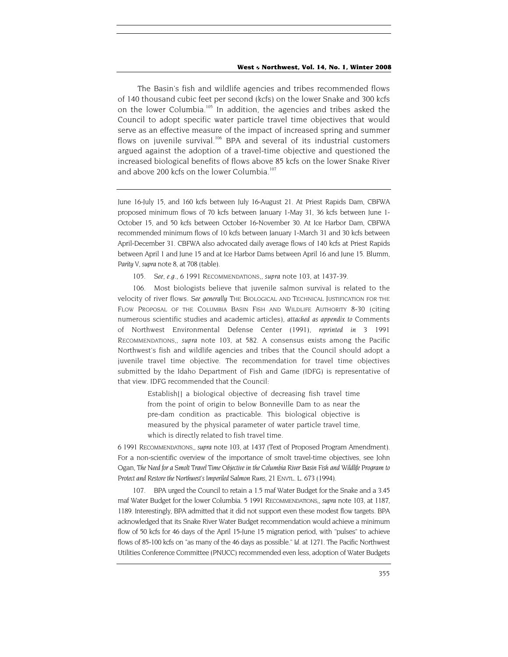<span id="page-23-2"></span>The Basin's fish and wildlife agencies and tribes recommended flows of 140 thousand cubic feet per second (kcfs) on the lower Snake and 300 kcfs on the lower Columbia.<sup>105</sup> In addition, the agencies and tribes asked the Council to adopt specific water particle travel time objectives that would serve as an effective measure of the impact of increased spring and summer flows on juvenile survival.<sup>106</sup> BPA and several of its industrial customers argued against the adoption of a travel-time objective and questioned the increased biological benefits of flows above 85 kcfs on the lower Snake River and above 200 kcfs on the lower Columbia.<sup>[107](#page-23-2)</sup>

June 16-July 15, and 160 kcfs between July 16-August 21. At Priest Rapids Dam, CBFWA proposed minimum flows of 70 kcfs between January 1-May 31, 36 kcfs between June 1- October 15, and 50 kcfs between October 16-November 30. At Ice Harbor Dam, CBFWA recommended minimum flows of 10 kcfs between January 1-March 31 and 30 kcfs between April-December 31. CBFWA also advocated daily average flows of 140 kcfs at Priest Rapids between April 1 and June 15 and at Ice Harbor Dams between April 16 and June 15. Blumm, *Parity* V, *supra* note 8, at 708 (table).

105*. See, e.g.,* 6 1991 RECOMMENDATIONS,, *supra* note 103, at 1437-39.

<span id="page-23-1"></span><span id="page-23-0"></span>106. Most biologists believe that juvenile salmon survival is related to the velocity of river flows. *See generally* THE BIOLOGICAL AND TECHNICAL JUSTIFICATION FOR THE FLOW PROPOSAL OF THE COLUMBIA BASIN FISH AND WILDLIFE AUTHORITY 8-30 (citing numerous scientific studies and academic articles), *attached as appendix to* Comments of Northwest Environmental Defense Center (1991), *reprinted in* 3 1991 RECOMMENDATIONS,, *supra* note 103, at 582. A consensus exists among the Pacific Northwest's fish and wildlife agencies and tribes that the Council should adopt a juvenile travel time objective. The recommendation for travel time objectives submitted by the Idaho Department of Fish and Game (IDFG) is representative of that view. IDFG recommended that the Council:

> Establish<sup>[]</sup> a biological objective of decreasing fish travel time from the point of origin to below Bonneville Dam to as near the pre-dam condition as practicable. This biological objective is measured by the physical parameter of water particle travel time, which is directly related to fish travel time.

6 1991 RECOMMENDATIONS,, *supra* note 103, at 1437 (Text of Proposed Program Amendment). For a non-scientific overview of the importance of smolt travel-time objectives, see John Ogan, *The Need for a Smolt Travel Time Objective in the Columbia River Basin Fish and Wildlife Program to Protect and Restore the Northwest's Imperiled Salmon Runs*, 21 ENVTL. L. 673 (1994).

107. BPA urged the Council to retain a 1.5 maf Water Budget for the Snake and a 3.45 maf Water Budget for the lower Columbia. 5 1991 RECOMMENDATIONS,, *supra* note 103, at 1187, 1189. Interestingly, BPA admitted that it did not support even these modest flow targets. BPA acknowledged that its Snake River Water Budget recommendation would achieve a minimum flow of 50 kcfs for 46 days of the April 15-June 15 migration period, with "pulses" to achieve flows of 85-100 kcfs on "as many of the 46 days as possible." *Id.* at 1271. The Pacific Northwest Utilities Conference Committee (PNUCC) recommended even less, adoption of Water Budgets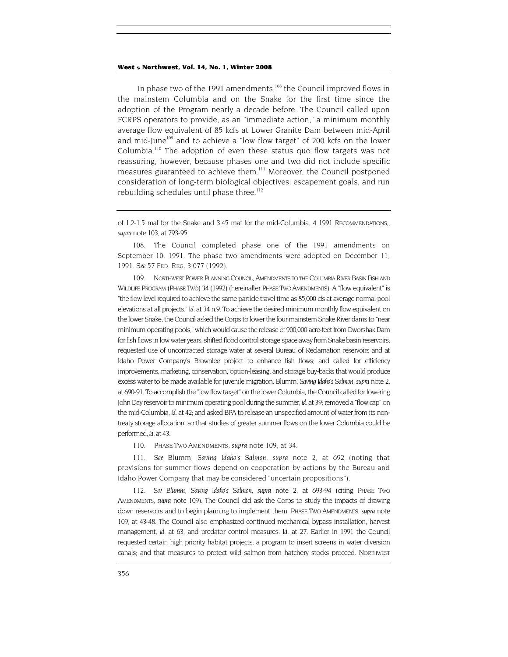<span id="page-24-4"></span>In phase two of the 1991 amendments,<sup>108</sup> the Council improved flows in the mainstem Columbia and on the Snake for the first time since the adoption of the Program nearly a decade before. The Council called upon FCRPS operators to provide, as an "immediate action," a minimum monthly average flow equivalent of 85 kcfs at Lower Granite Dam between mid-April and mid-June<sup>109</sup> and to achieve a "low flow target" of 200 kcfs on the lower Columbia[.110](#page-24-2) The adoption of even these status quo flow targets was not reassuring, however, because phases one and two did not include specific measures guaranteed to achieve them.<sup>111</sup> Moreover, the Council postponed consideration of long-term biological objectives, escapement goals, and run rebuilding schedules until phase three.<sup>112</sup>

<span id="page-24-0"></span>108. The Council completed phase one of the 1991 amendments on September 10, 1991. The phase two amendments were adopted on December 11, 1991. *See* 57 FED. REG. 3,077 (1992).

<span id="page-24-1"></span>109. NORTHWEST POWER PLANNING COUNCIL, AMENDMENTS TO THE COLUMBIA RIVER BASIN FISH AND WILDLIFE PROGRAM (PHASE TWO) 34 (1992) (hereinafter PHASE TWO AMENDMENTS). A "flow equivalent" is "the flow level required to achieve the same particle travel time as 85,000 cfs at average normal pool elevations at all projects." *Id.* at 34 n.9. To achieve the desired minimum monthly flow equivalent on the lower Snake, the Council asked the Corps to lower the four mainstem Snake River dams to "near minimum operating pools," which would cause the release of 900,000 acre-feet from Dworshak Dam for fish flows in low water years; shifted flood control storage space away from Snake basin reservoirs; requested use of uncontracted storage water at several Bureau of Reclamation reservoirs and at Idaho Power Company's Brownlee project to enhance fish flows; and called for efficiency improvements, marketing, conservation, option-leasing, and storage buy-backs that would produce excess water to be made available for juvenile migration. Blumm, *Saving Idaho's Salmon*, *supra* note 2, at 690-91. To accomplish the "low flow target" on the lower Columbia, the Council called for lowering John Day reservoir to minimum operating pool during the summer, *id.* at 39; removed a "flow cap" on the mid-Columbia, *id.* at 42; and asked BPA to release an unspecified amount of water from its nontreaty storage allocation, so that studies of greater summer flows on the lower Columbia could be performed, *id.* at 43.

110. PHASE TWO AMENDMENTS, *supra* note 109, at 34.

<span id="page-24-3"></span><span id="page-24-2"></span>111*. See* Blumm, *Saving Idaho's Salmon, supra* note 2, at 692 (noting that provisions for summer flows depend on cooperation by actions by the Bureau and Idaho Power Company that may be considered "uncertain propositions").

112*. See Blumm, Saving Idaho's Salmon, supra* note 2, at 693-94 (citing PHASE TWO AMENDMENTS, *supra* note 109). The Council did ask the Corps to study the impacts of drawing down reservoirs and to begin planning to implement them. PHASE TWO AMENDMENTS, *supra* note 109, at 43-48. The Council also emphasized continued mechanical bypass installation, harvest management, *id.* at 63, and predator control measures. *Id.* at 27. Earlier in 1991 the Council requested certain high priority habitat projects; a program to insert screens in water diversion canals; and that measures to protect wild salmon from hatchery stocks proceed. NORTHWEST

of 1.2-1.5 maf for the Snake and 3.45 maf for the mid-Columbia. 4 1991 RECOMMENDATIONS,, *supra* note 103, at 793-95.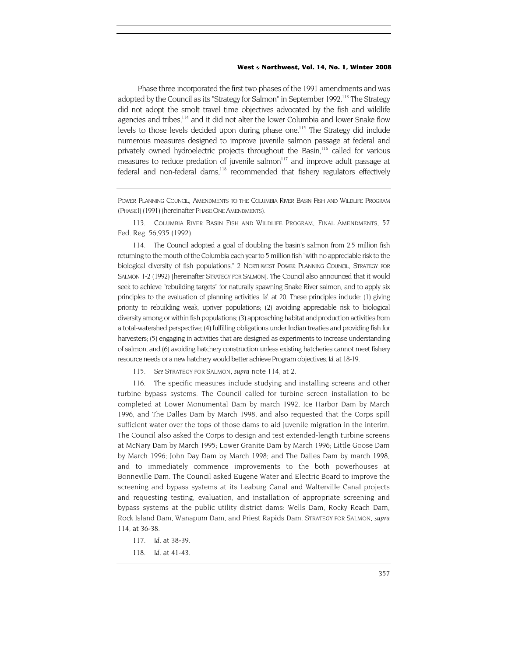Phase three incorporated the first two phases of the 1991 amendments and was adopted by the Council as its "Strategy for Salmon" in September 1992.<sup>113</sup> The Strategy did not adopt the smolt travel time objectives advocated by the fish and wildlife agencies and tribes,<sup>114</sup> and it did not alter the lower Columbia and lower Snake flow levels to those levels decided upon during phase one.<sup>115</sup> The Strategy did include numerous measures designed to improve juvenile salmon passage at federal and privately owned hydroelectric projects throughout the Basin,<sup>116</sup> called for various measures to reduce predation of juvenile salmon<sup>117</sup> and improve adult passage at federal and non-federal dams.<sup>118</sup> recommended that fishery regulators effectively

POWER PLANNING COUNCIL, AMENDMENTS TO THE COLUMBIA RIVER BASIN FISH AND WILDLIFE PROGRAM (PHASE I) (1991) (hereinafter PHASE ONE AMENDMENTS).

<span id="page-25-0"></span>113. COLUMBIA RIVER BASIN FISH AND WILDLIFE PROGRAM, FINAL AMENDMENTS, 57 Fed. Reg. 56,935 (1992).

<span id="page-25-1"></span>114. The Council adopted a goal of doubling the basin's salmon from 2.5 million fish returning to the mouth of the Columbia each year to 5 million fish "with no appreciable risk to the biological diversity of fish populations." 2 NORTHWEST POWER PLANNING COUNCIL, STRATEGY FOR SALMON 1-2 (1992) [hereinafter STRATEGY FOR SALMON]. The Council also announced that it would seek to achieve "rebuilding targets" for naturally spawning Snake River salmon, and to apply six principles to the evaluation of planning activities. *Id.* at 20. These principles include: (1) giving priority to rebuilding weak, upriver populations; (2) avoiding appreciable risk to biological diversity among or within fish populations; (3) approaching habitat and production activities from a total-watershed perspective; (4) fulfilling obligations under Indian treaties and providing fish for harvesters; (5) engaging in activities that are designed as experiments to increase understanding of salmon, and (6) avoiding hatchery construction unless existing hatcheries cannot meet fishery resource needs or a new hatchery would better achieve Program objectives. *Id.* at 18-19.

115*. See* STRATEGY FOR SALMON, *supra* note 114, at 2.

<span id="page-25-3"></span><span id="page-25-2"></span>116. The specific measures include studying and installing screens and other turbine bypass systems. The Council called for turbine screen installation to be completed at Lower Monumental Dam by march 1992, Ice Harbor Dam by March 1996, and The Dalles Dam by March 1998, and also requested that the Corps spill sufficient water over the tops of those dams to aid juvenile migration in the interim. The Council also asked the Corps to design and test extended-length turbine screens at McNary Dam by March 1995; Lower Granite Dam by March 1996; Little Goose Dam by March 1996; John Day Dam by March 1998; and The Dalles Dam by march 1998, and to immediately commence improvements to the both powerhouses at Bonneville Dam. The Council asked Eugene Water and Electric Board to improve the screening and bypass systems at its Leaburg Canal and Walterville Canal projects and requesting testing, evaluation, and installation of appropriate screening and bypass systems at the public utility district dams: Wells Dam, Rocky Reach Dam, Rock Island Dam, Wanapum Dam, and Priest Rapids Dam. STRATEGY FOR SALMON, *supra* 114, at 36-38.

<span id="page-25-4"></span>117*. Id.* at 38-39.

<span id="page-25-5"></span>118*. Id.* at 41-43.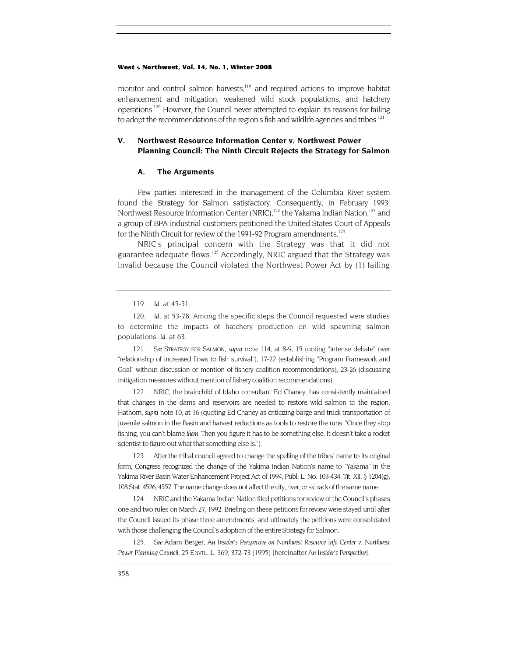monitor and control salmon harvests,<sup>119</sup> and required actions to improve habitat enhancement and mitigation, weakened wild stock populations, and hatchery operations[.120](#page-26-1) However, the Council never attempted to explain its reasons for failing to adopt the recommendations of the region's fish and wildlife agencies and tribes.<sup>[121](#page-26-2)</sup>

# **V. Northwest Resource Information Center v. Northwest Power Planning Council: The Ninth Circuit Rejects the Strategy for Salmon**

#### **A. The Arguments**

Few parties interested in the management of the Columbia River system found the Strategy for Salmon satisfactory. Consequently, in February 1993, Northwest Resource Information Center (NRIC),<sup>122</sup> the Yakama Indian Nation,<sup>123</sup> and a group of BPA industrial customers petitioned the United States Court of Appeals for the Ninth Circuit for review of the 1991-92 Program amendments.<sup>124</sup>

NRIC's principal concern with the Strategy was that it did not guarantee adequate flows.<sup>125</sup> Accordingly, NRIC argued that the Strategy was invalid because the Council violated the Northwest Power Act by (1) failing

<span id="page-26-2"></span>121*. See* STRATEGY FOR SALMON, *supra* note 114, at 8-9, 15 (noting "intense debate" over "relationship of increased flows to fish survival"), 17-22 (establishing "Program Framework and Goal" without discussion or mention of fishery coalition recommendations), 23-26 (discussing mitigation measures without mention of fishery coalition recommendations).

<span id="page-26-3"></span>122. NRIC, the brainchild of Idaho consultant Ed Chaney, has consistently maintained that changes in the dams and reservoirs are needed to restore wild salmon to the region. Hathorn, *supra* note 10, at 16 (quoting Ed Chaney as criticizing barge and truck transportation of juvenile salmon in the Basin and harvest reductions as tools to restore the runs: "Once they stop fishing, you can't blame *them*. Then you figure it has to be something else. It doesn't take a rocket scientist to figure out what that something else is.").

<span id="page-26-4"></span>123. After the tribal council agreed to change the spelling of the tribes' name to its original form, Congress recognized the change of the Yakima Indian Nation's name to "Yakama" in the Yakima River Basin Water Enhancement Project Act of 1994, Publ. L. No. 103-434, Tit. XII, § 1204(g), 108 Stat. 4526, 4557. The name change does not affect the city, river, or ski rack of the same name.

<span id="page-26-5"></span>124. NRIC and the Yakama Indian Nation filed petitions for review of the Council's phases one and two rules on March 27, 1992. Briefing on these petitions for review were stayed until after the Council issued its phase three amendments, and ultimately the petitions were consolidated with those challenging the Council's adoption of the entire Strategy for Salmon.

<span id="page-26-6"></span>125*. See* Adam Berger, *An Insider's Perspective on Northwest Resource Info Center v. Northwest Power Planning Council*, 25 ENVTL. L. 369, 372-73 (1995) [hereinafter *An Insider's Perspective*].

<span id="page-26-0"></span><sup>119</sup>*. Id.* at 45-51.

<span id="page-26-1"></span><sup>120</sup>*. Id.* at 53-78. Among the specific steps the Council requested were studies to determine the impacts of hatchery production on wild spawning salmon populations. *Id.* at 63.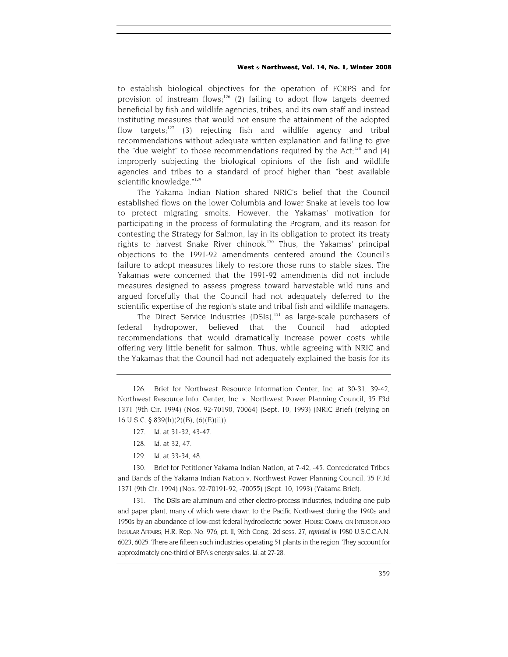to establish biological objectives for the operation of FCRPS and for provision of instream flows;<sup>126</sup> (2) failing to adopt flow targets deemed beneficial by fish and wildlife agencies, tribes, and its own staff and instead instituting measures that would not ensure the attainment of the adopted flow targets;<sup>127</sup> (3) rejecting fish and wildlife agency and tribal recommendations without adequate written explanation and failing to give the "due weight" to those recommendations required by the Act;<sup>128</sup> and (4) improperly subjecting the biological opinions of the fish and wildlife agencies and tribes to a standard of proof higher than "best available scientific knowledge."<sup>[129](#page-27-3)</sup>

The Yakama Indian Nation shared NRIC's belief that the Council established flows on the lower Columbia and lower Snake at levels too low to protect migrating smolts. However, the Yakamas' motivation for participating in the process of formulating the Program, and its reason for contesting the Strategy for Salmon, lay in its obligation to protect its treaty rights to harvest Snake River chinook.<sup>130</sup> Thus, the Yakamas' principal objections to the 1991-92 amendments centered around the Council's failure to adopt measures likely to restore those runs to stable sizes. The Yakamas were concerned that the 1991-92 amendments did not include measures designed to assess progress toward harvestable wild runs and argued forcefully that the Council had not adequately deferred to the scientific expertise of the region's state and tribal fish and wildlife managers.

The Direct Service Industries  $(DSIs),<sup>131</sup>$  as large-scale purchasers of federal hydropower, believed that the Council had adopted recommendations that would dramatically increase power costs while offering very little benefit for salmon. Thus, while agreeing with NRIC and the Yakamas that the Council had not adequately explained the basis for its

- <span id="page-27-1"></span>127*. Id.* at 31-32, 43-47.
- <span id="page-27-2"></span>128*. Id.* at 32, 47.
- 129*. Id.* at 33-34, 48.

<span id="page-27-4"></span><span id="page-27-3"></span>130. Brief for Petitioner Yakama Indian Nation, at 7-42, -45. Confederated Tribes and Bands of the Yakama Indian Nation v. Northwest Power Planning Council, 35 F.3d 1371 (9th Cir. 1994) (Nos. 92-70191-92, -70055) (Sept. 10, 1993) (Yakama Brief).

<span id="page-27-5"></span>131. The DSIs are aluminum and other electro-process industries, including one pulp and paper plant, many of which were drawn to the Pacific Northwest during the 1940s and 1950s by an abundance of low-cost federal hydroelectric power. HOUSE COMM. ON INTERIOR AND INSULAR AFFAIRS, H.R. Rep. No. 976, pt. II, 96th Cong., 2d sess. 27, *reprinted in* 1980 U.S.C.C.A.N. 6023, 6025. There are fifteen such industries operating 51 plants in the region. They account for approximately one-third of BPA's energy sales. *Id.* at 27-28.

<span id="page-27-0"></span><sup>126.</sup> Brief for Northwest Resource Information Center, Inc. at 30-31, 39-42, Northwest Resource Info. Center, Inc. v. Northwest Power Planning Council, 35 F3d 1371 (9th Cir. 1994) (Nos. 92-70190, 70064) (Sept. 10, 1993) (NRIC Brief) (relying on 16 U.S.C. § 839(h)(2)(B), (6)(E)(ii)).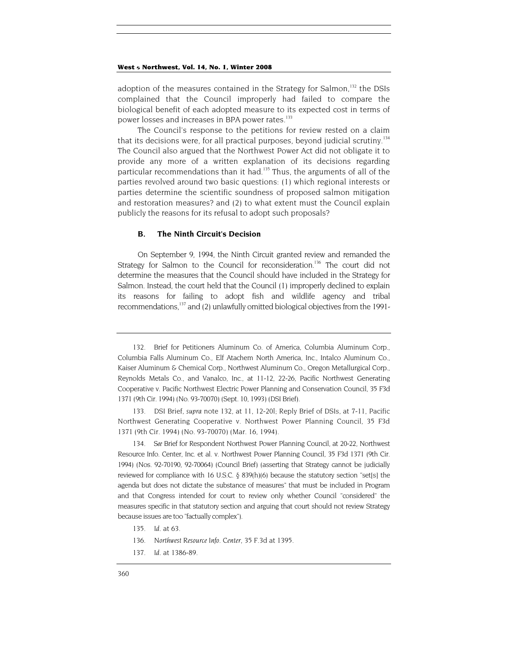adoption of the measures contained in the Strategy for Salmon, $132$  the DSIs complained that the Council improperly had failed to compare the biological benefit of each adopted measure to its expected cost in terms of power losses and increases in BPA power rates.<sup>[133](#page-28-1)</sup>

The Council's response to the petitions for review rested on a claim that its decisions were, for all practical purposes, beyond judicial scrutiny.<sup>134</sup> The Council also argued that the Northwest Power Act did not obligate it to provide any more of a written explanation of its decisions regarding particular recommendations than it had.<sup>135</sup> Thus, the arguments of all of the parties revolved around two basic questions: (1) which regional interests or parties determine the scientific soundness of proposed salmon mitigation and restoration measures? and (2) to what extent must the Council explain publicly the reasons for its refusal to adopt such proposals?

### **B. The Ninth Circuit's Decision**

On September 9, 1994, the Ninth Circuit granted review and remanded the Strategy for Salmon to the Council for reconsideration.<sup>136</sup> The court did not determine the measures that the Council should have included in the Strategy for Salmon. Instead, the court held that the Council (1) improperly declined to explain its reasons for failing to adopt fish and wildlife agency and tribal recommendations,<sup>137</sup> and (2) unlawfully omitted biological objectives from the 1991-

<span id="page-28-3"></span>135*. Id.* at 63.

<span id="page-28-5"></span>137*. Id.* at 1386-89.

<span id="page-28-0"></span><sup>132.</sup> Brief for Petitioners Aluminum Co. of America, Columbia Aluminum Corp., Columbia Falls Aluminum Co., Elf Atachem North America, Inc., Intalco Aluminum Co., Kaiser Aluminum & Chemical Corp., Northwest Aluminum Co., Oregon Metallurgical Corp., Reynolds Metals Co., and Vanalco, Inc., at 11-12, 22-26, Pacific Northwest Generating Cooperative v. Pacific Northwest Electric Power Planning and Conservation Council, 35 F3d 1371 (9th Cir. 1994) (No. 93-70070) (Sept. 10, 1993) (DSI Brief).

<span id="page-28-1"></span><sup>133.</sup> DSI Brief, *supra* note 132, at 11, 12-20l; Reply Brief of DSIs, at 7-11, Pacific Northwest Generating Cooperative v. Northwest Power Planning Council, 35 F3d 1371 (9th Cir. 1994) (No. 93-70070) (Mar. 16, 1994).

<span id="page-28-2"></span><sup>134</sup>*. See* Brief for Respondent Northwest Power Planning Council, at 20-22, Northwest Resource Info. Center, Inc. et al. v. Northwest Power Planning Council, 35 F3d 1371 (9th Cir. 1994) (Nos. 92-70190, 92-70064) (Council Brief) (asserting that Strategy cannot be judicially reviewed for compliance with 16 U.S.C.  $\S$  839(h)(6) because the statutory section "set[s] the agenda but does not dictate the substance of measures" that must be included in Program and that Congress intended for court to review only whether Council "considered" the measures specific in that statutory section and arguing that court should not review Strategy because issues are too "factually complex").

<span id="page-28-4"></span><sup>136</sup>*. Northwest Resource Info. Center,* 35 F.3d at 1395.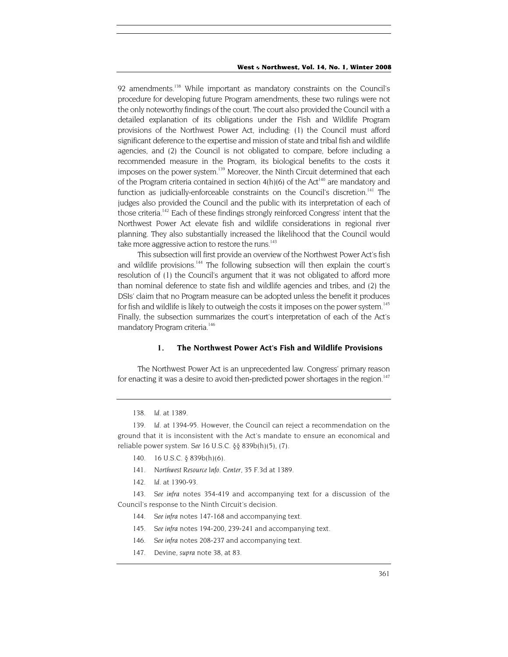92 amendments.<sup>138</sup> While important as mandatory constraints on the Council's procedure for developing future Program amendments, these two rulings were not the only noteworthy findings of the court. The court also provided the Council with a detailed explanation of its obligations under the Fish and Wildlife Program provisions of the Northwest Power Act, including: (1) the Council must afford significant deference to the expertise and mission of state and tribal fish and wildlife agencies, and (2) the Council is not obligated to compare, before including a recommended measure in the Program, its biological benefits to the costs it imposes on the power system.<sup>139</sup> Moreover, the Ninth Circuit determined that each of the Program criteria contained in section  $4(h)(6)$  of the Act<sup>140</sup> are mandatory and function as judicially-enforceable constraints on the Council's discretion.<sup>141</sup> The judges also provided the Council and the public with its interpretation of each of those criteria.<sup>142</sup> Each of these findings strongly reinforced Congress' intent that the Northwest Power Act elevate fish and wildlife considerations in regional river planning. They also substantially increased the likelihood that the Council would take more aggressive action to restore the runs.<sup>143</sup>

This subsection will first provide an overview of the Northwest Power Act's fish and wildlife provisions.<sup>144</sup> The following subsection will then explain the court's resolution of (1) the Council's argument that it was not obligated to afford more than nominal deference to state fish and wildlife agencies and tribes, and (2) the DSIs' claim that no Program measure can be adopted unless the benefit it produces for fish and wildlife is likely to outweigh the costs it imposes on the power system.<sup>145</sup> Finally, the subsection summarizes the court's interpretation of each of the Act's mandatory Program criteria.<sup>146</sup>

#### **1. The Northwest Power Act's Fish and Wildlife Provisions**

The Northwest Power Act is an unprecedented law. Congress' primary reason for enacting it was a desire to avoid then-predicted power shortages in the region.<sup>147</sup>

- <span id="page-29-2"></span>140. 16 U.S.C. § 839b(h)(6).
- <span id="page-29-3"></span>141*. Northwest Resource Info. Center*, 35 F.3d at 1389.
- 142*. Id.* at 1390-93.

<span id="page-29-5"></span><span id="page-29-4"></span>143*. See infra* notes 354-419 and accompanying text for a discussion of the Council's response to the Ninth Circuit's decision.

- <span id="page-29-6"></span>144*. See infra* notes 147-168 and accompanying text.
- <span id="page-29-7"></span>145*. See infra* notes 194-200, 239-241 and accompanying text.
- <span id="page-29-8"></span>146*. See infra* notes 208-237 and accompanying text.
- <span id="page-29-9"></span>147. Devine, *supra* note 38, at 83.

<span id="page-29-0"></span><sup>138</sup>*. Id.* at 1389.

<span id="page-29-1"></span><sup>139</sup>*. Id.* at 1394-95. However, the Council can reject a recommendation on the ground that it is inconsistent with the Act's mandate to ensure an economical and reliable power system. *See* 16 U.S.C. §§ 839b(h)(5), (7).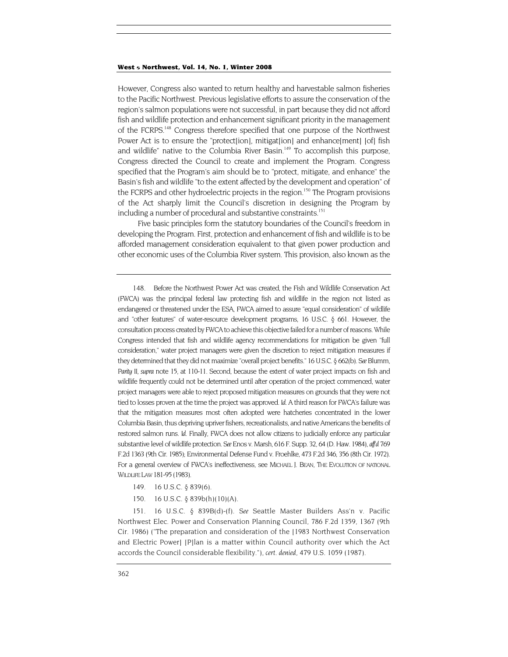However, Congress also wanted to return healthy and harvestable salmon fisheries to the Pacific Northwest. Previous legislative efforts to assure the conservation of the region's salmon populations were not successful, in part because they did not afford fish and wildlife protection and enhancement significant priority in the management of the FCRPS[.148](#page-30-0) Congress therefore specified that one purpose of the Northwest Power Act is to ensure the "protect[ion], mitigat[ion] and enhance[ment] [of] fish and wildlife" native to the Columbia River Basin.<sup>149</sup> To accomplish this purpose, Congress directed the Council to create and implement the Program. Congress specified that the Program's aim should be to "protect, mitigate, and enhance" the Basin's fish and wildlife "to the extent affected by the development and operation" of the FCRPS and other hydroelectric projects in the region.<sup>150</sup> The Program provisions of the Act sharply limit the Council's discretion in designing the Program by including a number of procedural and substantive constraints.<sup>151</sup>

Five basic principles form the statutory boundaries of the Council's freedom in developing the Program. First, protection and enhancement of fish and wildlife is to be afforded management consideration equivalent to that given power production and other economic uses of the Columbia River system. This provision, also known as the

<span id="page-30-0"></span>148. Before the Northwest Power Act was created, the Fish and Wildlife Conservation Act (FWCA) was the principal federal law protecting fish and wildlife in the region not listed as endangered or threatened under the ESA, FWCA aimed to assure "equal consideration" of wildlife and "other features" of water-resource development programs, 16 U.S.C. § 661. However, the consultation process created by FWCA to achieve this objective failed for a number of reasons. While Congress intended that fish and wildlife agency recommendations for mitigation be given "full consideration," water project managers were given the discretion to reject mitigation measures if they determined that they did not maximize "overall project benefits." 16 U.S.C. § 662(b). *See* Blumm, *Parity II, supra* note 15, at 110-11. Second, because the extent of water project impacts on fish and wildlife frequently could not be determined until after operation of the project commenced, water project managers were able to reject proposed mitigation measures on grounds that they were not tied to losses proven at the time the project was approved. *Id.* A third reason for FWCA's failure was that the mitigation measures most often adopted were hatcheries concentrated in the lower Columbia Basin, thus depriving upriver fishers, recreationalists, and native Americans the benefits of restored salmon runs. *Id.* Finally, FWCA does not allow citizens to judicially enforce any particular substantive level of wildlife protection. *See* Enos v. Marsh, 616 F. Supp. 32, 64 (D. Haw. 1984), *aff'd* 769 F.2d 1363 (9th Cir. 1985); Environmental Defense Fund v. Froehlke, 473 F.2d 346, 356 (8th Cir. 1972). For a general overview of FWCA's ineffectiveness, see MICHAEL J. BEAN, THE EVOLUTION OF NATIONAL WILDLIFE LAW 181-95 (1983).

- <span id="page-30-1"></span>149. 16 U.S.C. § 839(6).
- 150. 16 U.S.C. § 839b(h)(10)(A).

<span id="page-30-3"></span><span id="page-30-2"></span>151. 16 U.S.C. § 839B(d)-(f). *See* Seattle Master Builders Ass'n v. Pacific Northwest Elec. Power and Conservation Planning Council, 786 F.2d 1359, 1367 (9th Cir. 1986) ("The preparation and consideration of the [1983 Northwest Conservation and Electric Power] [P]lan is a matter within Council authority over which the Act accords the Council considerable flexibility."), *cert. denied*, 479 U.S. 1059 (1987).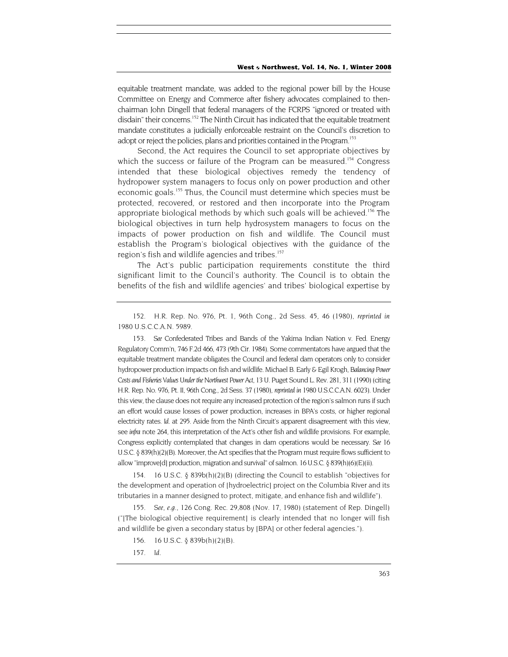equitable treatment mandate, was added to the regional power bill by the House Committee on Energy and Commerce after fishery advocates complained to thenchairman John Dingell that federal managers of the FCRPS "ignored or treated with disdain" their concerns.<sup>152</sup> The Ninth Circuit has indicated that the equitable treatment mandate constitutes a judicially enforceable restraint on the Council's discretion to adopt or reject the policies, plans and priorities contained in the Program.<sup>153</sup>

Second, the Act requires the Council to set appropriate objectives by which the success or failure of the Program can be measured.<sup>154</sup> Congress intended that these biological objectives remedy the tendency of hydropower system managers to focus only on power production and other economic goals.<sup>155</sup> Thus, the Council must determine which species must be protected, recovered, or restored and then incorporate into the Program appropriate biological methods by which such goals will be achieved.<sup>156</sup> The biological objectives in turn help hydrosystem managers to focus on the impacts of power production on fish and wildlife. The Council must establish the Program's biological objectives with the guidance of the region's fish and wildlife agencies and tribes.<sup>157</sup>

The Act's public participation requirements constitute the third significant limit to the Council's authority. The Council is to obtain the benefits of the fish and wildlife agencies' and tribes' biological expertise by

<span id="page-31-0"></span>152. H.R. Rep. No. 976, Pt. 1, 96th Cong., 2d Sess. 45, 46 (1980), *reprinted in* 1980 U.S.C.C.A.N. 5989.

<span id="page-31-1"></span>153*. See* Confederated Tribes and Bands of the Yakima Indian Nation v. Fed. Energy Regulatory Comm'n, 746 F.2d 466, 473 (9th Cir. 1984). Some commentators have argued that the equitable treatment mandate obligates the Council and federal dam operators only to consider hydropower production impacts on fish and wildlife. Michael B. Early & Egil Krogh, *Balancing Power Costs and Fisheries Values Under the Northwest Power Act*, 13 U. Puget Sound L. Rev. 281, 311 (1990) (citing H.R. Rep. No. 976, Pt. II, 96th Cong., 2d Sess. 37 (1980), *reprinted in* 1980 U.S.C.C.A.N. 6023). Under this view, the clause does not require any increased protection of the region's salmon runs if such an effort would cause losses of power production, increases in BPA's costs, or higher regional electricity rates. *Id.* at 295. Aside from the Ninth Circuit's apparent disagreement with this view, see *infra* note 264, this interpretation of the Act's other fish and wildlife provisions. For example, Congress explicitly contemplated that changes in dam operations would be necessary. *See* 16 U.S.C. § 839(h)(2)(B). Moreover, the Act specifies that the Program must require flows sufficient to allow "improve[d] production, migration and survival" of salmon. 16 U.S.C. § 839(h)(6)(E)(ii).

<span id="page-31-2"></span>154. 16 U.S.C. § 839b(h)(2)(B) (directing the Council to establish "objectives for the development and operation of [hydroelectric] project on the Columbia River and its tributaries in a manner designed to protect, mitigate, and enhance fish and wildlife").

<span id="page-31-3"></span>155*. See, e.g.,* 126 Cong. Rec. 29,808 (Nov. 17, 1980) (statement of Rep. Dingell) ("[The biological objective requirement] is clearly intended that no longer will fish and wildlife be given a secondary status by [BPA] or other federal agencies.").

<span id="page-31-4"></span>156. 16 U.S.C. § 839b(h)(2)(B).

<span id="page-31-5"></span>157*. Id.*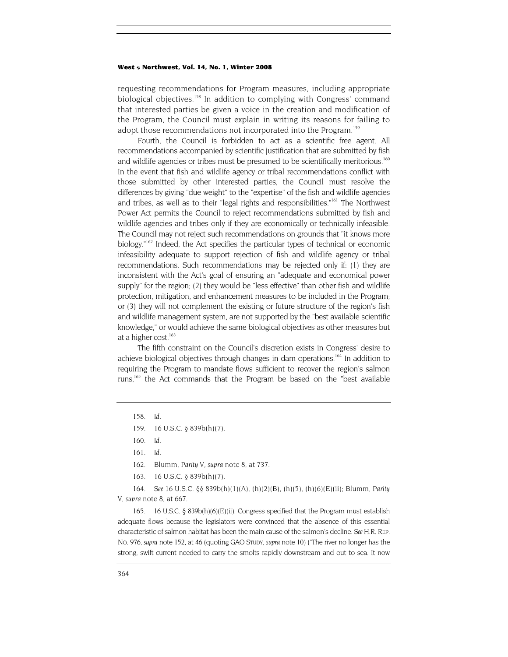<span id="page-32-7"></span>requesting recommendations for Program measures, including appropriate biological objectives.<sup>158</sup> In addition to complying with Congress' command that interested parties be given a voice in the creation and modification of the Program, the Council must explain in writing its reasons for failing to adopt those recommendations not incorporated into the Program.<sup>[159](#page-32-1)</sup>

Fourth, the Council is forbidden to act as a scientific free agent. All recommendations accompanied by scientific justification that are submitted by fish and wildlife agencies or tribes must be presumed to be scientifically meritorious.<sup>160</sup> In the event that fish and wildlife agency or tribal recommendations conflict with those submitted by other interested parties, the Council must resolve the differences by giving "due weight" to the "expertise" of the fish and wildlife agencies and tribes, as well as to their "legal rights and responsibilities."<sup>161</sup> The Northwest Power Act permits the Council to reject recommendations submitted by fish and wildlife agencies and tribes only if they are economically or technically infeasible. The Council may not reject such recommendations on grounds that "it knows more biology.<sup>"162</sup> Indeed, the Act specifies the particular types of technical or economic infeasibility adequate to support rejection of fish and wildlife agency or tribal recommendations. Such recommendations may be rejected only if: (1) they are inconsistent with the Act's goal of ensuring an "adequate and economical power supply" for the region; (2) they would be "less effective" than other fish and wildlife protection, mitigation, and enhancement measures to be included in the Program; or (3) they will not complement the existing or future structure of the region's fish and wildlife management system, are not supported by the "best available scientific knowledge," or would achieve the same biological objectives as other measures but at a higher cost.<sup>[163](#page-32-5)</sup>

The fifth constraint on the Council's discretion exists in Congress' desire to achieve biological objectives through changes in dam operations.<sup>164</sup> In addition to requiring the Program to mandate flows sufficient to recover the region's salmon runs,<sup>165</sup> the Act commands that the Program be based on the "best available

163. 16 U.S.C. § 839b(h)(7).

165. 16 U.S.C. § 839b(h)(6)(E)(ii). Congress specified that the Program must establish adequate flows because the legislators were convinced that the absence of this essential characteristic of salmon habitat has been the main cause of the salmon's decline. *See* H.R. REP. NO. 976, *supra* note 152, at 46 (quoting GAO STUDY, *supra* note 10) ("The river no longer has the strong, swift current needed to carry the smolts rapidly downstream and out to sea. It now

<span id="page-32-0"></span><sup>158</sup>*. Id.*

<span id="page-32-1"></span><sup>159. 16</sup> U.S.C. § 839b(h)(7).

<span id="page-32-2"></span><sup>160</sup>*. Id.*

<span id="page-32-3"></span><sup>161</sup>*. Id.*

<span id="page-32-4"></span><sup>162.</sup> Blumm, *Parity V, supra* note 8, at 737.

<span id="page-32-6"></span><span id="page-32-5"></span><sup>164</sup>*. See* 16 U.S.C. §§ 839b(h)(1)(A), (h)(2)(B), (h)(5), (h)(6)(E)(ii); Blumm, *Parity V, supra* note 8, at 667.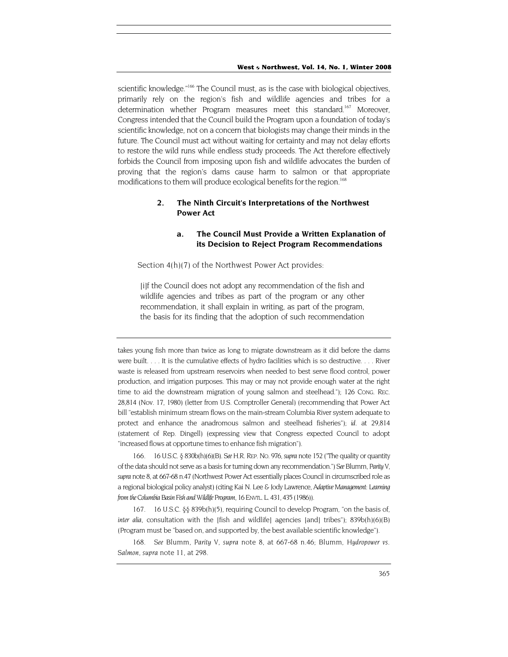scientific knowledge."<sup>166</sup> The Council must, as is the case with biological objectives, primarily rely on the region's fish and wildlife agencies and tribes for a determination whether Program measures meet this standard.<sup>167</sup> Moreover, Congress intended that the Council build the Program upon a foundation of today's scientific knowledge, not on a concern that biologists may change their minds in the future. The Council must act without waiting for certainty and may not delay efforts to restore the wild runs while endless study proceeds. The Act therefore effectively forbids the Council from imposing upon fish and wildlife advocates the burden of proving that the region's dams cause harm to salmon or that appropriate modifications to them will produce ecological benefits for the region.<sup>168</sup>

# **2. The Ninth Circuit's Interpretations of the Northwest Power Act**

# **a. The Council Must Provide a Written Explanation of its Decision to Reject Program Recommendations**

Section 4(h)(7) of the Northwest Power Act provides:

[i]f the Council does not adopt any recommendation of the fish and wildlife agencies and tribes as part of the program or any other recommendation, it shall explain in writing, as part of the program, the basis for its finding that the adoption of such recommendation

takes young fish more than twice as long to migrate downstream as it did before the dams were built. . . . It is the cumulative effects of hydro facilities which is so destructive. . . . River waste is released from upstream reservoirs when needed to best serve flood control, power production, and irrigation purposes. This may or may not provide enough water at the right time to aid the downstream migration of young salmon and steelhead."); 126 Cong. REC. 28,814 (Nov. 17, 1980) (letter from U.S. Comptroller General) (recommending that Power Act bill "establish minimum stream flows on the main-stream Columbia River system adequate to protect and enhance the anadromous salmon and steelhead fisheries"); *id.* at 29,814 (statement of Rep. Dingell) (expressing view that Congress expected Council to adopt "increased flows at opportune times to enhance fish migration").

<span id="page-33-0"></span>166. 16 U.S.C. § 830b(h)(6)(B). *See* H.R. REP. NO. 976, *supra* note 152 ("The quality or quantity of the data should not serve as a basis for turning down any recommendation.") *See* Blumm, *Parity V, supra* note 8, at 667-68 n.47 (Northwest Power Act essentially places Council in circumscribed role as a regional biological policy analyst) (citing Kai N. Lee & Jody Lawrence, *Adaptive Management: Learning from the Columbia Basin Fish and Wildlife Program*, 16 ENVTL. L. 431, 435 (1986)).

<span id="page-33-1"></span>167. 16 U.S.C. §§ 839b(h)(5), requiring Council to develop Program, "on the basis of, *inter alia*, consultation with the [fish and wildlife] agencies [and] tribes"); 839b(h)(6)(B) (Program must be "based on, and supported by, the best available scientific knowledge").

<span id="page-33-2"></span>168*. See* Blumm, *Parity V, supra* note 8, at 667-68 n.46; Blumm, *Hydropower vs. Salmon, supra* note 11, at 298.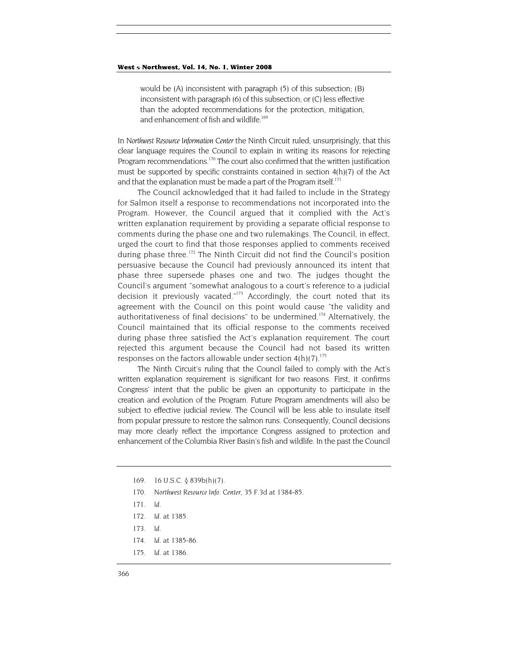would be (A) inconsistent with paragraph (5) of this subsection; (B) inconsistent with paragraph (6) of this subsection; or (C) less effective than the adopted recommendations for the protection, mitigation, and enhancement of fish and wildlife.<sup>169</sup>

In *Northwest Resource Information Center* the Ninth Circuit ruled, unsurprisingly, that this clear language requires the Council to explain in writing its reasons for rejecting Program recommendations.<sup>170</sup> The court also confirmed that the written justification must be supported by specific constraints contained in section 4(h)(7) of the Act and that the explanation must be made a part of the Program itself.<sup>[171](#page-34-2)</sup>

The Council acknowledged that it had failed to include in the Strategy for Salmon itself a response to recommendations not incorporated into the Program. However, the Council argued that it complied with the Act's written explanation requirement by providing a separate official response to comments during the phase one and two rulemakings. The Council, in effect, urged the court to find that those responses applied to comments received during phase three.<sup>172</sup> The Ninth Circuit did not find the Council's position persuasive because the Council had previously announced its intent that phase three supersede phases one and two. The judges thought the Council's argument "somewhat analogous to a court's reference to a judicial decision it previously vacated." $173$  Accordingly, the court noted that its agreement with the Council on this point would cause "the validity and authoritativeness of final decisions" to be undermined.<sup>174</sup> Alternatively, the Council maintained that its official response to the comments received during phase three satisfied the Act's explanation requirement. The court rejected this argument because the Council had not based its written responses on the factors allowable under section  $4(h)(7)$ .<sup>[175](#page-34-6)</sup>

The Ninth Circuit's ruling that the Council failed to comply with the Act's written explanation requirement is significant for two reasons. First, it confirms Congress' intent that the public be given an opportunity to participate in the creation and evolution of the Program. Future Program amendments will also be subject to effective judicial review. The Council will be less able to insulate itself from popular pressure to restore the salmon runs. Consequently, Council decisions may more clearly reflect the importance Congress assigned to protection and enhancement of the Columbia River Basin's fish and wildlife. In the past the Council

- <span id="page-34-1"></span>170*. Northwest Resource Info. Center,* 35 F.3d at 1384-85.
- <span id="page-34-2"></span>171*. Id.*
- <span id="page-34-3"></span>172*. Id.* at 1385.
- <span id="page-34-4"></span>173*. Id.*
- <span id="page-34-5"></span>174*. Id.* at 1385-86.
- <span id="page-34-6"></span>175*. Id.* at 1386.

<span id="page-34-0"></span><sup>169. 16</sup> U.S.C. § 839b(h)(7).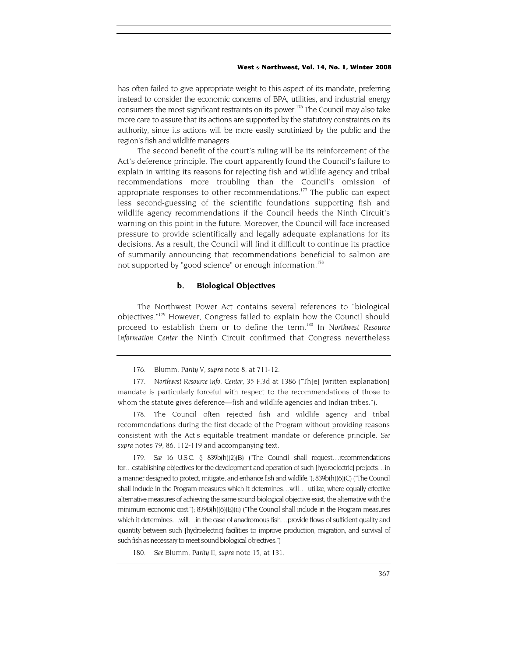has often failed to give appropriate weight to this aspect of its mandate, preferring instead to consider the economic concerns of BPA, utilities, and industrial energy consumers the most significant restraints on its power.<sup>176</sup> The Council may also take more care to assure that its actions are supported by the statutory constraints on its authority, since its actions will be more easily scrutinized by the public and the region's fish and wildlife managers.

The second benefit of the court's ruling will be its reinforcement of the Act's deference principle. The court apparently found the Council's failure to explain in writing its reasons for rejecting fish and wildlife agency and tribal recommendations more troubling than the Council's omission of appropriate responses to other recommendations.<sup>177</sup> The public can expect less second-guessing of the scientific foundations supporting fish and wildlife agency recommendations if the Council heeds the Ninth Circuit's warning on this point in the future. Moreover, the Council will face increased pressure to provide scientifically and legally adequate explanations for its decisions. As a result, the Council will find it difficult to continue its practice of summarily announcing that recommendations beneficial to salmon are not supported by "good science" or enough information.<sup>178</sup>

### **b. Biological Objectives**

The Northwest Power Act contains several references to "biological objectives."<sup>179</sup> However, Congress failed to explain how the Council should proceed to establish them or to define the term.[180](#page-35-4) In *Northwest Resource Information Center* the Ninth Circuit confirmed that Congress nevertheless

<span id="page-35-2"></span>178. The Council often rejected fish and wildlife agency and tribal recommendations during the first decade of the Program without providing reasons consistent with the Act's equitable treatment mandate or deference principle. *See supra* notes 79, 86, 112-119 and accompanying text.

<span id="page-35-3"></span>179*. See* 16 U.S.C. § 839b(h)(2)(B) ("The Council shall request…recommendations for…establishing objectives for the development and operation of such [hydroelectric] projects…in a manner designed to protect, mitigate, and enhance fish and wildlife."); 839b(h)(6)(C) ("The Council shall include in the Program measures which it determines…will… utilize, where equally effective alternative measures of achieving the same sound biological objective exist, the alternative with the minimum economic cost."); 839B(h)(6)(E)(ii) ("The Council shall include in the Program measures which it determines...will...in the case of anadromous fish...provide flows of sufficient quality and quantity between such [hydroelectric] facilities to improve production, migration, and survival of such fish as necessary to meet sound biological objectives.")

<span id="page-35-4"></span>180*. See* Blumm, *Parity II, supra* note 15, at 131.

<sup>176.</sup> Blumm, *Parity V, supra* note 8, at 711-12.

<span id="page-35-1"></span><span id="page-35-0"></span><sup>177</sup>*. Northwest Resource Info. Center,* 35 F.3d at 1386 ("Th[e] [written explanation] mandate is particularly forceful with respect to the recommendations of those to whom the statute gives deference—fish and wildlife agencies and Indian tribes.").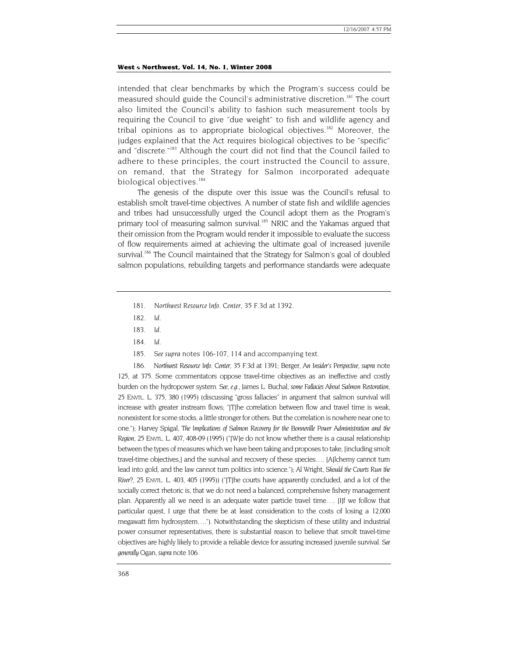intended that clear benchmarks by which the Program's success could be measured should guide the Council's administrative discretion.<sup>181</sup> The court also limited the Council's ability to fashion such measurement tools by requiring the Council to give "due weight" to fish and wildlife agency and tribal opinions as to appropriate biological objectives.<sup>182</sup> Moreover, the judges explained that the Act requires biological objectives to be "specific" and "discrete."<sup>183</sup> Although the court did not find that the Council failed to adhere to these principles, the court instructed the Council to assure, on remand, that the Strategy for Salmon incorporated adequate biological objectives.<sup>[184](#page-36-3)</sup>

The genesis of the dispute over this issue was the Council's refusal to establish smolt travel-time objectives. A number of state fish and wildlife agencies and tribes had unsuccessfully urged the Council adopt them as the Program's primary tool of measuring salmon survival.<sup>185</sup> NRIC and the Yakamas argued that their omission from the Program would render it impossible to evaluate the success of flow requirements aimed at achieving the ultimate goal of increased juvenile survival.<sup>186</sup> The Council maintained that the Strategy for Salmon's goal of doubled salmon populations, rebuilding targets and performance standards were adequate

- <span id="page-36-0"></span>181*. Northwest Resource Info. Center*, 35 F.3d at 1392.
- <span id="page-36-1"></span>182*. Id.*
- <span id="page-36-2"></span>183*. Id.*
- <span id="page-36-3"></span>184*. Id.*
- 185*. See supra* notes 106-107, 114 and accompanying text.

<span id="page-36-5"></span><span id="page-36-4"></span>186*. Northwest Resource Info. Center,* 35 F.3d at 1391; Berger, *An Insider's Perspective, supra* note 125, at 375. Some commentators oppose travel-time objectives as an ineffective and costly burden on the hydropower system. *See, e.g.*, James L. Buchal, *some Fallacies About Salmon Restoration*, 25 ENVTL. L. 375, 380 (1995) (discussing "gross fallacies" in argument that salmon survival will increase with greater instream flows; "[T]he correlation between flow and travel time is weak, nonexistent for some stocks, a little stronger for others. But the correlation is nowhere near one to one."); Harvey Spigal, *The Implications of Salmon Recovery for the Bonneville Power Administration and the Region*, 25 ENVTL. L. 407, 408-09 (1995) ("[W]e do not know whether there is a causal relationship between the types of measures which we have been taking and proposes to take, [including smolt travel-time objectives,] and the survival and recovery of these species…. [A]lchemy cannot turn lead into gold, and the law cannot turn politics into science."); Al Wright, *Should the Courts Run the River?*, 25 ENVTL. L. 403, 405 (1995)) ("[T]he courts have apparently concluded, and a lot of the socially correct rhetoric is, that we do not need a balanced, comprehensive fishery management plan. Apparently all we need is an adequate water particle travel time…. [I]f we follow that particular quest, I urge that there be at least consideration to the costs of losing a 12,000 megawatt firm hydrosystem…."). Notwithstanding the skepticism of these utility and industrial power consumer representatives, there is substantial reason to believe that smolt travel-time objectives are highly likely to provide a reliable device for assuring increased juvenile survival. *See generally* Ogan, *supra* note 106.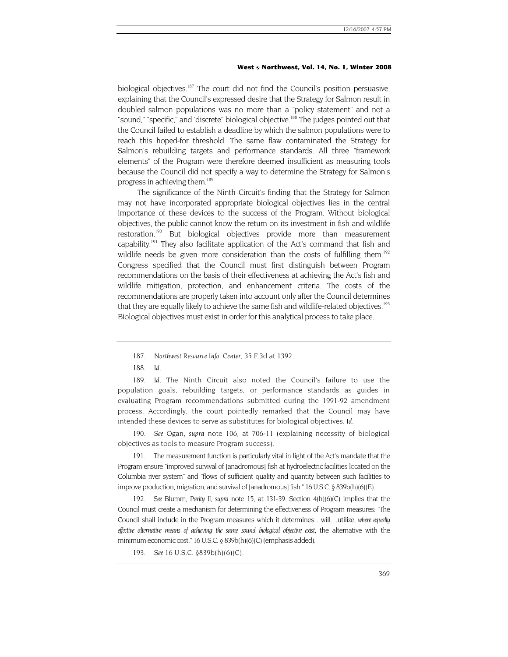biological objectives.<sup>187</sup> The court did not find the Council's position persuasive, explaining that the Council's expressed desire that the Strategy for Salmon result in doubled salmon populations was no more than a "policy statement" and not a "sound," "specific," and 'discrete" biological objective.<sup>188</sup> The judges pointed out that the Council failed to establish a deadline by which the salmon populations were to reach this hoped-for threshold. The same flaw contaminated the Strategy for Salmon's rebuilding targets and performance standards. All three "framework elements" of the Program were therefore deemed insufficient as measuring tools because the Council did not specify a way to determine the Strategy for Salmon's progress in achieving them.<sup>189</sup>

The significance of the Ninth Circuit's finding that the Strategy for Salmon may not have incorporated appropriate biological objectives lies in the central importance of these devices to the success of the Program. Without biological objectives, the public cannot know the return on its investment in fish and wildlife restoration.<sup>190</sup> But biological objectives provide more than measurement capability[.191](#page-37-4) They also facilitate application of the Act's command that fish and wildlife needs be given more consideration than the costs of fulfilling them.<sup>192</sup> Congress specified that the Council must first distinguish between Program recommendations on the basis of their effectiveness at achieving the Act's fish and wildlife mitigation, protection, and enhancement criteria. The costs of the recommendations are properly taken into account only after the Council determines that they are equally likely to achieve the same fish and wildlife-related objectives.<sup>193</sup> Biological objectives must exist in order for this analytical process to take place.

<span id="page-37-0"></span>187*. Northwest Resource Info. Center*, 35 F.3d at 1392.

<span id="page-37-1"></span>188*. Id.*

<span id="page-37-2"></span>189*. Id.* The Ninth Circuit also noted the Council's failure to use the population goals, rebuilding targets, or performance standards as guides in evaluating Program recommendations submitted during the 1991-92 amendment process. Accordingly, the court pointedly remarked that the Council may have intended these devices to serve as substitutes for biological objectives. *Id.* 

<span id="page-37-3"></span>190*. See* Ogan, *supra* note 106, at 706-11 (explaining necessity of biological objectives as tools to measure Program success).

<span id="page-37-4"></span>191. The measurement function is particularly vital in light of the Act's mandate that the Program ensure "improved survival of [anadromous] fish at hydroelectric facilities located on the Columbia river system" and "flows of sufficient quality and quantity between such facilities to improve production, migration, and survival of [anadromous] fish." 16 U.S.C. § 839b(h)(6)(E).

<span id="page-37-5"></span>192*. See* Blumm, *Parity II, supra* note 15, at 131-39. Section 4(h)(6)(C) implies that the Council must create a mechanism for determining the effectiveness of Program measures: "The Council shall include in the Program measures which it determines…will…utilize, *where equally effective alternative means of achieving the same sound biological objective exist*, the alternative with the minimum economic cost." 16 U.S.C. § 839b(h)(6)(C) (emphasis added).

<span id="page-37-6"></span>193*. See* 16 U.S.C. §839b(h)(6)(C).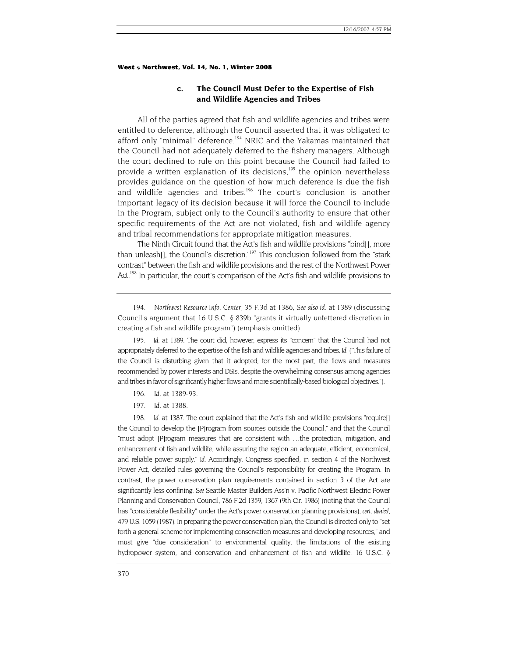# **c. The Council Must Defer to the Expertise of Fish and Wildlife Agencies and Tribes**

<span id="page-38-4"></span>All of the parties agreed that fish and wildlife agencies and tribes were entitled to deference, although the Council asserted that it was obligated to afford only "minimal" deference.<sup>194</sup> NRIC and the Yakamas maintained that the Council had not adequately deferred to the fishery managers. Although the court declined to rule on this point because the Council had failed to provide a written explanation of its decisions,<sup>195</sup> the opinion nevertheless provides guidance on the question of how much deference is due the fish and wildlife agencies and tribes.<sup>196</sup> The court's conclusion is another important legacy of its decision because it will force the Council to include in the Program, subject only to the Council's authority to ensure that other specific requirements of the Act are not violated, fish and wildlife agency and tribal recommendations for appropriate mitigation measures.

The Ninth Circuit found that the Act's fish and wildlife provisions "bind[], more than unleash[], the Council's discretion."<sup>197</sup> This conclusion followed from the "stark contrast" between the fish and wildlife provisions and the rest of the Northwest Power Act.<sup>198</sup> In particular, the court's comparison of the Act's fish and wildlife provisions to

<span id="page-38-0"></span>194*. Northwest Resource Info. Center,* 35 F.3d at 1386, *See also id.* at 1389 (discussing Council's argument that 16 U.S.C. § 839b "grants it virtually unfettered discretion in creating a fish and wildlife program") (emphasis omitted).

<span id="page-38-1"></span>195*. Id*. at 1389. The court did, however, express its "concern" that the Council had not appropriately deferred to the expertise of the fish and wildlife agencies and tribes. *Id.* ("This failure of the Council is disturbing given that it adopted, for the most part, the flows and measures recommended by power interests and DSIs, despite the overwhelming consensus among agencies and tribes in favor of significantly higher flows and more scientifically-based biological objectives.").

- <span id="page-38-2"></span>196*. Id.* at 1389-93.
- 197*. Id.* at 1388.

<span id="page-38-3"></span>198*. Id.* at 1387. The court explained that the Act's fish and wildlife provisions "require[] the Council to develop the [P]rogram from sources outside the Council," and that the Council "must adopt [P]rogram measures that are consistent with …the protection, mitigation, and enhancement of fish and wildlife, while assuring the region an adequate, efficient, economical, and reliable power supply." *Id.* Accordingly, Congress specified, in section 4 of the Northwest Power Act, detailed rules governing the Council's responsibility for creating the Program. In contrast, the power conservation plan requirements contained in section 3 of the Act are significantly less confining. *See* Seattle Master Builders Ass'n v. Pacific Northwest Electric Power Planning and Conservation Council, 786 F.2d 1359, 1367 (9th Cir. 1986) (noting that the Council has "considerable flexibility" under the Act's power conservation planning provisions), *cert. denied*, 479 U.S. 1059 (1987). In preparing the power conservation plan, the Council is directed only to "set forth a general scheme for implementing conservation measures and developing resources," and must give "due consideration" to environmental quality, the limitations of the existing hydropower system, and conservation and enhancement of fish and wildlife. 16 U.S.C. §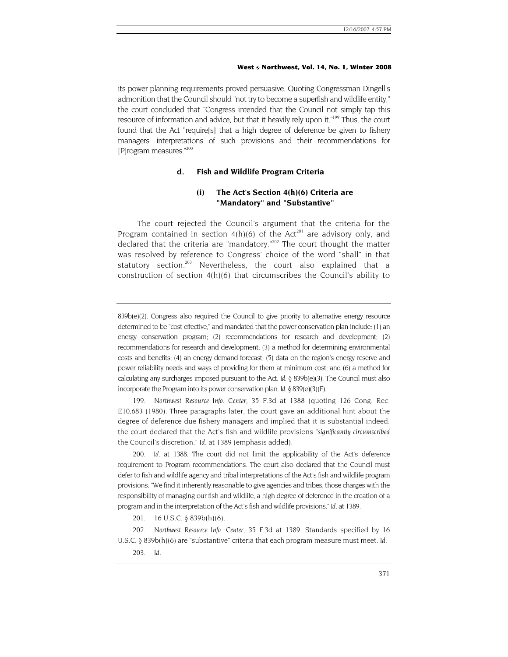its power planning requirements proved persuasive. Quoting Congressman Dingell's admonition that the Council should "not try to become a superfish and wildlife entity," the court concluded that "Congress intended that the Council not simply tap this resource of information and advice, but that it heavily rely upon it."<sup>199</sup> Thus, the court found that the Act "require[s] that a high degree of deference be given to fishery managers' interpretations of such provisions and their recommendations for [P]rogram measures."[200](#page-39-1)

# **d. Fish and Wildlife Program Criteria**

# **(i) The Act's Section 4(h)(6) Criteria are "Mandatory" and "Substantive"**

The court rejected the Council's argument that the criteria for the Program contained in section  $4(h)(6)$  of the Act<sup>201</sup> are advisory only, and declared that the criteria are "mandatory." $202$  The court thought the matter was resolved by reference to Congress' choice of the word "shall" in that statutory section.<sup>203</sup> Nevertheless, the court also explained that a construction of section  $4(h)(6)$  that circumscribes the Council's ability to

<span id="page-39-1"></span>200*. Id.* at 1388. The court did not limit the applicability of the Act's deference requirement to Program recommendations. The court also declared that the Council must defer to fish and wildlife agency and tribal interpretations of the Act's fish and wildlife program provisions: "We find it inherently reasonable to give agencies and tribes, those charges with the responsibility of managing our fish and wildlife, a high degree of deference in the creation of a program and in the interpretation of the Act's fish and wildlife provisions." *Id.* at 1389.

<span id="page-39-2"></span>201. 16 U.S.C. § 839b(h)(6).

<span id="page-39-3"></span>202*. Northwest Resource Info. Center*, 35 F.3d at 1389. Standards specified by 16 U.S.C. § 839b(h)(6) are "substantive" criteria that each program measure must meet. *Id.*

 $839b(e)(2)$ . Congress also required the Council to give priority to alternative energy resource determined to be "cost effective," and mandated that the power conservation plan include: (1) an energy conservation program; (2) recommendations for research and development; (2) recommendations for research and development; (3) a method for determining environmental costs and benefits; (4) an energy demand forecast; (5) data on the region's energy reserve and power reliability needs and ways of providing for them at minimum cost; and (6) a method for calculating any surcharges imposed pursuant to the Act. *Id.* § 839b(e)(3). The Council must also incorporate the Program into its power conservation plan. *Id.* § 839(e)(3)(F).

<span id="page-39-0"></span><sup>199</sup>*. Northwest Resource Info. Center,* 35 F.3d at 1388 (quoting 126 Cong. Rec. E10,683 (1980). Three paragraphs later, the court gave an additional hint about the degree of deference due fishery managers and implied that it is substantial indeed: the court declared that the Act's fish and wildlife provisions "*significantly circumscribed* the Council's discretion." *Id.* at 1389 (emphasis added).

<span id="page-39-4"></span><sup>203</sup>*. Id.*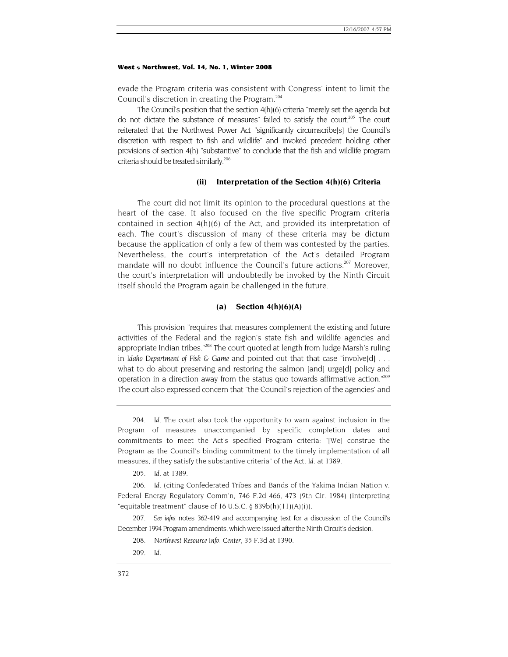evade the Program criteria was consistent with Congress' intent to limit the Council's discretion in creating the Program. $^{204}$ 

The Council's position that the section 4(h)(6) criteria "merely set the agenda but do not dictate the substance of measures" failed to satisfy the court.<sup>205</sup> The court reiterated that the Northwest Power Act "significantly circumscribe[s] the Council's discretion with respect to fish and wildlife" and invoked precedent holding other provisions of section 4(h) "substantive" to conclude that the fish and wildlife program criteria should be treated similarly.<sup>206</sup>

# **(ii) Interpretation of the Section 4(h)(6) Criteria**

The court did not limit its opinion to the procedural questions at the heart of the case. It also focused on the five specific Program criteria contained in section 4(h)(6) of the Act, and provided its interpretation of each. The court's discussion of many of these criteria may be dictum because the application of only a few of them was contested by the parties. Nevertheless, the court's interpretation of the Act's detailed Program mandate will no doubt influence the Council's future actions.<sup>207</sup> Moreover, the court's interpretation will undoubtedly be invoked by the Ninth Circuit itself should the Program again be challenged in the future.

# **(a) Section 4(h)(6)(A)**

This provision "requires that measures complement the existing and future activities of the Federal and the region's state fish and wildlife agencies and appropriate Indian tribes."<sup>208</sup> The court quoted at length from Judge Marsh's ruling in *Idaho Department of Fish & Game* and pointed out that that case "involve[d] . . . what to do about preserving and restoring the salmon [and] urge[d] policy and operation in a direction away from the status quo towards affirmative action."<sup>209</sup> The court also expressed concern that "the Council's rejection of the agencies' and

<span id="page-40-0"></span>204*. Id.* The court also took the opportunity to warn against inclusion in the Program of measures unaccompanied by specific completion dates and commitments to meet the Act's specified Program criteria: "[We] construe the Program as the Council's binding commitment to the timely implementation of all measures, if they satisfy the substantive criteria" of the Act. *Id.* at 1389.

205*. Id.* at 1389.

<span id="page-40-2"></span><span id="page-40-1"></span>206*. Id.* (citing Confederated Tribes and Bands of the Yakima Indian Nation v. Federal Energy Regulatory Comm'n, 746 F.2d 466, 473 (9th Cir. 1984) (interpreting "equitable treatment" clause of 16 U.S.C. § 839b(h)(11)(A)(i)).

<span id="page-40-3"></span>207*. See infra* notes 362-419 and accompanying text for a discussion of the Council's December 1994 Program amendments, which were issued after the Ninth Circuit's decision.

- <span id="page-40-4"></span>208*. Northwest Resource Info. Center*, 35 F.3d at 1390.
- <span id="page-40-5"></span>209*. Id.*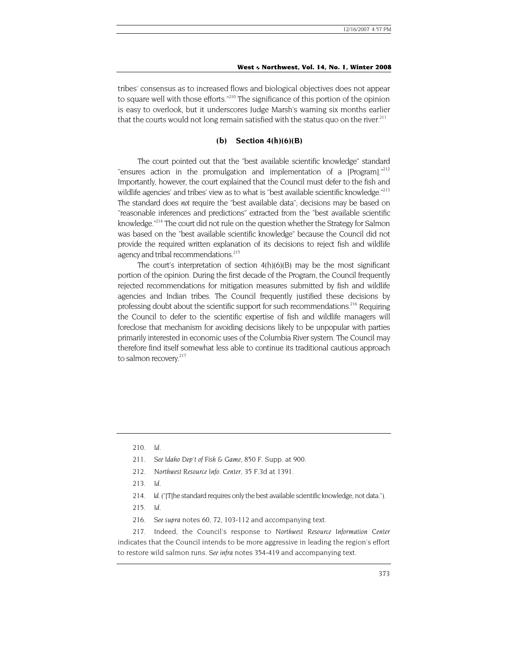tribes' consensus as to increased flows and biological objectives does not appear to square well with those efforts."<sup>210</sup> The significance of this portion of the opinion is easy to overlook, but it underscores Judge Marsh's warning six months earlier that the courts would not long remain satisfied with the status quo on the river.<sup>211</sup>

# **(b) Section 4(h)(6)(B)**

The court pointed out that the "best available scientific knowledge" standard "ensures action in the promulgation and implementation of a [Program]."<sup>212</sup> Importantly, however, the court explained that the Council must defer to the fish and wildlife agencies' and tribes' view as to what is "best available scientific knowledge." $^{213}$ The standard does *not* require the "best available data"; decisions may be based on "reasonable inferences and predictions" extracted from the "best available scientific knowledge."<sup>214</sup> The court did not rule on the question whether the Strategy for Salmon was based on the "best available scientific knowledge" because the Council did not provide the required written explanation of its decisions to reject fish and wildlife agency and tribal recommendations.<sup>215</sup>

The court's interpretation of section  $4(h)(6)(B)$  may be the most significant portion of the opinion. During the first decade of the Program, the Council frequently rejected recommendations for mitigation measures submitted by fish and wildlife agencies and Indian tribes. The Council frequently justified these decisions by professing doubt about the scientific support for such recommendations.<sup>216</sup> Requiring the Council to defer to the scientific expertise of fish and wildlife managers will foreclose that mechanism for avoiding decisions likely to be unpopular with parties primarily interested in economic uses of the Columbia River system. The Council may therefore find itself somewhat less able to continue its traditional cautious approach to salmon recovery.<sup>217</sup>

- <span id="page-41-1"></span>211*. See Idaho Dep't of Fish & Game,* 850 F. Supp. at 900.
- <span id="page-41-2"></span>212*. Northwest Resource Info. Center,* 35 F.3d at 1391.
- <span id="page-41-3"></span>213*. Id.*
- <span id="page-41-4"></span>214*. Id.* ("[T]he standard requires only the best available scientific knowledge, not data.").
- <span id="page-41-5"></span>215*. Id.*
- <span id="page-41-6"></span>216*. See supra* notes 60, 72, 103-112 and accompanying text.

<span id="page-41-7"></span>217. Indeed, the Council's response to *Northwest Resource Information Center* indicates that the Council intends to be more aggressive in leading the region's effort to restore wild salmon runs. *See infra* notes 354-419 and accompanying text.

<span id="page-41-0"></span><sup>210</sup>*. Id.*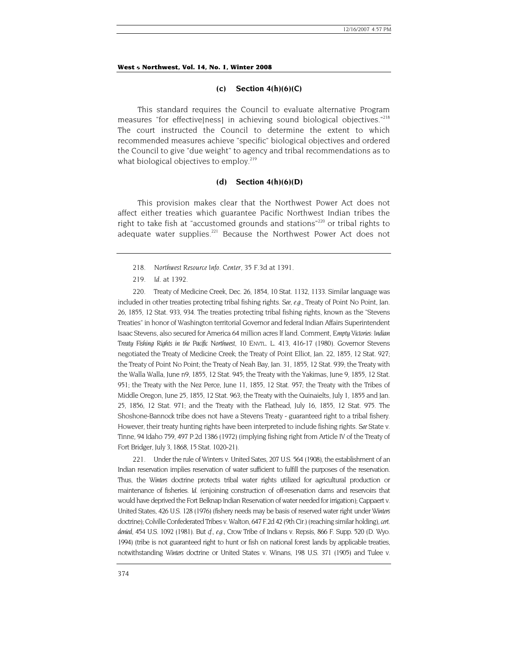### **(c) Section 4(h)(6)(C)**

<span id="page-42-3"></span>This standard requires the Council to evaluate alternative Program measures "for effective(ness) in achieving sound biological objectives."<sup>218</sup> The court instructed the Council to determine the extent to which recommended measures achieve "specific" biological objectives and ordered the Council to give "due weight" to agency and tribal recommendations as to what biological objectives to employ.<sup>219</sup>

# **(d) Section 4(h)(6)(D)**

This provision makes clear that the Northwest Power Act does not affect either treaties which guarantee Pacific Northwest Indian tribes the right to take fish at "accustomed grounds and stations"<sup>220</sup> or tribal rights to adequate water supplies.<sup>221</sup> Because the Northwest Power Act does not

- <span id="page-42-0"></span>218*. Northwest Resource Info. Center*, 35 F.3d at 1391.
- <span id="page-42-1"></span>219*. Id.* at 1392.

<span id="page-42-2"></span>220. Treaty of Medicine Creek, Dec. 26, 1854, 10 Stat. 1132, 1133. Similar language was included in other treaties protecting tribal fishing rights. *See, e.g.,* Treaty of Point No Point, Jan. 26, 1855, 12 Stat. 933, 934. The treaties protecting tribal fishing rights, known as the "Stevens Treaties" in honor of Washington territorial Governor and federal Indian Affairs Superintendent Isaac Stevens, also secured for America 64 million acres lf land. Comment, *Empty Victories: Indian Treaty Fishing Rights in the Pacific Northwest*, 10 ENVTL. L. 413, 416-17 (1980). Governor Stevens negotiated the Treaty of Medicine Creek; the Treaty of Point Elliot, Jan. 22, 1855, 12 Stat. 927; the Treaty of Point No Point; the Treaty of Neah Bay, Jan. 31, 1855, 12 Stat. 939; the Treaty with the Walla Walla, June n9, 1855, 12 Stat. 945; the Treaty with the Yakimas, June 9, 1855, 12 Stat. 951; the Treaty with the Nez Perce, June 11, 1855, 12 Stat. 957; the Treaty with the Tribes of Middle Oregon, June 25, 1855, 12 Stat. 963; the Treaty with the Quinaielts, July 1, 1855 and Jan. 25, 1856, 12 Stat. 971; and the Treaty with the Flathead, July 16, 1855, 12 Stat. 975. The Shoshone-Bannock tribe does not have a Stevens Treaty - guaranteed right to a tribal fishery. However, their treaty hunting rights have been interpreted to include fishing rights. *See* State v. Tinne, 94 Idaho 759, 497 P.2d 1386 (1972) (implying fishing right from Article IV of the Treaty of Fort Bridger, July 3, 1868, 15 Stat. 1020-21).

221. Under the rule of Winters v. United Sates, 207 U.S. 564 (1908), the establishment of an Indian reservation implies reservation of water sufficient to fulfill the purposes of the reservation. Thus, the *Winters* doctrine protects tribal water rights utilized for agricultural production or maintenance of fisheries. *Id.* (enjoining construction of off-reservation dams and reservoirs that would have deprived the Fort Belknap Indian Reservation of water needed for irrigation); Cappaert v. United States, 426 U.S. 128 (1976) (fishery needs may be basis of reserved water right under *Winters* doctrine); Colville Confederated Tribes v. Walton, 647 F.2d 42 (9th Cir.) (reaching similar holding), *cert. denied*, 454 U.S. 1092 (1981). But *cf., e.g.,* Crow Tribe of Indians v. Repsis, 866 F. Supp. 520 (D. Wyo. 1994) (tribe is not guaranteed right to hunt or fish on national forest lands by applicable treaties, notwithstanding *Winters* doctrine or United States v. Winans, 198 U.S. 371 (1905) and Tulee v.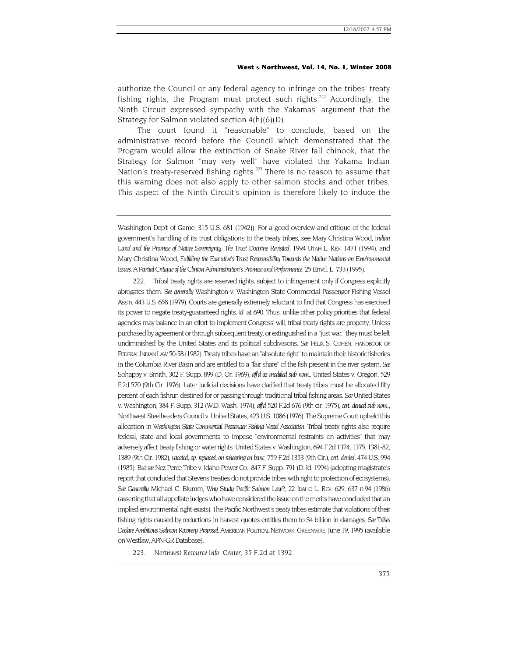authorize the Council or any federal agency to infringe on the tribes' treaty fishing rights, the Program must protect such rights.<sup>222</sup> Accordingly, the Ninth Circuit expressed sympathy with the Yakamas' argument that the Strategy for Salmon violated section 4(h)(6)(D).

The court found it "reasonable" to conclude, based on the administrative record before the Council which demonstrated that the Program would allow the extinction of Snake River fall chinook, that the Strategy for Salmon "may very well" have violated the Yakama Indian Nation's treaty-reserved fishing rights.<sup>223</sup> There is no reason to assume that this warning does not also apply to other salmon stocks and other tribes. This aspect of the Ninth Circuit's opinion is therefore likely to induce the

<span id="page-43-0"></span>222. Tribal treaty rights are reserved rights, subject to infringement only if Congress explicitly abrogates them. *See generally* Washington v. Washington State Commercial Passenger Fishing Vessel Ass'n, 443 U.S. 658 (1979). Courts are generally extremely reluctant to find that Congress has exercised its power to negate treaty-guaranteed rights. *Id.* at 690. Thus, unlike other policy priorities that federal agencies may balance in an effort to implement Congress' will, tribal treaty rights are property. Unless purchased by agreement or through subsequent treaty, or extinguished in a "just war," they must be left undiminished by the United States and its political subdivisions. *See* FELIX S. COHEN, HANDBOOK OF FEDERAL INDIAN LAW 50-58 (1982). Treaty tribes have an "absolute right" to maintain their historic fisheries in the Columbia River Basin and are entitled to a "fair share" of the fish present in the river system. *See* Sohappy v. Smith, 302 F. Supp. 899 (D. Or. 1969), *aff'd as modified sub nom.,* United States v. Oregon, 529 F.2d 570 (9th Cir. 1976). Later judicial decisions have clarified that treaty tribes must be allocated fifty percent of each fishrun destined for or passing through traditional tribal fishing areas. *See* United States v. Washington, 384 F. Supp. 312 (W.D. Wash. 1974), *aff'd* 520 F.2d 676 (9th cir. 1975), *cert. denied sub nom.,* Northwest Steelheaders Council v. United States, 423 U.S. 1086 (1976). The Supreme Court upheld this allocation in *Washington State Commercial Passenger Fishing Vessel Association*. Tribal treaty rights also require federal, state and local governments to impose "environmental restraints on activities" that may adversely affect treaty fishing or water rights. United States v. Washington, 694 F.2d 1374, 1375, 1381-82, 1389 (9th Cir. 1982), *vacated, op. replaced, on rehearing en banc,* 759 F.2d 1353 (9th Cir.), *cert. denied*, 474 U.S. 994 (1985). *But see* Nez Perce Tribe v. Idaho Power Co., 847 F. Supp. 791 (D. Id. 1994) (adopting magistrate's report that concluded that Stevens treaties do not provide tribes with right to protection of ecosystems). *See Generally* Michael C. Blumm, *Why Study Pacific Salmon Law?*, 22 IDAHO L. REV. 629, 637 n.94 (1986) (asserting that all appellate judges who have considered the issue on the merits have concluded that an implied environmental right exists). The Pacific Northwest's treaty tribes estimate that violations of their fishing rights caused by reductions in harvest quotes entitles them to \$4 billion in damages. *See Tribes Declare Ambitious Salmon Recovery Proposal*, AMERICAN POLITICAL NETWORK: GREENWIRE, June 19, 1995 (available on Westlaw, APN-GR Database).

<span id="page-43-1"></span>223*. Northwest Resource Info. Center*, 35 F.2d at 1392.

Washington Dep't of Game, 315 U.S. 681 (1942)). For a good overview and critique of the federal government's handling of its trust obligations to the treaty tribes, see Mary Christina Wood, *Indian Land and the Promise of Native Sovereignty: The Trust Doctrine Revisited*, 1994 UTAH L. REV. 1471 (1994), and Mary Christina Wood, *Fulfilling the Executive's Trust Responsibility Towards the Native Nations on Environmental Issues: A Partial Critique of the Clinton Administration's Promise and Performance*, 25 Envtl. L. 733 (1995).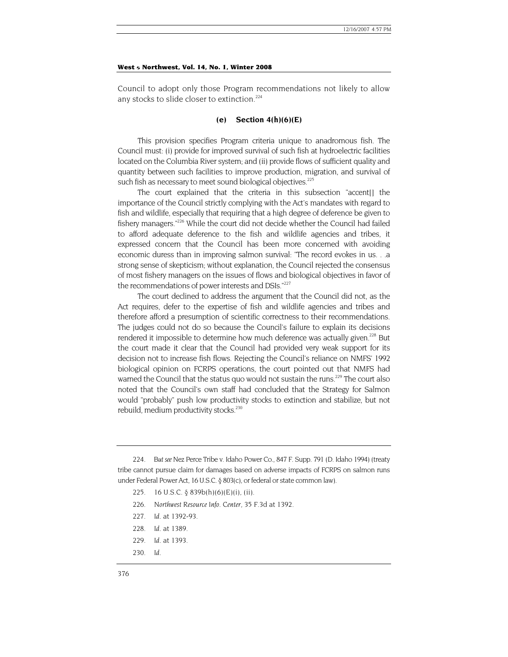Council to adopt only those Program recommendations not likely to allow any stocks to slide closer to extinction.<sup>224</sup>

### *(***e) Section 4(h)(6)(E)**

This provision specifies Program criteria unique to anadromous fish. The Council must: (i) provide for improved survival of such fish at hydroelectric facilities located on the Columbia River system; and (ii) provide flows of sufficient quality and quantity between such facilities to improve production, migration, and survival of such fish as necessary to meet sound biological objectives.<sup>[225](#page-44-1)</sup>

The court explained that the criteria in this subsection "accent[] the importance of the Council strictly complying with the Act's mandates with regard to fish and wildlife, especially that requiring that a high degree of deference be given to fishery managers."<sup>226</sup> While the court did not decide whether the Council had failed to afford adequate deference to the fish and wildlife agencies and tribes, it expressed concern that the Council has been more concerned with avoiding economic duress than in improving salmon survival: "The record evokes in us. . .a strong sense of skepticism; without explanation, the Council rejected the consensus of most fishery managers on the issues of flows and biological objectives in favor of the recommendations of power interests and DSIs."<sup>[227](#page-44-3)</sup>

The court declined to address the argument that the Council did not, as the Act requires, defer to the expertise of fish and wildlife agencies and tribes and therefore afford a presumption of scientific correctness to their recommendations. The judges could not do so because the Council's failure to explain its decisions rendered it impossible to determine how much deference was actually given.<sup>228</sup> But the court made it clear that the Council had provided very weak support for its decision not to increase fish flows. Rejecting the Council's reliance on NMFS' 1992 biological opinion on FCRPS operations, the court pointed out that NMFS had warned the Council that the status quo would not sustain the runs.<sup>229</sup> The court also noted that the Council's own staff had concluded that the Strategy for Salmon would "probably" push low productivity stocks to extinction and stabilize, but not rebuild, medium productivity stocks.<sup>230</sup>

- <span id="page-44-1"></span>225. 16 U.S.C. § 839b(h)(6)(E)(i), (ii).
- <span id="page-44-2"></span>226*. Northwest Resource Info. Center*, 35 F.3d at 1392.
- <span id="page-44-3"></span>227*. Id.* at 1392-93.
- <span id="page-44-4"></span>228*. Id.* at 1389.
- <span id="page-44-5"></span>229*. Id.* at 1393.
- <span id="page-44-6"></span>230*. Id.*

<span id="page-44-0"></span><sup>224</sup>*. But see* Nez Perce Tribe v. Idaho Power Co., 847 F. Supp. 791 (D. Idaho 1994) (treaty tribe cannot pursue claim for damages based on adverse impacts of FCRPS on salmon runs under Federal Power Act, 16 U.S.C. § 803(c), or federal or state common law).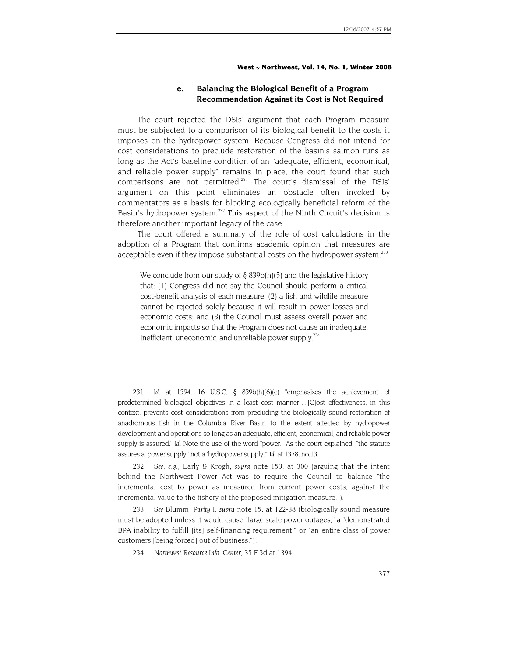# **e. Balancing the Biological Benefit of a Program Recommendation Against its Cost is Not Required**

The court rejected the DSIs' argument that each Program measure must be subjected to a comparison of its biological benefit to the costs it imposes on the hydropower system. Because Congress did not intend for cost considerations to preclude restoration of the basin's salmon runs as long as the Act's baseline condition of an "adequate, efficient, economical, and reliable power supply" remains in place, the court found that such comparisons are not permitted.<sup>231</sup> The court's dismissal of the DSIs' argument on this point eliminates an obstacle often invoked by commentators as a basis for blocking ecologically beneficial reform of the Basin's hydropower system.<sup>232</sup> This aspect of the Ninth Circuit's decision is therefore another important legacy of the case.

The court offered a summary of the role of cost calculations in the adoption of a Program that confirms academic opinion that measures are acceptable even if they impose substantial costs on the hydropower system.<sup>[233](#page-45-2)</sup>

We conclude from our study of  $\delta$  839b(h)(5) and the legislative history that: (1) Congress did not say the Council should perform a critical cost-benefit analysis of each measure; (2) a fish and wildlife measure cannot be rejected solely because it will result in power losses and economic costs; and (3) the Council must assess overall power and economic impacts so that the Program does not cause an inadequate, inefficient, uneconomic, and unreliable power supply.<sup>[234](#page-45-3)</sup>

<span id="page-45-0"></span>231*. Id.* at 1394. 16 U.S.C. § 839b(h)(6)(c) "emphasizes the achievement of predetermined biological objectives in a least cost manner….[C]ost effectiveness, in this context, prevents cost considerations from precluding the biologically sound restoration of anadromous fish in the Columbia River Basin to the extent affected by hydropower development and operations so long as an adequate, efficient, economical, and reliable power supply is assured." *Id.* Note the use of the word "power." As the court explained, "the statute assures a 'power supply,' not a 'hydropower supply.'" *Id.* at 1378, no.13.

<span id="page-45-1"></span>232*. See, e.g.,* Early & Krogh, *supra* note 153, at 300 (arguing that the intent behind the Northwest Power Act was to require the Council to balance "the incremental cost to power as measured from current power costs, against the incremental value to the fishery of the proposed mitigation measure.").

<span id="page-45-2"></span>233*. See* Blumm, *Parity I, supra* note 15, at 122-38 (biologically sound measure must be adopted unless it would cause "large scale power outages," a "demonstrated BPA inability to fulfill [its] self-financing requirement," or "an entire class of power customers [being forced] out of business.").

<span id="page-45-3"></span>234*. Northwest Resource Info. Center,* 35 F.3d at 1394.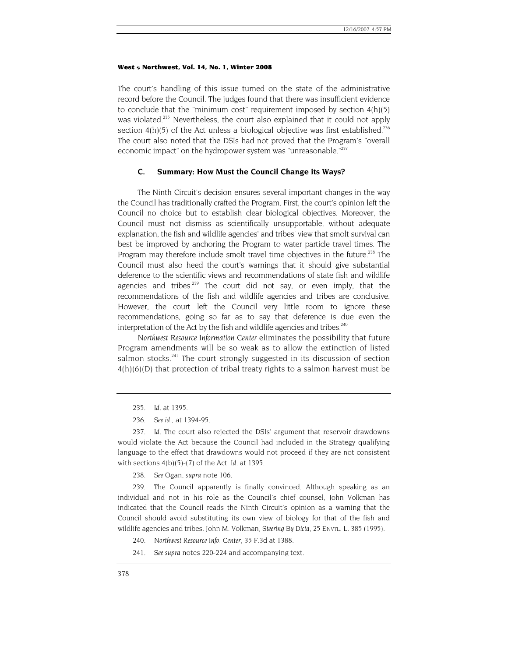The court's handling of this issue turned on the state of the administrative record before the Council. The judges found that there was insufficient evidence to conclude that the "minimum cost" requirement imposed by section 4(h)(5) was violated.<sup>235</sup> Nevertheless, the court also explained that it could not apply section  $4(h)(5)$  of the Act unless a biological objective was first established.<sup>236</sup> The court also noted that the DSIs had not proved that the Program's "overall economic impact" on the hydropower system was "unreasonable." $^{237}$ 

# **C. Summary: How Must the Council Change its Ways?**

The Ninth Circuit's decision ensures several important changes in the way the Council has traditionally crafted the Program. First, the court's opinion left the Council no choice but to establish clear biological objectives. Moreover, the Council must not dismiss as scientifically unsupportable, without adequate explanation, the fish and wildlife agencies' and tribes' view that smolt survival can best be improved by anchoring the Program to water particle travel times. The Program may therefore include smolt travel time objectives in the future.<sup>238</sup> The Council must also heed the court's warnings that it should give substantial deference to the scientific views and recommendations of state fish and wildlife agencies and tribes.<sup>239</sup> The court did not say, or even imply, that the recommendations of the fish and wildlife agencies and tribes are conclusive. However, the court left the Council very little room to ignore these recommendations, going so far as to say that deference is due even the interpretation of the Act by the fish and wildlife agencies and tribes. $240$ 

*Northwest Resource Information Center* eliminates the possibility that future Program amendments will be so weak as to allow the extinction of listed salmon stocks.<sup>241</sup> The court strongly suggested in its discussion of section 4(h)(6)(D) that protection of tribal treaty rights to a salmon harvest must be

<span id="page-46-2"></span>237*. Id.* The court also rejected the DSIs' argument that reservoir drawdowns would violate the Act because the Council had included in the Strategy qualifying language to the effect that drawdowns would not proceed if they are not consistent with sections 4(b)(5)-(7) of the Act. *Id.* at 1395.

<span id="page-46-3"></span>238*. See* Ogan, *supra* note 106.

<span id="page-46-4"></span>239. The Council apparently is finally convinced. Although speaking as an individual and not in his role as the Council's chief counsel, John Volkman has indicated that the Council reads the Ninth Circuit's opinion as a warning that the Council should avoid substituting its own view of biology for that of the fish and wildlife agencies and tribes. John M. Volkman, *Steering By Dicta*, 25 ENVTL. L. 385 (1995).

<span id="page-46-5"></span>240*. Northwest Resource Info. Center*, 35 F.3d at 1388.

<span id="page-46-6"></span>241*. See supra* notes 220-224 and accompanying text.

<span id="page-46-0"></span><sup>235</sup>*. Id.* at 1395.

<span id="page-46-1"></span><sup>236</sup>*. See id.,* at 1394-95.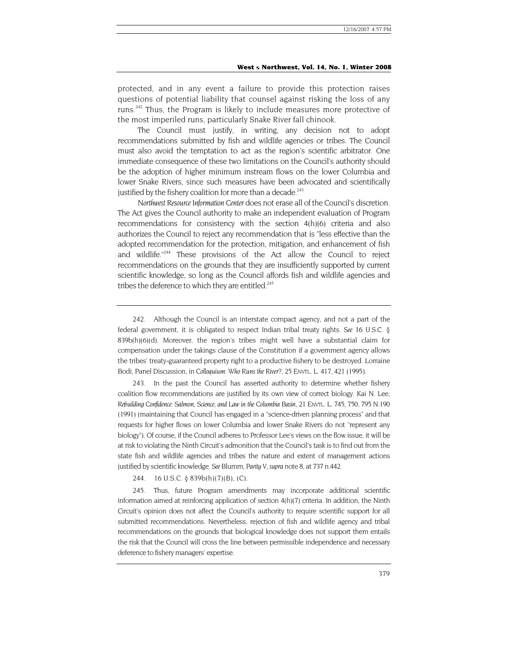protected, and in any event a failure to provide this protection raises questions of potential liability that counsel against risking the loss of any runs.<sup>242</sup> Thus, the Program is likely to include measures more protective of the most imperiled runs, particularly Snake River fall chinook.

The Council must justify, in writing, any decision not to adopt recommendations submitted by fish and wildlife agencies or tribes. The Council must also avoid the temptation to act as the region's scientific arbitrator. One immediate consequence of these two limitations on the Council's authority should be the adoption of higher minimum instream flows on the lower Columbia and lower Snake Rivers, since such measures have been advocated and scientifically justified by the fishery coalition for more than a decade.<sup>243</sup>

*Northwest Resource Information Center* does not erase all of the Council's discretion. The Act gives the Council authority to make an independent evaluation of Program recommendations for consistency with the section 4(h)(6) criteria and also authorizes the Council to reject any recommendation that is "less effective than the adopted recommendation for the protection, mitigation, and enhancement of fish and wildlife."<sup>244</sup> These provisions of the Act allow the Council to reject recommendations on the grounds that they are insufficiently supported by current scientific knowledge, so long as the Council affords fish and wildlife agencies and tribes the deference to which they are entitled.<sup>245</sup>

<span id="page-47-0"></span>242. Although the Council is an interstate compact agency, and not a part of the federal government, it is obligated to respect Indian tribal treaty rights. *See* 16 U.S.C. §  $839b(h)(6)(d)$ . Moreover, the region's tribes might well have a substantial claim for compensation under the takings clause of the Constitution if a government agency allows the tribes' treaty-guaranteed property right to a productive fishery to be destroyed. Lorraine Bodi, Panel Discussion, in *Colloquium: Who Runs the River?*, 25 ENVTL. L. 417, 421 (1995).

<span id="page-47-1"></span>243. In the past the Council has asserted authority to determine whether fishery coalition flow recommendations are justified by its own view of correct biology. Kai N. Lee, *Rebuilding Confidence: Salmon, Science, and Law in the Columbia Basin*, 21 ENVTL. L. 745, 750, 795 N.190 (1991) (maintaining that Council has engaged in a "science-driven planning process" and that requests for higher flows on lower Columbia and lower Snake Rivers do not "represent any biology"). Of course, if the Council adheres to Professor Lee's views on the flow issue, it will be at risk to violating the Ninth Circuit's admonition that the Council's task is to find out from the state fish and wildlife agencies and tribes the nature and extent of management actions justified by scientific knowledge. *See* Blumm, *Parity V, supra* note 8, at 737 n.442.

244. 16 U.S.C. § 839b(h)(7)(B), (C).

<span id="page-47-3"></span><span id="page-47-2"></span>245. Thus, future Program amendments may incorporate additional scientific information aimed at reinforcing application of section 4(h)(7) criteria. In addition, the Ninth Circuit's opinion does not affect the Council's authority to require scientific support for all submitted recommendations. Nevertheless, rejection of fish and wildlife agency and tribal recommendations on the grounds that biological knowledge does not support them entails the risk that the Council will cross the line between permissible independence and necessary deference to fishery managers' expertise.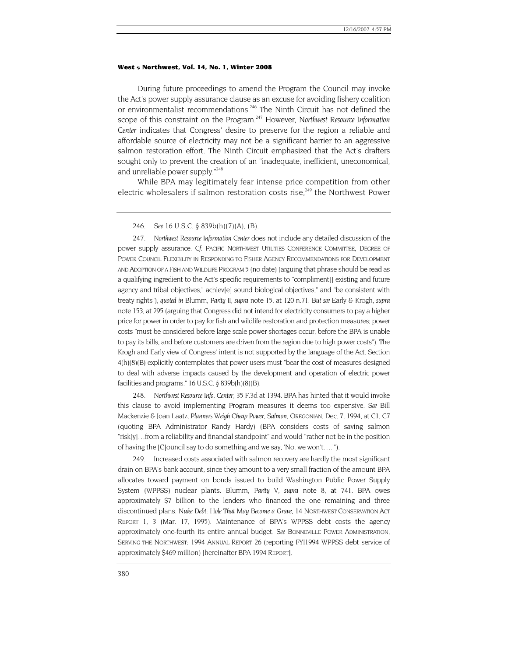During future proceedings to amend the Program the Council may invoke the Act's power supply assurance clause as an excuse for avoiding fishery coalition or environmentalist recommendations.<sup>246</sup> The Ninth Circuit has not defined the scope of this constraint on the Program.[247 H](#page-48-1)owever, *Northwest Resource Information Center* indicates that Congress' desire to preserve for the region a reliable and affordable source of electricity may not be a significant barrier to an aggressive salmon restoration effort. The Ninth Circuit emphasized that the Act's drafters sought only to prevent the creation of an "inadequate, inefficient, uneconomical, and unreliable power supply."<sup>248</sup>

While BPA may legitimately fear intense price competition from other electric wholesalers if salmon restoration costs rise, $249$  the Northwest Power

<span id="page-48-0"></span>246*. See* 16 U.S.C. § 839b(h)(7)(A), (B).

<span id="page-48-1"></span>247*. Northwest Resource Information Center* does not include any detailed discussion of the power supply assurance. *Cf.* PACIFIC NORTHWEST UTILITIES CONFERENCE COMMITTEE, DEGREE OF POWER COUNCIL FLEXIBILITY IN RESPONDING TO FISHER AGENCY RECOMMENDATIONS FOR DEVELOPMENT AND ADOPTION OF A FISH AND WILDLIFE PROGRAM 5 (no date) (arguing that phrase should be read as a qualifying ingredient to the Act's specific requirements to "compliment[] existing and future agency and tribal objectives," achiev[e] sound biological objectives," and "be consistent with treaty rights"), *quoted in* Blumm, *Parity II, supra* note 15, at 120 n.71. *But see* Early & Krogh, *supra* note 153, at 295 (arguing that Congress did not intend for electricity consumers to pay a higher price for power in order to pay for fish and wildlife restoration and protection measures; power costs "must be considered before large scale power shortages occur, before the BPA is unable to pay its bills, and before customers are driven from the region due to high power costs"). The Krogh and Early view of Congress' intent is not supported by the language of the Act. Section 4(h)(8)(B) explicitly contemplates that power users must "bear the cost of measures designed to deal with adverse impacts caused by the development and operation of electric power facilities and programs."  $16$  U.S.C.  $\S$  839b(h)(8)(B).

<span id="page-48-2"></span>248*. Northwest Resource Info. Center*, 35 F.3d at 1394. BPA has hinted that it would invoke this clause to avoid implementing Program measures it deems too expensive. *See* Bill Mackenzie & Joan Laatz, *Planners Weigh Cheap Power, Salmon*, OREGONIAN, Dec. 7, 1994, at C1, C7 (quoting BPA Administrator Randy Hardy) (BPA considers costs of saving salmon "risk[y]…from a reliability and financial standpoint" and would "rather not be in the position of having the [C]ouncil say to do something and we say, 'No, we won't….'").

<span id="page-48-3"></span>249. Increased costs associated with salmon recovery are hardly the most significant drain on BPA's bank account, since they amount to a very small fraction of the amount BPA allocates toward payment on bonds issued to build Washington Public Power Supply System (WPPSS) nuclear plants. Blumm, *Parity V, supra* note 8, at 741. BPA owes approximately \$7 billion to the lenders who financed the one remaining and three discontinued plans. *Nuke Debt: Hole That May Become a Grave*, 14 NORTHWEST CONSERVATION ACT REPORT 1, 3 (Mar. 17, 1995). Maintenance of BPA's WPPSS debt costs the agency approximately one-fourth its entire annual budget. *See* BONNEVILLE POWER ADMINISTRATION, SERVING THE NORTHWEST: 1994 ANNUAL REPORT 26 (reporting FYI1994 WPPSS debt service of approximately \$469 million) [hereinafter BPA 1994 REPORT].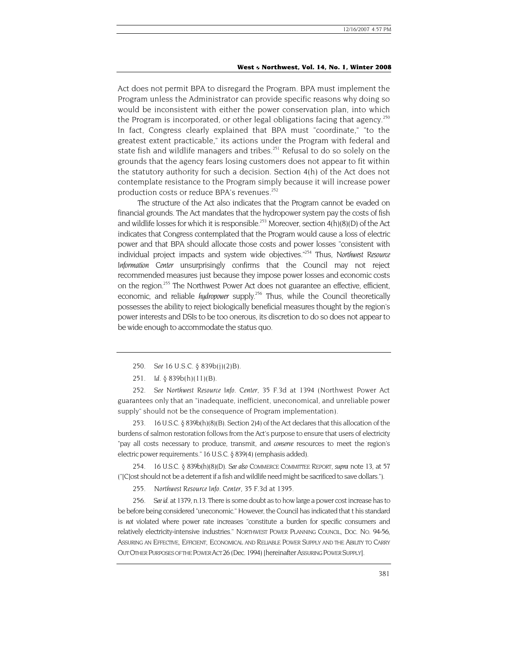Act does not permit BPA to disregard the Program. BPA must implement the Program unless the Administrator can provide specific reasons why doing so would be inconsistent with either the power conservation plan, into which the Program is incorporated, or other legal obligations facing that agency.<sup>250</sup> In fact, Congress clearly explained that BPA must "coordinate," "to the greatest extent practicable," its actions under the Program with federal and state fish and wildlife managers and tribes.<sup>251</sup> Refusal to do so solely on the grounds that the agency fears losing customers does not appear to fit within the statutory authority for such a decision. Section 4(h) of the Act does not contemplate resistance to the Program simply because it will increase power production costs or reduce BPA's revenues.<sup>252</sup>

The structure of the Act also indicates that the Program cannot be evaded on financial grounds. The Act mandates that the hydropower system pay the costs of fish and wildlife losses for which it is responsible.<sup>253</sup> Moreover, section  $4(h)(8)(D)$  of the Act indicates that Congress contemplated that the Program would cause a loss of electric power and that BPA should allocate those costs and power losses "consistent with individual project impacts and system wide objectives."[254](#page-49-4) Thus, *Northwest Resource Information Center* unsurprisingly confirms that the Council may not reject recommended measures just because they impose power losses and economic costs on the region.<sup>255</sup> The Northwest Power Act does not guarantee an effective, efficient, economic, and reliable *hydropower* supply.<sup>256</sup> Thus, while the Council theoretically possesses the ability to reject biologically beneficial measures thought by the region's power interests and DSIs to be too onerous, its discretion to do so does not appear to be wide enough to accommodate the status quo.

<span id="page-49-0"></span>250*. See* 16 U.S.C. § 839b(j)(2)B).

<span id="page-49-2"></span>252*. See Northwest Resource Info. Center,* 35 F.3d at 1394 (Northwest Power Act guarantees only that an "inadequate, inefficient, uneconomical, and unreliable power supply" should not be the consequence of Program implementation).

<span id="page-49-3"></span>253. 16 U.S.C. § 839b(h)(8)(B). Section 2)4) of the Act declares that this allocation of the burdens of salmon restoration follows from the Act's purpose to ensure that users of electricity "pay all costs necessary to produce, transmit, and *conserve* resources to meet the region's electric power requirements." 16 U.S.C. § 839(4) (emphasis added).

<span id="page-49-4"></span>254. 16 U.S.C. § 839b(h)(8)(D). *See also* COMMERCE COMMITTEE REPORT, *supra* note 13, at 57 ("[C]ost should not be a deterrent if a fish and wildlife need might be sacrificed to save dollars.").

<span id="page-49-5"></span>255*. Northwest Resource Info. Center,* 35 F.3d at 1395.

<span id="page-49-6"></span>256*. See id.* at 1379, n.13. There is some doubt as to how large a power cost increase has to be before being considered "uneconomic." However, the Council has indicated that t his standard is *not* violated where power rate increases "constitute a burden for specific consumers and relatively electricity-intensive industries." NORTHWEST POWER PLANNING COUNCIL, DOC. NO. 94-56, ASSURING AN EFFECTIVE, EFFICIENT, ECONOMICAL AND RELIABLE POWER SUPPLY AND THE ABILITY TO CARRY OUT OTHER PURPOSES OF THE POWER ACT 26 (Dec. 1994) [hereinafter ASSURING POWER SUPPLY].

<span id="page-49-1"></span><sup>251</sup>*. Id.* § 839b(h)(11)(B).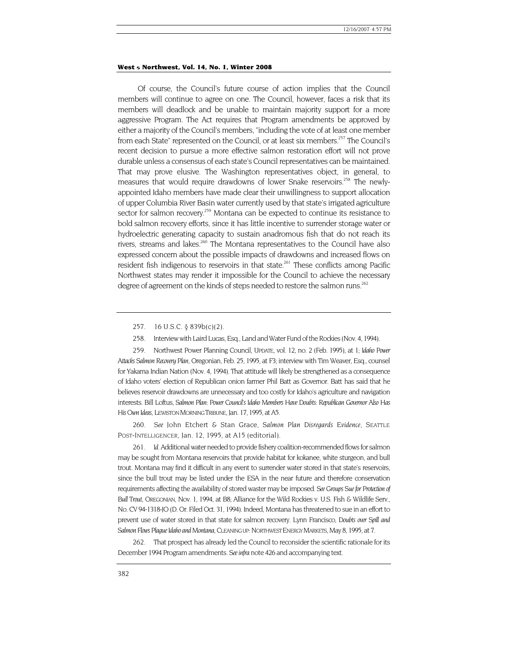Of course, the Council's future course of action implies that the Council members will continue to agree on one. The Council, however, faces a risk that its members will deadlock and be unable to maintain majority support for a more aggressive Program. The Act requires that Program amendments be approved by either a majority of the Council's members, "including the vote of at least one member from each State" represented on the Council, or at least six members.<sup>257</sup> The Council's recent decision to pursue a more effective salmon restoration effort will not prove durable unless a consensus of each state's Council representatives can be maintained. That may prove elusive. The Washington representatives object, in general, to measures that would require drawdowns of lower Snake reservoirs.<sup>258</sup> The newlyappointed Idaho members have made clear their unwillingness to support allocation of upper Columbia River Basin water currently used by that state's irrigated agriculture sector for salmon recovery.<sup>259</sup> Montana can be expected to continue its resistance to bold salmon recovery efforts, since it has little incentive to surrender storage water or hydroelectric generating capacity to sustain anadromous fish that do not reach its rivers, streams and lakes.<sup>260</sup> The Montana representatives to the Council have also expressed concern about the possible impacts of drawdowns and increased flows on resident fish indigenous to reservoirs in that state.<sup>261</sup> These conflicts among Pacific Northwest states may render it impossible for the Council to achieve the necessary degree of agreement on the kinds of steps needed to restore the salmon runs.<sup>262</sup>

<span id="page-50-0"></span>257. 16 U.S.C. § 839b(c)(2).

258. Interview with Laird Lucas, Esq., Land and Water Fund of the Rockies (Nov. 4, 1994).

<span id="page-50-2"></span><span id="page-50-1"></span>259. Northwest Power Planning Council, UPDATE, vol. 12, no. 2 (Feb. 1995), at 1; *Idaho Power Attacks Salmon Recovery Plan,* Oregonian, Feb. 25, 1995, at F3; interview with Tim Weaver, Esq., counsel for Yakama Indian Nation (Nov. 4, 1994). That attitude will likely be strengthened as a consequence of Idaho voters' election of Republican onion farmer Phil Batt as Governor. Batt has said that he believes reservoir drawdowns are unnecessary and too costly for Idaho's agriculture and navigation interests. Bill Loftus, *Salmon Plan: Power Council's Idaho Members Have Doubts: Republican Governor Also Has His Own Ideas,* LEWISTON MORNING TRIBUNE, Jan. 17, 1995, at A5.

<span id="page-50-3"></span>260*. See* John Etchert & Stan Grace, *Salmon Plan Disregards Evidence,* SEATTLE POST-INTELLIGENCER, Jan. 12, 1995, at A15 (editorial).

<span id="page-50-4"></span>261*. Id.* Additional water needed to provide fishery coalition-recommended flows for salmon may be sought from Montana reservoirs that provide habitat for kokanee, white sturgeon, and bull trout. Montana may find it difficult in any event to surrender water stored in that state's reservoirs, since the bull trout may be listed under the ESA in the near future and therefore conservation requirements affecting the availability of stored waster may be imposed. *See Groups Sue for Protection of Bull Trout,* OREGONIAN, Nov. 1, 1994, at B8; Alliance for the Wild Rockies v. U.S. Fish & Wildlife Serv., No. CV 94-1318-JO (D. Or. Filed Oct. 31, 1994). Indeed, Montana has threatened to sue in an effort to prevent use of water stored in that state for salmon recovery. Lynn Francisco, *Doubts over Spill and Salmon Flows Plague Idaho and Montana*, CLEANING UP: NORTHWEST ENERGY MARKETS, May 8, 1995, at 7.

<span id="page-50-5"></span>262. That prospect has already led the Council to reconsider the scientific rationale for its December 1994 Program amendments. *See infra* note 426 and accompanying text.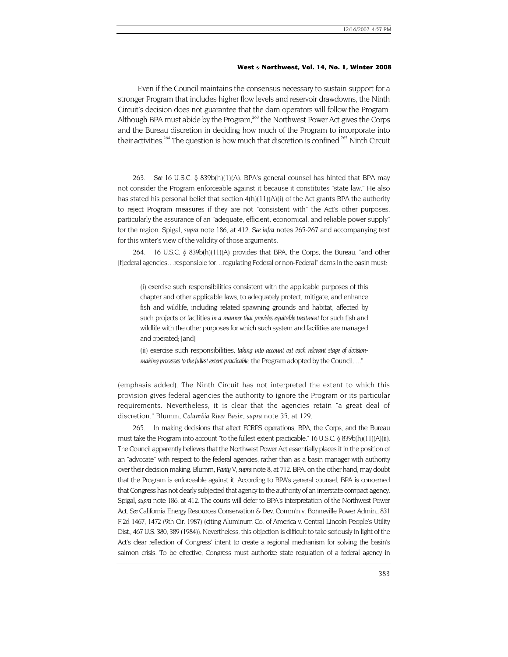<span id="page-51-2"></span>Even if the Council maintains the consensus necessary to sustain support for a stronger Program that includes higher flow levels and reservoir drawdowns, the Ninth Circuit's decision does not guarantee that the dam operators will follow the Program. Although BPA must abide by the Program,<sup>263</sup> the Northwest Power Act gives the Corps and the Bureau discretion in deciding how much of the Program to incorporate into their activities.<sup>264</sup> The question is how much that discretion is confined.<sup>265</sup> Ninth Circuit

<span id="page-51-0"></span>263*. See* 16 U.S.C. § 839b(h)(1)(A). BPA's general counsel has hinted that BPA may not consider the Program enforceable against it because it constitutes "state law." He also has stated his personal belief that section  $4(h)(1)(A)(i)$  of the Act grants BPA the authority to reject Program measures if they are not "consistent with" the Act's other purposes, particularly the assurance of an "adequate, efficient, economical, and reliable power supply" for the region. Spigal, *supra* note 186, at 412. *See infra* notes 265-267 and accompanying text for this writer's view of the validity of those arguments.

<span id="page-51-1"></span>264. 16 U.S.C. § 839b(h)(11)(A) provides that BPA, the Corps, the Bureau, "and other [f]ederal agencies…responsible for…regulating Federal or non-Federal" dams in the basin must:

(i) exercise such responsibilities consistent with the applicable purposes of this chapter and other applicable laws, to adequately protect, mitigate, and enhance fish and wildlife, including related spawning grounds and habitat, affected by such projects or facilities *in a manner that provides equitable treatment* for such fish and wildlife with the other purposes for which such system and facilities are managed and operated; [and]

(ii) exercise such responsibilities, *taking into account eat each relevant stage of decisionmaking processes to the fullest extent practicable*, the Program adopted by the Council…."

(emphasis added). The Ninth Circuit has not interpreted the extent to which this provision gives federal agencies the authority to ignore the Program or its particular requirements. Nevertheless, it is clear that the agencies retain "a great deal of discretion." Blumm, *Columbia River Basin*, *supra* note 35, at 129.

265. In making decisions that affect FCRPS operations, BPA, the Corps, and the Bureau must take the Program into account "to the fullest extent practicable." 16 U.S.C. § 839b(h)(11)(A)(ii). The Council apparently believes that the Northwest Power Act essentially places it in the position of an "advocate" with respect to the federal agencies, rather than as a basin manager with authority over their decision making. Blumm, *Parity V, supra* note 8, at 712. BPA, on the other hand, may doubt that the Program is enforceable against it. According to BPA's general counsel, BPA is concerned that Congress has not clearly subjected that agency to the authority of an interstate compact agency. Spigal, *supra* note 186, at 412. The courts will defer to BPA's interpretation of the Northwest Power Act. *See* California Energy Resources Conservation & Dev. Comm'n v. Bonneville Power Admin., 831 F.2d 1467, 1472 (9th Cir. 1987) (citing Aluminum Co. of America v. Central Lincoln People's Utility Dist., 467 U.S. 380, 389 (1984)). Nevertheless, this objection is difficult to take seriously in light of the Act's clear reflection of Congress' intent to create a regional mechanism for solving the basin's salmon crisis. To be effective, Congress must authorize state regulation of a federal agency in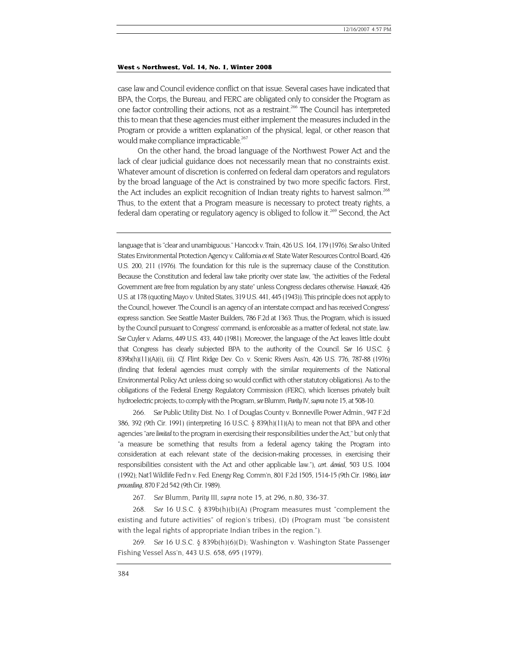case law and Council evidence conflict on that issue. Several cases have indicated that BPA, the Corps, the Bureau, and FERC are obligated only to consider the Program as one factor controlling their actions, not as a restraint.<sup>266</sup> The Council has interpreted this to mean that these agencies must either implement the measures included in the Program or provide a written explanation of the physical, legal, or other reason that would make compliance impracticable.<sup>267</sup>

On the other hand, the broad language of the Northwest Power Act and the lack of clear judicial guidance does not necessarily mean that no constraints exist. Whatever amount of discretion is conferred on federal dam operators and regulators by the broad language of the Act is constrained by two more specific factors. First, the Act includes an explicit recognition of Indian treaty rights to harvest salmon.<sup>268</sup> Thus, to the extent that a Program measure is necessary to protect treaty rights, a federal dam operating or regulatory agency is obliged to follow it.<sup>269</sup> Second, the Act

language that is "clear and unambiguous." Hancock v. Train, 426 U.S. 164, 179 (1976). *See* also United States Environmental Protection Agency v. California *ex rel.* State Water Resources Control Board, 426 U.S. 200, 211 (1976). The foundation for this rule is the supremacy clause of the Constitution. Because the Constitution and federal law take priority over state law, "the activities of the Federal Government are free from regulation by any state" unless Congress declares otherwise. *Hancock*, 426 U.S. at 178 (quoting Mayo v. United States, 319 U.S. 441, 445 (1943)). This principle does not apply to the Council, however. The Council is an agency of an interstate compact and has received Congress' express sanction. See Seattle Master Builders, 786 F.2d at 1363. Thus, the Program, which is issued by the Council pursuant to Congress' command, is enforceable as a matter of federal, not state, law. *See* Cuyler v. Adams, 449 U.S. 433, 440 (1981). Moreover, the language of the Act leaves little doubt that Congress has clearly subjected BPA to the authority of the Council. *See* 16 U.S.C. § 839b(h)(11)(A)(i), (ii). *Cf.* Flint Ridge Dev. Co. v. Scenic Rivers Ass'n, 426 U.S. 776, 787-88 (1976) (finding that federal agencies must comply with the similar requirements of the National Environmental Policy Act unless doing so would conflict with other statutory obligations). As to the obligations of the Federal Energy Regulatory Commission (FERC), which licenses privately built hydroelectric projects, to comply with the Program, *see* Blumm, *Parity IV, supra* note 15, at 508-10.

<span id="page-52-0"></span>266*. See* Public Utility Dist. No. 1 of Douglas County v. Bonneville Power Admin., 947 F.2d 386, 392 (9th Cir. 1991) (interpreting 16 U.S.C. § 839(h)(11)(A) to mean not that BPA and other agencies "are *limited* to the program in exercising their responsibilities under the Act," but only that "a measure be something that results from a federal agency taking the Program into consideration at each relevant state of the decision-making processes, in exercising their responsibilities consistent with the Act and other applicable law."), *cert. denied,* 503 U.S. 1004 (1992); Nat'l Wildlife Fed'n v. Fed. Energy Reg. Comm'n, 801 F.2d 1505, 1514-15 (9th Cir. 1986), *later proceeding,* 870 F.2d 542 (9th Cir. 1989).

<span id="page-52-1"></span>267*. See* Blumm, *Parity III, supra* note 15, at 296, n.80, 336-37.

<span id="page-52-2"></span>268*. See* 16 U.S.C. § 839b(h)(b)(A) (Program measures must "complement the existing and future activities" of region's tribes), (D) (Program must "be consistent with the legal rights of appropriate Indian tribes in the region.").

<span id="page-52-3"></span>269*. See* 16 U.S.C. § 839b(h)(6)(D); Washington v. Washington State Passenger Fishing Vessel Ass'n, 443 U.S. 658, 695 (1979).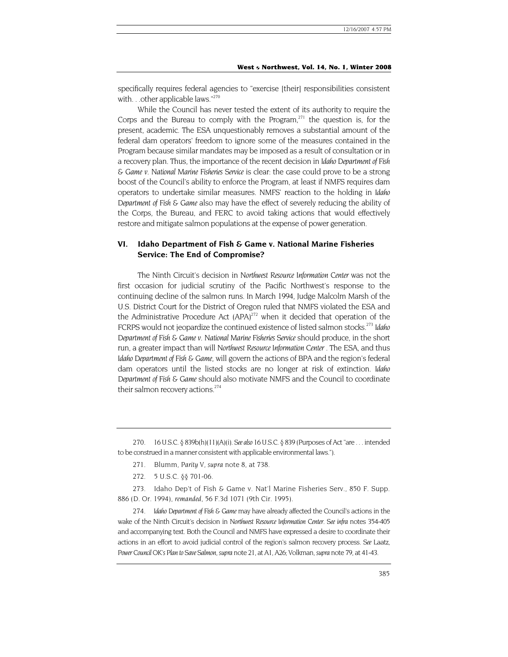specifically requires federal agencies to "exercise [their] responsibilities consistent with. . . other applicable laws."<sup>270</sup>

While the Council has never tested the extent of its authority to require the Corps and the Bureau to comply with the Program, $^{271}$  the question is, for the present, academic. The ESA unquestionably removes a substantial amount of the federal dam operators' freedom to ignore some of the measures contained in the Program because similar mandates may be imposed as a result of consultation or in a recovery plan. Thus, the importance of the recent decision in *Idaho Department of Fish & Game v. National Marine Fisheries Service* is clear: the case could prove to be a strong boost of the Council's ability to enforce the Program, at least if NMFS requires dam operators to undertake similar measures. NMFS' reaction to the holding in *Idaho Department of Fish & Game* also may have the effect of severely reducing the ability of the Corps, the Bureau, and FERC to avoid taking actions that would effectively restore and mitigate salmon populations at the expense of power generation.

# **VI. Idaho Department of Fish & Game v. National Marine Fisheries Service: The End of Compromise?**

The Ninth Circuit's decision in *Northwest Resource Information Center* was not the first occasion for judicial scrutiny of the Pacific Northwest's response to the continuing decline of the salmon runs. In March 1994, Judge Malcolm Marsh of the U.S. District Court for the District of Oregon ruled that NMFS violated the ESA and the Administrative Procedure Act  $(APA)^{272}$  when it decided that operation of the FCRPS would not jeopardize the continued existence of listed salmon stocks[.273](#page-53-3) *Idaho Department of Fish & Game v. National Marine Fisheries Service* should produce, in the short run, a greater impact than will *Northwest Resource Information Center* . The ESA, and thus *Idaho Department of Fish & Game,* will govern the actions of BPA and the region's federal dam operators until the listed stocks are no longer at risk of extinction. *Idaho Department of Fish & Game* should also motivate NMFS and the Council to coordinate their salmon recovery actions.<sup>[274](#page-53-4)</sup>

<span id="page-53-0"></span><sup>270. 16</sup> U.S.C. § 839b(h)(11)(A)(i). *See also* 16 U.S.C. § 839 (Purposes of Act "are . . . intended to be construed in a manner consistent with applicable environmental laws.").

<span id="page-53-1"></span><sup>271.</sup> Blumm, *Parity V, supra* note 8, at 738.

<sup>272. 5</sup> U.S.C. §§ 701-06.

<span id="page-53-3"></span><span id="page-53-2"></span><sup>273.</sup> Idaho Dep't of Fish & Game v. Nat'l Marine Fisheries Serv., 850 F. Supp. 886 (D. Or. 1994), *remanded,* 56 F.3d 1071 (9th Cir. 1995).

<span id="page-53-4"></span><sup>274</sup>*. Idaho Department of Fish & Game* may have already affected the Council's actions in the wake of the Ninth Circuit's decision in *Northwest Resource Information Center*. *See infra* notes 354-405 and accompanying text. Both the Council and NMFS have expressed a desire to coordinate their actions in an effort to avoid judicial control of the region's salmon recovery process. *See* Laatz, *Power Council OK's Plan to Save Salmon,supra* note 21, at A1, A26; Volkman, *supra* note 79, at 41-43.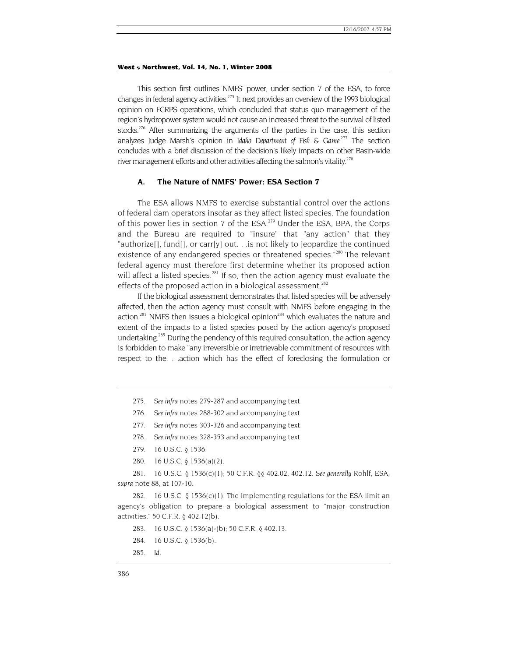This section first outlines NMFS' power, under section 7 of the ESA, to force changes in federal agency activities.<sup>275</sup> It next provides an overview of the 1993 biological opinion on FCRPS operations, which concluded that status quo management of the region's hydropower system would not cause an increased threat to the survival of listed stocks.<sup>276</sup> After summarizing the arguments of the parties in the case, this section analyzes Judge Marsh's opinion in *Idaho Department of Fish & Game*. [277](#page-54-2) The section concludes with a brief discussion of the decision's likely impacts on other Basin-wide river management efforts and other activities affecting the salmon's vitality.<sup>278</sup>

# **A. The Nature of NMFS' Power: ESA Section 7**

The ESA allows NMFS to exercise substantial control over the actions of federal dam operators insofar as they affect listed species. The foundation of this power lies in section 7 of the ESA.<sup>279</sup> Under the ESA, BPA, the Corps and the Bureau are required to "insure" that "any action" that they "authorize[], fund[], or carr[y] out. . .is not likely to jeopardize the continued existence of any endangered species or threatened species."<sup>280</sup> The relevant federal agency must therefore first determine whether its proposed action will affect a listed species.<sup>281</sup> If so, then the action agency must evaluate the effects of the proposed action in a biological assessment.<sup>[282](#page-54-7)</sup>

If the biological assessment demonstrates that listed species will be adversely affected, then the action agency must consult with NMFS before engaging in the action.<sup>283</sup> NMFS then issues a biological opinion<sup>284</sup> which evaluates the nature and extent of the impacts to a listed species posed by the action agency's proposed undertaking.<sup>285</sup> During the pendency of this required consultation, the action agency is forbidden to make "any irreversible or irretrievable commitment of resources with respect to the. . .action which has the effect of foreclosing the formulation or

- <span id="page-54-0"></span>275*. See infra* notes 279-287 and accompanying text.
- <span id="page-54-1"></span>276*. See infra* notes 288-302 and accompanying text.
- <span id="page-54-2"></span>277*. See infra* notes 303-326 and accompanying text.
- <span id="page-54-3"></span>278*. See infra* notes 328-353 and accompanying text.
- <span id="page-54-4"></span>279. 16 U.S.C. § 1536.
- 280. 16 U.S.C. § 1536(a)(2).

<span id="page-54-6"></span><span id="page-54-5"></span>281. 16 U.S.C. § 1536(c)(1); 50 C.F.R. §§ 402.02, 402.12. *See generally* Rohlf, ESA, *supra* note 88, at 107-10.

<span id="page-54-7"></span>282. 16 U.S.C.  $\S$  1536(c)(1). The implementing regulations for the ESA limit an agency's obligation to prepare a biological assessment to "major construction activities." 50 C.F.R. § 402.12(b).

- <span id="page-54-8"></span>283. 16 U.S.C. § 1536(a)-(b); 50 C.F.R. § 402.13.
- <span id="page-54-9"></span>284. 16 U.S.C. § 1536(b).
- <span id="page-54-10"></span>285*. Id.*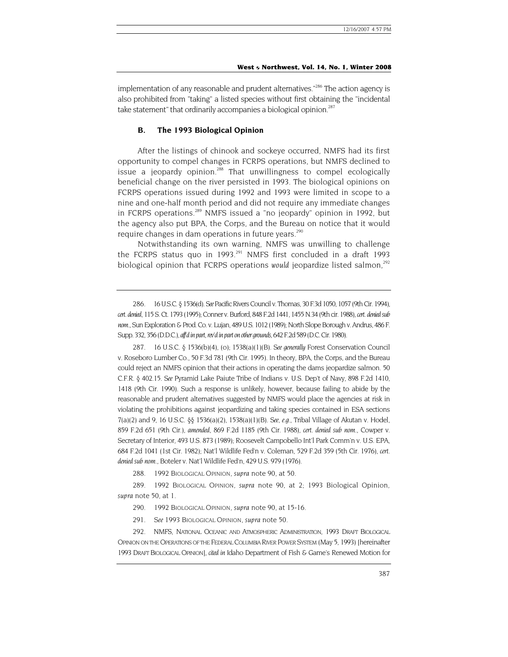<span id="page-55-6"></span>implementation of any reasonable and prudent alternatives."<sup>286</sup> The action agency is also prohibited from "taking" a listed species without first obtaining the "incidental take statement" that ordinarily accompanies a biological opinion.<sup>287</sup>

### **B. The 1993 Biological Opinion**

After the listings of chinook and sockeye occurred, NMFS had its first opportunity to compel changes in FCRPS operations, but NMFS declined to issue a jeopardy opinion.<sup>288</sup> That unwillingness to compel ecologically beneficial change on the river persisted in 1993. The biological opinions on FCRPS operations issued during 1992 and 1993 were limited in scope to a nine and one-half month period and did not require any immediate changes in FCRPS operations.<sup>289</sup> NMFS issued a "no jeopardy" opinion in 1992, but the agency also put BPA, the Corps, and the Bureau on notice that it would require changes in dam operations in future years.<sup>290</sup>

Notwithstanding its own warning, NMFS was unwilling to challenge the FCRPS status quo in 1993.<sup>291</sup> NMFS first concluded in a draft 1993 biological opinion that FCRPS operations *would* jeopardize listed salmon,<sup>292</sup>

<span id="page-55-2"></span>288. 1992 BIOLOGICAL OPINION, *supra* note 90, at 50.

<span id="page-55-3"></span>289. 1992 BIOLOGICAL OPINION, *supra* note 90, at 2; 1993 Biological Opinion, *supra* note 50, at 1.

<span id="page-55-4"></span>290. 1992 BIOLOGICAL OPINION, *supra* note 90, at 15-16.

<span id="page-55-5"></span>291*. See* 1993 BIOLOGICAL OPINION, *supra* note 50.

292. NMFS, NATIONAL OCEANIC AND ATMOSPHERIC ADMINISTRATION, 1993 DRAFT BIOLOGICAL OPINION ON THE OPERATIONS OF THE FEDERAL COLUMBIA RIVER POWER SYSTEM (May 5, 1993) [hereinafter 1993 DRAFT BIOLOGICAL OPINION], *cited in* Idaho Department of Fish & Game's Renewed Motion for

<span id="page-55-0"></span><sup>286. 16</sup> U.S.C. § 1536(d). *See* Pacific Rivers Council v. Thomas, 30 F.3d 1050, 1057 (9th Cir. 1994), *cert. denied*, 115 S. Ct. 1793 (1995); Conner v. Burford, 848 F.2d 1441, 1455 N.34 (9th cir. 1988), *cert. denied sub nom.*, Sun Exploration & Prod. Co. v. Lujan, 489 U.S. 1012 (1989); North Slope Borough v. Andrus, 486 F. Supp. 332, 356 (D.D.C.), *aff'd in part, rev'd in part on other grounds,* 642 F.2d 589 (D.C. Cir. 1980).

<span id="page-55-1"></span><sup>287. 16</sup> U.S.C. § 1536(b)(4), (o); 1538(a)(1)(B). *See generally* Forest Conservation Council v. Roseboro Lumber Co., 50 F.3d 781 (9th Cir. 1995). In theory, BPA, the Corps, and the Bureau could reject an NMFS opinion that their actions in operating the dams jeopardize salmon. 50 C.F.R. § 402.15. *See* Pyramid Lake Paiute Tribe of Indians v. U.S. Dep't of Navy, 898 F.2d 1410, 1418 (9th Cir. 1990). Such a response is unlikely, however, because failing to abide by the reasonable and prudent alternatives suggested by NMFS would place the agencies at risk in violating the prohibitions against jeopardizing and taking species contained in ESA sections 7(a)(2) and 9, 16 U.S.C. §§ 1536(a)(2), 1538(a)(1)(B). *See, e.g.,* Tribal Village of Akutan v. Hodel, 859 F.2d 651 (9th Cir.), *amended*, 869 F.2d 1185 (9th Cir. 1988), *cert. denied sub nom.,* Cowper v. Secretary of Interior, 493 U.S. 873 (1989); Roosevelt Campobello Int'l Park Comm'n v. U.S. EPA, 684 F.2d 1041 (1st Cir. 1982); Nat'l Wildlife Fed'n v. Coleman, 529 F.2d 359 (5th Cir. 1976), *cert. denied sub nom.,* Boteler v. Nat'l Wildlife Fed'n, 429 U.S. 979 (1976).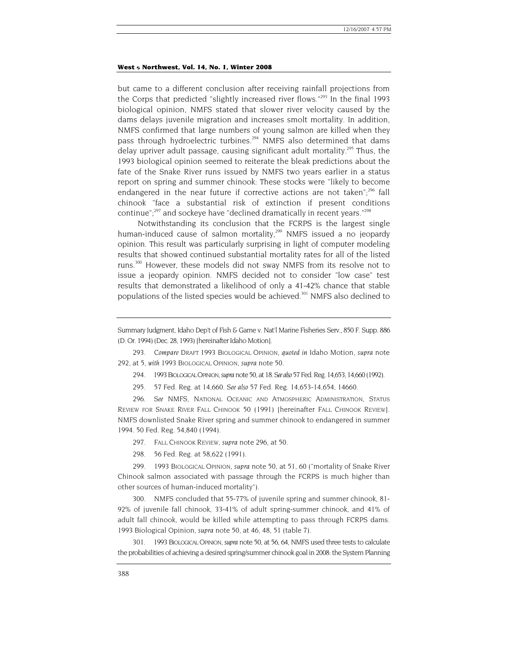<span id="page-56-8"></span>but came to a different conclusion after receiving rainfall projections from the Corps that predicted "slightly increased river flows."<sup>293</sup> In the final 1993 biological opinion, NMFS stated that slower river velocity caused by the dams delays juvenile migration and increases smolt mortality. In addition, NMFS confirmed that large numbers of young salmon are killed when they pass through hydroelectric turbines.<sup>294</sup> NMFS also determined that dams delay upriver adult passage, causing significant adult mortality.<sup>295</sup> Thus, the 1993 biological opinion seemed to reiterate the bleak predictions about the fate of the Snake River runs issued by NMFS two years earlier in a status report on spring and summer chinook: These stocks were "likely to become endangered in the near future if corrective actions are not taken";<sup>296</sup> fall chinook "face a substantial risk of extinction if present conditions continue"; $297$  and sockeye have "declined dramatically in recent years." $298$ 

Notwithstanding its conclusion that the FCRPS is the largest single human-induced cause of salmon mortality,<sup>299</sup> NMFS issued a no jeopardy opinion. This result was particularly surprising in light of computer modeling results that showed continued substantial mortality rates for all of the listed runs.<sup>300</sup> However, these models did not sway NMFS from its resolve not to issue a jeopardy opinion. NMFS decided not to consider "low case" test results that demonstrated a likelihood of only a 41-42% chance that stable populations of the listed species would be achieved.<sup>301</sup> NMFS also declined to

<span id="page-56-0"></span>293*. Compare* DRAFT 1993 BIOLOGICAL OPINION, *quoted in* Idaho Motion, *supra* note 292, at 5, *with* 1993 BIOLOGICAL OPINION, *supra* note 50.

- <span id="page-56-1"></span>294. 1993 BIOLOGICAL OPINION, *supra* note 50, at 18. *See also* 57 Fed. Reg. 14,653, 14,660 (1992).
- 295. 57 Fed. Reg. at 14,660. *See also* 57 Fed. Reg. 14,653-14,654, 14660.

<span id="page-56-3"></span><span id="page-56-2"></span>296*. See* NMFS, NATIONAL OCEANIC AND ATMOSPHERIC ADMINISTRATION, STATUS REVIEW FOR SNAKE RIVER FALL CHINOOK 50 (1991) [hereinafter FALL CHINOOK REVIEW]. NMFS downlisted Snake River spring and summer chinook to endangered in summer 1994. 50 Fed. Reg. 54,840 (1994).

<span id="page-56-4"></span>297. FALL CHINOOK REVIEW, *supra* note 296, at 50.

298. 56 Fed. Reg. at 58,622 (1991).

<span id="page-56-6"></span><span id="page-56-5"></span>299. 1993 BIOLOGICAL OPINION, *supra* note 50, at 51, 60 ("mortality of Snake River Chinook salmon associated with passage through the FCRPS is much higher than other sources of human-induced mortality").

<span id="page-56-7"></span>300. NMFS concluded that 55-77% of juvenile spring and summer chinook, 81- 92% of juvenile fall chinook, 33-41% of adult spring-summer chinook, and 41% of adult fall chinook, would be killed while attempting to pass through FCRPS dams. 1993 Biological Opinion, *supra* note 50, at 46, 48, 51 (table 7).

301. 1993 BIOLOGICAL OPINION, *supra* note 50, at 56, 64, NMFS used three tests to calculate the probabilities of achieving a desired spring/summer chinook goal in 2008: the System Planning

Summary Judgment, Idaho Dep't of Fish & Game v. Nat'l Marine Fisheries Serv., 850 F. Supp. 886 (D. Or. 1994) (Dec. 28, 1993) [hereinafter Idaho Motion].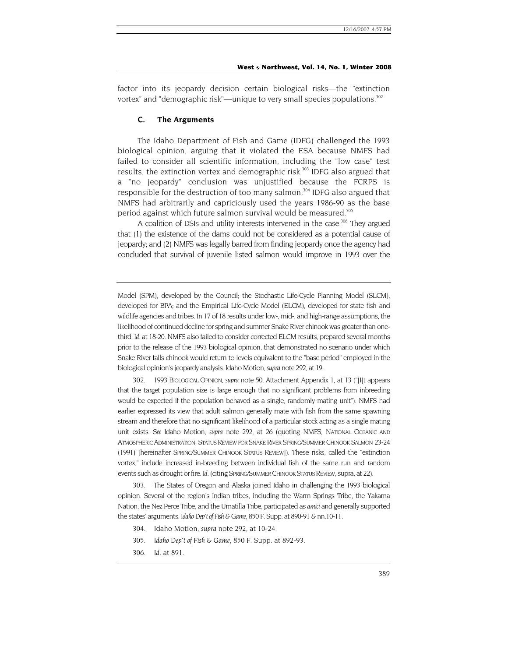factor into its jeopardy decision certain biological risks—the "extinction vortex" and "demographic risk"—unique to very small species populations.<sup>[302](#page-57-0)</sup>

#### **C. The Arguments**

The Idaho Department of Fish and Game (IDFG) challenged the 1993 biological opinion, arguing that it violated the ESA because NMFS had failed to consider all scientific information, including the "low case" test results, the extinction vortex and demographic risk.<sup>303</sup> IDFG also argued that a "no jeopardy" conclusion was unjustified because the FCRPS is responsible for the destruction of too many salmon.<sup>304</sup> IDFG also argued that NMFS had arbitrarily and capriciously used the years 1986-90 as the base period against which future salmon survival would be measured.<sup>[305](#page-57-3)</sup>

A coalition of DSIs and utility interests intervened in the case.<sup>306</sup> They argued that (1) the existence of the dams could not be considered as a potential cause of jeopardy; and (2) NMFS was legally barred from finding jeopardy once the agency had concluded that survival of juvenile listed salmon would improve in 1993 over the

Model (SPM), developed by the Council; the Stochastic Life-Cycle Planning Model (SLCM), developed for BPA; and the Empirical Life-Cycle Model (ELCM), developed for state fish and wildlife agencies and tribes. In 17 of 18 results under low-, mid-, and high-range assumptions, the likelihood of continued decline for spring and summer Snake River chinook was greater than onethird. *Id.* at 18-20. NMFS also failed to consider corrected ELCM results, prepared several months prior to the release of the 1993 biological opinion, that demonstrated no scenario under which Snake River falls chinook would return to levels equivalent to the "base period" employed in the biological opinion's jeopardy analysis. Idaho Motion, *supra* note 292, at 19.

<span id="page-57-0"></span>302. 1993 BIOLOGICAL OPINION, *supra* note 50. Attachment Appendix 1, at 13 ("[I]t appears that the target population size is large enough that no significant problems from inbreeding would be expected if the population behaved as a single, randomly mating unit"). NMFS had earlier expressed its view that adult salmon generally mate with fish from the same spawning stream and therefore that no significant likelihood of a particular stock acting as a single mating unit exists. *See* Idaho Motion, *supra* note 292, at 26 (quoting NMFS, NATIONAL OCEANIC AND ATMOSPHERIC ADMINISTRATION, STATUS REVIEW FOR SNAKE RIVER SPRING/SUMMER CHINOOK SALMON 23-24 (1991) [hereinafter SPRING/SUMMER CHINOOK STATUS REVIEW]). These risks, called the "extinction vortex," include increased in-breeding between individual fish of the same run and random events such as drought or fire. *Id.* (citing SPRING/SUMMER CHINOOK STATUS REVIEW, supra, at 22).

<span id="page-57-1"></span>303. The States of Oregon and Alaska joined Idaho in challenging the 1993 biological opinion. Several of the region's Indian tribes, including the Warm Springs Tribe, the Yakama Nation, the Nez Perce Tribe, and the Umatilla Tribe, participated as *amici* and generally supported the states' arguments. *Idaho Dep't of Fish & Game*, 850 F. Supp. at 890-91 & nn.10-11.

- <span id="page-57-2"></span>304. Idaho Motion, *supra* note 292, at 10-24.
- <span id="page-57-3"></span>305*. Idaho Dep't of Fish & Game*, 850 F. Supp. at 892-93.
- <span id="page-57-4"></span>306*. Id.* at 891.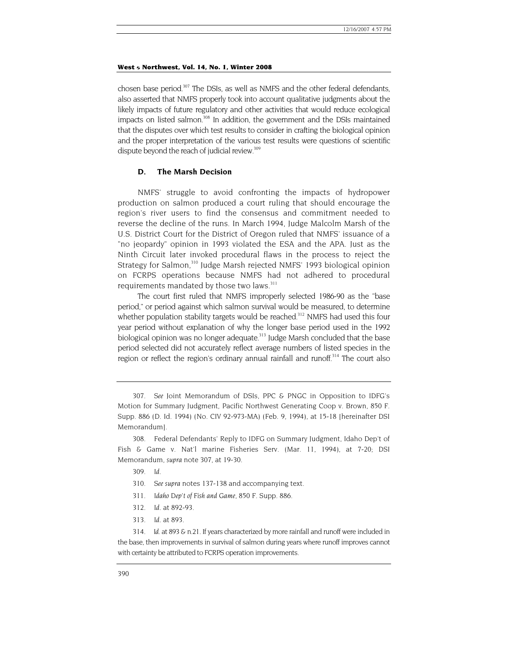chosen base period.<sup>307</sup> The DSIs, as well as NMFS and the other federal defendants, also asserted that NMFS properly took into account qualitative judgments about the likely impacts of future regulatory and other activities that would reduce ecological impacts on listed salmon.<sup>308</sup> In addition, the government and the DSIs maintained that the disputes over which test results to consider in crafting the biological opinion and the proper interpretation of the various test results were questions of scientific dispute beyond the reach of judicial review.<sup>309</sup>

# **D. The Marsh Decision**

NMFS' struggle to avoid confronting the impacts of hydropower production on salmon produced a court ruling that should encourage the region's river users to find the consensus and commitment needed to reverse the decline of the runs. In March 1994, Judge Malcolm Marsh of the U.S. District Court for the District of Oregon ruled that NMFS' issuance of a "no jeopardy" opinion in 1993 violated the ESA and the APA. Just as the Ninth Circuit later invoked procedural flaws in the process to reject the Strategy for Salmon,<sup>310</sup> Judge Marsh rejected NMFS' 1993 biological opinion on FCRPS operations because NMFS had not adhered to procedural requirements mandated by those two laws.<sup>[311](#page-58-4)</sup>

The court first ruled that NMFS improperly selected 1986-90 as the "base period," or period against which salmon survival would be measured, to determine whether population stability targets would be reached.<sup>312</sup> NMFS had used this four year period without explanation of why the longer base period used in the 1992 biological opinion was no longer adequate.<sup>313</sup> Judge Marsh concluded that the base period selected did not accurately reflect average numbers of listed species in the region or reflect the region's ordinary annual rainfall and runoff.<sup>314</sup> The court also

<span id="page-58-1"></span>308. Federal Defendants' Reply to IDFG on Summary Judgment, Idaho Dep't of Fish & Game v. Nat'l marine Fisheries Serv. (Mar. 11, 1994), at 7-20; DSI Memorandum, *supra* note 307, at 19-30.

- <span id="page-58-2"></span>309*. Id.*
- <span id="page-58-3"></span>310*. See supra* notes 137-138 and accompanying text.
- <span id="page-58-4"></span>311*. Idaho Dep't of Fish and Game,* 850 F. Supp. 886.
- <span id="page-58-5"></span>312*. Id.* at 892-93.
- <span id="page-58-6"></span>313*. Id.* at 893.

<span id="page-58-7"></span>314*. Id.* at 893 & n.21. If years characterized by more rainfall and runoff were included in the base, then improvements in survival of salmon during years where runoff improves cannot with certainty be attributed to FCRPS operation improvements.

<span id="page-58-0"></span><sup>307</sup>*. See* Joint Memorandum of DSIs, PPC & PNGC in Opposition to IDFG's Motion for Summary Judgment, Pacific Northwest Generating Coop v. Brown, 850 F. Supp. 886 (D. Id. 1994) (No. CIV 92-973-MA) (Feb. 9, 1994), at 15-18 [hereinafter DSI Memorandum].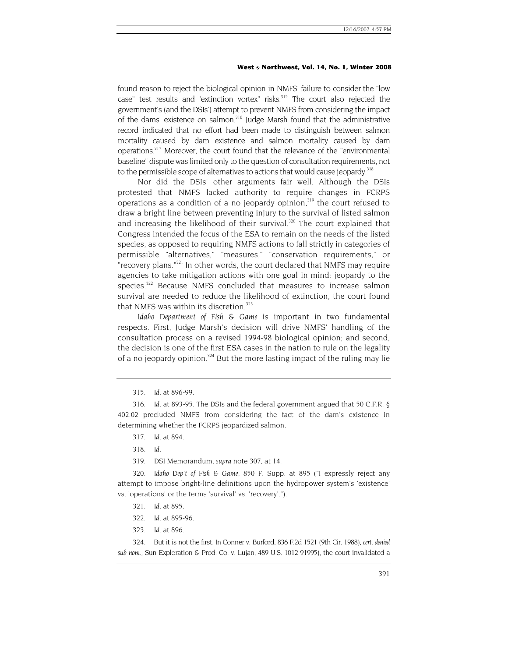<span id="page-59-9"></span>found reason to reject the biological opinion in NMFS' failure to consider the "low case" test results and 'extinction vortex" risks.<sup>315</sup> The court also rejected the government's (and the DSIs') attempt to prevent NMFS from considering the impact of the dams' existence on salmon.<sup>316</sup> Judge Marsh found that the administrative record indicated that no effort had been made to distinguish between salmon mortality caused by dam existence and salmon mortality caused by dam operations[.317](#page-59-2) Moreover, the court found that the relevance of the "environmental baseline" dispute was limited only to the question of consultation requirements, not to the permissible scope of alternatives to actions that would cause jeopardy.<sup>318</sup>

Nor did the DSIs' other arguments fair well. Although the DSIs protested that NMFS lacked authority to require changes in FCRPS operations as a condition of a no jeopardy opinion, $319$  the court refused to draw a bright line between preventing injury to the survival of listed salmon and increasing the likelihood of their survival.<sup>320</sup> The court explained that Congress intended the focus of the ESA to remain on the needs of the listed species, as opposed to requiring NMFS actions to fall strictly in categories of permissible "alternatives," "measures," "conservation requirements," or "recovery plans."<sup>321</sup> In other words, the court declared that NMFS may require agencies to take mitigation actions with one goal in mind: jeopardy to the species.<sup>322</sup> Because NMFS concluded that measures to increase salmon survival are needed to reduce the likelihood of extinction, the court found that NMFS was within its discretion.<sup>[323](#page-59-8)</sup>

*Idaho Department of Fish & Game* is important in two fundamental respects. First, Judge Marsh's decision will drive NMFS' handling of the consultation process on a revised 1994-98 biological opinion; and second, the decision is one of the first ESA cases in the nation to rule on the legality of a no jeopardy opinion.<sup>324</sup> But the more lasting impact of the ruling may lie

<span id="page-59-0"></span>315*. Id.* at 896-99.

<span id="page-59-2"></span>317*. Id.* at 894.

<span id="page-59-3"></span>318*. Id.*

319. DSI Memorandum, *supra* note 307, at 14.

<span id="page-59-5"></span><span id="page-59-4"></span>320*. Idaho Dep't of Fish & Game,* 850 F. Supp. at 895 ("I expressly reject any attempt to impose bright-line definitions upon the hydropower system's 'existence' vs. 'operations' or the terms 'survival' vs. 'recovery'.").

- <span id="page-59-6"></span>321*. Id.* at 895.
- <span id="page-59-7"></span>322*. Id.* at 895-96.
- 323*. Id.* at 896.

<span id="page-59-8"></span>324. But it is not the first. In Conner v. Burford, 836 F.2d 1521 (9th Cir. 1988), *cert. denied sub nom.*, Sun Exploration & Prod. Co. v. Lujan, 489 U.S. 1012 91995), the court invalidated a

<span id="page-59-1"></span><sup>316</sup>*. Id.* at 893-95. The DSIs and the federal government argued that 50 C.F.R. § 402.02 precluded NMFS from considering the fact of the dam's existence in determining whether the FCRPS jeopardized salmon.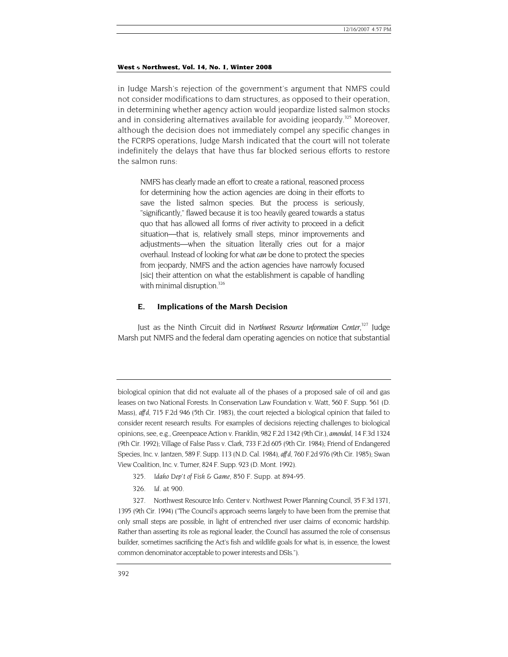in Judge Marsh's rejection of the government's argument that NMFS could not consider modifications to dam structures, as opposed to their operation, in determining whether agency action would jeopardize listed salmon stocks and in considering alternatives available for avoiding jeopardy.<sup>325</sup> Moreover, although the decision does not immediately compel any specific changes in the FCRPS operations, Judge Marsh indicated that the court will not tolerate indefinitely the delays that have thus far blocked serious efforts to restore the salmon runs:

NMFS has clearly made an effort to create a rational, reasoned process for determining how the action agencies are doing in their efforts to save the listed salmon species. But the process is seriously, "significantly," flawed because it is too heavily geared towards a status quo that has allowed all forms of river activity to proceed in a deficit situation—that is, relatively small steps, minor improvements and adjustments—when the situation literally cries out for a major overhaul. Instead of looking for what *can* be done to protect the species from jeopardy, NMFS and the action agencies have narrowly focused [sic] their attention on what the establishment is capable of handling with minimal disruption.<sup>326</sup>

# **E. Implications of the Marsh Decision**

Just as the Ninth Circuit did in Northwest Resource Information Center,<sup>327</sup> Judge Marsh put NMFS and the federal dam operating agencies on notice that substantial

- <span id="page-60-0"></span>325*. Idaho Dep't of Fish & Game,* 850 F. Supp. at 894-95.
- <span id="page-60-1"></span>326*. Id.* at 900.

<span id="page-60-2"></span>327. Northwest Resource Info. Center v. Northwest Power Planning Council, 35 F.3d 1371, 1395 (9th Cir. 1994) ("The Council's approach seems largely to have been from the premise that only small steps are possible, in light of entrenched river user claims of economic hardship. Rather than asserting its role as regional leader, the Council has assumed the role of consensus builder, sometimes sacrificing the Act's fish and wildlife goals for what is, in essence, the lowest common denominator acceptable to power interests and DSIs.").

biological opinion that did not evaluate all of the phases of a proposed sale of oil and gas leases on two National Forests. In Conservation Law Foundation v. Watt, 560 F. Supp. 561 (D. Mass), *aff'd*, 715 F.2d 946 (5th Cir. 1983), the court rejected a biological opinion that failed to consider recent research results. For examples of decisions rejecting challenges to biological opinions, see, e.g., Greenpeace Action v. Franklin, 982 F.2d 1342 (9th Cir.), *amended*, 14 F.3d 1324 (9th Cir. 1992); Village of False Pass v. Clark, 733 F.2d 605 (9th Cir. 1984); Friend of Endangered Species, Inc. v. Jantzen, 589 F. Supp. 113 (N.D. Cal. 1984), *aff'd*, 760 F.2d 976 (9th Cir. 1985); Swan View Coalition, Inc. v. Turner, 824 F. Supp. 923 (D. Mont. 1992).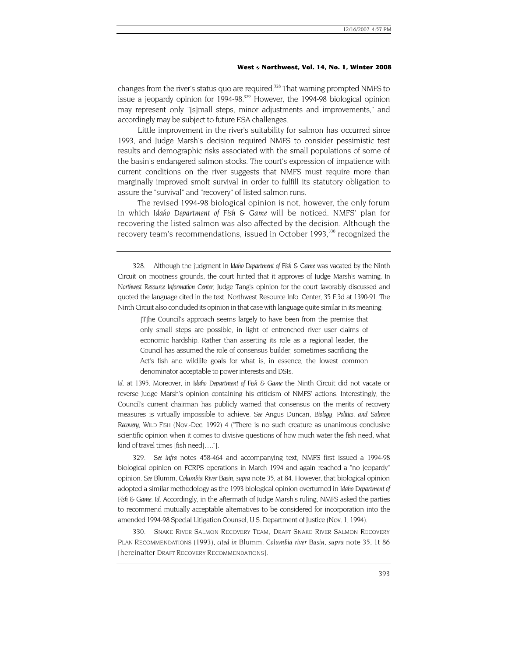changes from the river's status quo are required.<sup>328</sup> That warning prompted NMFS to issue a jeopardy opinion for  $1994-98^{329}$  However, the 1994-98 biological opinion may represent only "[s]mall steps, minor adjustments and improvements," and accordingly may be subject to future ESA challenges.

Little improvement in the river's suitability for salmon has occurred since 1993, and Judge Marsh's decision required NMFS to consider pessimistic test results and demographic risks associated with the small populations of some of the basin's endangered salmon stocks. The court's expression of impatience with current conditions on the river suggests that NMFS must require more than marginally improved smolt survival in order to fulfill its statutory obligation to assure the "survival" and "recovery" of listed salmon runs.

The revised 1994-98 biological opinion is not, however, the only forum in which *Idaho Department of Fish & Game* will be noticed. NMFS' plan for recovering the listed salmon was also affected by the decision. Although the recovery team's recommendations, issued in October 1993,<sup>330</sup> recognized the

<span id="page-61-0"></span>328. Although the judgment in *Idaho Department of Fish & Game* was vacated by the Ninth Circuit on mootness grounds, the court hinted that it approves of Judge Marsh's warning. In *Northwest Resource Information Center,* Judge Tang's opinion for the court favorably discussed and quoted the language cited in the text. Northwest Resource Info. Center, 35 F.3d at 1390-91. The Ninth Circuit also concluded its opinion in that case with language quite similar in its meaning:

[T]he Council's approach seems largely to have been from the premise that only small steps are possible, in light of entrenched river user claims of economic hardship. Rather than asserting its role as a regional leader, the Council has assumed the role of consensus builder, sometimes sacrificing the Act's fish and wildlife goals for what is, in essence, the lowest common denominator acceptable to power interests and DSIs.

*Id.* at 1395. Moreover, in *Idaho Department of Fish & Game* the Ninth Circuit did not vacate or reverse Judge Marsh's opinion containing his criticism of NMFS' actions. Interestingly, the Council's current chairman has publicly warned that consensus on the merits of recovery measures is virtually impossible to achieve. *See* Angus Duncan, *Biology, Politics, and Salmon Recovery,* WILD FISH (Nov.-Dec. 1992) 4 ("There is no such creature as unanimous conclusive scientific opinion when it comes to divisive questions of how much water the fish need, what kind of travel times [fish need]…."].

<span id="page-61-1"></span>329*. See infra* notes 458-464 and accompanying text, NMFS first issued a 1994-98 biological opinion on FCRPS operations in March 1994 and again reached a "no jeopardy" opinion. *See* Blumm, *Columbia River Basin, supra* note 35, at 84. However, that biological opinion adopted a similar methodology as the 1993 biological opinion overturned in *Idaho Department of Fish & Game*. *Id.* Accordingly, in the aftermath of Judge Marsh's ruling, NMFS asked the parties to recommend mutually acceptable alternatives to be considered for incorporation into the amended 1994-98 Special Litigation Counsel, U.S. Department of Justice (Nov. 1, 1994).

<span id="page-61-2"></span>330. SNAKE RIVER SALMON RECOVERY TEAM, DRAFT SNAKE RIVER SALMON RECOVERY PLAN RECOMMENDATIONS (1993), *cited in* Blumm, *Columbia river Basin, supra* note 35, 1t 86 [hereinafter DRAFT RECOVERY RECOMMENDATIONS].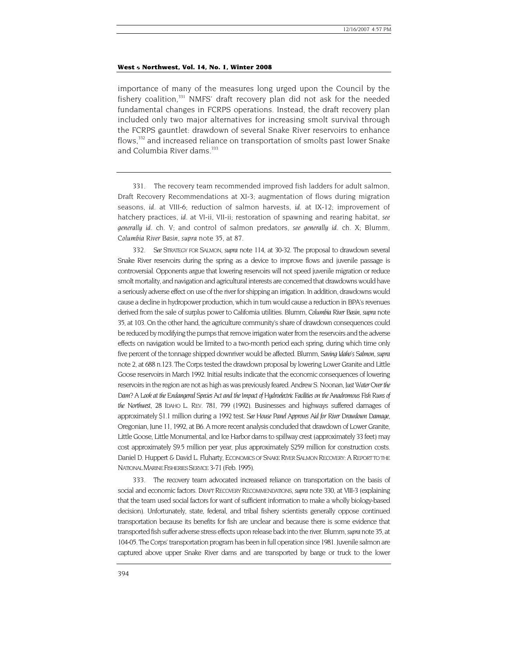<span id="page-62-2"></span>importance of many of the measures long urged upon the Council by the fishery coalition, $331$  NMFS' draft recovery plan did not ask for the needed fundamental changes in FCRPS operations. Instead, the draft recovery plan included only two major alternatives for increasing smolt survival through the FCRPS gauntlet: drawdown of several Snake River reservoirs to enhance flows,<sup>332</sup> and increased reliance on transportation of smolts past lower Snake and Columbia River dams.<sup>[333](#page-62-2)</sup>

<span id="page-62-0"></span>331. The recovery team recommended improved fish ladders for adult salmon, Draft Recovery Recommendations at XI-3; augmentation of flows during migration seasons, *id.* at VIII-6; reduction of salmon harvests, *id.* at IX-12; improvement of hatchery practices, *id.* at VI-ii, VII-ii; restoration of spawning and rearing habitat, *see generally id.* ch. V; and control of salmon predators, *see generally id.* ch. X; Blumm, *Columbia River Basin, supra* note 35, at 87.

<span id="page-62-1"></span>332*. See* STRATEGY FOR SALMON, *supra* note 114, at 30-32. The proposal to drawdown several Snake River reservoirs during the spring as a device to improve flows and juvenile passage is controversial. Opponents argue that lowering reservoirs will not speed juvenile migration or reduce smolt mortality, and navigation and agricultural interests are concerned that drawdowns would have a seriously adverse effect on use of the river for shipping an irrigation. In addition, drawdowns would cause a decline in hydropower production, which in turn would cause a reduction in BPA's revenues derived from the sale of surplus power to California utilities. Blumm, *Columbia River Basin, supra* note 35, at 103. On the other hand, the agriculture community's share of drawdown consequences could be reduced by modifying the pumps that remove irrigation water from the reservoirs and the adverse effects on navigation would be limited to a two-month period each spring, during which time only five percent of the tonnage shipped downriver would be affected. Blumm, *Saving Idaho's Salmon*, *supra* note 2, at 688 n.123. The Corps tested the drawdown proposal by lowering Lower Granite and Little Goose reservoirs in March 1992. Initial results indicate that the economic consequences of lowering reservoirs in the region are not as high as was previously feared. Andrew S. Noonan, *Just Water Over the Dam? A Look at the Endangered Species Act and the Impact of Hydroelectric Facilities on the Anadromous Fish Runs of the Northwest*, 28 IDAHO L. REV. 781, 799 (1992). Businesses and highways suffered damages of approximately \$1.1 million during a 1992 test. *See House Panel Approves Aid for River Drawdown Damage*, Oregonian, June 11, 1992, at B6. A more recent analysis concluded that drawdown of Lower Granite, Little Goose, Little Monumental, and Ice Harbor dams to spillway crest (approximately 33 feet) may cost approximately \$9.5 million per year, plus approximately \$259 million for construction costs. Daniel D. Huppert & David L. Fluharty, ECONOMICS OF SNAKE RIVER SALMON RECOVERY: A REPORT TO THE NATIONAL MARINE FISHERIES SERVICE 3-71 (Feb. 1995).

333. The recovery team advocated increased reliance on transportation on the basis of social and economic factors. DRAFT RECOVERY RECOMMENDATIONS, *supra* note 330, at VIII-3 (explaining that the team used social factors for want of sufficient information to make a wholly biology-based decision). Unfortunately, state, federal, and tribal fishery scientists generally oppose continued transportation because its benefits for fish are unclear and because there is some evidence that transported fish suffer adverse stress effects upon release back into the river. Blumm, *supra* note 35, at 104-05. The Corps' transportation program has been in full operation since 1981. Juvenile salmon are captured above upper Snake River dams and are transported by barge or truck to the lower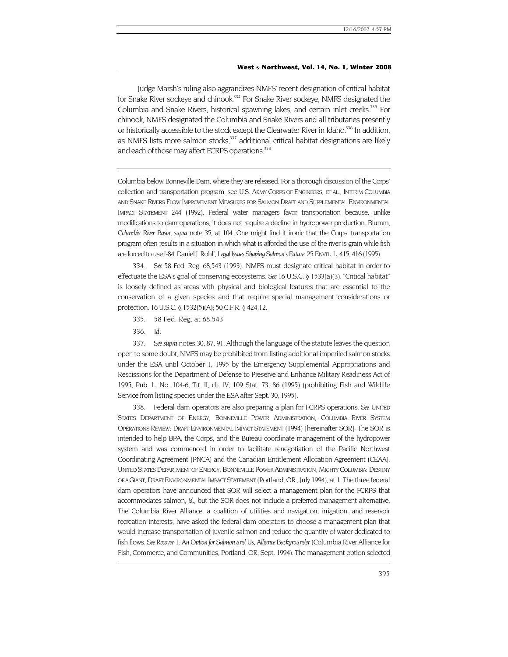<span id="page-63-4"></span>Judge Marsh's ruling also aggrandizes NMFS' recent designation of critical habitat for Snake River sockeye and chinook.<sup>334</sup> For Snake River sockeye, NMFS designated the Columbia and Snake Rivers, historical spawning lakes, and certain inlet creeks.<sup>335</sup> For chinook, NMFS designated the Columbia and Snake Rivers and all tributaries presently or historically accessible to the stock except the Clearwater River in Idaho.<sup>336</sup> In addition, as NMFS lists more salmon stocks,<sup>337</sup> additional critical habitat designations are likely and each of those may affect FCRPS operations.<sup>338</sup>

Columbia below Bonneville Dam, where they are released. For a thorough discussion of the Corps' collection and transportation program, see U.S. ARMY CORPS OF ENGINEERS, ET AL., INTERIM COLUMBIA AND SNAKE RIVERS FLOW IMPROVEMENT MEASURES FOR SALMON DRAFT AND SUPPLEMENTAL ENVIRONMENTAL IMPACT STATEMENT 244 (1992). Federal water managers favor transportation because, unlike modifications to dam operations, it does not require a decline in hydropower production. Blumm, *Columbia River Basin*, *supra* note 35, at 104. One might find it ironic that the Corps' transportation program often results in a situation in which what is afforded the use of the river is grain while fish are forced to use I-84. Daniel J. Rohlf, *Legal Issues Shaping Salmon's Future*, 25 ENVTL. L. 415, 416 (1995).

<span id="page-63-0"></span>334*. See* 58 Fed. Reg. 68,543 (1993). NMFS must designate critical habitat in order to effectuate the ESA's goal of conserving ecosystems. *See* 16 U.S.C. § 1533(a)(3). "Critical habitat" is loosely defined as areas with physical and biological features that are essential to the conservation of a given species and that require special management considerations or protection. 16 U.S.C. § 1532(5)(A); 50 C.F.R. § 424.12.

- <span id="page-63-1"></span>335. 58 Fed. Reg. at 68,543.
- 336*. Id.*

<span id="page-63-3"></span><span id="page-63-2"></span>337*. See supra* notes 30, 87, 91. Although the language of the statute leaves the question open to some doubt, NMFS may be prohibited from listing additional imperiled salmon stocks under the ESA until October 1, 1995 by the Emergency Supplemental Appropriations and Rescissions for the Department of Defense to Preserve and Enhance Military Readiness Act of 1995, Pub. L. No. 104-6, Tit. II, ch. IV, 109 Stat. 73, 86 (1995) (prohibiting Fish and Wildlife Service from listing species under the ESA after Sept. 30, 1995).

338. Federal dam operators are also preparing a plan for FCRPS operations. *See* UNITED STATES DEPARTMENT OF ENERGY, BONNEVILLE POWER ADMINISTRATION, COLUMBIA RIVER SYSTEM OPERATIONS REVIEW: DRAFT ENVIRONMENTAL IMPACT STATEMENT (1994) [hereinafter SOR]. The SOR is intended to help BPA, the Corps, and the Bureau coordinate management of the hydropower system and was commenced in order to facilitate renegotiation of the Pacific Northwest Coordinating Agreement (PNCA) and the Canadian Entitlement Allocation Agreement (CEAA). UNITED STATES DEPARTMENT OF ENERGY, BONNEVILLE POWER ADMINISTRATION, MIGHTY COLUMBIA: DESTINY OF A GIANT, DRAFT ENVIRONMENTAL IMPACT STATEMENT (Portland, OR., July 1994), at 1. The three federal dam operators have announced that SOR will select a management plan for the FCRPS that accommodates salmon, *id.*, but the SOR does not include a preferred management alternative. The Columbia River Alliance, a coalition of utilities and navigation, irrigation, and reservoir recreation interests, have asked the federal dam operators to choose a management plan that would increase transportation of juvenile salmon and reduce the quantity of water dedicated to fish flows. *See Recover 1: An Option for Salmon and Us, Alliance Backgrounder* (Columbia River Alliance for Fish, Commerce, and Communities, Portland, OR, Sept. 1994). The management option selected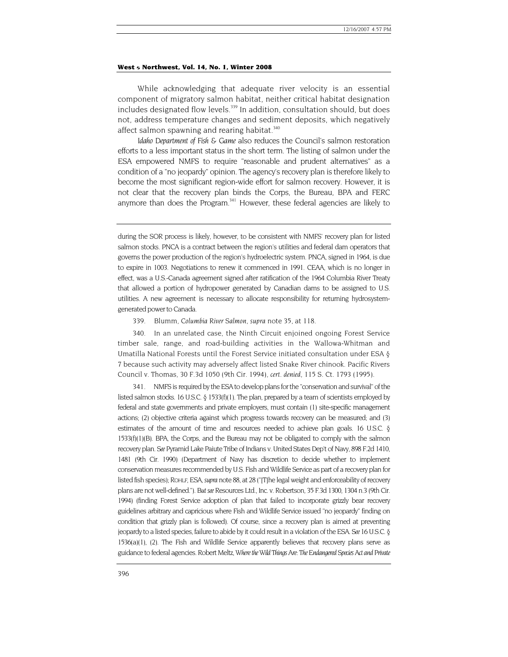<span id="page-64-2"></span>While acknowledging that adequate river velocity is an essential component of migratory salmon habitat, neither critical habitat designation includes designated flow levels.<sup>339</sup> In addition, consultation should, but does not, address temperature changes and sediment deposits, which negatively affect salmon spawning and rearing habitat.<sup>[340](#page-64-1)</sup>

*Idaho Department of Fish & Game* also reduces the Council's salmon restoration efforts to a less important status in the short term. The listing of salmon under the ESA empowered NMFS to require "reasonable and prudent alternatives" as a condition of a "no jeopardy" opinion. The agency's recovery plan is therefore likely to become the most significant region-wide effort for salmon recovery. However, it is not clear that the recovery plan binds the Corps, the Bureau, BPA and FERC anymore than does the Program. $341$  However, these federal agencies are likely to

during the SOR process is likely, however, to be consistent with NMFS' recovery plan for listed salmon stocks. PNCA is a contract between the region's utilities and federal dam operators that governs the power production of the region's hydroelectric system. PNCA, signed in 1964, is due to expire in 1003. Negotiations to renew it commenced in 1991. CEAA, which is no longer in effect, was a U.S.-Canada agreement signed after ratification of the 1964 Columbia River Treaty that allowed a portion of hydropower generated by Canadian dams to be assigned to U.S. utilities. A new agreement is necessary to allocate responsibility for returning hydrosystemgenerated power to Canada.

339. Blumm, *Columbia River Salmon, supra* note 35, at 118.

<span id="page-64-1"></span><span id="page-64-0"></span>340. In an unrelated case, the Ninth Circuit enjoined ongoing Forest Service timber sale, range, and road-building activities in the Wallowa-Whitman and Umatilla National Forests until the Forest Service initiated consultation under ESA § 7 because such activity may adversely affect listed Snake River chinook. Pacific Rivers Council v. Thomas, 30 F.3d 1050 (9th Cir. 1994), *cert. denied,* 115 S. Ct. 1793 (1995).

341. NMFS is required by the ESA to develop plans for the "conservation and survival" of the listed salmon stocks. 16 U.S.C. § 1533(f)(1). The plan, prepared by a team of scientists employed by federal and state governments and private employers, must contain (1) site-specific management actions; (2) objective criteria against which progress towards recovery can be measured; and (3) estimates of the amount of time and resources needed to achieve plan goals. 16 U.S.C. § 1533(f)(1)(B). BPA, the Corps, and the Bureau may not be obligated to comply with the salmon recovery plan. *See* Pyramid Lake Paiute Tribe of Indians v. United States Dep't of Navy, 898 F.2d 1410, 1481 (9th Cir. 1990) (Department of Navy has discretion to decide whether to implement conservation measures recommended by U.S. Fish and Wildlife Service as part of a recovery plan for listed fish species); ROHLF, ESA, *supra* note 88, at 28 ("[T]he legal weight and enforceability of recovery plans are not well-defined."). *But see* Resources Ltd., Inc. v. Robertson, 35 F.3d 1300, 1304 n.3 (9th Cir. 1994) (finding Forest Service adoption of plan that failed to incorporate grizzly bear recovery guidelines arbitrary and capricious where Fish and Wildlife Service issued "no jeopardy" finding on condition that grizzly plan is followed). Of course, since a recovery plan is aimed at preventing jeopardy to a listed species, failure to abide by it could result in a violation of the ESA. *See* 16 U.S.C. § 1536(a)(1), (2). The Fish and Wildlife Service apparently believes that recovery plans serve as guidance to federal agencies. Robert Meltz, *Where the Wild Things Are: The Endangered Species Act and Private*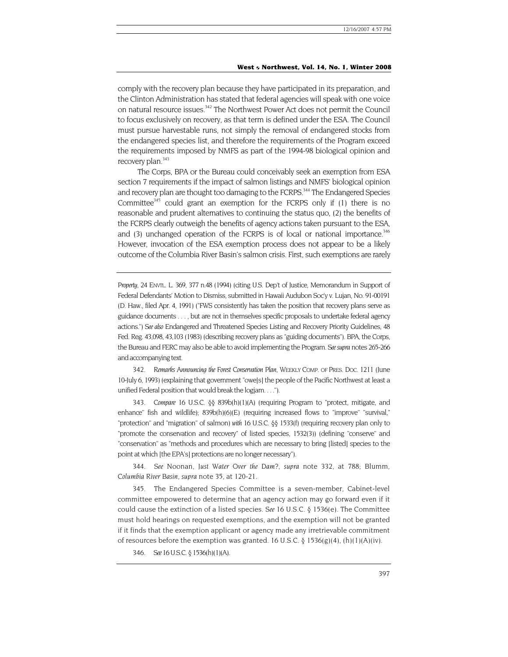comply with the recovery plan because they have participated in its preparation, and the Clinton Administration has stated that federal agencies will speak with one voice on natural resource issues.<sup>342</sup> The Northwest Power Act does not permit the Council to focus exclusively on recovery, as that term is defined under the ESA. The Council must pursue harvestable runs, not simply the removal of endangered stocks from the endangered species list, and therefore the requirements of the Program exceed the requirements imposed by NMFS as part of the 1994-98 biological opinion and recovery plan.<sup>343</sup>

The Corps, BPA or the Bureau could conceivably seek an exemption from ESA section 7 requirements if the impact of salmon listings and NMFS' biological opinion and recovery plan are thought too damaging to the FCRPS.<sup>344</sup> The Endangered Species Committee<sup>345</sup> could grant an exemption for the FCRPS only if  $(1)$  there is no reasonable and prudent alternatives to continuing the status quo, (2) the benefits of the FCRPS clearly outweigh the benefits of agency actions taken pursuant to the ESA, and (3) unchanged operation of the FCRPS is of local or national importance.<sup>346</sup> However, invocation of the ESA exemption process does not appear to be a likely outcome of the Columbia River Basin's salmon crisis. First, such exemptions are rarely

*Property*, 24 ENVTL. L. 369, 377 n.48 (1994) (citing U.S. Dep't of Justice, Memorandum in Support of Federal Defendants' Motion to Dismiss, submitted in Hawaii Audubon Soc'y v. Lujan, No. 91-00191 (D. Haw., filed Apr. 4, 1991) ("FWS consistently has taken the position that recovery plans serve as guidance documents . . . , but are not in themselves specific proposals to undertake federal agency actions.") *See also* Endangered and Threatened Species Listing and Recovery Priority Guidelines, 48 Fed. Reg. 43,098, 43,103 (1983) (describing recovery plans as "guiding documents"). BPA, the Corps, the Bureau and FERC may also be able to avoid implementing the Program. *See supra* notes 265-266 and accompanying text.

<span id="page-65-0"></span>342*. Remarks Announcing the Forest Conservation Plan*, WEEKLY COMP. OF PRES. DOC. 1211 (June 10-July 6, 1993) (explaining that government "owe[s] the people of the Pacific Northwest at least a unified Federal position that would break the logjam. . . .").

<span id="page-65-1"></span>343*. Compare* 16 U.S.C. §§ 839b(h)(1)(A) (requiring Program to "protect, mitigate, and enhance" fish and wildlife); 839b(h)(6)(E) (requiring increased flows to "improve" "survival," "protection" and "migration" of salmon) *with* 16 U.S.C. §§ 1533(f) (requiring recovery plan only to "promote the conservation and recovery" of listed species, 1532(3)) (defining "conserve" and "conservation" as "methods and procedures which are necessary to bring [listed] species to the point at which [the EPA's] protections are no longer necessary").

<span id="page-65-2"></span>344*. See* Noonan, *Just Water Over the Dam?, supra* note 332, at 788; Blumm, *Columbia River Basin, supra* note 35, at 120-21.

<span id="page-65-3"></span>345. The Endangered Species Committee is a seven-member, Cabinet-level committee empowered to determine that an agency action may go forward even if it could cause the extinction of a listed species. *See* 16 U.S.C. § 1536(e). The Committee must hold hearings on requested exemptions, and the exemption will not be granted if it finds that the exemption applicant or agency made any irretrievable commitment of resources before the exemption was granted. 16 U.S.C.  $\S$  1536(g)(4), (h)(1)(A)(iv).

<span id="page-65-4"></span>346*. See* 16 U.S.C. § 1536(h)(1)(A).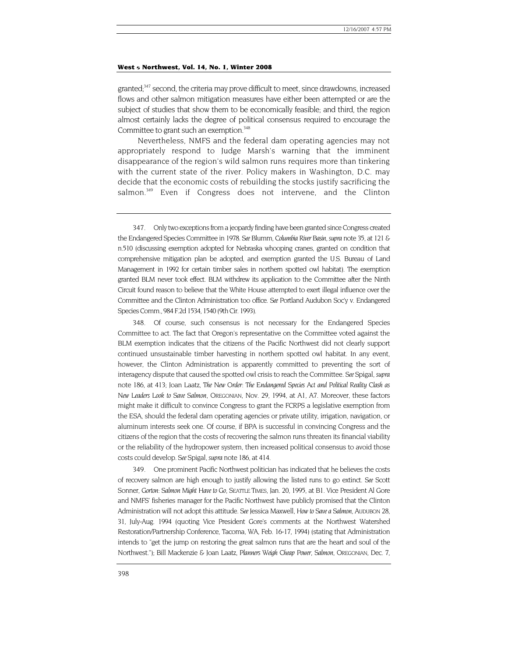<span id="page-66-2"></span>granted; $347$  second, the criteria may prove difficult to meet, since drawdowns, increased flows and other salmon mitigation measures have either been attempted or are the subject of studies that show them to be economically feasible; and third, the region almost certainly lacks the degree of political consensus required to encourage the Committee to grant such an exemption.<sup>348</sup>

Nevertheless, NMFS and the federal dam operating agencies may not appropriately respond to Judge Marsh's warning that the imminent disappearance of the region's wild salmon runs requires more than tinkering with the current state of the river. Policy makers in Washington, D.C. may decide that the economic costs of rebuilding the stocks justify sacrificing the salmon.<sup>349</sup> Even if Congress does not intervene, and the Clinton

<span id="page-66-0"></span>347. Only two exceptions from a jeopardy finding have been granted since Congress created the Endangered Species Committee in 1978. *See* Blumm, *Columbia River Basin, supra* note 35, at 121 & n.510 (discussing exemption adopted for Nebraska whooping cranes, granted on condition that comprehensive mitigation plan be adopted, and exemption granted the U.S. Bureau of Land Management in 1992 for certain timber sales in northern spotted owl habitat). The exemption granted BLM never took effect. BLM withdrew its application to the Committee after the Ninth Circuit found reason to believe that the White House attempted to exert illegal influence over the Committee and the Clinton Administration too office. *See* Portland Audubon Soc'y v. Endangered Species Comm., 984 F.2d 1534, 1540 (9th Cir. 1993).

<span id="page-66-1"></span>348. Of course, such consensus is not necessary for the Endangered Species Committee to act. The fact that Oregon's representative on the Committee voted against the BLM exemption indicates that the citizens of the Pacific Northwest did not clearly support continued unsustainable timber harvesting in northern spotted owl habitat. In any event, however, the Clinton Administration is apparently committed to preventing the sort of interagency dispute that caused the spotted owl crisis to reach the Committee. *See* Spigal, *supra*  note 186, at 413; Joan Laatz, *The New Order: The Endangered Species Act and Political Reality Clash as New Leaders Look to Save Salmon*, OREGONIAN, Nov. 29, 1994, at A1, A7. Moreover, these factors might make it difficult to convince Congress to grant the FCRPS a legislative exemption from the ESA, should the federal dam operating agencies or private utility, irrigation, navigation, or aluminum interests seek one. Of course, if BPA is successful in convincing Congress and the citizens of the region that the costs of recovering the salmon runs threaten its financial viability or the reliability of the hydropower system, then increased political consensus to avoid those costs could develop. *See* Spigal, *supra* note 186, at 414.

349. One prominent Pacific Northwest politician has indicated that he believes the costs of recovery salmon are high enough to justify allowing the listed runs to go extinct. *See* Scott Sonner, *Gorton: Salmon Might Have to Go*, SEATTLE TIMES, Jan. 20, 1995, at B1. Vice President Al Gore and NMFS' fisheries manager for the Pacific Northwest have publicly promised that the Clinton Administration will not adopt this attitude. *See* Jessica Maxwell, *How to Save a Salmon*, AUDUBON 28, 31, July-Aug. 1994 (quoting Vice President Gore's comments at the Northwest Watershed Restoration/Partnership Conference, Tacoma, WA, Feb. 16-17, 1994) (stating that Administration intends to "get the jump on restoring the great salmon runs that are the heart and soul of the Northwest."); Bill Mackenzie & Joan Laatz, *Planners Weigh Cheap Power, Salmon,* OREGONIAN, Dec. 7,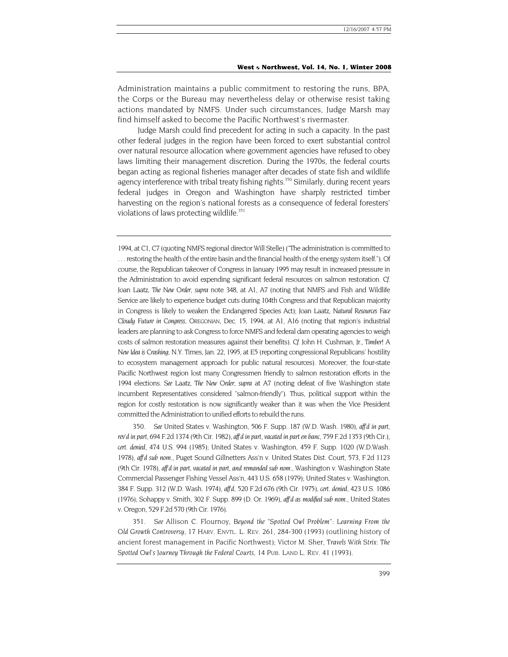Administration maintains a public commitment to restoring the runs, BPA, the Corps or the Bureau may nevertheless delay or otherwise resist taking actions mandated by NMFS. Under such circumstances, Judge Marsh may find himself asked to become the Pacific Northwest's rivermaster.

Judge Marsh could find precedent for acting in such a capacity. In the past other federal judges in the region have been forced to exert substantial control over natural resource allocation where government agencies have refused to obey laws limiting their management discretion. During the 1970s, the federal courts began acting as regional fisheries manager after decades of state fish and wildlife agency interference with tribal treaty fishing rights.<sup>350</sup> Similarly, during recent years federal judges in Oregon and Washington have sharply restricted timber harvesting on the region's national forests as a consequence of federal foresters' violations of laws protecting wildlife.<sup>[351](#page-67-1)</sup>

1994, at C1, C7 (quoting NMFS regional director Will Stelle) ("The administration is committed to . . . restoring the health of the entire basin and the financial health of the energy system itself."). Of course, the Republican takeover of Congress in January 1995 may result in increased pressure in the Administration to avoid expending significant federal resources on salmon restoration. *Cf.* Joan Laatz, *The New Order, supra* note 348, at A1, A7 (noting that NMFS and Fish and Wildlife Service are likely to experience budget cuts during 104th Congress and that Republican majority in Congress is likely to weaken the Endangered Species Act); Joan Laatz, *Natural Resources Face Cloudy Future in Congress*, OREGONIAN, Dec. 15, 1994, at A1, A16 (noting that region's industrial leaders are planning to ask Congress to force NMFS and federal dam operating agencies to weigh costs of salmon restoration measures against their benefits). *Cf.* John H. Cushman, Jr., *Timber! A New Idea is Crashing*, N.Y. Times, Jan. 22, 1995, at E5 (reporting congressional Republicans' hostility to ecosystem management approach for public natural resources). Moreover, the four-state Pacific Northwest region lost many Congressmen friendly to salmon restoration efforts in the 1994 elections. *See* Laatz, *The New Order, supra* at A7 (noting defeat of five Washington state incumbent Representatives considered "salmon-friendly"). Thus, political support within the region for costly restoration is now significantly weaker than it was when the Vice President committed the Administration to unified efforts to rebuild the runs.

<span id="page-67-0"></span>350*. See* United States v. Washington, 506 F. Supp. 187 (W.D. Wash. 1980), *aff'd in part, rev'd in part,* 694 F.2d 1374 (9th Cir. 1982), *aff'd in part, vacated in part en banc*, 759 F.2d 1353 (9th Cir.), *cert. denied,* 474 U.S. 994 (1985); United States v. Washington, 459 F. Supp. 1020 (W.D.Wash. 1978), *aff'd sub nom.,* Puget Sound Gillnetters Ass'n v. United States Dist. Court, 573, F.2d 1123 (9th Cir. 1978), *aff'd in part, vacated in part, and remanded sub nom.,* Washington v. Washington State Commercial Passenger Fishing Vessel Ass'n, 443 U.S. 658 (1979); United States v. Washington, 384 F. Supp. 312 (W.D. Wash. 1974), *aff'd*, 520 F.2d 676 (9th Cir. 1975), *cert. denied,* 423 U.S. 1086 (1976); Sohappy v. Smith, 302 F. Supp. 899 (D. Or. 1969), *aff'd as modified sub nom.,* United States v. Oregon, 529 F.2d 570 (9th Cir. 1976).

<span id="page-67-1"></span>351*. See* Allison C. Flournoy, *Beyond the "Spotted Owl Problem": Learning From the Old Growth Controversy,* 17 HARV. ENVTL. L. REV. 261, 284-300 (1993) (outlining history of ancient forest management in Pacific Northwest); Victor M. Sher, *Travels With Strix: The Spotted Owl's Journey Through the Federal Courts*, 14 PUB. LAND L. REV. 41 (1993).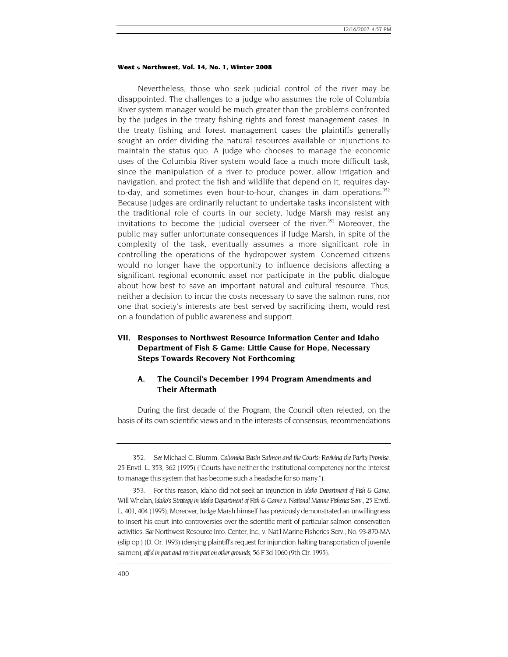Nevertheless, those who seek judicial control of the river may be disappointed. The challenges to a judge who assumes the role of Columbia River system manager would be much greater than the problems confronted by the judges in the treaty fishing rights and forest management cases. In the treaty fishing and forest management cases the plaintiffs generally sought an order dividing the natural resources available or injunctions to maintain the status quo. A judge who chooses to manage the economic uses of the Columbia River system would face a much more difficult task, since the manipulation of a river to produce power, allow irrigation and navigation, and protect the fish and wildlife that depend on it, requires dayto-day, and sometimes even hour-to-hour, changes in dam operations.<sup>352</sup> Because judges are ordinarily reluctant to undertake tasks inconsistent with the traditional role of courts in our society, Judge Marsh may resist any invitations to become the judicial overseer of the river.<sup>353</sup> Moreover, the public may suffer unfortunate consequences if Judge Marsh, in spite of the complexity of the task, eventually assumes a more significant role in controlling the operations of the hydropower system. Concerned citizens would no longer have the opportunity to influence decisions affecting a significant regional economic asset nor participate in the public dialogue about how best to save an important natural and cultural resource. Thus, neither a decision to incur the costs necessary to save the salmon runs, nor one that society's interests are best served by sacrificing them, would rest on a foundation of public awareness and support.

# **VII. Responses to Northwest Resource Information Center and Idaho Department of Fish & Game: Little Cause for Hope, Necessary Steps Towards Recovery Not Forthcoming**

# **A. The Council's December 1994 Program Amendments and Their Aftermath**

During the first decade of the Program, the Council often rejected, on the basis of its own scientific views and in the interests of consensus, recommendations

<span id="page-68-0"></span><sup>352</sup>*. See* Michael C. Blumm, *Columbia Basin Salmon and the Courts: Reviving the Parity Promise*, 25 Envtl. L. 353, 362 (1995) ("Courts have neither the institutional competency nor the interest to manage this system that has become such a headache for so many.").

<span id="page-68-1"></span><sup>353.</sup> For this reason, Idaho did not seek an injunction in *Idaho Department of Fish & Game,* Will Whelan, *Idaho's Strategy in Idaho Department of Fish & Game v. National Marine Fisheries Serv.*, 25 Envtl. L. 401, 404 (1995). Moreover, Judge Marsh himself has previously demonstrated an unwillingness to insert his court into controversies over the scientific merit of particular salmon conservation activities. *See* Northwest Resource Info. Center, Inc., v. Nat'l Marine Fisheries Serv., No. 93-870-MA (slip op.) (D. Or. 1993) (denying plaintiff's request for injunction halting transportation of juvenile salmon), *aff'd in part and rev's in part on other grounds,* 56 F.3d 1060 (9th Cir. 1995).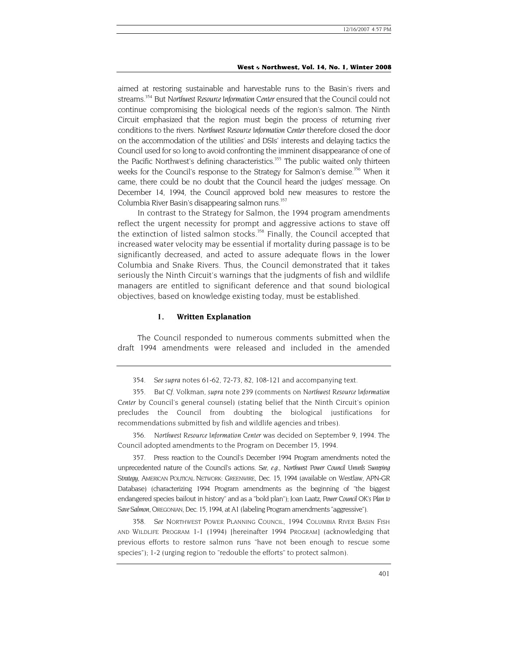aimed at restoring sustainable and harvestable runs to the Basin's rivers and streams[.354 B](#page-69-0)ut *Northwest Resource Information Center* ensured that the Council could not continue compromising the biological needs of the region's salmon. The Ninth Circuit emphasized that the region must begin the process of returning river conditions to the rivers. *Northwest Resource Information Center* therefore closed the door on the accommodation of the utilities' and DSIs' interests and delaying tactics the Council used for so long to avoid confronting the imminent disappearance of one of the Pacific Northwest's defining characteristics.<sup>355</sup> The public waited only thirteen weeks for the Council's response to the Strategy for Salmon's demise.<sup>356</sup> When it came, there could be no doubt that the Council heard the judges' message. On December 14, 1994, the Council approved bold new measures to restore the Columbia River Basin's disappearing salmon runs.<sup>357</sup>

In contrast to the Strategy for Salmon, the 1994 program amendments reflect the urgent necessity for prompt and aggressive actions to stave off the extinction of listed salmon stocks.<sup>358</sup> Finally, the Council accepted that increased water velocity may be essential if mortality during passage is to be significantly decreased, and acted to assure adequate flows in the lower Columbia and Snake Rivers. Thus, the Council demonstrated that it takes seriously the Ninth Circuit's warnings that the judgments of fish and wildlife managers are entitled to significant deference and that sound biological objectives, based on knowledge existing today, must be established.

### **1. Written Explanation**

The Council responded to numerous comments submitted when the draft 1994 amendments were released and included in the amended

<span id="page-69-2"></span>356*. Northwest Resource Information Center* was decided on September 9, 1994. The Council adopted amendments to the Program on December 15, 1994.

<span id="page-69-3"></span>357. Press reaction to the Council's December 1994 Program amendments noted the unprecedented nature of the Council's actions. *See, e.g., Northwest Power Council Unveils Sweeping Strategy,* AMERICAN POLITICAL NETWORK: GREENWIRE, Dec. 15, 1994 (available on Westlaw, APN-GR Database) (characterizing 1994 Program amendments as the beginning of "the biggest endangered species bailout in history" and as a "bold plan"); Joan Laatz, *Power Council OK's Plan to Save Salmon,* OREGONIAN, Dec. 15, 1994, at A1 (labeling Program amendments "aggressive").

<span id="page-69-4"></span>358*. See* NORTHWEST POWER PLANNING COUNCIL, 1994 COLUMBIA RIVER BASIN FISH AND WILDLIFE PROGRAM 1-1 (1994) [hereinafter 1994 PROGRAM] (acknowledging that previous efforts to restore salmon runs "have not been enough to rescue some species"); 1-2 (urging region to "redouble the efforts" to protect salmon).

<sup>354</sup>*. See supra* notes 61-62, 72-73, 82, 108-121 and accompanying text.

<span id="page-69-1"></span><span id="page-69-0"></span><sup>355</sup>*. But Cf.* Volkman, *supra* note 239 (comments on *Northwest Resource Information Center* by Council's general counsel) (stating belief that the Ninth Circuit's opinion precludes the Council from doubting the biological justifications for recommendations submitted by fish and wildlife agencies and tribes).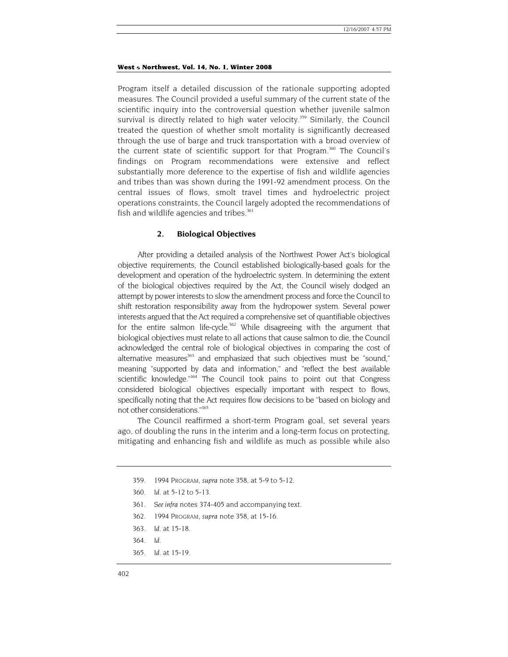Program itself a detailed discussion of the rationale supporting adopted measures. The Council provided a useful summary of the current state of the scientific inquiry into the controversial question whether juvenile salmon survival is directly related to high water velocity.<sup>359</sup> Similarly, the Council treated the question of whether smolt mortality is significantly decreased through the use of barge and truck transportation with a broad overview of the current state of scientific support for that Program.<sup>360</sup> The Council's findings on Program recommendations were extensive and reflect substantially more deference to the expertise of fish and wildlife agencies and tribes than was shown during the 1991-92 amendment process. On the central issues of flows, smolt travel times and hydroelectric project operations constraints, the Council largely adopted the recommendations of fish and wildlife agencies and tribes.<sup>[361](#page-70-2)</sup>

# **2. Biological Objectives**

After providing a detailed analysis of the Northwest Power Act's biological objective requirements, the Council established biologically-based goals for the development and operation of the hydroelectric system. In determining the extent of the biological objectives required by the Act, the Council wisely dodged an attempt by power interests to slow the amendment process and force the Council to shift restoration responsibility away from the hydropower system. Several power interests argued that the Act required a comprehensive set of quantifiable objectives for the entire salmon life-cycle.<sup>362</sup> While disagreeing with the argument that biological objectives must relate to all actions that cause salmon to die, the Council acknowledged the central role of biological objectives in comparing the cost of alternative measures<sup>363</sup> and emphasized that such objectives must be "sound," meaning "supported by data and information," and "reflect the best available scientific knowledge."<sup>364</sup> The Council took pains to point out that Congress considered biological objectives especially important with respect to flows, specifically noting that the Act requires flow decisions to be "based on biology and not other considerations.["365](#page-70-6)

The Council reaffirmed a short-term Program goal, set several years ago, of doubling the runs in the interim and a long-term focus on protecting, mitigating and enhancing fish and wildlife as much as possible while also

<span id="page-70-0"></span><sup>359. 1994</sup> PROGRAM, *supra* note 358, at 5-9 to 5-12.

<span id="page-70-1"></span><sup>360</sup>*. Id.* at 5-12 to 5-13.

<span id="page-70-2"></span><sup>361</sup>*. See infra* notes 374-405 and accompanying text.

<span id="page-70-3"></span><sup>362. 1994</sup> PROGRAM, *supra* note 358, at 15-16.

<span id="page-70-4"></span><sup>363</sup>*. Id.* at 15-18.

<span id="page-70-5"></span><sup>364</sup>*. Id.*

<span id="page-70-6"></span><sup>365</sup>*. Id.* at 15-19.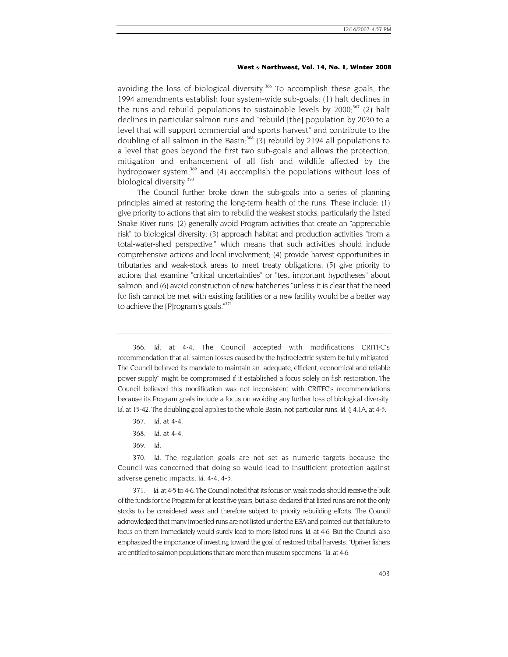avoiding the loss of biological diversity.<sup>366</sup> To accomplish these goals, the 1994 amendments establish four system-wide sub-goals: (1) halt declines in the runs and rebuild populations to sustainable levels by  $2000$ ;<sup>367</sup> (2) halt declines in particular salmon runs and "rebuild [the] population by 2030 to a level that will support commercial and sports harvest" and contribute to the doubling of all salmon in the Basin;<sup>368</sup> (3) rebuild by 2194 all populations to a level that goes beyond the first two sub-goals and allows the protection, mitigation and enhancement of all fish and wildlife affected by the hydropower system;<sup>369</sup> and (4) accomplish the populations without loss of biological diversity.<sup>[370](#page-71-4)</sup>

The Council further broke down the sub-goals into a series of planning principles aimed at restoring the long-term health of the runs. These include: (1) give priority to actions that aim to rebuild the weakest stocks, particularly the listed Snake River runs; (2) generally avoid Program activities that create an "appreciable risk" to biological diversity; (3) approach habitat and production activities "from a total-water-shed perspective," which means that such activities should include comprehensive actions and local involvement; (4) provide harvest opportunities in tributaries and weak-stock areas to meet treaty obligations; (5) give priority to actions that examine "critical uncertainties" or "test important hypotheses" about salmon; and (6) avoid construction of new hatcheries "unless it is clear that the need for fish cannot be met with existing facilities or a new facility would be a better way to achieve the [P]rogram's goals."<sup>[371](#page-71-5)</sup>

<span id="page-71-0"></span>366*. Id.* at 4-4. The Council accepted with modifications CRITFC's recommendation that all salmon losses caused by the hydroelectric system be fully mitigated. The Council believed its mandate to maintain an "adequate, efficient, economical and reliable power supply" might be compromised if it established a focus solely on fish restoration. The Council believed this modification was not inconsistent with CRITFC's recommendations because its Program goals include a focus on avoiding any further loss of biological diversity. *Id.* at 15-42. The doubling goal applies to the whole Basin, not particular runs. *Id.* § 4.1A, at 4-5.

- <span id="page-71-1"></span>367*. Id.* at 4-4.
- <span id="page-71-2"></span>368*. Id.* at 4-4.
- 369*. Id.*

<span id="page-71-4"></span><span id="page-71-3"></span>370*. Id.* The regulation goals are not set as numeric targets because the Council was concerned that doing so would lead to insufficient protection against adverse genetic impacts. *Id.* 4-4, 4-5.

<span id="page-71-5"></span>371*. Id.* at 4-5 to 4-6. The Council noted that its focus on weak stocks should receive the bulk of the funds for the Program for at least five years, but also declared that listed runs are not the only stocks to be considered weak and therefore subject to priority rebuilding efforts. The Council acknowledged that many imperiled runs are not listed under the ESA and pointed out that failure to focus on them immediately would surely lead to more listed runs. *Id.* at 4-6. But the Council also emphasized the importance of investing toward the goal of restored tribal harvests: "Upriver fishers are entitled to salmon populations that are more than museum specimens." *Id.* at 4-6.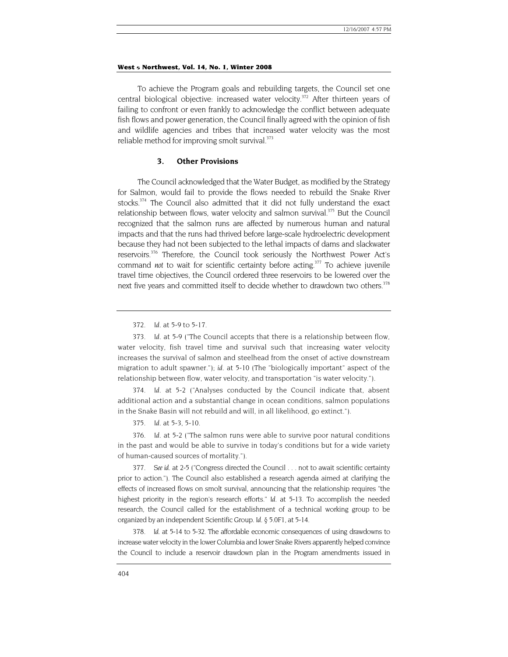<span id="page-72-6"></span>To achieve the Program goals and rebuilding targets, the Council set one central biological objective: increased water velocity.<sup>372</sup> After thirteen years of failing to confront or even frankly to acknowledge the conflict between adequate fish flows and power generation, the Council finally agreed with the opinion of fish and wildlife agencies and tribes that increased water velocity was the most reliable method for improving smolt survival.<sup>[373](#page-72-1)</sup>

# **3. Other Provisions**

The Council acknowledged that the Water Budget, as modified by the Strategy for Salmon, would fail to provide the flows needed to rebuild the Snake River stocks.<sup>374</sup> The Council also admitted that it did not fully understand the exact relationship between flows, water velocity and salmon survival.<sup>375</sup> But the Council recognized that the salmon runs are affected by numerous human and natural impacts and that the runs had thrived before large-scale hydroelectric development because they had not been subjected to the lethal impacts of dams and slackwater reservoirs.<sup>376</sup> Therefore, the Council took seriously the Northwest Power Act's command *not* to wait for scientific certainty before acting.<sup>377</sup> To achieve juvenile travel time objectives, the Council ordered three reservoirs to be lowered over the next five years and committed itself to decide whether to drawdown two others.<sup>378</sup>

<span id="page-72-2"></span>374*. Id.* at 5-2 ("Analyses conducted by the Council indicate that, absent additional action and a substantial change in ocean conditions, salmon populations in the Snake Basin will not rebuild and will, in all likelihood, go extinct.").

<span id="page-72-3"></span>375*. Id.* at 5-3, 5-10.

<span id="page-72-4"></span>376*. Id.* at 5-2 ("The salmon runs were able to survive poor natural conditions in the past and would be able to survive in today's conditions but for a wide variety of human-caused sources of mortality.").

<span id="page-72-5"></span>377*. See id.* at 2-5 ("Congress directed the Council . . . not to await scientific certainty prior to action."). The Council also established a research agenda aimed at clarifying the effects of increased flows on smolt survival, announcing that the relationship requires "the highest priority in the region's research efforts." *Id*. at 5-13. To accomplish the needed research, the Council called for the establishment of a technical working group to be organized by an independent Scientific Group. *Id*. § 5.0F1, at 5-14.

378*. Id.* at 5-14 to 5-32. The affordable economic consequences of using drawdowns to increase water velocity in the lower Columbia and lower Snake Rivers apparently helped convince the Council to include a reservoir drawdown plan in the Program amendments issued in

<sup>372</sup>*. Id.* at 5-9 to 5-17.

<span id="page-72-1"></span><span id="page-72-0"></span><sup>373</sup>*. Id.* at 5-9 ("The Council accepts that there is a relationship between flow, water velocity, fish travel time and survival such that increasing water velocity increases the survival of salmon and steelhead from the onset of active downstream migration to adult spawner."); *id.* at 5-10 (The "biologically important" aspect of the relationship between flow, water velocity, and transportation "is water velocity.").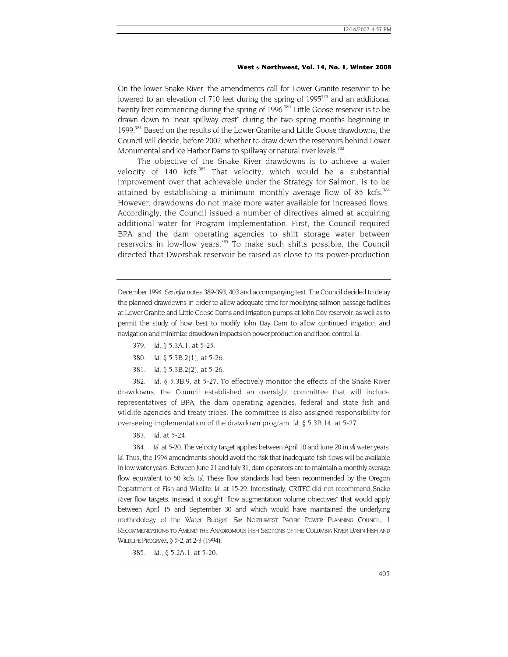On the lower Snake River, the amendments call for Lower Granite reservoir to be lowered to an elevation of 710 feet during the spring of  $1995<sup>379</sup>$  and an additional twenty feet commencing during the spring of 1996.<sup>380</sup> Little Goose reservoir is to be drawn down to "near spillway crest" during the two spring months beginning in 1999.<sup>381</sup> Based on the results of the Lower Granite and Little Goose drawdowns, the Council will decide, before 2002, whether to draw down the reservoirs behind Lower Monumental and Ice Harbor Dams to spillway or natural river levels.<sup>382</sup>

The objective of the Snake River drawdowns is to achieve a water velocity of 140 kcfs. $383$  That velocity, which would be a substantial improvement over that achievable under the Strategy for Salmon, is to be attained by establishing a minimum monthly average flow of  $85$  kcfs.<sup>[384](#page-73-5)</sup> However, drawdowns do not make more water available for increased flows. Accordingly, the Council issued a number of directives aimed at acquiring additional water for Program implementation. First, the Council required BPA and the dam operating agencies to shift storage water between reservoirs in low-flow years.<sup>385</sup> To make such shifts possible, the Council directed that Dworshak reservoir be raised as close to its power-production

December 1994. *See infra* notes 389-393, 403 and accompanying text. The Council decided to delay the planned drawdowns in order to allow adequate time for modifying salmon passage facilities at Lower Granite and Little Goose Dams and irrigation pumps at John Day reservoir, as well as to permit the study of how best to modify John Day Dam to allow continued irrigation and navigation and minimize drawdown impacts on power production and flood control. *Id.*

- <span id="page-73-0"></span>379*. Id.* § 5.3A.1, at 5-25.
- <span id="page-73-1"></span>380*. Id.* § 5.3B.2(1), at 5-26.
- <span id="page-73-2"></span>381*. Id.* § 5.3B.2(2), at 5-26.

<span id="page-73-3"></span>382*. Id.* § 5.3B.9, at 5-27. To effectively monitor the effects of the Snake River drawdowns, the Council established an oversight committee that will include representatives of BPA, the dam operating agencies, federal and state fish and wildlife agencies and treaty tribes. The committee is also assigned responsibility for overseeing implementation of the drawdown program. *Id.* § 5.3B.14, at 5-27.

383*. Id.* at 5-24.

<span id="page-73-5"></span><span id="page-73-4"></span>384*. Id.* at 5-20. The velocity target applies between April 10 and June 20 in *all* water years. *Id.* Thus, the 1994 amendments should avoid the risk that inadequate fish flows will be available in low water years. Between June 21 and July 31, dam operators are to maintain a monthly average flow equivalent to 50 kcfs. *Id.* These flow standards had been recommended by the Oregon Department of Fish and Wildlife. *Id.* at 15-29. Interestingly, CRITFC did not recommend Snake River flow targets. Instead, it sought "flow augmentation volume objectives" that would apply between April 15 and September 30 and which would have maintained the underlying methodology of the Water Budget. *See* NORTHWEST PACIFIC POWER PLANNING COUNCIL, 1 RECOMMENDATIONS TO AMEND THE ANADROMOUS FISH SECTIONS OF THE COLUMBIA RIVER BASIN FISH AND WILDLIFE PROGRAM, § 5-2, at 2-3 (1994).

<span id="page-73-6"></span>385*. Id.,* § 5.2A.1, at 5-20.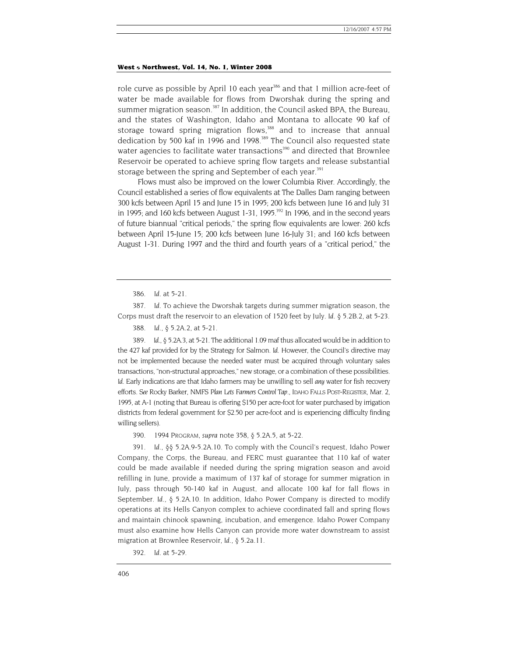role curve as possible by April 10 each year<sup>386</sup> and that 1 million acre-feet of water be made available for flows from Dworshak during the spring and summer migration season.<sup>387</sup> In addition, the Council asked BPA, the Bureau, and the states of Washington, Idaho and Montana to allocate 90 kaf of storage toward spring migration flows,<sup>388</sup> and to increase that annual dedication by 500 kaf in 1996 and 1998.<sup>389</sup> The Council also requested state water agencies to facilitate water transactions<sup>390</sup> and directed that Brownlee Reservoir be operated to achieve spring flow targets and release substantial storage between the spring and September of each year.<sup>[391](#page-74-5)</sup>

Flows must also be improved on the lower Columbia River. Accordingly, the Council established a series of flow equivalents at The Dalles Dam ranging between 300 kcfs between April 15 and June 15 in 1995; 200 kcfs between June 16 and July 31 in 1995; and 160 kcfs between August 1-31, 1995. $^{392}$  In 1996, and in the second years of future biannual "critical periods," the spring flow equivalents are lower: 260 kcfs between April 15-June 15; 200 kcfs between June 16-July 31; and 160 kcfs between August 1-31. During 1997 and the third and fourth years of a "critical period," the

<span id="page-74-1"></span><span id="page-74-0"></span>387*. Id.* To achieve the Dworshak targets during summer migration season, the Corps must draft the reservoir to an elevation of 1520 feet by July. *Id.* § 5.2B.2, at 5-23.

<span id="page-74-3"></span>389*. Id.*, § 5.2A.3, at 5-21. The additional 1.09 maf thus allocated would be in addition to the 427 kaf provided for by the Strategy for Salmon. *Id.* However, the Council's directive may not be implemented because the needed water must be acquired through voluntary sales transactions, "non-structural approaches," new storage, or a combination of these possibilities. *Id.* Early indications are that Idaho farmers may be unwilling to sell *any* water for fish recovery efforts. *See* Rocky Barker, NMFS *Plan Lets Farmers Control Tap.*, IDAHO FALLS POST-REGISTER, Mar. 2, 1995, at A-1 (noting that Bureau is offering \$150 per acre-foot for water purchased by irrigation districts from federal government for \$2.50 per acre-foot and is experiencing difficulty finding willing sellers).

390. 1994 PROGRAM, *supra* note 358, § 5.2A.5, at 5-22.

<span id="page-74-5"></span><span id="page-74-4"></span>391*. Id.*, §§ 5.2A.9-5.2A.10. To comply with the Council's request, Idaho Power Company, the Corps, the Bureau, and FERC must guarantee that 110 kaf of water could be made available if needed during the spring migration season and avoid refilling in June, provide a maximum of 137 kaf of storage for summer migration in July, pass through 50-140 kaf in August, and allocate 100 kaf for fall flows in September. *Id.*, § 5.2A.10. In addition, Idaho Power Company is directed to modify operations at its Hells Canyon complex to achieve coordinated fall and spring flows and maintain chinook spawning, incubation, and emergence. Idaho Power Company must also examine how Hells Canyon can provide more water downstream to assist migration at Brownlee Reservoir, *Id.*, § 5.2a.11.

<sup>386</sup>*. Id.* at 5-21.

<span id="page-74-2"></span><sup>388</sup>*. Id.*, § 5.2A.2, at 5-21.

<span id="page-74-6"></span><sup>392</sup>*. Id.* at 5-29.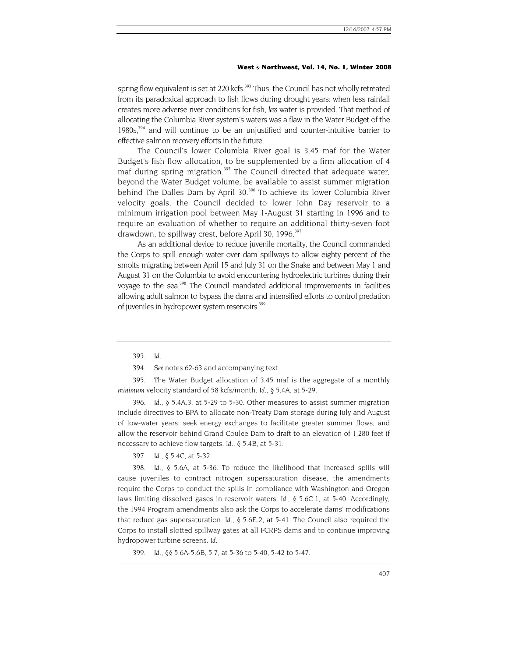spring flow equivalent is set at 220 kcfs.<sup>393</sup> Thus, the Council has not wholly retreated from its paradoxical approach to fish flows during drought years: when less rainfall creates more adverse river conditions for fish, *less* water is provided. That method of allocating the Columbia River system's waters was a flaw in the Water Budget of the  $1980s<sub>1</sub><sup>394</sup>$  and will continue to be an unjustified and counter-intuitive barrier to effective salmon recovery efforts in the future.

The Council's lower Columbia River goal is 3.45 maf for the Water Budget's fish flow allocation, to be supplemented by a firm allocation of 4 maf during spring migration.<sup>395</sup> The Council directed that adequate water, beyond the Water Budget volume, be available to assist summer migration behind The Dalles Dam by April 30.<sup>396</sup> To achieve its lower Columbia River velocity goals, the Council decided to lower John Day reservoir to a minimum irrigation pool between May 1-August 31 starting in 1996 and to require an evaluation of whether to require an additional thirty-seven foot drawdown, to spillway crest, before April 30, 1996.<sup>397</sup>

As an additional device to reduce juvenile mortality, the Council commanded the Corps to spill enough water over dam spillways to allow eighty percent of the smolts migrating between April 15 and July 31 on the Snake and between May 1 and August 31 on the Columbia to avoid encountering hydroelectric turbines during their voyage to the sea.<sup>398</sup> The Council mandated additional improvements in facilities allowing adult salmon to bypass the dams and intensified efforts to control predation of juveniles in hydropower system reservoirs.<sup>399</sup>

<span id="page-75-2"></span>395. The Water Budget allocation of 3.45 maf is the aggregate of a monthly *minimum* velocity standard of 58 kcfs/month. *Id.*, § 5.4A, at 5-29.

<span id="page-75-3"></span>396*. Id*., § 5.4A.3, at 5-29 to 5-30. Other measures to assist summer migration include directives to BPA to allocate non-Treaty Dam storage during July and August of low-water years; seek energy exchanges to facilitate greater summer flows; and allow the reservoir behind Grand Coulee Dam to draft to an elevation of 1,280 feet if necessary to achieve flow targets. *Id.*, § 5.4B, at 5-31.

397*. Id.,* § 5.4C, at 5-32.

<span id="page-75-5"></span><span id="page-75-4"></span>398*. Id.,* § 5.6A, at 5-36. To reduce the likelihood that increased spills will cause juveniles to contract nitrogen supersaturation disease, the amendments require the Corps to conduct the spills in compliance with Washington and Oregon laws limiting dissolved gases in reservoir waters. *Id.,* § 5.6C.1, at 5-40. Accordingly, the 1994 Program amendments also ask the Corps to accelerate dams' modifications that reduce gas supersaturation. *Id.*, § 5.6E.2, at 5-41. The Council also required the Corps to install slotted spillway gates at all FCRPS dams and to continue improving hydropower turbine screens. *Id.*

<span id="page-75-6"></span>399*. Id.,* §§ 5.6A-5.6B, 5.7, at 5-36 to 5-40, 5-42 to 5-47.

<span id="page-75-0"></span><sup>393</sup>*. Id.*

<span id="page-75-1"></span><sup>394</sup>*. See* notes 62-63 and accompanying text.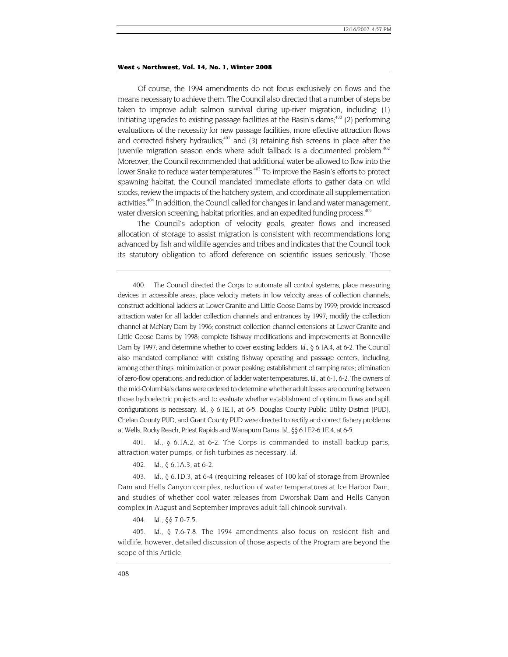Of course, the 1994 amendments do not focus exclusively on flows and the means necessary to achieve them. The Council also directed that a number of steps be taken to improve adult salmon survival during up-river migration, including: (1) initiating upgrades to existing passage facilities at the Basin's dams; $400$  (2) performing evaluations of the necessity for new passage facilities, more effective attraction flows and corrected fishery hydraulics;<sup>401</sup> and (3) retaining fish screens in place after the juvenile migration season ends where adult fallback is a documented problem.<sup>402</sup> Moreover, the Council recommended that additional water be allowed to flow into the lower Snake to reduce water temperatures.<sup>403</sup> To improve the Basin's efforts to protect spawning habitat, the Council mandated immediate efforts to gather data on wild stocks, review the impacts of the hatchery system, and coordinate all supplementation activities.<sup>404</sup> In addition, the Council called for changes in land and water management, water diversion screening, habitat priorities, and an expedited funding process.<sup>405</sup>

The Council's adoption of velocity goals, greater flows and increased allocation of storage to assist migration is consistent with recommendations long advanced by fish and wildlife agencies and tribes and indicates that the Council took its statutory obligation to afford deference on scientific issues seriously. Those

<span id="page-76-0"></span>400. The Council directed the Corps to automate all control systems; place measuring devices in accessible areas; place velocity meters in low velocity areas of collection channels; construct additional ladders at Lower Granite and Little Goose Dams by 1999; provide increased attraction water for all ladder collection channels and entrances by 1997; modify the collection channel at McNary Dam by 1996; construct collection channel extensions at Lower Granite and Little Goose Dams by 1998; complete fishway modifications and improvements at Bonneville Dam by 1997; and determine whether to cover existing ladders. *Id.*, § 6.1A.4, at 6-2. The Council also mandated compliance with existing fishway operating and passage centers, including, among other things, minimization of power peaking; establishment of ramping rates; elimination of zero-flow operations; and reduction of ladder water temperatures. *Id.,* at 6-1, 6-2. The owners of the mid-Columbia's dams were ordered to determine whether adult losses are occurring between those hydroelectric projects and to evaluate whether establishment of optimum flows and spill configurations is necessary. *Id.,* § 6.1E.1, at 6-5. Douglas County Public Utility District (PUD), Chelan County PUD, and Grant County PUD were directed to rectify and correct fishery problems at Wells, Rocky Reach, Priest Rapids and Wanapum Dams. *Id.,* §§ 6.1E2-6.1E.4, at 6-5.

<span id="page-76-1"></span>401*. Id.*, § 6.1A.2, at 6-2. The Corps is commanded to install backup parts, attraction water pumps, or fish turbines as necessary. *Id.* 

<span id="page-76-2"></span>402*. Id.,* § 6.1A.3, at 6-2.

<span id="page-76-3"></span>403*. Id.,* § 6.1D.3, at 6-4 (requiring releases of 100 kaf of storage from Brownlee Dam and Hells Canyon complex, reduction of water temperatures at Ice Harbor Dam, and studies of whether cool water releases from Dworshak Dam and Hells Canyon complex in August and September improves adult fall chinook survival).

404*. Id.,* §§ 7.0-7.5.

<span id="page-76-5"></span><span id="page-76-4"></span>405*. Id.,* § 7.6-7.8. The 1994 amendments also focus on resident fish and wildlife, however, detailed discussion of those aspects of the Program are beyond the scope of this Article.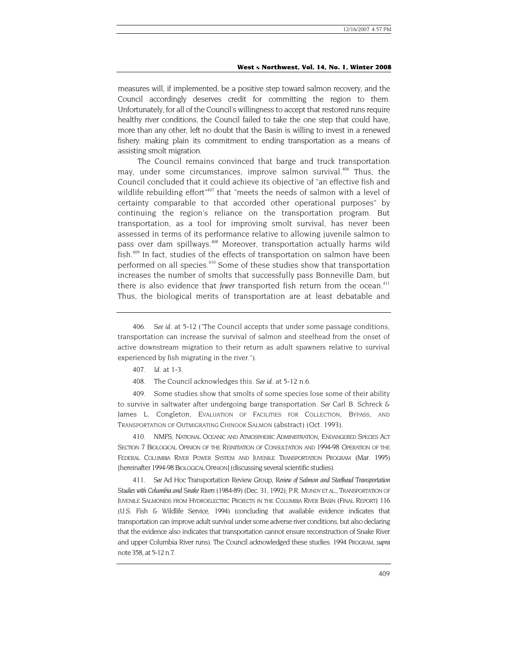measures will, if implemented, be a positive step toward salmon recovery, and the Council accordingly deserves credit for committing the region to them. Unfortunately, for all of the Council's willingness to accept that restored runs require healthy river conditions, the Council failed to take the one step that could have, more than any other, left no doubt that the Basin is willing to invest in a renewed fishery: making plain its commitment to ending transportation as a means of assisting smolt migration.

The Council remains convinced that barge and truck transportation may, under some circumstances, improve salmon survival.<sup>406</sup> Thus, the Council concluded that it could achieve its objective of "an effective fish and wildlife rebuilding effort"<sup>407</sup> that "meets the needs of salmon with a level of certainty comparable to that accorded other operational purposes" by continuing the region's reliance on the transportation program. But transportation, as a tool for improving smolt survival, has never been assessed in terms of its performance relative to allowing juvenile salmon to pass over dam spillways.<sup>408</sup> Moreover, transportation actually harms wild fish.<sup>409</sup> In fact, studies of the effects of transportation on salmon have been performed on all species.<sup>410</sup> Some of these studies show that transportation increases the number of smolts that successfully pass Bonneville Dam, but there is also evidence that *fewer* transported fish return from the ocean.<sup>411</sup> Thus, the biological merits of transportation are at least debatable and

- <span id="page-77-1"></span>407*. Id.* at 1-3.
- <span id="page-77-2"></span>408. The Council acknowledges this. *See id.* at 5-12 n.6.

<span id="page-77-3"></span>409. Some studies show that smolts of some species lose some of their ability to survive in saltwater after undergoing barge transportation. *See* Carl B. Schreck & James L. Congleton, EVALUATION OF FACILITIES FOR COLLECTION, BYPASS, AND TRANSPORTATION OF OUTMIGRATING CHINOOK SALMON (abstract) (Oct. 1993).

<span id="page-77-4"></span>410. NMFS, NATIONAL OCEANIC AND ATMOSPHERIC ADMINISTRATION, ENDANGERED SPECIES ACT SECTION 7 BIOLOGICAL OPINION OF THE REINITIATION OF CONSULTATION AND 1994-98 OPERATION OF THE FEDERAL COLUMBIA RIVER POWER SYSTEM AND JUVENILE TRANSPORTATION PROGRAM (Mar. 1995) [hereinafter 1994-98 BIOLOGICAL OPINION] (discussing several scientific studies).

<span id="page-77-5"></span>411*. See* Ad Hoc Transportation Review Group, *Review of Salmon and Steelhead Transportation Studies with Columbia and Snake Rivers* (1984-89) (Dec. 31, 1992); P.R. MUNDY ET AL., TRANSPORTATION OF JUVENILE SALMONIDS FROM HYDROELECTRIC PROJECTS IN THE COLUMBIA RIVER BASIN (FINAL REPORT) 116 (U.S. Fish & Wildlife Service, 1994) (concluding that available evidence indicates that transportation can improve adult survival under some adverse river conditions, but also declaring that the evidence also indicates that transportation cannot ensure reconstruction of Snake River and upper Columbia River runs). The Council acknowledged these studies. 1994 PROGRAM, *supra* note 358, at 5-12 n.7.

<span id="page-77-0"></span><sup>406</sup>*. See id.* at 5-12 ("The Council accepts that under some passage conditions, transportation can increase the survival of salmon and steelhead from the onset of active downstream migration to their return as adult spawners relative to survival experienced by fish migrating in the river.").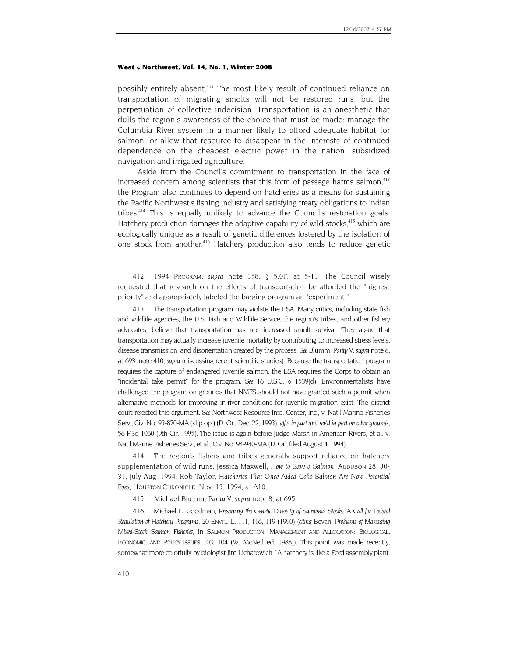<span id="page-78-4"></span>possibly entirely absent.<sup>412</sup> The most likely result of continued reliance on transportation of migrating smolts will not be restored runs, but the perpetuation of collective indecision. Transportation is an anesthetic that dulls the region's awareness of the choice that must be made: manage the Columbia River system in a manner likely to afford adequate habitat for salmon, or allow that resource to disappear in the interests of continued dependence on the cheapest electric power in the nation, subsidized navigation and irrigated agriculture.

Aside from the Council's commitment to transportation in the face of increased concern among scientists that this form of passage harms salmon,<sup>413</sup> the Program also continues to depend on hatcheries as a means for sustaining the Pacific Northwest's fishing industry and satisfying treaty obligations to Indian tribes.<sup>414</sup> This is equally unlikely to advance the Council's restoration goals. Hatchery production damages the adaptive capability of wild stocks, $415$  which are ecologically unique as a result of genetic differences fostered by the isolation of one stock from another.<sup>416</sup> Hatchery production also tends to reduce genetic

<span id="page-78-0"></span>412. 1994 PROGRAM, *supra* note 358, § 5.0F, at 5-13. The Council wisely requested that research on the effects of transportation be afforded the "highest priority" and appropriately labeled the barging program an "experiment."

<span id="page-78-1"></span>413. The transportation program may violate the ESA. Many critics, including state fish and wildlife agencies, the U.S. Fish and Wildlife Service, the region's tribes, and other fishery advocates, believe that transportation has not increased smolt survival. They argue that transportation may actually increase juvenile mortality by contributing to increased stress levels, disease transmission, and disorientation created by the process. *See* Blumm, *Parity V, supra* note 8, at 693; note 410, *supra* (discussing recent scientific studies). Because the transportation program requires the capture of endangered juvenile salmon, the ESA requires the Corps to obtain an "incidental take permit" for the program. *See* 16 U.S.C. § 1539(d), Environmentalists have challenged the program on grounds that NMFS should not have granted such a permit when alternative methods for improving in-river conditions for juvenile migration exist. The district court rejected this argument. *See* Northwest Resource Info. Center, Inc., v. Nat'l Marine Fisheries Serv., Civ. No. 93-870-MA (slip op.) (D. Or., Dec. 22, 1993), *aff'd in part and rev'd in part on other grounds*, 56 F.3d 1060 (9th Cir. 1995). The issue is again before Judge Marsh in American Rivers, et al. v. Nat'l Marine Fisheries Serv., et al., Civ. No. 94-940-MA (D. Or., filed August 4, 1994).

<span id="page-78-2"></span>414. The region's fishers and tribes generally support reliance on hatchery supplementation of wild runs. Jessica Maxwell, *How to Save a Salmon*, AUDUBON 28, 30- 31, July-Aug. 1994; Rob Taylor, *Hatcheries That Once Aided Coho Salmon Are Now Potential Foes*, HOUSTON CHRONICLE, Nov. 13, 1994, at A10.

<span id="page-78-3"></span>415. Michael Blumm, *Parity V, supra* note 8, at 695.

416. Michael L. Goodman, *Preserving the Genetic Diversity of Salmonid Stocks: A Call for Federal Regulation of Hatchery Programs,* 20 ENVTL. L. 111, 116, 119 (1990) (*citing* Bevan, *Problems of Managing Mixed-Stock Salmon Fisheries*, in SALMON PRODUCTION, MANAGEMENT AND ALLOCATION: BIOLOGICAL, ECONOMIC, AND POLICY ISSUES 103, 104 (W. McNeil ed. 1988)). This point was made recently, somewhat more colorfully by biologist Jim Lichatowich. "A hatchery is like a Ford assembly plant.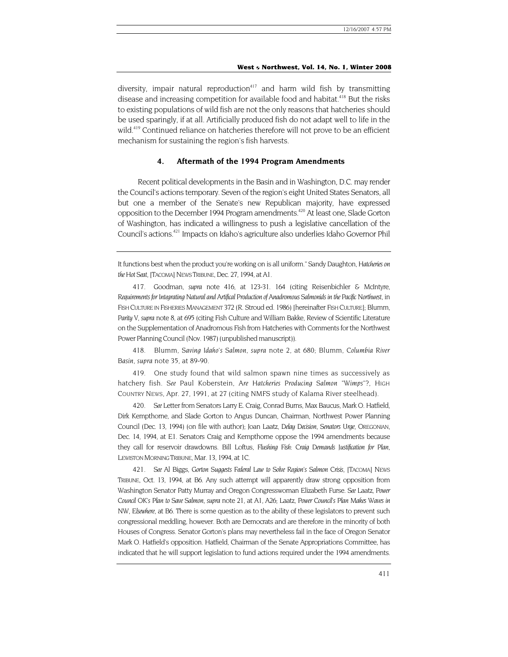<span id="page-79-4"></span>diversity, impair natural reproduction<sup>417</sup> and harm wild fish by transmitting disease and increasing competition for available food and habitat.<sup>418</sup> But the risks to existing populations of wild fish are not the only reasons that hatcheries should be used sparingly, if at all. Artificially produced fish do not adapt well to life in the wild.<sup>419</sup> Continued reliance on hatcheries therefore will not prove to be an efficient mechanism for sustaining the region's fish harvests.

#### **4. Aftermath of the 1994 Program Amendments**

Recent political developments in the Basin and in Washington, D.C. may render the Council's actions temporary. Seven of the region's eight United States Senators, all but one a member of the Senate's new Republican majority, have expressed opposition to the December 1994 Program amendments.<sup>420</sup> At least one, Slade Gorton of Washington, has indicated a willingness to push a legislative cancellation of the Council's actions[.421 I](#page-79-4)mpacts on Idaho's agriculture also underlies Idaho Governor Phil

<span id="page-79-0"></span>417. Goodman, *supra* note 416, at 123-31. 164 (citing Reisenbichler & McIntyre, *Requirements for Integrating Natural and Artifical Production of Anadromous Salmonids in the Pacific Northwest*, in FISH CULTURE IN FISHERIES MANAGEMENT 372 (R. Stroud ed. 1986) [hereinafter FISH CULTURE]; Blumm, *Parity V, supra* note 8, at 695 (citing Fish Culture and William Bakke, Review of Scientific Literature on the Supplementation of Anadromous Fish from Hatcheries with Comments for the Northwest Power Planning Council (Nov. 1987) (unpublished manuscript)).

<span id="page-79-1"></span>418. Blumm, *Saving Idaho's Salmon*, *supra* note 2, at 680; Blumm, *Columbia River Basin, supra* note 35, at 89-90.

<span id="page-79-2"></span>419. One study found that wild salmon spawn nine times as successively as hatchery fish. *See* Paul Koberstein, *Are Hatcheries Producing Salmon "Wimps"?*, HIGH COUNTRY NEWS, Apr. 27, 1991, at 27 (citing NMFS study of Kalama River steelhead).

<span id="page-79-3"></span>420*. See* Letter from Senators Larry E. Craig, Conrad Burns, Max Baucus, Mark O. Hatfield, Dirk Kempthorne, and Slade Gorton to Angus Duncan, Chairman, Northwest Power Planning Council (Dec. 13, 1994) (on file with author); Joan Laatz, *Delay Decision, Senators Urge*, OREGONIAN, Dec. 14, 1994, at E1. Senators Craig and Kempthorne oppose the 1994 amendments because they call for reservoir drawdowns. Bill Loftus, *Flushing Fish: Craig Demands Justification for Plan,* LEWISTON MORNING TRIBUNE, Mar. 13, 1994, at 1C.

421*. See* Al Biggs, *Gorton Suggests Federal Law to Solve Region's Salmon Crisis*, [TACOMA] NEWS TRIBUNE, Oct. 13, 1994, at B6. Any such attempt will apparently draw strong opposition from Washington Senator Patty Murray and Oregon Congresswoman Elizabeth Furse. *See* Laatz, *Power Council OK's Plan to Save Salmon, supra* note 21, at A1, A26; Laatz, *Power Council's Plan Makes Waves in NW, Elsewhere*, at B6. There is some question as to the ability of these legislators to prevent such congressional meddling, however. Both are Democrats and are therefore in the minority of both Houses of Congress. Senator Gorton's plans may nevertheless fail in the face of Oregon Senator Mark O. Hatfield's opposition. Hatfield, Chairman of the Senate Appropriations Committee, has indicated that he will support legislation to fund actions required under the 1994 amendments.

It functions best when the product you're working on is all uniform." Sandy Daughton, *Hatcheries on the Hot Seat*, [TACOMA] NEWS TRIBUNE, Dec. 27, 1994, at A1.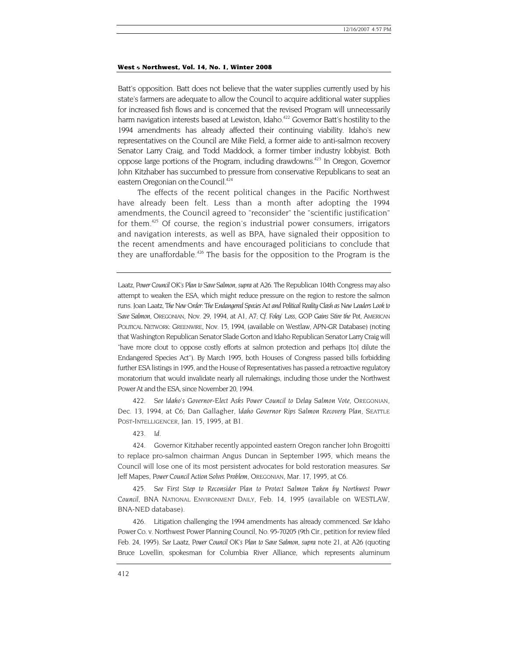<span id="page-80-4"></span>Batt's opposition. Batt does not believe that the water supplies currently used by his state's farmers are adequate to allow the Council to acquire additional water supplies for increased fish flows and is concerned that the revised Program will unnecessarily harm navigation interests based at Lewiston, Idaho.<sup>422</sup> Governor Batt's hostility to the 1994 amendments has already affected their continuing viability. Idaho's new representatives on the Council are Mike Field, a former aide to anti-salmon recovery Senator Larry Craig, and Todd Maddock, a former timber industry lobbyist. Both oppose large portions of the Program, including drawdowns.<sup>423</sup> In Oregon, Governor John Kitzhaber has succumbed to pressure from conservative Republicans to seat an eastern Oregonian on the Council.<sup>424</sup>

The effects of the recent political changes in the Pacific Northwest have already been felt. Less than a month after adopting the 1994 amendments, the Council agreed to "reconsider" the "scientific justification" for them.<sup>425</sup> Of course, the region's industrial power consumers, irrigators and navigation interests, as well as BPA, have signaled their opposition to the recent amendments and have encouraged politicians to conclude that they are unaffordable.<sup>426</sup> The basis for the opposition to the Program is the

Laatz, *Power Council OK's Plan to Save Salmon, supra* at A26. The Republican 104th Congress may also attempt to weaken the ESA, which might reduce pressure on the region to restore the salmon runs. Joan Laatz, *The New Order: The Endangered Species Act and Political Reality Clash as New Leaders Look to Save Salmon*, OREGONIAN, Nov. 29, 1994, at A1, A7; *Cf. Foley' Loss*, GOP *Gains Stire the Pot*, AMERICAN POLITICAL NETWORK: GREENWIRE, Nov. 15, 1994, (available on Westlaw, APN-GR Database) (noting that Washington Republican Senator Slade Gorton and Idaho Republican Senator Larry Craig will "have more clout to oppose costly efforts at salmon protection and perhaps [to] dilute the Endangered Species Act"). By March 1995, both Houses of Congress passed bills forbidding further ESA listings in 1995, and the House of Representatives has passed a retroactive regulatory moratorium that would invalidate nearly all rulemakings, including those under the Northwest Power At and the ESA, since November 20, 1994.

<span id="page-80-0"></span>422*. See Idaho's Governor-Elect Asks Power Council to Delay Salmon Vote*, OREGONIAN, Dec. 13, 1994, at C6; Dan Gallagher, *Idaho Governor Rips Salmon Recovery Plan*, SEATTLE POST-INTELLIGENCER, Jan. 15, 1995, at B1.

423*. Id.*

<span id="page-80-2"></span><span id="page-80-1"></span>424. Governor Kitzhaber recently appointed eastern Oregon rancher John Brogoitti to replace pro-salmon chairman Angus Duncan in September 1995, which means the Council will lose one of its most persistent advocates for bold restoration measures. *See* Jeff Mapes, *Power Council Action Solves Problem,* OREGONIAN, Mar. 17, 1995, at C6.

<span id="page-80-3"></span>425*. See First Step to Reconsider Plan to Protect Salmon Taken by Northwest Power Council*, BNA NATIONAL ENVIRONMENT DAILY, Feb. 14, 1995 (available on WESTLAW, BNA-NED database).

426. Litigation challenging the 1994 amendments has already commenced. *See* Idaho Power Co. v. Northwest Power Planning Council, No. 95-70205 (9th Cir., petition for review filed Feb. 24, 1995). *See* Laatz, *Power Council OK's Plan to Save Salmon, supra* note 21, at A26 (quoting Bruce Lovellin, spokesman for Columbia River Alliance, which represents aluminum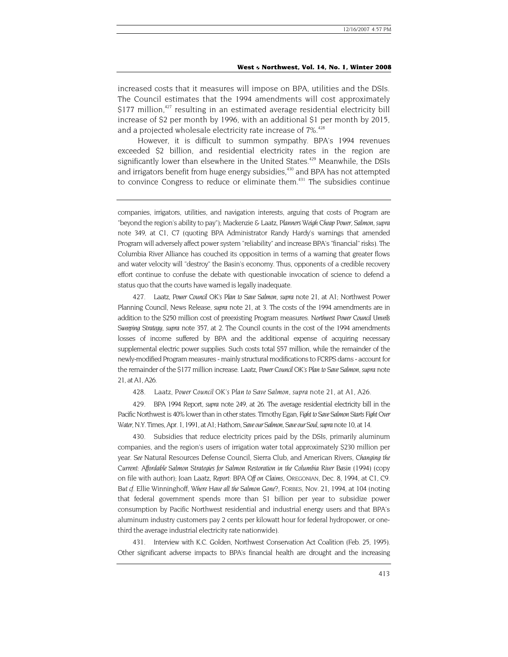<span id="page-81-4"></span>increased costs that it measures will impose on BPA, utilities and the DSIs. The Council estimates that the 1994 amendments will cost approximately  $$177$  million,<sup>427</sup> resulting in an estimated average residential electricity bill increase of \$2 per month by 1996, with an additional \$1 per month by 2015, and a projected wholesale electricity rate increase of 7%.<sup>[428](#page-81-1)</sup>

However, it is difficult to summon sympathy. BPA's 1994 revenues exceeded \$2 billion, and residential electricity rates in the region are significantly lower than elsewhere in the United States.<sup>429</sup> Meanwhile, the DSIs and irrigators benefit from huge energy subsidies,<sup>430</sup> and BPA has not attempted to convince Congress to reduce or eliminate them.<sup>431</sup> The subsidies continue

companies, irrigators, utilities, and navigation interests, arguing that costs of Program are "beyond the region's ability to pay"); Mackenzie & Laatz, *Planners Weigh Cheap Power, Salmon, supra* note 349, at C1, C7 (quoting BPA Administrator Randy Hardy's warnings that amended Program will adversely affect power system "reliability" and increase BPA's "financial" risks). The Columbia River Alliance has couched its opposition in terms of a warning that greater flows and water velocity will "destroy" the Basin's economy. Thus, opponents of a credible recovery effort continue to confuse the debate with questionable invocation of science to defend a status quo that the courts have warned is legally inadequate.

<span id="page-81-0"></span>427. Laatz, *Power Council OK's Plan to Save Salmon, supra* note 21, at A1; Northwest Power Planning Council, News Release, *supra* note 21, at 3. The costs of the 1994 amendments are in addition to the \$250 million cost of preexisting Program measures. *Northwest Power Council Unveils Sweeping Strategy, supra* note 357, at 2. The Council counts in the cost of the 1994 amendments losses of income suffered by BPA and the additional expense of acquiring necessary supplemental electric power supplies. Such costs total \$57 million, while the remainder of the newly-modified Program measures - mainly structural modifications to FCRPS dams - account for the remainder of the \$177 million increase. Laatz, *Power Council OK's Plan to Save Salmon*, *supra* note 21, at A1, A26.

428. Laatz, *Power Council OK's Plan to Save Salmon, supra* note 21, at A1, A26.

<span id="page-81-2"></span><span id="page-81-1"></span>429. BPA 1994 Report, *supra* note 249, at 26. The average residential electricity bill in the Pacific Northwest is 40% lower than in other states. Timothy Egan, *Fight to Save Salmon Starts Fight Over Water*, N.Y. Times, Apr. 1, 1991, at A1; Hathorn, *Save our Salmon, Save our Soul, supra* note 10, at 14.

<span id="page-81-3"></span>430. Subsidies that reduce electricity prices paid by the DSIs, primarily aluminum companies, and the region's users of irrigation water total approximately \$230 million per year. *See* Natural Resources Defense Council, Sierra Club, and American Rivers, *Changing the Current: Affordable Salmon Strategies for Salmon Restoration in the Columbia River Basin* (1994) (copy on file with author); Joan Laatz, *Report: BPA Off on Claims,* OREGONIAN, Dec. 8, 1994, at C1, C9. *But cf.* Ellie Winninghoff, *Where Have all the Salmon Gone?*, FORBES, Nov. 21, 1994, at 104 (noting that federal government spends more than \$1 billion per year to subsidize power consumption by Pacific Northwest residential and industrial energy users and that BPA's aluminum industry customers pay 2 cents per kilowatt hour for federal hydropower, or onethird the average industrial electricity rate nationwide).

Interview with K.C. Golden, Northwest Conservation Act Coalition (Feb. 25, 1995). Other significant adverse impacts to BPA's financial health are drought and the increasing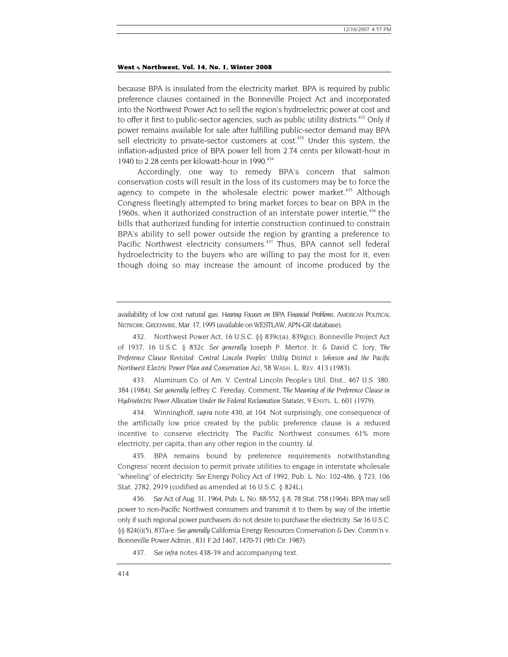because BPA is insulated from the electricity market. BPA is required by public preference clauses contained in the Bonneville Project Act and incorporated into the Northwest Power Act to sell the region's hydroelectric power at cost and to offer it first to public-sector agencies, such as public utility districts.<sup>432</sup> Only if power remains available for sale after fulfilling public-sector demand may BPA sell electricity to private-sector customers at cost.<sup>433</sup> Under this system, the inflation-adjusted price of BPA power fell from 2.74 cents per kilowatt-hour in 1940 to 2.28 cents per kilowatt-hour in 1990.<sup>[434](#page-82-2)</sup>

Accordingly, one way to remedy BPA's concern that salmon conservation costs will result in the loss of its customers may be to force the agency to compete in the wholesale electric power market.<sup>435</sup> Although Congress fleetingly attempted to bring market forces to bear on BPA in the 1960s, when it authorized construction of an interstate power intertie, $436$  the bills that authorized funding for intertie construction continued to constrain BPA's ability to sell power outside the region by granting a preference to Pacific Northwest electricity consumers.<sup>437</sup> Thus, BPA cannot sell federal hydroelectricity to the buyers who are willing to pay the most for it, even though doing so may increase the amount of income produced by the

availability of low cost natural gas. *Hearing Focuses on BPA Financial Problems,* AMERICAN POLITICAL NETWORK: GREENWIRE, Mar. 17, 1995 (available on WESTLAW, APN-GR database).

<span id="page-82-0"></span>432. Northwest Power Act, 16 U.S.C. §§ 839c(a), 839g(c); Bonneville Project Act of 1937, 16 U.S.C. § 832c. *See generally* Joseph P. Mertor, Jr. & David C. Jory, *The Preference Clause Revisited: Central Lincoln Peoples' Utility District v. Johnson and the Pacific Northwest Electric Power Plan and Conservation Act,* 58 WASH. L. REV. 413 (1983).

<span id="page-82-1"></span>433. Aluminum Co. of Am. V. Central Lincoln People's Util. Dist., 467 U.S. 380, 384 (1984). *See generally* Jeffrey C. Fereday, Comment, *The Meaning of the Preference Clause in Hydroelectric Power Allocation Under the Federal Reclamation Statutes*, 9 ENVTL. L. 601 (1979).

<span id="page-82-2"></span>434. Winninghoff, *supra* note 430, at 104. Not surprisingly, one consequence of the artificially low price created by the public preference clause is a reduced incentive to conserve electricity. The Pacific Northwest consumes 61% more electricity, per capita, than any other region in the country. *Id.* 

<span id="page-82-3"></span>435. BPA remains bound by preference requirements notwithstanding Congress' recent decision to permit private utilities to engage in interstate wholesale "wheeling" of electricity. *See* Energy Policy Act of 1992, Pub. L. No. 102-486, § 723, 106 Stat. 2782, 2919 (codified as amended at 16 U.S.C. § 824L).

<span id="page-82-4"></span>436*. See* Act of Aug. 31, 1964, Pub. L. No. 88-552, § 8, 78 Stat. 758 (1964). BPA may sell power to non-Pacific Northwest consumers and transmit it to them by way of the intertie only if such regional power purchasers do not desire to purchase the electricity. *See* 16 U.S.C. §§ 824(i)(5), 837a-e. *See generally* California Energy Resources Conservation & Dev. Comm'n v. Bonneville Power Admin., 831 F.2d 1467, 1470-71 (9th Cir. 1987).

<span id="page-82-5"></span>437*. See infra* notes 438-39 and accompanying text.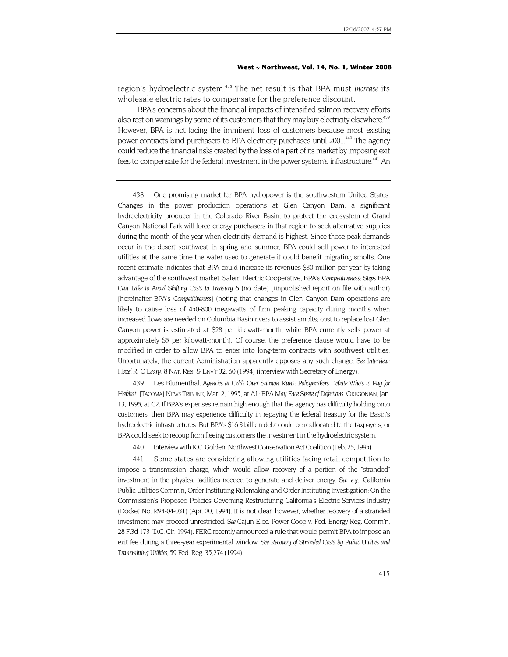region's hydroelectric system.[438](#page-83-0) The net result is that BPA must *increase* its wholesale electric rates to compensate for the preference discount.

BPA's concerns about the financial impacts of intensified salmon recovery efforts also rest on warnings by some of its customers that they may buy electricity elsewhere.<sup>439</sup> However, BPA is not facing the imminent loss of customers because most existing power contracts bind purchasers to BPA electricity purchases until 2001.<sup>440</sup> The agency could reduce the financial risks created by the loss of a part of its market by imposing exit fees to compensate for the federal investment in the power system's infrastructure.<sup>441</sup> An

<span id="page-83-0"></span>438. One promising market for BPA hydropower is the southwestern United States. Changes in the power production operations at Glen Canyon Dam, a significant hydroelectricity producer in the Colorado River Basin, to protect the ecosystem of Grand Canyon National Park will force energy purchasers in that region to seek alternative supplies during the month of the year when electricity demand is highest. Since those peak demands occur in the desert southwest in spring and summer, BPA could sell power to interested utilities at the same time the water used to generate it could benefit migrating smolts. One recent estimate indicates that BPA could increase its revenues \$30 million per year by taking advantage of the southwest market. Salem Electric Cooperative, BPA's *Competitiveness: Steps BPA Can Take to Avoid Shifting Costs to Treasury* 6 (no date) (unpublished report on file with author) [hereinafter BPA's *Competitiveness*] (noting that changes in Glen Canyon Dam operations are likely to cause loss of 450-800 megawatts of firm peaking capacity during months when increased flows are needed on Columbia Basin rivers to assist smolts; cost to replace lost Glen Canyon power is estimated at \$28 per kilowatt-month, while BPA currently sells power at approximately \$5 per kilowatt-month). Of course, the preference clause would have to be modified in order to allow BPA to enter into long-term contracts with southwest utilities. Unfortunately, the current Administration apparently opposes any such change. *See Interview: Hazel R. O'Leary*, 8 NAT. RES. & ENV'T 32, 60 (1994) (interview with Secretary of Energy).

<span id="page-83-1"></span>439. Les Blumenthal, *Agencies at Odds Over Salmon Runs: Policymakers Debate Who's to Pay for Habitat*, [TACOMA] NEWS TRIBUNE, Mar. 2, 1995, at A1; BPA *May Face Spate of Defections*, OREGONIAN, Jan. 13, 1995, at C2. If BPA's expenses remain high enough that the agency has difficulty holding onto customers, then BPA may experience difficulty in repaying the federal treasury for the Basin's hydroelectric infrastructures. But BPA's \$16.3 billion debt could be reallocated to the taxpayers, or BPA could seek to recoup from fleeing customers the investment in the hydroelectric system.

440. Interview with K.C. Golden, Northwest Conservation Act Coalition (Feb. 25, 1995).

<span id="page-83-3"></span><span id="page-83-2"></span>441. Some states are considering allowing utilities facing retail competition to impose a transmission charge, which would allow recovery of a portion of the "stranded" investment in the physical facilities needed to generate and deliver energy. *See, e.g.,* California Public Utilities Comm'n, Order Instituting Rulemaking and Order Instituting Investigation: On the Commission's Proposed Policies Governing Restructuring California's Electric Services Industry (Docket No. R94-04-031) (Apr. 20, 1994). It is not clear, however, whether recovery of a stranded investment may proceed unrestricted. *See* Cajun Elec. Power Coop v. Fed. Energy Reg. Comm'n, 28 F.3d 173 (D.C. Cir. 1994). FERC recently announced a rule that would permit BPA to impose an exit fee during a three-year experimental window. *See Recovery of Stranded Costs by Public Utilities and Transmitting Utilities*, 59 Fed. Reg. 35,274 (1994).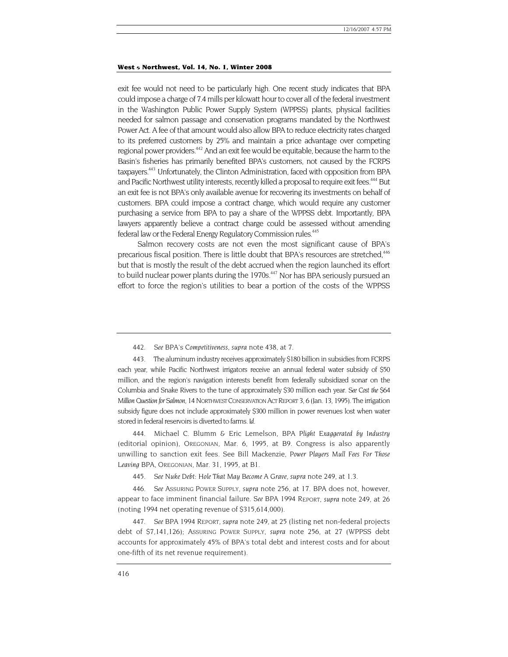exit fee would not need to be particularly high. One recent study indicates that BPA could impose a charge of 7.4 mills per kilowatt hour to cover all of the federal investment in the Washington Public Power Supply System (WPPSS) plants, physical facilities needed for salmon passage and conservation programs mandated by the Northwest Power Act. A fee of that amount would also allow BPA to reduce electricity rates charged to its preferred customers by 25% and maintain a price advantage over competing regional power providers.<sup>442</sup> And an exit fee would be equitable, because the harm to the Basin's fisheries has primarily benefited BPA's customers, not caused by the FCRPS taxpayers[.443 U](#page-84-1)nfortunately, the Clinton Administration, faced with opposition from BPA and Pacific Northwest utility interests, recently killed a proposal to require exit fees.<sup>444</sup> But an exit fee is not BPA's only available avenue for recovering its investments on behalf of customers. BPA could impose a contract charge, which would require any customer purchasing a service from BPA to pay a share of the WPPSS debt. Importantly, BPA lawyers apparently believe a contract charge could be assessed without amending federal law or the Federal Energy Regulatory Commission rules.<sup>[445](#page-84-3)</sup>

Salmon recovery costs are not even the most significant cause of BPA's precarious fiscal position. There is little doubt that BPA's resources are stretched,<sup>446</sup> but that is mostly the result of the debt accrued when the region launched its effort to build nuclear power plants during the 1970s.<sup>447</sup> Nor has BPA seriously pursued an effort to force the region's utilities to bear a portion of the costs of the WPPSS

<span id="page-84-2"></span>444. Michael C. Blumm & Eric Lemelson, BPA *Plight Exaggerated by Industry* (editorial opinion), OREGONIAN, Mar. 6, 1995, at B9. Congress is also apparently unwilling to sanction exit fees. See Bill Mackenzie, *Power Players Mull Fees For Those Leaving BPA,* OREGONIAN, Mar. 31, 1995, at B1.

445*. See Nuke Debt: Hole That May Become A Grave, supra* note 249, at 1.3.

<span id="page-84-4"></span><span id="page-84-3"></span>446*. See* ASSURING POWER SUPPLY, *supra* note 256, at 17. BPA does not, however, appear to face imminent financial failure. *See* BPA 1994 REPORT, *supra* note 249, at 26 (noting 1994 net operating revenue of \$315,614,000).

<span id="page-84-5"></span>447*. See* BPA 1994 REPORT, *supra* note 249, at 25 (listing net non-federal projects debt of \$7,141,126); ASSURING POWER SUPPLY, *supra* note 256, at 27 (WPPSS debt accounts for approximately 45% of BPA's total debt and interest costs and for about one-fifth of its net revenue requirement).

<sup>442</sup>*. See* BPA's *Competitiveness, supra* note 438, at 7.

<span id="page-84-1"></span><span id="page-84-0"></span><sup>443.</sup> The aluminum industry receives approximately \$180 billion in subsidies from FCRPS each year, while Pacific Northwest irrigators receive an annual federal water subsidy of \$50 million, and the region's navigation interests benefit from federally subsidized sonar on the Columbia and Snake Rivers to the tune of approximately \$30 million each year. *See Cost the \$64 Million Question for Salmon*, 14 NORTHWEST CONSERVATION ACT REPORT 3, 6 (Jan. 13, 1995). The irrigation subsidy figure does not include approximately \$300 million in power revenues lost when water stored in federal reservoirs is diverted to farms. *Id.*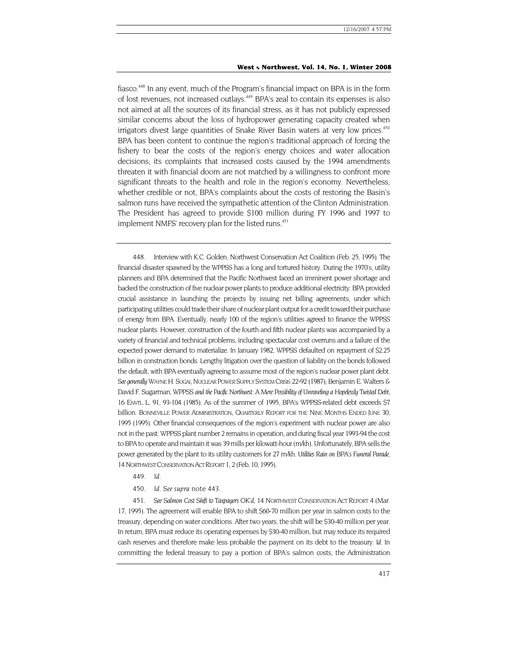<span id="page-85-3"></span>fiasco[.448 I](#page-85-0)n any event, much of the Program's financial impact on BPA is in the form of lost revenues, not increased outlays.<sup>449</sup> BPA's zeal to contain its expenses is also not aimed at all the sources of its financial stress, as it has not publicly expressed similar concerns about the loss of hydropower generating capacity created when irrigators divest large quantities of Snake River Basin waters at very low prices.<sup>450</sup> BPA has been content to continue the region's traditional approach of forcing the fishery to bear the costs of the region's energy choices and water allocation decisions; its complaints that increased costs caused by the 1994 amendments threaten it with financial doom are not matched by a willingness to confront more significant threats to the health and role in the region's economy. Nevertheless, whether credible or not, BPA's complaints about the costs of restoring the Basin's salmon runs have received the sympathetic attention of the Clinton Administration. The President has agreed to provide \$100 million during FY 1996 and 1997 to implement NMFS' recovery plan for the listed runs.<sup>451</sup>

<span id="page-85-0"></span>448. Interview with K.C. Golden, Northwest Conservation Act Coalition (Feb. 25, 1995). The financial disaster spawned by the WPPSS has a long and tortured history. During the 1970's, utility planners and BPA determined that the Pacific Northwest faced an imminent power shortage and backed the construction of five nuclear power plants to produce additional electricity. BPA provided crucial assistance in launching the projects by issuing net billing agreements, under which participating utilities could trade their share of nuclear plant output for a credit toward their purchase of energy from BPA. Eventually, nearly 100 of the region's utilities agreed to finance the WPPSS nuclear plants. However, construction of the fourth and fifth nuclear plants was accompanied by a variety of financial and technical problems, including spectacular cost overruns and a failure of the expected power demand to materialize. In January 1982, WPPSS defaulted on repayment of \$2.25 billion in construction bonds. Lengthy litigation over the question of liability on the bonds followed the default, with BPA eventually agreeing to assume most of the region's nuclear power plant debt. *See generally* WAYNE H. SUGAI, NUCLEAR POWER SUPPLY SYSTEM CRISIS 22-92 (1987); Benjamin E. Walters & David F. Sugarman, WPPSS *and the Pacific Northwest: A Mere Possibility of Unraveling a Hopelessly Twisted Debt*, 16 ENVTL. L. 91, 93-104 (1985). As of the summer of 1995, BPA's WPPSS-related debt exceeds \$7 billion. BONNEVILLE POWER ADMINISTRATION, QUARTERLY REPORT FOR THE NINE MONTHS ENDED JUNE 30, 1995 (1995). Other financial consequences of the region's experiment with nuclear power are also not in the past. WPPSS plant number 2 remains in operation, and during fiscal year 1993-94 the cost to BPA to operate and maintain it was 39 mills per kilowatt-hour (m/kh). Unfortunately, BPA sells the power generated by the plant to its utility customers for 27 m/kh. *Utilities Rain on BPA's Funeral Parade*, 14 NORTHWEST CONSERVATION ACT REPORT 1, 2 (Feb. 10, 1995).

- <span id="page-85-1"></span>449*. Id.*
- <span id="page-85-2"></span>450*. Id. See supra* note 443.

451*. See Salmon Cost Shift to Taxpayers OK'd*, 14 NORTHWEST CONSERVATION ACT REPORT 4 (Mar. 17, 1995). The agreement will enable BPA to shift \$60-70 million per year in salmon costs to the treasury, depending on water conditions. After two years, the shift will be \$30-40 million per year. In return, BPA must reduce its operating expenses by \$30-40 million, but may reduce its required cash reserves and therefore make less probable the payment on its debt to the treasury. *Id.* In committing the federal treasury to pay a portion of BPA's salmon costs, the Administration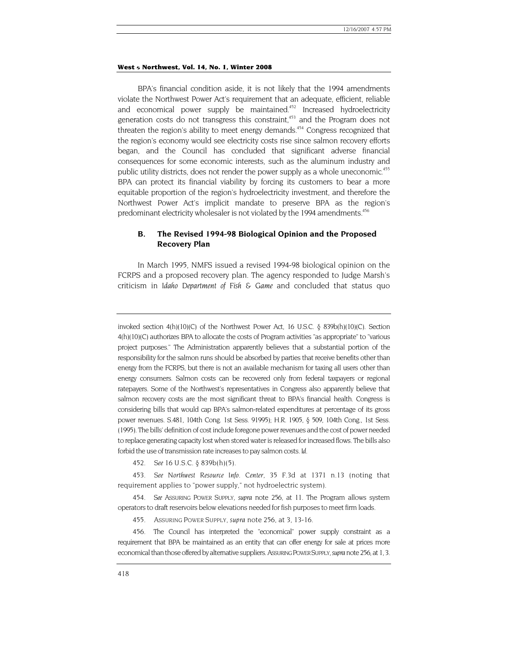BPA's financial condition aside, it is not likely that the 1994 amendments violate the Northwest Power Act's requirement that an adequate, efficient, reliable and economical power supply be maintained.<sup>452</sup> Increased hydroelectricity generation costs do not transgress this constraint,<sup>453</sup> and the Program does not threaten the region's ability to meet energy demands.<sup>454</sup> Congress recognized that the region's economy would see electricity costs rise since salmon recovery efforts began, and the Council has concluded that significant adverse financial consequences for some economic interests, such as the aluminum industry and public utility districts, does not render the power supply as a whole uneconomic.<sup>455</sup> BPA can protect its financial viability by forcing its customers to bear a more equitable proportion of the region's hydroelectricity investment, and therefore the Northwest Power Act's implicit mandate to preserve BPA as the region's predominant electricity wholesaler is not violated by the 1994 amendments.<sup>456</sup>

# **B. The Revised 1994-98 Biological Opinion and the Proposed Recovery Plan**

In March 1995, NMFS issued a revised 1994-98 biological opinion on the FCRPS and a proposed recovery plan. The agency responded to Judge Marsh's criticism in *Idaho Department of Fish & Game* and concluded that status quo

invoked section  $4(h)(10)(C)$  of the Northwest Power Act, 16 U.S.C. § 839b(h)(10)(C). Section 4(h)(10)(C) authorizes BPA to allocate the costs of Program activities "as appropriate" to "various project purposes." The Administration apparently believes that a substantial portion of the responsibility for the salmon runs should be absorbed by parties that receive benefits other than energy from the FCRPS, but there is not an available mechanism for taxing all users other than energy consumers. Salmon costs can be recovered only from federal taxpayers or regional ratepayers. Some of the Northwest's representatives in Congress also apparently believe that salmon recovery costs are the most significant threat to BPA's financial health. Congress is considering bills that would cap BPA's salmon-related expenditures at percentage of its gross power revenues. S.481, 104th Cong. 1st Sess. 91995); H.R. 1905, § 509, 104th Cong., 1st Sess. (1995). The bills' definition of cost include foregone power revenues and the cost of power needed to replace generating capacity lost when stored water is released for increased flows. The bills also forbid the use of transmission rate increases to pay salmon costs. *Id.* 

452*. See* 16 U.S.C. § 839b(h)(5).

<span id="page-86-1"></span><span id="page-86-0"></span>453*. See Northwest Resource Info. Center,* 35 F.3d at 1371 n.13 (noting that requirement applies to "power supply," not hydroelectric system).

<span id="page-86-2"></span>454*. See* ASSURING POWER SUPPLY, *supra* note 256, at 11. The Program allows system operators to draft reservoirs below elevations needed for fish purposes to meet firm loads.

455. ASSURING POWER SUPPLY, *supra* note 256, at 3, 13-16.

<span id="page-86-4"></span><span id="page-86-3"></span>456. The Council has interpreted the "economical" power supply constraint as a requirement that BPA be maintained as an entity that can offer energy for sale at prices more economical than those offered by alternative suppliers. ASSURING POWER SUPPLY, *supra* note 256, at 1, 3.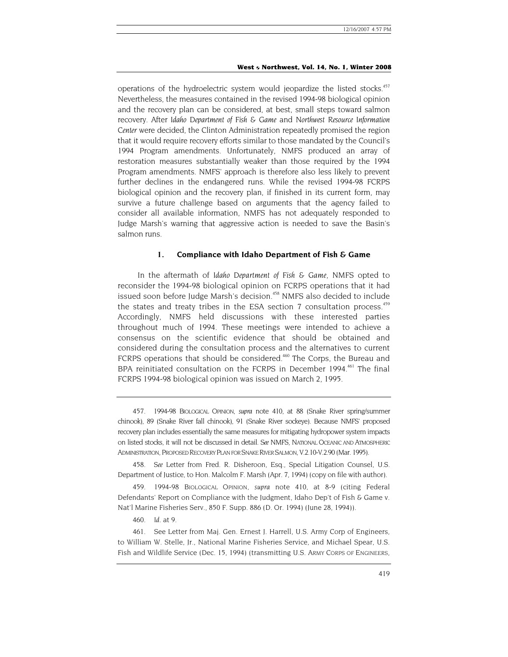<span id="page-87-4"></span>operations of the hydroelectric system would jeopardize the listed stocks.<sup>457</sup> Nevertheless, the measures contained in the revised 1994-98 biological opinion and the recovery plan can be considered, at best, small steps toward salmon recovery. After *Idaho Department of Fish & Game* and *Northwest Resource Information Center* were decided, the Clinton Administration repeatedly promised the region that it would require recovery efforts similar to those mandated by the Council's 1994 Program amendments. Unfortunately, NMFS produced an array of restoration measures substantially weaker than those required by the 1994 Program amendments. NMFS' approach is therefore also less likely to prevent further declines in the endangered runs. While the revised 1994-98 FCRPS biological opinion and the recovery plan, if finished in its current form, may survive a future challenge based on arguments that the agency failed to consider all available information, NMFS has not adequately responded to Judge Marsh's warning that aggressive action is needed to save the Basin's salmon runs.

# **1. Compliance with Idaho Department of Fish & Game**

In the aftermath of *Idaho Department of Fish & Game*, NMFS opted to reconsider the 1994-98 biological opinion on FCRPS operations that it had issued soon before Judge Marsh's decision.<sup>458</sup> NMFS also decided to include the states and treaty tribes in the ESA section 7 consultation process.<sup>459</sup> Accordingly, NMFS held discussions with these interested parties throughout much of 1994. These meetings were intended to achieve a consensus on the scientific evidence that should be obtained and considered during the consultation process and the alternatives to current FCRPS operations that should be considered.<sup>460</sup> The Corps, the Bureau and BPA reinitiated consultation on the FCRPS in December 1994.<sup>461</sup> The final FCRPS 1994-98 biological opinion was issued on March 2, 1995.

<span id="page-87-3"></span>460*. Id.* at 9.

461. See Letter from Maj. Gen. Ernest J. Harrell, U.S. Army Corp of Engineers, to William W. Stelle, Jr., National Marine Fisheries Service, and Michael Spear, U.S. Fish and Wildlife Service (Dec. 15, 1994) (transmitting U.S. ARMY CORPS OF ENGINEERS,

<span id="page-87-0"></span><sup>457.</sup> 1994-98 BIOLOGICAL OPINION, *supra* note 410, at 88 (Snake River spring/summer chinook), 89 (Snake River fall chinook), 91 (Snake River sockeye). Because NMFS' proposed recovery plan includes essentially the same measures for mitigating hydropower system impacts on listed stocks, it will not be discussed in detail. *See* NMFS, NATIONAL OCEANIC AND ATMOSPHERIC ADMINISTRATION, PROPOSED RECOVERY PLAN FOR SNAKE RIVER SALMON, V.2.10-V.2.90 (Mar. 1995).

<span id="page-87-1"></span><sup>458</sup>*. See* Letter from Fred. R. Disheroon, Esq., Special Litigation Counsel, U.S. Department of Justice, to Hon. Malcolm F. Marsh (Apr. 7, 1994) (copy on file with author).

<span id="page-87-2"></span><sup>459. 1994-98</sup> BIOLOGICAL OPINION, *supra* note 410, at 8-9 (citing Federal Defendants' Report on Compliance with the Judgment, Idaho Dep't of Fish & Game v. Nat'l Marine Fisheries Serv., 850 F. Supp. 886 (D. Or. 1994) (June 28, 1994)).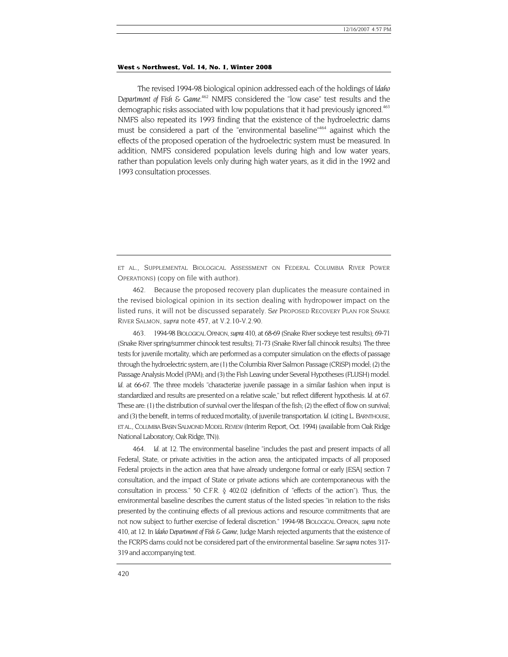The revised 1994-98 biological opinion addressed each of the holdings of *Idaho*  Department of Fish & Game.<sup>462</sup> NMFS considered the "low case" test results and the demographic risks associated with low populations that it had previously ignored.<sup>463</sup> NMFS also repeated its 1993 finding that the existence of the hydroelectric dams must be considered a part of the "environmental baseline"<sup>464</sup> against which the effects of the proposed operation of the hydroelectric system must be measured. In addition, NMFS considered population levels during high and low water years, rather than population levels only during high water years, as it did in the 1992 and 1993 consultation processes.

<span id="page-88-1"></span>463. 1994-98 BIOLOGICAL OPINION, *supra* 410, at 68-69 (Snake River sockeye test results); 69-71 (Snake River spring/summer chinook test results); 71-73 (Snake River fall chinook results). The three tests for juvenile mortality, which are performed as a computer simulation on the effects of passage through the hydroelectric system, are (1) the Columbia River Salmon Passage (CRiSP) model; (2) the Passage Analysis Model (PAM); and (3) the Fish Leaving under Several Hypotheses (FLUSH) model. *Id.* at 66-67. The three models "characterize juvenile passage in a similar fashion when input is standardized and results are presented on a relative scale," but reflect different hypothesis. *Id.* at 67. These are: (1) the distribution of survival over the lifespan of the fish; (2) the effect of flow on survival; and (3) the benefit, in terms of reduced mortality, of juvenile transportation. *Id.* (citing L. BARNTHOUSE, *ET AL.,* COLUMBIA BASIN SALMONID MODEL REVIEW (Interim Report, Oct. 1994) (available from Oak Ridge National Laboratory, Oak Ridge, TN)).

<span id="page-88-2"></span>464*. Id.* at 12. The environmental baseline "includes the past and present impacts of all Federal, State, or private activities in the action area, the anticipated impacts of all proposed Federal projects in the action area that have already undergone formal or early [ESA] section 7 consultation, and the impact of State or private actions which are contemporaneous with the consultation in process." 50 C.F.R. § 402.02 (definition of "effects of the action"). Thus, the environmental baseline describes the current status of the listed species "in relation to the risks presented by the continuing effects of all previous actions and resource commitments that are not now subject to further exercise of federal discretion." 1994-98 BIOLOGICAL OPINION, *supra* note 410, at 12. In *Idaho Department of Fish & Game*, Judge Marsh rejected arguments that the existence of the FCRPS dams could not be considered part of the environmental baseline. *See supra* notes 317- 319 and accompanying text.

ET AL., SUPPLEMENTAL BIOLOGICAL ASSESSMENT ON FEDERAL COLUMBIA RIVER POWER OPERATIONS) (copy on file with author).

<span id="page-88-0"></span><sup>462.</sup> Because the proposed recovery plan duplicates the measure contained in the revised biological opinion in its section dealing with hydropower impact on the listed runs, it will not be discussed separately. *See* PROPOSED RECOVERY PLAN FOR SNAKE RIVER SALMON, *supra* note 457, at V.2.10-V.2.90.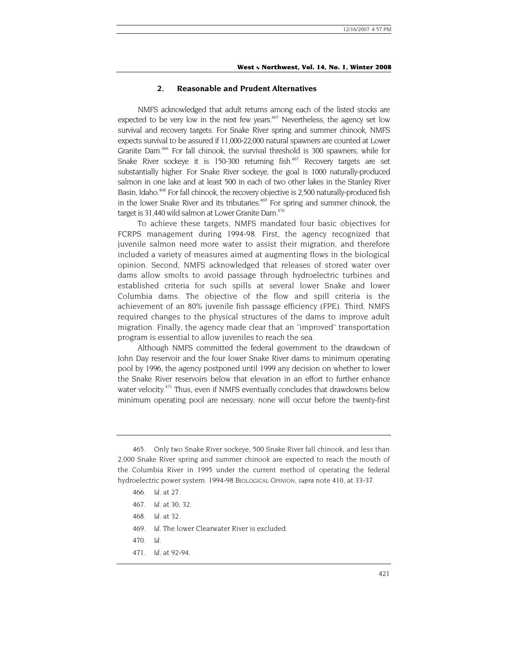# **2. Reasonable and Prudent Alternatives**

NMFS acknowledged that adult returns among each of the listed stocks are expected to be very low in the next few years.<sup>465</sup> Nevertheless, the agency set low survival and recovery targets. For Snake River spring and summer chinook, NMFS expects survival to be assured if 11,000-22,000 natural spawners are counted at Lower Granite Dam<sup>466</sup> For fall chinook, the survival threshold is 300 spawners, while for Snake River sockeye it is 150-300 returning fish. $467$  Recovery targets are set substantially higher. For Snake River sockeye, the goal is 1000 naturally-produced salmon in one lake and at least 500 in each of two other lakes in the Stanley River Basin, Idaho.<sup>468</sup> For fall chinook, the recovery objective is 2,500 naturally-produced fish in the lower Snake River and its tributaries.<sup>469</sup> For spring and summer chinook, the target is 31,440 wild salmon at Lower Granite Dam.<sup>470</sup>

To achieve these targets, NMFS mandated four basic objectives for FCRPS management during 1994-98. First, the agency recognized that juvenile salmon need more water to assist their migration, and therefore included a variety of measures aimed at augmenting flows in the biological opinion. Second, NMFS acknowledged that releases of stored water over dams allow smolts to avoid passage through hydroelectric turbines and established criteria for such spills at several lower Snake and lower Columbia dams. The objective of the flow and spill criteria is the achievement of an 80% juvenile fish passage efficiency (FPE). Third, NMFS required changes to the physical structures of the dams to improve adult migration. Finally, the agency made clear that an "improved" transportation program is essential to allow juveniles to reach the sea.

Although NMFS committed the federal government to the drawdown of John Day reservoir and the four lower Snake River dams to minimum operating pool by 1996, the agency postponed until 1999 any decision on whether to lower the Snake River reservoirs below that elevation in an effort to further enhance water velocity.<sup>471</sup> Thus, even if NMFS eventually concludes that drawdowns below minimum operating pool are necessary, none will occur before the twenty-first

<span id="page-89-1"></span>466*. Id.* at 27.

<span id="page-89-0"></span><sup>465.</sup> Only two Snake River sockeye, 500 Snake River fall chinook, and less than 2,000 Snake River spring and summer chinook are expected to reach the mouth of the Columbia River in 1995 under the current method of operating the federal hydroelectric power system. 1994-98 BIOLOGICAL OPINION, *supra* note 410, at 33-37.

<span id="page-89-2"></span><sup>467</sup>*. Id.* at 30, 32.

<span id="page-89-3"></span><sup>468</sup>*. Id.* at 32.

<span id="page-89-4"></span><sup>469</sup>*. Id.* The lower Clearwater River is excluded.

<span id="page-89-5"></span><sup>470</sup>*. Id.*

<span id="page-89-6"></span><sup>471</sup>*. Id.* at 92-94.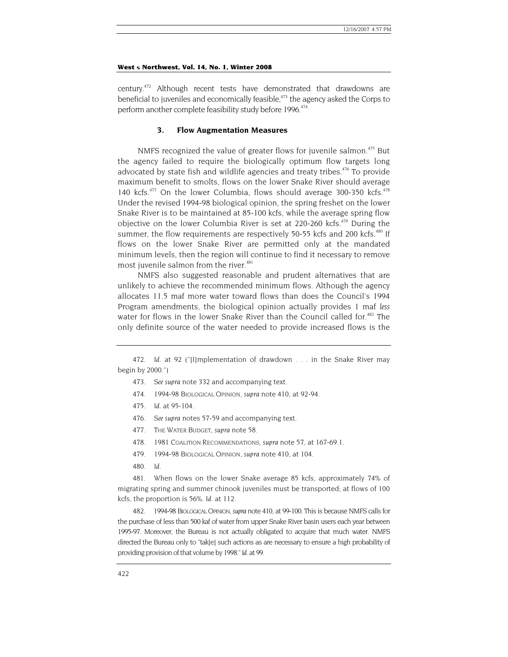century[.472](#page-90-0) Although recent tests have demonstrated that drawdowns are beneficial to juveniles and economically feasible,<sup>473</sup> the agency asked the Corps to perform another complete feasibility study before 1996.<sup>[474](#page-90-2)</sup>

## **3. Flow Augmentation Measures**

NMFS recognized the value of greater flows for juvenile salmon.<sup>475</sup> But the agency failed to require the biologically optimum flow targets long advocated by state fish and wildlife agencies and treaty tribes.<sup>476</sup> To provide maximum benefit to smolts, flows on the lower Snake River should average 140 kcfs. $477$  On the lower Columbia, flows should average 300-350 kcfs. $478$ Under the revised 1994-98 biological opinion, the spring freshet on the lower Snake River is to be maintained at 85-100 kcfs, while the average spring flow objective on the lower Columbia River is set at  $220-260$  kcfs.<sup>479</sup> During the summer, the flow requirements are respectively 50-55 kcfs and 200 kcfs.<sup>480</sup> If flows on the lower Snake River are permitted only at the mandated minimum levels, then the region will continue to find it necessary to remove most juvenile salmon from the river.<sup>[481](#page-90-9)</sup>

NMFS also suggested reasonable and prudent alternatives that are unlikely to achieve the recommended minimum flows. Although the agency allocates 11.5 maf more water toward flows than does the Council's 1994 Program amendments, the biological opinion actually provides 1 maf *less* water for flows in the lower Snake River than the Council called for.<sup>482</sup> The only definite source of the water needed to provide increased flows is the

- <span id="page-90-1"></span>473*. See supra* note 332 and accompanying text.
- <span id="page-90-2"></span>474. 1994-98 BIOLOGICAL OPINION, *supra* note 410, at 92-94.
- <span id="page-90-3"></span>475*. Id.* at 95-104.
- <span id="page-90-4"></span>476*. See supra* notes 57-59 and accompanying text.
- <span id="page-90-5"></span>477. THE WATER BUDGET, *supra* note 58.
- <span id="page-90-6"></span>478. 1981 COALITION RECOMMENDATIONS, *supra* note 57, at 167-69.1.
- <span id="page-90-7"></span>479. 1994-98 BIOLOGICAL OPINION, *supra* note 410, at 104.
- 480*. Id.*

<span id="page-90-9"></span><span id="page-90-8"></span>481. When flows on the lower Snake average 85 kcfs, approximately 74% of migrating spring and summer chinook juveniles must be transported; at flows of 100 kcfs, the proportion is 56%. *Id.* at 112.

<span id="page-90-10"></span>482. 1994-98 BIOLOGICAL OPINION, *supra* note 410, at 99-100. This is because NMFS calls for the purchase of less than 500 kaf of water from upper Snake River basin users each year between 1995-97. Moreover, the Bureau is not actually obligated to acquire that much water. NMFS directed the Bureau only to "tak[e] such actions as are necessary to ensure a high probability of providing provision of that volume by 1998." *Id.* at 99.

<span id="page-90-0"></span><sup>472</sup>*. Id.* at 92 ("[I]mplementation of drawdown . . . in the Snake River may begin by 2000.")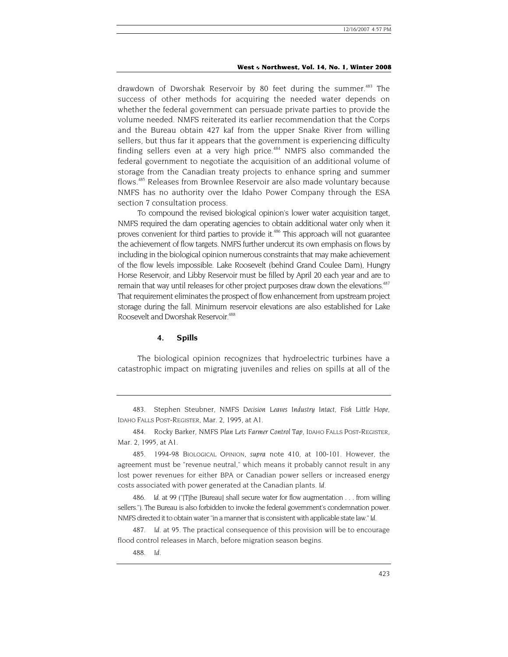drawdown of Dworshak Reservoir by 80 feet during the summer.<sup>483</sup> The success of other methods for acquiring the needed water depends on whether the federal government can persuade private parties to provide the volume needed. NMFS reiterated its earlier recommendation that the Corps and the Bureau obtain 427 kaf from the upper Snake River from willing sellers, but thus far it appears that the government is experiencing difficulty finding sellers even at a very high price.<sup>484</sup> NMFS also commanded the federal government to negotiate the acquisition of an additional volume of storage from the Canadian treaty projects to enhance spring and summer flows.[485](#page-91-2) Releases from Brownlee Reservoir are also made voluntary because NMFS has no authority over the Idaho Power Company through the ESA section 7 consultation process.

To compound the revised biological opinion's lower water acquisition target, NMFS required the dam operating agencies to obtain additional water only when it proves convenient for third parties to provide it.<sup>486</sup> This approach will not guarantee the achievement of flow targets. NMFS further undercut its own emphasis on flows by including in the biological opinion numerous constraints that may make achievement of the flow levels impossible. Lake Roosevelt (behind Grand Coulee Dam), Hungry Horse Reservoir, and Libby Reservoir must be filled by April 20 each year and are to remain that way until releases for other project purposes draw down the elevations.<sup>487</sup> That requirement eliminates the prospect of flow enhancement from upstream project storage during the fall. Minimum reservoir elevations are also established for Lake Roosevelt and Dworshak Reservoir.<sup>488</sup>

# **4. Spills**

The biological opinion recognizes that hydroelectric turbines have a catastrophic impact on migrating juveniles and relies on spills at all of the

<span id="page-91-0"></span>483. Stephen Steubner, NMFS *Decision Leaves Industry Intact, Fish Little Hope*, IDAHO FALLS POST-REGISTER, Mar. 2, 1995, at A1.

<span id="page-91-1"></span>484. Rocky Barker, NMFS *Plan Lets Farmer Control Tap*, IDAHO FALLS POST-REGISTER, Mar. 2, 1995, at A1.

<span id="page-91-2"></span>485. 1994-98 BIOLOGICAL OPINION, *supra* note 410, at 100-101. However, the agreement must be "revenue neutral," which means it probably cannot result in any lost power revenues for either BPA or Canadian power sellers or increased energy costs associated with power generated at the Canadian plants. *Id.* 

<span id="page-91-3"></span>486*. Id.* at 99 ("[T]he [Bureau] shall secure water for flow augmentation . . . from willing sellers."). The Bureau is also forbidden to invoke the federal government's condemnation power. NMFS directed it to obtain water "in a manner that is consistent with applicable state law." *Id.*

<span id="page-91-4"></span>487*. Id.* at 95. The practical consequence of this provision will be to encourage flood control releases in March, before migration season begins.

<span id="page-91-5"></span>488*. Id.*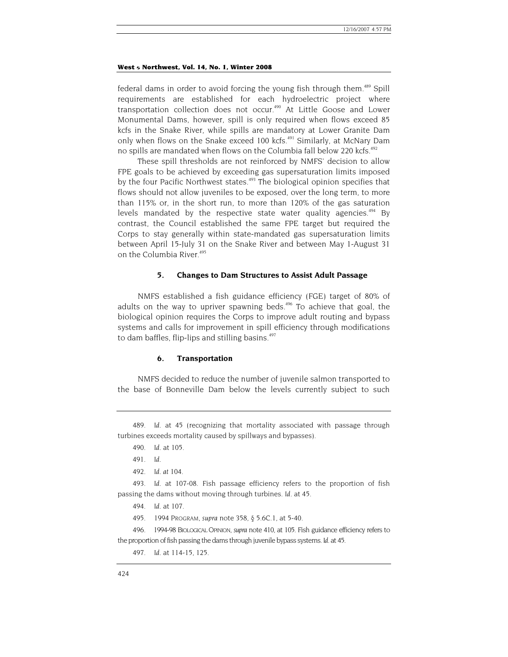federal dams in order to avoid forcing the young fish through them.<sup>489</sup> Spill requirements are established for each hydroelectric project where transportation collection does not occur.<sup>490</sup> At Little Goose and Lower Monumental Dams, however, spill is only required when flows exceed 85 kcfs in the Snake River, while spills are mandatory at Lower Granite Dam only when flows on the Snake exceed 100 kcfs.<sup>491</sup> Similarly, at McNary Dam no spills are mandated when flows on the Columbia fall below 220 kcfs.<sup>[492](#page-92-3)</sup>

These spill thresholds are not reinforced by NMFS' decision to allow FPE goals to be achieved by exceeding gas supersaturation limits imposed by the four Pacific Northwest states.<sup> $493$ </sup> The biological opinion specifies that flows should not allow juveniles to be exposed, over the long term, to more than 115% or, in the short run, to more than 120% of the gas saturation levels mandated by the respective state water quality agencies.<sup>494</sup> By contrast, the Council established the same FPE target but required the Corps to stay generally within state-mandated gas supersaturation limits between April 15-July 31 on the Snake River and between May 1-August 31 on the Columbia River.<sup>[495](#page-92-6)</sup>

## **5. Changes to Dam Structures to Assist Adult Passage**

NMFS established a fish guidance efficiency (FGE) target of 80% of adults on the way to upriver spawning beds.<sup>496</sup> To achieve that goal, the biological opinion requires the Corps to improve adult routing and bypass systems and calls for improvement in spill efficiency through modifications to dam baffles, flip-lips and stilling basins.<sup>[497](#page-92-8)</sup>

#### **6. Transportation**

NMFS decided to reduce the number of juvenile salmon transported to the base of Bonneville Dam below the levels currently subject to such

492*. Id. at 104.*

<span id="page-92-4"></span><span id="page-92-3"></span>493*. Id.* at 107-08. Fish passage efficiency refers to the proportion of fish passing the dams without moving through turbines. *Id.* at 45.

<span id="page-92-5"></span>494*. Id.* at 107.

495. 1994 PROGRAM, *supra* note 358, § 5.6C.1, at 5-40.

<span id="page-92-7"></span><span id="page-92-6"></span>496. 1994-98 BIOLOGICAL OPINION, *supra* note 410, at 105. Fish guidance efficiency refers to the proportion of fish passing the dams through juvenile bypass systems. *Id.* at 45.

<span id="page-92-0"></span><sup>489</sup>*. Id.* at 45 (recognizing that mortality associated with passage through turbines exceeds mortality caused by spillways and bypasses).

<span id="page-92-1"></span><sup>490</sup>*. Id.* at 105.

<span id="page-92-2"></span><sup>491</sup>*. Id.*

<span id="page-92-8"></span><sup>497</sup>*. Id.* at 114-15, 125.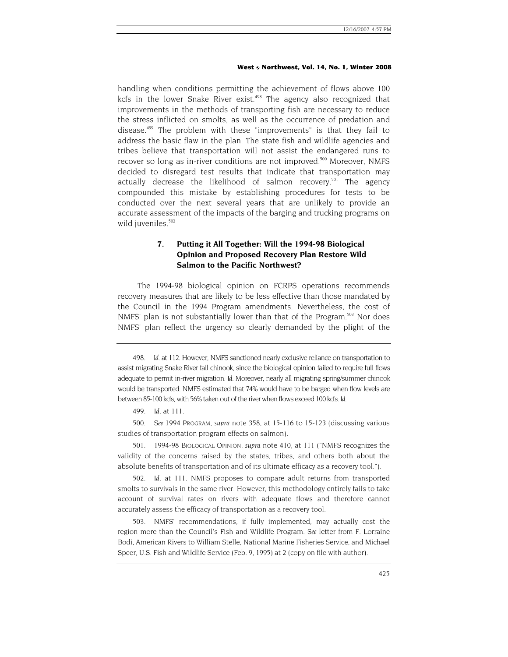handling when conditions permitting the achievement of flows above 100 kcfs in the lower Snake River exist.<sup>498</sup> The agency also recognized that improvements in the methods of transporting fish are necessary to reduce the stress inflicted on smolts, as well as the occurrence of predation and disease.[499](#page-93-1) The problem with these "improvements" is that they fail to address the basic flaw in the plan. The state fish and wildlife agencies and tribes believe that transportation will not assist the endangered runs to recover so long as in-river conditions are not improved.<sup>500</sup> Moreover, NMFS decided to disregard test results that indicate that transportation may actually decrease the likelihood of salmon recovery.<sup>501</sup> The agency compounded this mistake by establishing procedures for tests to be conducted over the next several years that are unlikely to provide an accurate assessment of the impacts of the barging and trucking programs on wild juveniles.<sup>502</sup>

# **7. Putting it All Together: Will the 1994-98 Biological Opinion and Proposed Recovery Plan Restore Wild Salmon to the Pacific Northwest?**

The 1994-98 biological opinion on FCRPS operations recommends recovery measures that are likely to be less effective than those mandated by the Council in the 1994 Program amendments. Nevertheless, the cost of NMFS' plan is not substantially lower than that of the Program.<sup>503</sup> Nor does NMFS' plan reflect the urgency so clearly demanded by the plight of the

<span id="page-93-2"></span>500*. See* 1994 PROGRAM, *supra* note 358, at 15-116 to 15-123 (discussing various studies of transportation program effects on salmon).

<span id="page-93-3"></span>501. 1994-98 BIOLOGICAL OPINION, *supra* note 410, at 111 ("NMFS recognizes the validity of the concerns raised by the states, tribes, and others both about the absolute benefits of transportation and of its ultimate efficacy as a recovery tool.").

<span id="page-93-4"></span>502*. Id.* at 111. NMFS proposes to compare adult returns from transported smolts to survivals in the same river. However, this methodology entirely fails to take account of survival rates on rivers with adequate flows and therefore cannot accurately assess the efficacy of transportation as a recovery tool.

<span id="page-93-5"></span>503. NMFS' recommendations, if fully implemented, may actually cost the region more than the Council's Fish and Wildlife Program. *See* letter from F. Lorraine Bodi, American Rivers to William Stelle, National Marine Fisheries Service, and Michael Speer, U.S. Fish and Wildlife Service (Feb. 9, 1995) at 2 (copy on file with author).

<span id="page-93-0"></span><sup>498</sup>*. Id.* at 112. However, NMFS sanctioned nearly exclusive reliance on transportation to assist migrating Snake River fall chinook, since the biological opinion failed to require full flows adequate to permit in-river migration. *Id.* Moreover, nearly all migrating spring/summer chinook would be transported. NMFS estimated that 74% would have to be barged when flow levels are between 85-100 kcfs, with 56% taken out of the river when flows exceed 100 kcfs. *Id.* 

<span id="page-93-1"></span><sup>499</sup>*. Id.* at 111.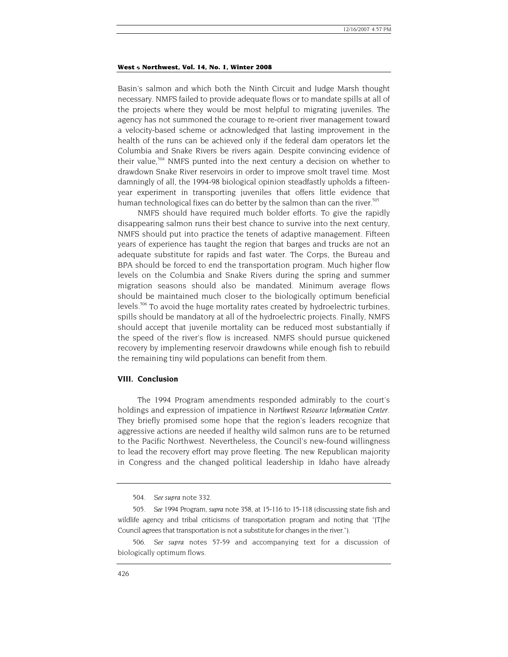Basin's salmon and which both the Ninth Circuit and Judge Marsh thought necessary. NMFS failed to provide adequate flows or to mandate spills at all of the projects where they would be most helpful to migrating juveniles. The agency has not summoned the courage to re-orient river management toward a velocity-based scheme or acknowledged that lasting improvement in the health of the runs can be achieved only if the federal dam operators let the Columbia and Snake Rivers be rivers again. Despite convincing evidence of their value,<sup>504</sup> NMFS punted into the next century a decision on whether to drawdown Snake River reservoirs in order to improve smolt travel time. Most damningly of all, the 1994-98 biological opinion steadfastly upholds a fifteenyear experiment in transporting juveniles that offers little evidence that human technological fixes can do better by the salmon than can the river.<sup>505</sup>

NMFS should have required much bolder efforts. To give the rapidly disappearing salmon runs their best chance to survive into the next century, NMFS should put into practice the tenets of adaptive management. Fifteen years of experience has taught the region that barges and trucks are not an adequate substitute for rapids and fast water. The Corps, the Bureau and BPA should be forced to end the transportation program. Much higher flow levels on the Columbia and Snake Rivers during the spring and summer migration seasons should also be mandated. Minimum average flows should be maintained much closer to the biologically optimum beneficial levels.<sup>506</sup> To avoid the huge mortality rates created by hydroelectric turbines, spills should be mandatory at all of the hydroelectric projects. Finally, NMFS should accept that juvenile mortality can be reduced most substantially if the speed of the river's flow is increased. NMFS should pursue quickened recovery by implementing reservoir drawdowns while enough fish to rebuild the remaining tiny wild populations can benefit from them.

# **VIII. Conclusion**

The 1994 Program amendments responded admirably to the court's holdings and expression of impatience in *Northwest Resource Information Center*. They briefly promised some hope that the region's leaders recognize that aggressive actions are needed if healthy wild salmon runs are to be returned to the Pacific Northwest. Nevertheless, the Council's new-found willingness to lead the recovery effort may prove fleeting. The new Republican majority in Congress and the changed political leadership in Idaho have already

<sup>504</sup>*. See supra* note 332.

<span id="page-94-1"></span><span id="page-94-0"></span><sup>505</sup>*. See* 1994 Program, *supra* note 358, at 15-116 to 15-118 (discussing state fish and wildlife agency and tribal criticisms of transportation program and noting that "[T]he Council agrees that transportation is not a substitute for changes in the river.").

<span id="page-94-2"></span><sup>506</sup>*. See supra* notes 57-59 and accompanying text for a discussion of biologically optimum flows.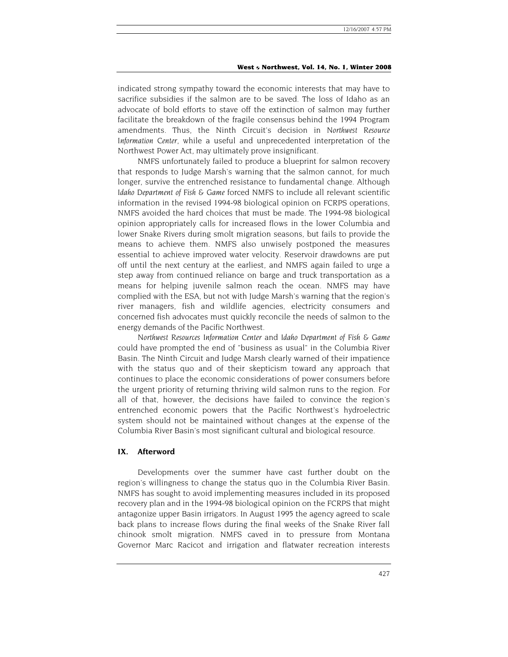indicated strong sympathy toward the economic interests that may have to sacrifice subsidies if the salmon are to be saved. The loss of Idaho as an advocate of bold efforts to stave off the extinction of salmon may further facilitate the breakdown of the fragile consensus behind the 1994 Program amendments. Thus, the Ninth Circuit's decision in *Northwest Resource Information Center*, while a useful and unprecedented interpretation of the Northwest Power Act, may ultimately prove insignificant.

NMFS unfortunately failed to produce a blueprint for salmon recovery that responds to Judge Marsh's warning that the salmon cannot, for much longer, survive the entrenched resistance to fundamental change. Although *Idaho Department of Fish & Game* forced NMFS to include all relevant scientific information in the revised 1994-98 biological opinion on FCRPS operations, NMFS avoided the hard choices that must be made. The 1994-98 biological opinion appropriately calls for increased flows in the lower Columbia and lower Snake Rivers during smolt migration seasons, but fails to provide the means to achieve them. NMFS also unwisely postponed the measures essential to achieve improved water velocity. Reservoir drawdowns are put off until the next century at the earliest, and NMFS again failed to urge a step away from continued reliance on barge and truck transportation as a means for helping juvenile salmon reach the ocean. NMFS may have complied with the ESA, but not with Judge Marsh's warning that the region's river managers, fish and wildlife agencies, electricity consumers and concerned fish advocates must quickly reconcile the needs of salmon to the energy demands of the Pacific Northwest.

*Northwest Resources Information Center* and *Idaho Department of Fish & Game* could have prompted the end of "business as usual" in the Columbia River Basin. The Ninth Circuit and Judge Marsh clearly warned of their impatience with the status quo and of their skepticism toward any approach that continues to place the economic considerations of power consumers before the urgent priority of returning thriving wild salmon runs to the region. For all of that, however, the decisions have failed to convince the region's entrenched economic powers that the Pacific Northwest's hydroelectric system should not be maintained without changes at the expense of the Columbia River Basin's most significant cultural and biological resource.

# **IX. Afterword**

Developments over the summer have cast further doubt on the region's willingness to change the status quo in the Columbia River Basin. NMFS has sought to avoid implementing measures included in its proposed recovery plan and in the 1994-98 biological opinion on the FCRPS that might antagonize upper Basin irrigators. In August 1995 the agency agreed to scale back plans to increase flows during the final weeks of the Snake River fall chinook smolt migration. NMFS caved in to pressure from Montana Governor Marc Racicot and irrigation and flatwater recreation interests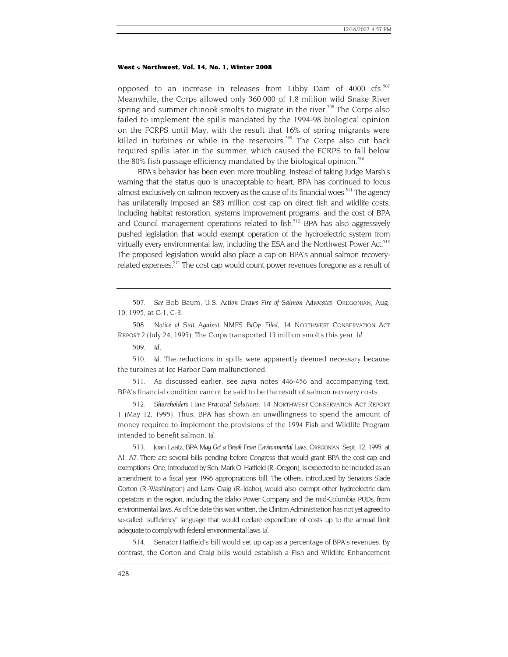<span id="page-96-7"></span>opposed to an increase in releases from Libby Dam of  $4000$  cfs.<sup>507</sup> Meanwhile, the Corps allowed only 360,000 of 1.8 million wild Snake River spring and summer chinook smolts to migrate in the river.<sup>508</sup> The Corps also failed to implement the spills mandated by the 1994-98 biological opinion on the FCRPS until May, with the result that 16% of spring migrants were killed in turbines or while in the reservoirs. $509$  The Corps also cut back required spills later in the summer, which caused the FCRPS to fall below the 80% fish passage efficiency mandated by the biological opinion. $510$ 

BPA's behavior has been even more troubling. Instead of taking Judge Marsh's warning that the status quo is unacceptable to heart, BPA has continued to focus almost exclusively on salmon recovery as the cause of its financial woes.<sup>511</sup> The agency has unilaterally imposed an \$83 million cost cap on direct fish and wildlife costs, including habitat restoration, systems improvement programs, and the cost of BPA and Council management operations related to fish.<sup>512</sup> BPA has also aggressively pushed legislation that would exempt operation of the hydroelectric system from virtually every environmental law, including the ESA and the Northwest Power Act.<sup>513</sup> The proposed legislation would also place a cap on BPA's annual salmon recoveryrelated expenses.<sup>514</sup> The cost cap would count power revenues foregone as a result of

<span id="page-96-0"></span>507*. See* Bob Baum, U.S. *Action Draws Fire of Salmon Advocates,* OREGONIAN, Aug. 10, 1995, at C-1, C-3.

<span id="page-96-1"></span>508*. Notice of Suit Against NMFS BiOp Filed*, 14 NORTHWEST CONSERVATION ACT REPORT 2 (July 24, 1995). The Corps transported 13 million smolts this year. *Id.*

<span id="page-96-2"></span>509*. Id.*

<span id="page-96-3"></span>510*. Id.* The reductions in spills were apparently deemed necessary because the turbines at Ice Harbor Dam malfunctioned.

<span id="page-96-4"></span>511. As discussed earlier, see *supra* notes 446-456 and accompanying text, BPA's financial condition cannot be said to be the result of salmon recovery costs.

<span id="page-96-5"></span>512*. Shareholders Have Practical Solutions,* 14 NORTHWEST CONSERVATION ACT REPORT 1 (May 12, 1995). Thus, BPA has shown an unwillingness to spend the amount of money required to implement the provisions of the 1994 Fish and Wildlife Program intended to benefit salmon. *Id.*

<span id="page-96-6"></span>513. Joan Laatz, BPA *May Get a Break From Environmental Laws,* OREGONIAN, Sept. 12, 1995, at A1, A7. There are several bills pending before Congress that would grant BPA the cost cap and exemptions. One, introduced by Sen. Mark O. Hatfield (R.-Oregon), is expected to be included as an amendment to a fiscal year 1996 appropriations bill. The others, introduced by Senators Slade Gorton (R.-Washington) and Larry Craig (R.-Idaho), would also exempt other hydroelectric dam operators in the region, including the Idaho Power Company and the mid-Columbia PUDs, from environmental laws. As of the date this was written, the Clinton Administration has not yet agreed to so-called "sufficiency" language that would declare expenditure of costs up to the annual limit adequate to comply with federal environmental laws. *Id.* 

514. Senator Hatfield's bill would set up cap as a percentage of BPA's revenues. By contrast, the Gorton and Craig bills would establish a Fish and Wildlife Enhancement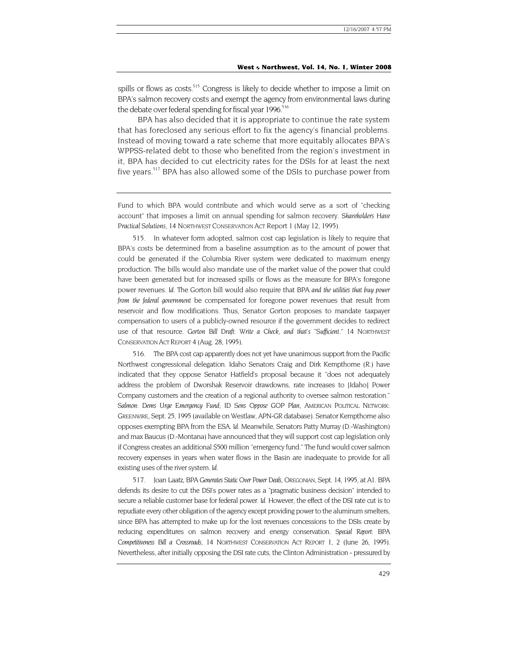<span id="page-97-2"></span>spills or flows as costs.<sup>515</sup> Congress is likely to decide whether to impose a limit on BPA's salmon recovery costs and exempt the agency from environmental laws during the debate over federal spending for fiscal year 1996.<sup>516</sup>

BPA has also decided that it is appropriate to continue the rate system that has foreclosed any serious effort to fix the agency's financial problems. Instead of moving toward a rate scheme that more equitably allocates BPA's WPPSS-related debt to those who benefited from the region's investment in it, BPA has decided to cut electricity rates for the DSIs for at least the next five years.<sup>517</sup> BPA has also allowed some of the DSIs to purchase power from

Fund to which BPA would contribute and which would serve as a sort of "checking account" that imposes a limit on annual spending for salmon recovery. *Shareholders Have Practical Solutions*, 14 NORTHWEST CONSERVATION ACT Report 1 (May 12, 1995).

<span id="page-97-0"></span>515. In whatever form adopted, salmon cost cap legislation is likely to require that BPA's costs be determined from a baseline assumption as to the amount of power that could be generated if the Columbia River system were dedicated to maximum energy production. The bills would also mandate use of the market value of the power that could have been generated but for increased spills or flows as the measure for BPA's foregone power revenues. *Id.* The Gorton bill would also require that BPA *and the utilities that buy power from the federal government* be compensated for foregone power revenues that result from reservoir and flow modifications. Thus, Senator Gorton proposes to mandate taxpayer compensation to users of a publicly-owned resource if the government decides to redirect use of that resource. *Gorton Bill Draft: Write a Check, and that's "Sufficient."* 14 NORTHWEST CONSERVATION ACT REPORT 4 (Aug. 28, 1995).

<span id="page-97-1"></span>516. The BPA cost cap apparently does not yet have unanimous support from the Pacific Northwest congressional delegation. Idaho Senators Craig and Dirk Kempthorne (R.) have indicated that they oppose Senator Hatfield's proposal because it "does not adequately address the problem of Dworshak Reservoir drawdowns, rate increases to [Idaho] Power Company customers and the creation of a regional authority to oversee salmon restoration." *Salmon: Dems Urge Emergency Fund*; ID *Sens Oppose GOP Plan*, AMERICAN POLITICAL NETWORK: GREENWIRE, Sept. 25, 1995 (available on Westlaw, APN-GR database). Senator Kempthorne also opposes exempting BPA from the ESA. *Id.* Meanwhile, Senators Patty Murray (D.-Washington) and max Baucus (D.-Montana) have announced that they will support cost cap legislation only if Congress creates an additional \$500 million "emergency fund." The fund would cover salmon recovery expenses in years when water flows in the Basin are inadequate to provide for all existing uses of the river system. *Id.* 

517. Joan Laatz, BPA *Generates Static Over Power Deals,* OREGONIAN, Sept. 14, 1995, at A1. BPA defends its desire to cut the DSI's power rates as a "pragmatic business decision" intended to secure a reliable customer base for federal power. *Id.* However, the effect of the DSI rate cut is to repudiate every other obligation of the agency except providing power to the aluminum smelters, since BPA has attempted to make up for the lost revenues concessions to the DSIs create by reducing expenditures on salmon recovery and energy conservation. *Special Report: BPA Competitiveness Bill a Crossroads*, 14 NORTHWEST CONSERVATION ACT REPORT 1, 2 (June 26, 1995). Nevertheless, after initially opposing the DSI rate cuts, the Clinton Administration - pressured by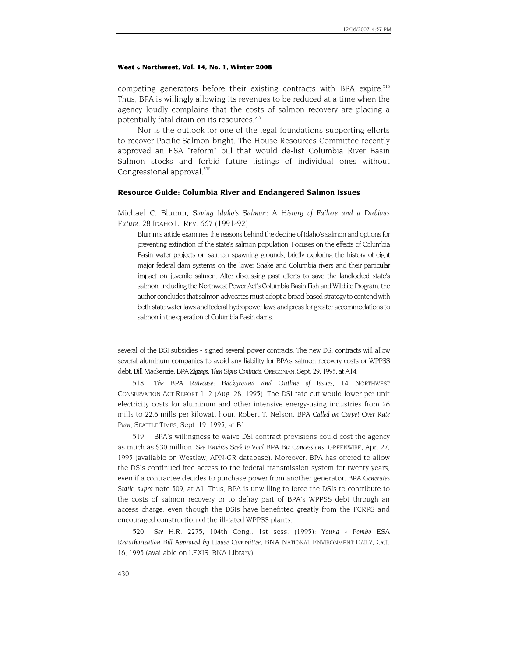competing generators before their existing contracts with BPA expire.<sup>[518](#page-98-0)</sup> Thus, BPA is willingly allowing its revenues to be reduced at a time when the agency loudly complains that the costs of salmon recovery are placing a potentially fatal drain on its resources.<sup>519</sup>

Nor is the outlook for one of the legal foundations supporting efforts to recover Pacific Salmon bright. The House Resources Committee recently approved an ESA "reform" bill that would de-list Columbia River Basin Salmon stocks and forbid future listings of individual ones without Congressional approval.<sup>[520](#page-98-2)</sup>

## **Resource Guide: Columbia River and Endangered Salmon Issues**

Michael C. Blumm, *Saving Idaho's Salmon: A History of Failure and a Dubious Future,* 28 IDAHO L. REV. 667 (1991-92).

Blumm's article examines the reasons behind the decline of Idaho's salmon and options for preventing extinction of the state's salmon population. Focuses on the effects of Columbia Basin water projects on salmon spawning grounds, briefly exploring the history of eight major federal dam systems on the lower Snake and Columbia rivers and their particular impact on juvenile salmon. After discussing past efforts to save the landlocked state's salmon, including the Northwest Power Act's Columbia Basin Fish and Wildlife Program, the author concludes that salmon advocates must adopt a broad-based strategy to contend with both state water laws and federal hydropower laws and press for greater accommodations to salmon in the operation of Columbia Basin dams.

several of the DSI subsidies - signed several power contracts. The new DSI contracts will allow several aluminum companies to avoid any liability for BPA's salmon recovery costs or WPPSS debt. Bill Mackenzie, BPA *Zigzags, Then Signs Contracts*, OREGONIAN, Sept. 29, 1995, at A14.

<span id="page-98-0"></span>518*. The BPA Ratecase: Background and Outline of Issues*, 14 NORTHWEST CONSERVATION ACT REPORT 1, 2 (Aug. 28, 1995). The DSI rate cut would lower per unit electricity costs for aluminum and other intensive energy-using industries from 26 mills to 22.6 mills per kilowatt hour. Robert T. Nelson, BPA *Called on Carpet Over Rate Plan*, SEATTLE TIMES, Sept. 19, 1995, at B1.

<span id="page-98-1"></span>519. BPA's willingness to waive DSI contract provisions could cost the agency as much as \$30 million. *See Enviros Seek to Void BPA Biz Concessions,* GREENWIRE, Apr. 27, 1995 (available on Westlaw, APN-GR database). Moreover, BPA has offered to allow the DSIs continued free access to the federal transmission system for twenty years, even if a contractee decides to purchase power from another generator. BPA *Generates Static, supra* note 509, at A1. Thus, BPA is unwilling to force the DSIs to contribute to the costs of salmon recovery or to defray part of BPA's WPPSS debt through an access charge, even though the DSIs have benefitted greatly from the FCRPS and encouraged construction of the ill-fated WPPSS plants.

<span id="page-98-2"></span>520*. See* H.R. 2275, 104th Cong., 1st sess. (1995): *Young - Pombo ESA Reauthorization Bill Approved by House Committee,* BNA NATIONAL ENVIRONMENT DAILY, Oct. 16, 1995 (available on LEXIS, BNA Library).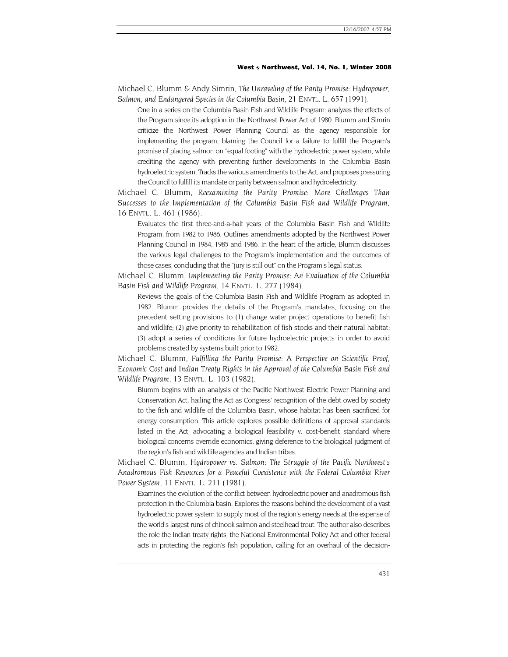Michael C. Blumm & Andy Simrin, *The Unraveling of the Parity Promise: Hydropower, Salmon, and Endangered Species in the Columbia Basin,* 21 ENVTL. L. 657 (1991).

One in a series on the Columbia Basin Fish and Wildlife Program: analyzes the effects of the Program since its adoption in the Northwest Power Act of 1980. Blumm and Simrin criticize the Northwest Power Planning Council as the agency responsible for implementing the program, blaming the Council for a failure to fulfill the Program's promise of placing salmon on "equal footing" with the hydroelectric power system, while crediting the agency with preventing further developments in the Columbia Basin hydroelectric system. Tracks the various amendments to the Act, and proposes pressuring the Council to fulfill its mandate or parity between salmon and hydroelectricity.

Michael C. Blumm, *Reexamining the Parity Promise: More Challenges Than Successes to the Implementation of the Columbia Basin Fish and Wildlife Program,* 16 ENVTL. L. 461 (1986).

Evaluates the first three-and-a-half years of the Columbia Basin Fish and Wildlife Program, from 1982 to 1986. Outlines amendments adopted by the Northwest Power Planning Council in 1984, 1985 and 1986. In the heart of the article, Blumm discusses the various legal challenges to the Program's implementation and the outcomes of those cases, concluding that the "jury is still out" on the Program's legal status.

Michael C. Blumm, *Implementing the Parity Promise: An Evaluation of the Columbia Basin Fish and Wildlife Program*, 14 ENVTL. L. 277 (1984).

Reviews the goals of the Columbia Basin Fish and Wildlife Program as adopted in 1982. Blumm provides the details of the Program's mandates, focusing on the precedent setting provisions to (1) change water project operations to benefit fish and wildlife; (2) give priority to rehabilitation of fish stocks and their natural habitat; (3) adopt a series of conditions for future hydroelectric projects in order to avoid problems created by systems built prior to 1982.

Michael C. Blumm, *Fulfilling the Parity Promise: A Perspective on Scientific Proof, Economic Cost and Indian Treaty Rights in the Approval of the Columbia Basin Fish and Wildlife Program,* 13 ENVTL. L. 103 (1982).

Blumm begins with an analysis of the Pacific Northwest Electric Power Planning and Conservation Act, hailing the Act as Congress' recognition of the debt owed by society to the fish and wildlife of the Columbia Basin, whose habitat has been sacrificed for energy consumption. This article explores possible definitions of approval standards listed in the Act, advocating a biological feasibility v. cost-benefit standard where biological concerns override economics, giving deference to the biological judgment of the region's fish and wildlife agencies and Indian tribes.

Michael C. Blumm, *Hydropower vs. Salmon: The Struggle of the Pacific Northwest's Anadromous Fish Resources for a Peaceful Coexistence with the Federal Columbia River Power System,* 11 ENVTL. L. 211 (1981).

Examines the evolution of the conflict between hydroelectric power and anadromous fish protection in the Columbia basin. Explores the reasons behind the development of a vast hydroelectric power system to supply most of the region's energy needs at the expense of the world's largest runs of chinook salmon and steelhead trout. The author also describes the role the Indian treaty rights, the National Environmental Policy Act and other federal acts in protecting the region's fish population, calling for an overhaul of the decision-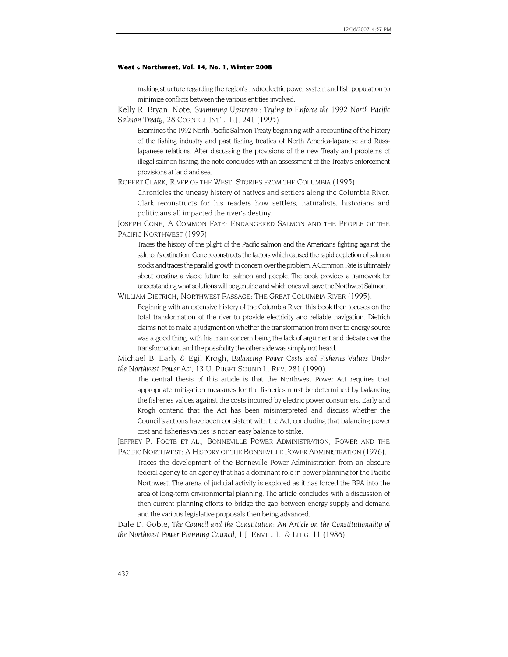making structure regarding the region's hydroelectric power system and fish population to minimize conflicts between the various entities involved.

Kelly R. Bryan, Note, *Swimming Upstream: Trying to Enforce the 1992 North Pacific Salmon Treaty,* 28 CORNELL INT'L. L.J. 241 (1995).

Examines the 1992 North Pacific Salmon Treaty beginning with a recounting of the history of the fishing industry and past fishing treaties of North America-Japanese and Russ-Japanese relations. After discussing the provisions of the new Treaty and problems of illegal salmon fishing, the note concludes with an assessment of the Treaty's enforcement provisions at land and sea.

ROBERT CLARK, RIVER OF THE WEST: STORIES FROM THE COLUMBIA (1995).

Chronicles the uneasy history of natives and settlers along the Columbia River. Clark reconstructs for his readers how settlers, naturalists, historians and politicians all impacted the river's destiny.

JOSEPH CONE, A COMMON FATE: ENDANGERED SALMON AND THE PEOPLE OF THE PACIFIC NORTHWEST (1995).

Traces the history of the plight of the Pacific salmon and the Americans fighting against the salmon's extinction. Cone reconstructs the factors which caused the rapid depletion of salmon stocks and traces the parallel growth in concern over the problem. A Common Fate is ultimately about creating a viable future for salmon and people. The book provides a framework for understanding what solutions will be genuine and which ones will save the Northwest Salmon. WILLIAM DIETRICH, NORTHWEST PASSAGE: THE GREAT COLUMBIA RIVER (1995).

Beginning with an extensive history of the Columbia River, this book then focuses on the total transformation of the river to provide electricity and reliable navigation. Dietrich claims not to make a judgment on whether the transformation from river to energy source was a good thing, with his main concern being the lack of argument and debate over the transformation, and the possibility the other side was simply not heard.

Michael B. Early & Egil Krogh, *Balancing Power Costs and Fisheries Values Under the Northwest Power Act,* 13 U. PUGET SOUND L. REV. 281 (1990).

The central thesis of this article is that the Northwest Power Act requires that appropriate mitigation measures for the fisheries must be determined by balancing the fisheries values against the costs incurred by electric power consumers. Early and Krogh contend that the Act has been misinterpreted and discuss whether the Council's actions have been consistent with the Act, concluding that balancing power cost and fisheries values is not an easy balance to strike.

JEFFREY P. FOOTE ET AL., BONNEVILLE POWER ADMINISTRATION, POWER AND THE PACIFIC NORTHWEST: A HISTORY OF THE BONNEVILLE POWER ADMINISTRATION (1976).

Traces the development of the Bonneville Power Administration from an obscure federal agency to an agency that has a dominant role in power planning for the Pacific Northwest. The arena of judicial activity is explored as it has forced the BPA into the area of long-term environmental planning. The article concludes with a discussion of then current planning efforts to bridge the gap between energy supply and demand and the various legislative proposals then being advanced.

Dale D. Goble, *The Council and the Constitution: An Article on the Constitutionality of the Northwest Power Planning Council,* 1 J. ENVTL. L. & LITIG. 11 (1986).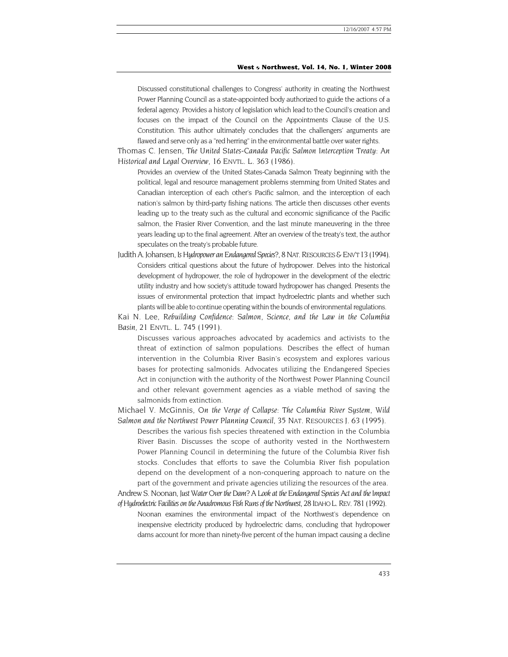Discussed constitutional challenges to Congress' authority in creating the Northwest Power Planning Council as a state-appointed body authorized to guide the actions of a federal agency. Provides a history of legislation which lead to the Council's creation and focuses on the impact of the Council on the Appointments Clause of the U.S. Constitution. This author ultimately concludes that the challengers' arguments are flawed and serve only as a "red herring" in the environmental battle over water rights.

Thomas C. Jensen, *The United States-Canada Pacific Salmon Interception Treaty: An Historical and Legal Overview,* 16 ENVTL. L. 363 (1986).

Provides an overview of the United States-Canada Salmon Treaty beginning with the political, legal and resource management problems stemming from United States and Canadian interception of each other's Pacific salmon, and the interception of each nation's salmon by third-party fishing nations. The article then discusses other events leading up to the treaty such as the cultural and economic significance of the Pacific salmon, the Frasier River Convention, and the last minute maneuvering in the three years leading up to the final agreement. After an overview of the treaty's text, the author speculates on the treaty's probable future.

Judith A. Johansen, *Is Hydropower an Endangered Species?*, 8 NAT. RESOURCES & ENV'T 13 (1994). Considers critical questions about the future of hydropower. Delves into the historical development of hydropower, the role of hydropower in the development of the electric utility industry and how society's attitude toward hydropower has changed. Presents the issues of environmental protection that impact hydroelectric plants and whether such plants will be able to continue operating within the bounds of environmental regulations.

Kai N. Lee, *Rebuilding Confidence: Salmon, Science, and the Law in the Columbia Basin*, 21 ENVTL. L. 745 (1991).

Discusses various approaches advocated by academics and activists to the threat of extinction of salmon populations. Describes the effect of human intervention in the Columbia River Basin's ecosystem and explores various bases for protecting salmonids. Advocates utilizing the Endangered Species Act in conjunction with the authority of the Northwest Power Planning Council and other relevant government agencies as a viable method of saving the salmonids from extinction.

Michael V. McGinnis, *On the Verge of Collapse: The Columbia River System, Wild Salmon and the Northwest Power Planning Council*, 35 NAT. RESOURCES J. 63 (1995).

Describes the various fish species threatened with extinction in the Columbia River Basin. Discusses the scope of authority vested in the Northwestern Power Planning Council in determining the future of the Columbia River fish stocks. Concludes that efforts to save the Columbia River fish population depend on the development of a non-conquering approach to nature on the part of the government and private agencies utilizing the resources of the area.

Andrew S. Noonan, Just Water Over the Dam? A Look at the Endangered Species Act and the Impact *of Hydroelectric Facilities on the Anadromous Fish Runs of the Northwest*, 28 IDAHO L. REV. 781 (1992).

Noonan examines the environmental impact of the Northwest's dependence on inexpensive electricity produced by hydroelectric dams, concluding that hydropower dams account for more than ninety-five percent of the human impact causing a decline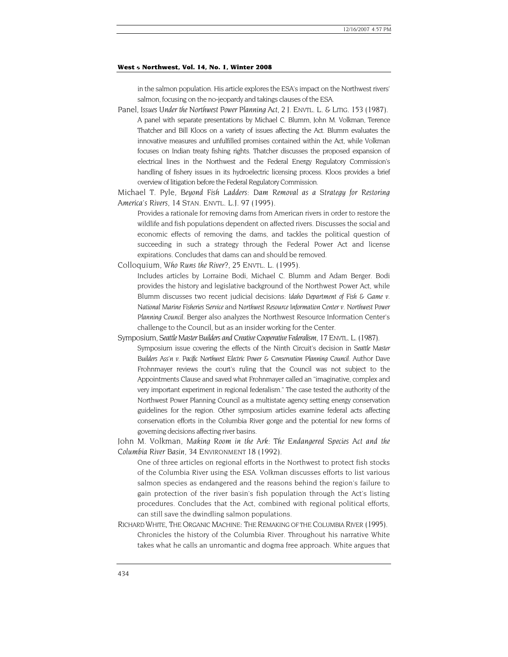in the salmon population. His article explores the ESA's impact on the Northwest rivers' salmon, focusing on the no-jeopardy and takings clauses of the ESA.

- Panel, *Issues Under the Northwest Power Planning Act,* 2 J. ENVTL. L. & LITIG. 153 (1987). A panel with separate presentations by Michael C. Blumm, John M. Volkman, Terence Thatcher and Bill Kloos on a variety of issues affecting the Act. Blumm evaluates the innovative measures and unfulfilled promises contained within the Act, while Volkman focuses on Indian treaty fishing rights. Thatcher discusses the proposed expansion of electrical lines in the Northwest and the Federal Energy Regulatory Commission's handling of fishery issues in its hydroelectric licensing process. Kloos provides a brief overview of litigation before the Federal Regulatory Commission.
- Michael T. Pyle, *Beyond Fish Ladders: Dam Removal as a Strategy for Restoring America's Rivers*, 14 STAN. ENVTL. L.J. 97 (1995).
	- Provides a rationale for removing dams from American rivers in order to restore the wildlife and fish populations dependent on affected rivers. Discusses the social and economic effects of removing the dams, and tackles the political question of succeeding in such a strategy through the Federal Power Act and license expirations. Concludes that dams can and should be removed.
- Colloquium, *Who Runs the River?*, 25 ENVTL. L. (1995).
	- Includes articles by Lorraine Bodi, Michael C. Blumm and Adam Berger. Bodi provides the history and legislative background of the Northwest Power Act, while Blumm discusses two recent judicial decisions: *Idaho Department of Fish & Game v. National Marine Fisheries Service* and *Northwest Resource Information Center v. Northwest Power Planning Council*. Berger also analyzes the Northwest Resource Information Center's challenge to the Council, but as an insider working for the Center.
- Symposium, *Seattle Master Builders and Creative Cooperative Federalism*, 17 ENVTL. L. (1987).
- Symposium issue covering the effects of the Ninth Circuit's decision in *Seattle Master Builders Ass'n v. Pacific Northwest Electric Power & Conservation Planning Council*. Author Dave Frohnmayer reviews the court's ruling that the Council was not subject to the Appointments Clause and saved what Frohnmayer called an "imaginative, complex and very important experiment in regional federalism." The case tested the authority of the Northwest Power Planning Council as a multistate agency setting energy conservation guidelines for the region. Other symposium articles examine federal acts affecting conservation efforts in the Columbia River gorge and the potential for new forms of governing decisions affecting river basins.
- John M. Volkman, *Making Room in the Ark: The Endangered Species Act and the Columbia River Basin,* 34 ENVIRONMENT 18 (1992).
	- One of three articles on regional efforts in the Northwest to protect fish stocks of the Columbia River using the ESA. Volkman discusses efforts to list various salmon species as endangered and the reasons behind the region's failure to gain protection of the river basin's fish population through the Act's listing procedures. Concludes that the Act, combined with regional political efforts, can still save the dwindling salmon populations.
- RICHARD WHITE, THE ORGANIC MACHINE: THE REMAKING OF THE COLUMBIA RIVER (1995). Chronicles the history of the Columbia River. Throughout his narrative White takes what he calls an unromantic and dogma free approach. White argues that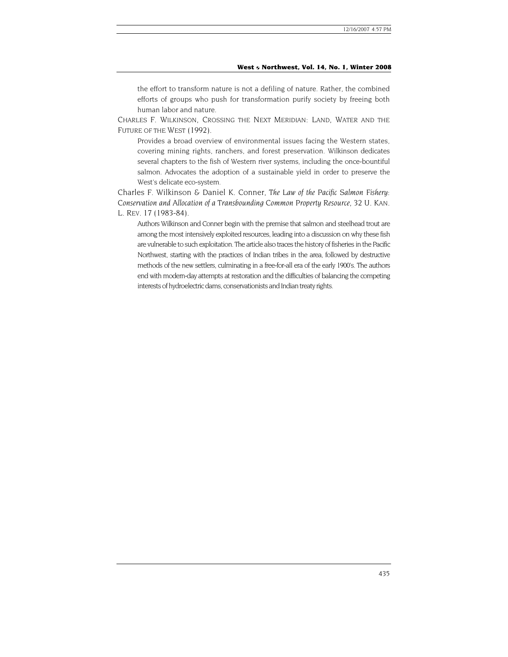the effort to transform nature is not a defiling of nature. Rather, the combined efforts of groups who push for transformation purify society by freeing both human labor and nature.

CHARLES F. WILKINSON, CROSSING THE NEXT MERIDIAN: LAND, WATER AND THE FUTURE OF THE WEST (1992).

Provides a broad overview of environmental issues facing the Western states, covering mining rights, ranchers, and forest preservation. Wilkinson dedicates several chapters to the fish of Western river systems, including the once-bountiful salmon. Advocates the adoption of a sustainable yield in order to preserve the West's delicate eco-system.

Charles F. Wilkinson & Daniel K. Conner, *The Law of the Pacific Salmon Fishery: Conservation and Allocation of a Transbounding Common Property Resource,* 32 U. KAN. L. REV. 17 (1983-84).

Authors Wilkinson and Conner begin with the premise that salmon and steelhead trout are among the most intensively exploited resources, leading into a discussion on why these fish are vulnerable to such exploitation. The article also traces the history of fisheries in the Pacific Northwest, starting with the practices of Indian tribes in the area, followed by destructive methods of the new settlers, culminating in a free-for-all era of the early 1900's. The authors end with modern-day attempts at restoration and the difficulties of balancing the competing interests of hydroelectric dams, conservationists and Indian treaty rights.